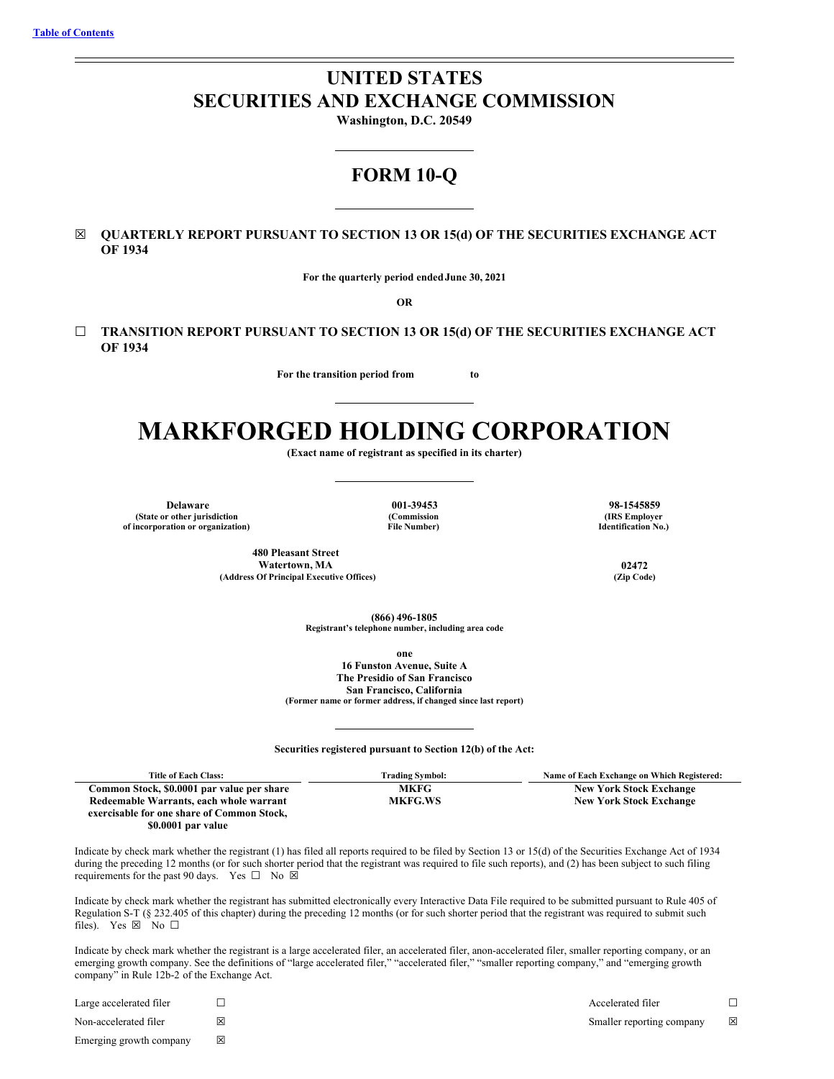# **UNITED STATES SECURITIES AND EXCHANGE COMMISSION**

**Washington, D.C. 20549**

# **FORM 10-Q**

☒ **QUARTERLY REPORT PURSUANT TO SECTION 13 OR 15(d) OF THE SECURITIES EXCHANGE ACT OF 1934**

**For the quarterly period endedJune 30, 2021**

**OR**

☐ **TRANSITION REPORT PURSUANT TO SECTION 13 OR 15(d) OF THE SECURITIES EXCHANGE ACT OF 1934**

**For the transition period from to**

# **MARKFORGED HOLDING CORPORATION**

**(Exact name of registrant as specified in its charter)**

**Delaware 001-39453 98-1545859 (State or other jurisdiction of incorporation or organization)**

**(Commission File Number)**

**(IRS Employer Identification No.)**

**Watertown, MA 02472 (Address Of Principal Executive Offices) (Zip Code)**

**(866) 496-1805**

**480 Pleasant Street**

**Registrant's telephone number, including area code**

**one**

**16 Funston Avenue, Suite A The Presidio of San Francisco San Francisco, California (Former name or former address, if changed since last report)**

**Securities registered pursuant to Section 12(b) of the Act:**

| <b>Title of Each Class:</b>                | <b>Trading Symbol:</b> | Name of Each Exchange on Which Registered: |
|--------------------------------------------|------------------------|--------------------------------------------|
| Common Stock, \$0.0001 par value per share | MKFG                   | <b>New York Stock Exchange</b>             |
| Redeemable Warrants, each whole warrant    | <b>MKFG.WS</b>         | <b>New York Stock Exchange</b>             |
| exercisable for one share of Common Stock, |                        |                                            |
| \$0.0001 par value                         |                        |                                            |

Indicate by check mark whether the registrant (1) has filed all reports required to be filed by Section 13 or 15(d) of the Securities Exchange Act of 1934 during the preceding 12 months (or for such shorter period that the registrant was required to file such reports), and (2) has been subject to such filing requirements for the past 90 days. Yes  $\square$  No  $\square$ 

Indicate by check mark whether the registrant has submitted electronically every Interactive Data File required to be submitted pursuant to Rule 405 of Regulation S-T (§ 232.405 of this chapter) during the preceding 12 months (or for such shorter period that the registrant was required to submit such files). Yes  $\boxtimes$  No  $\square$ 

Indicate by check mark whether the registrant is a large accelerated filer, an accelerated filer, anon-accelerated filer, smaller reporting company, or an emerging growth company. See the definitions of "large accelerated filer," "accelerated filer," "smaller reporting company," and "emerging growth company" in Rule 12b-2 of the Exchange Act.

| Large accelerated filer |   | Accelerated filer         |   |
|-------------------------|---|---------------------------|---|
| Non-accelerated filer   | ⊠ | Smaller reporting company | ⊠ |
| Emerging growth company |   |                           |   |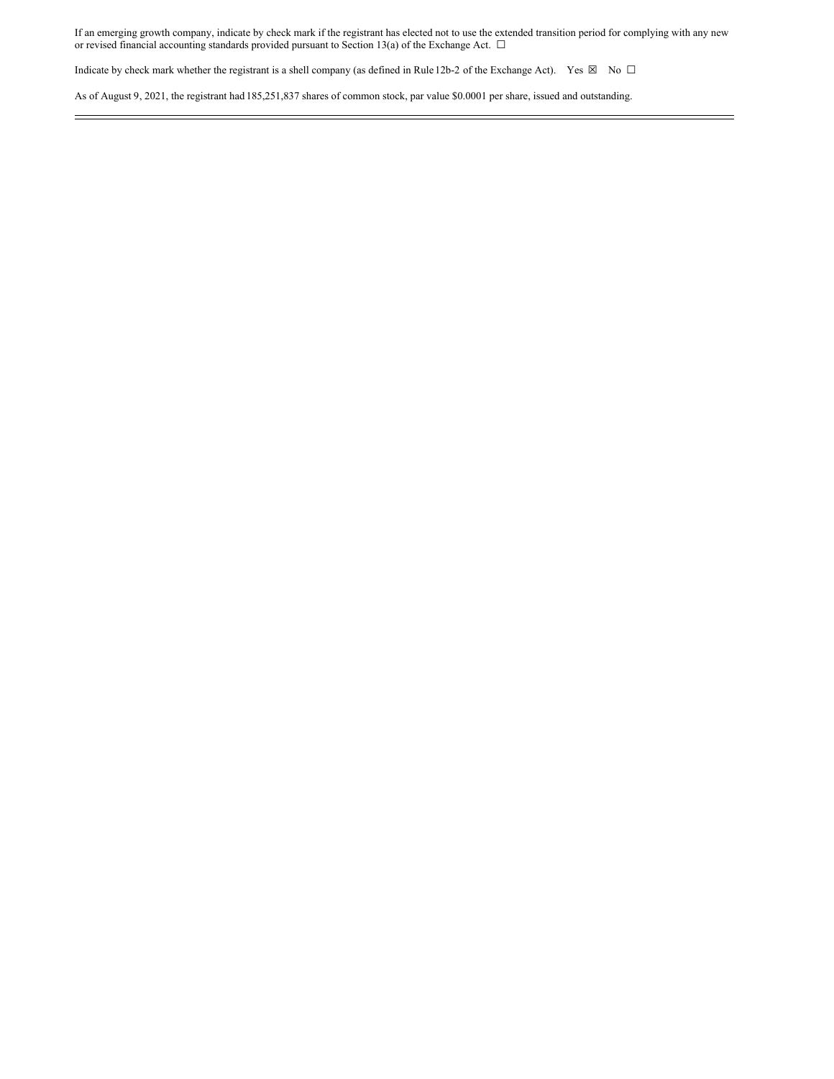If an emerging growth company, indicate by check mark if the registrant has elected not to use the extended transition period for complying with any new or revised financial accounting standards provided pursuant to Section 13(a) of the Exchange Act.  $\Box$ 

Indicate by check mark whether the registrant is a shell company (as defined in Rule 12b-2 of the Exchange Act). Yes  $\boxtimes$  No  $\Box$ 

As of August 9, 2021, the registrant had 185,251,837 shares of common stock, par value \$0.0001 per share, issued and outstanding.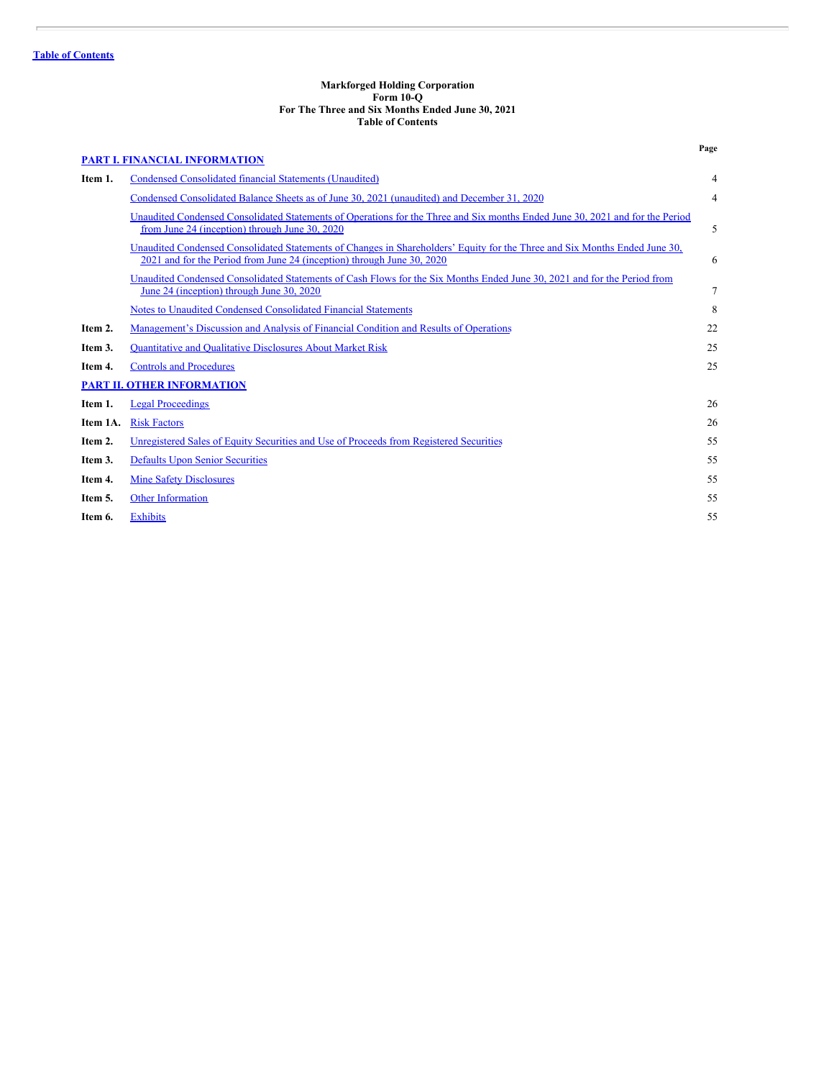# <span id="page-2-0"></span>**Markforged Holding Corporation Form 10-Q For The Three and Six Months Ended June 30, 2021 Table of Contents**

|          | <b>PART I. FINANCIAL INFORMATION</b>                                                                                                                                                                 | Page |
|----------|------------------------------------------------------------------------------------------------------------------------------------------------------------------------------------------------------|------|
| Item 1.  | Condensed Consolidated financial Statements (Unaudited)                                                                                                                                              | 4    |
|          | Condensed Consolidated Balance Sheets as of June 30, 2021 (unaudited) and December 31, 2020                                                                                                          | 4    |
|          | Unaudited Condensed Consolidated Statements of Operations for the Three and Six months Ended June 30, 2021 and for the Period<br>from June 24 (inception) through June 30, 2020                      | 5    |
|          | Unaudited Condensed Consolidated Statements of Changes in Shareholders' Equity for the Three and Six Months Ended June 30,<br>2021 and for the Period from June 24 (inception) through June 30, 2020 | 6    |
|          | Unaudited Condensed Consolidated Statements of Cash Flows for the Six Months Ended June 30, 2021 and for the Period from<br>June 24 (inception) through June 30, 2020                                | 7    |
|          | Notes to Unaudited Condensed Consolidated Financial Statements                                                                                                                                       | 8    |
| Item 2.  | Management's Discussion and Analysis of Financial Condition and Results of Operations                                                                                                                | 22   |
| Item 3.  | <b>Quantitative and Qualitative Disclosures About Market Risk</b>                                                                                                                                    | 25   |
| Item 4.  | <b>Controls and Procedures</b>                                                                                                                                                                       | 25   |
|          | <b>PART II. OTHER INFORMATION</b>                                                                                                                                                                    |      |
| Item 1.  | <b>Legal Proceedings</b>                                                                                                                                                                             | 26   |
| Item 1A. | <b>Risk Factors</b>                                                                                                                                                                                  | 26   |
| Item 2.  | Unregistered Sales of Equity Securities and Use of Proceeds from Registered Securities                                                                                                               | 55   |
| Item 3.  | <b>Defaults Upon Senior Securities</b>                                                                                                                                                               | 55   |
| Item 4.  | <b>Mine Safety Disclosures</b>                                                                                                                                                                       | 55   |
| Item 5.  | <b>Other Information</b>                                                                                                                                                                             | 55   |
| Item 6.  | <b>Exhibits</b>                                                                                                                                                                                      | 55   |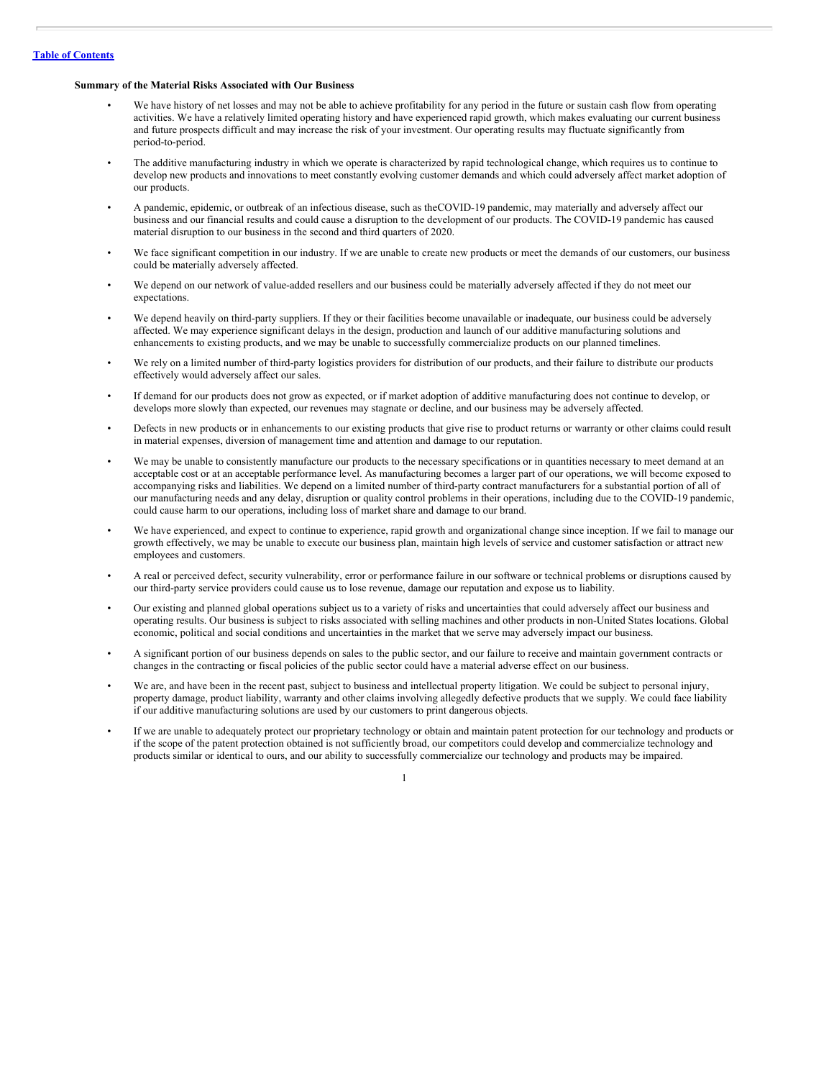#### **Summary of the Material Risks Associated with Our Business**

- We have history of net losses and may not be able to achieve profitability for any period in the future or sustain cash flow from operating activities. We have a relatively limited operating history and have experienced rapid growth, which makes evaluating our current business and future prospects difficult and may increase the risk of your investment. Our operating results may fluctuate significantly from period-to-period.
- The additive manufacturing industry in which we operate is characterized by rapid technological change, which requires us to continue to develop new products and innovations to meet constantly evolving customer demands and which could adversely affect market adoption of our products.
- A pandemic, epidemic, or outbreak of an infectious disease, such as theCOVID-19 pandemic, may materially and adversely affect our business and our financial results and could cause a disruption to the development of our products. The COVID-19 pandemic has caused material disruption to our business in the second and third quarters of 2020.
- We face significant competition in our industry. If we are unable to create new products or meet the demands of our customers, our business could be materially adversely affected.
- We depend on our network of value-added resellers and our business could be materially adversely affected if they do not meet our expectations.
- We depend heavily on third-party suppliers. If they or their facilities become unavailable or inadequate, our business could be adversely affected. We may experience significant delays in the design, production and launch of our additive manufacturing solutions and enhancements to existing products, and we may be unable to successfully commercialize products on our planned timelines.
- We rely on a limited number of third-party logistics providers for distribution of our products, and their failure to distribute our products effectively would adversely affect our sales.
- If demand for our products does not grow as expected, or if market adoption of additive manufacturing does not continue to develop, or develops more slowly than expected, our revenues may stagnate or decline, and our business may be adversely affected.
- Defects in new products or in enhancements to our existing products that give rise to product returns or warranty or other claims could result in material expenses, diversion of management time and attention and damage to our reputation.
- We may be unable to consistently manufacture our products to the necessary specifications or in quantities necessary to meet demand at an acceptable cost or at an acceptable performance level. As manufacturing becomes a larger part of our operations, we will become exposed to accompanying risks and liabilities. We depend on a limited number of third-party contract manufacturers for a substantial portion of all of our manufacturing needs and any delay, disruption or quality control problems in their operations, including due to the COVID-19 pandemic, could cause harm to our operations, including loss of market share and damage to our brand.
- We have experienced, and expect to continue to experience, rapid growth and organizational change since inception. If we fail to manage our growth effectively, we may be unable to execute our business plan, maintain high levels of service and customer satisfaction or attract new employees and customers.
- A real or perceived defect, security vulnerability, error or performance failure in our software or technical problems or disruptions caused by our third-party service providers could cause us to lose revenue, damage our reputation and expose us to liability.
- Our existing and planned global operations subject us to a variety of risks and uncertainties that could adversely affect our business and operating results. Our business is subject to risks associated with selling machines and other products in non-United States locations. Global economic, political and social conditions and uncertainties in the market that we serve may adversely impact our business.
- A significant portion of our business depends on sales to the public sector, and our failure to receive and maintain government contracts or changes in the contracting or fiscal policies of the public sector could have a material adverse effect on our business.
- We are, and have been in the recent past, subject to business and intellectual property litigation. We could be subject to personal injury, property damage, product liability, warranty and other claims involving allegedly defective products that we supply. We could face liability if our additive manufacturing solutions are used by our customers to print dangerous objects.
- If we are unable to adequately protect our proprietary technology or obtain and maintain patent protection for our technology and products or if the scope of the patent protection obtained is not sufficiently broad, our competitors could develop and commercialize technology and products similar or identical to ours, and our ability to successfully commercialize our technology and products may be impaired.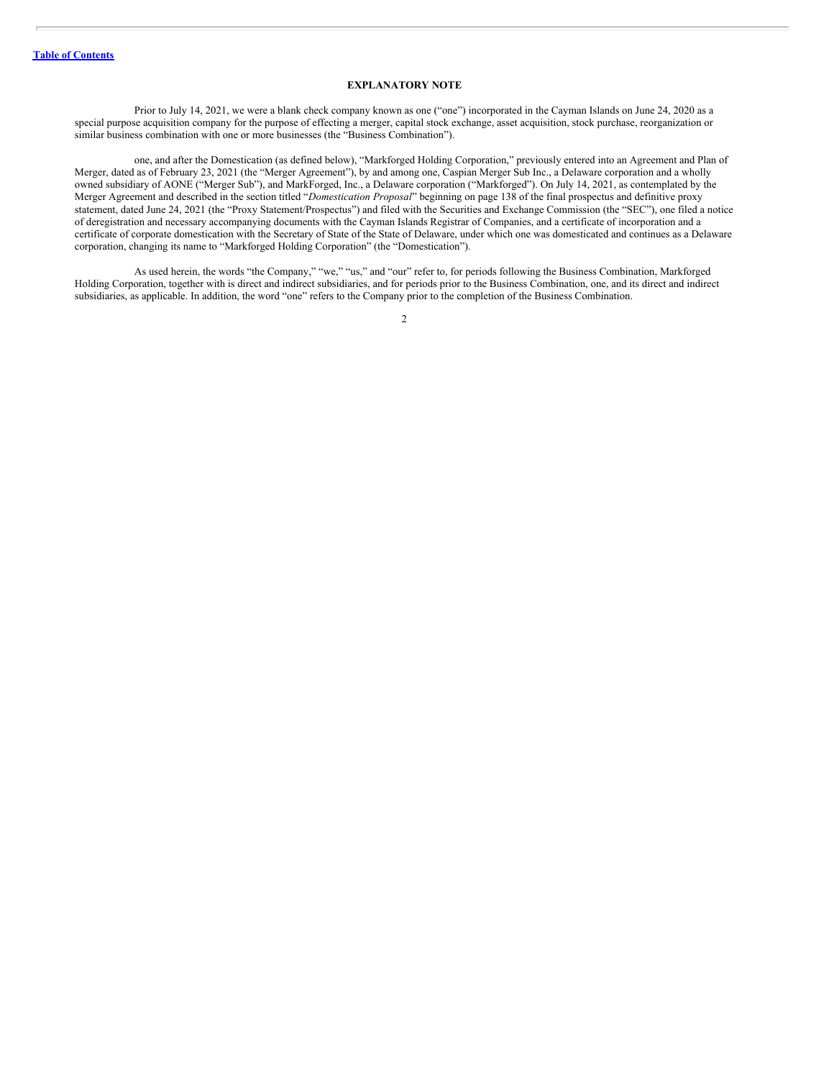# **EXPLANATORY NOTE**

Prior to July 14, 2021, we were a blank check company known as one ("one") incorporated in the Cayman Islands on June 24, 2020 as a special purpose acquisition company for the purpose of effecting a merger, capital stock exchange, asset acquisition, stock purchase, reorganization or similar business combination with one or more businesses (the "Business Combination").

one, and after the Domestication (as defined below), "Markforged Holding Corporation," previously entered into an Agreement and Plan of Merger, dated as of February 23, 2021 (the "Merger Agreement"), by and among one, Caspian Merger Sub Inc., a Delaware corporation and a wholly owned subsidiary of AONE ("Merger Sub"), and MarkForged, Inc., a Delaware corporation ("Markforged"). On July 14, 2021, as contemplated by the Merger Agreement and described in the section titled "*Domestication Proposal*" beginning on page 138 of the final prospectus and definitive proxy statement, dated June 24, 2021 (the "Proxy Statement/Prospectus") and filed with the Securities and Exchange Commission (the "SEC"), one filed a notice of deregistration and necessary accompanying documents with the Cayman Islands Registrar of Companies, and a certificate of incorporation and a certificate of corporate domestication with the Secretary of State of the State of Delaware, under which one was domesticated and continues as a Delaware corporation, changing its name to "Markforged Holding Corporation" (the "Domestication").

As used herein, the words "the Company," "we," "us," and "our" refer to, for periods following the Business Combination, Markforged Holding Corporation, together with is direct and indirect subsidiaries, and for periods prior to the Business Combination, one, and its direct and indirect subsidiaries, as applicable. In addition, the word "one" refers to the Company prior to the completion of the Business Combination.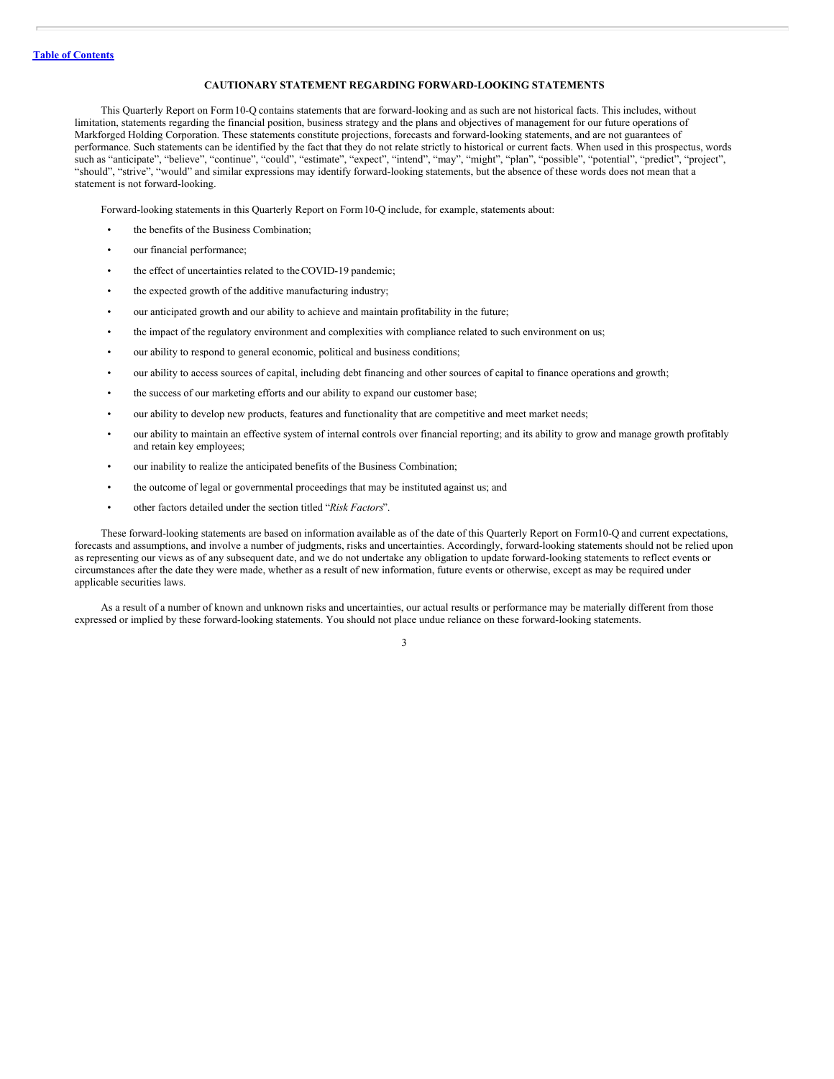# **CAUTIONARY STATEMENT REGARDING FORWARD-LOOKING STATEMENTS**

This Quarterly Report on Form10-Q contains statements that are forward-looking and as such are not historical facts. This includes, without limitation, statements regarding the financial position, business strategy and the plans and objectives of management for our future operations of Markforged Holding Corporation. These statements constitute projections, forecasts and forward-looking statements, and are not guarantees of performance. Such statements can be identified by the fact that they do not relate strictly to historical or current facts. When used in this prospectus, words such as "anticipate", "believe", "continue", "could", "estimate", "expect", "intend", "may", "might", "plan", "possible", "potential", "predict", "project", "should", "strive", "would" and similar expressions may identify forward-looking statements, but the absence of these words does not mean that a statement is not forward-looking.

Forward-looking statements in this Quarterly Report on Form10-Q include, for example, statements about:

- the benefits of the Business Combination;
- our financial performance;
- the effect of uncertainties related to the COVID-19 pandemic;
- the expected growth of the additive manufacturing industry;
- our anticipated growth and our ability to achieve and maintain profitability in the future;
- the impact of the regulatory environment and complexities with compliance related to such environment on us;
- our ability to respond to general economic, political and business conditions;
- our ability to access sources of capital, including debt financing and other sources of capital to finance operations and growth;
- the success of our marketing efforts and our ability to expand our customer base;
- our ability to develop new products, features and functionality that are competitive and meet market needs;
- our ability to maintain an effective system of internal controls over financial reporting; and its ability to grow and manage growth profitably and retain key employees;
- our inability to realize the anticipated benefits of the Business Combination;
- the outcome of legal or governmental proceedings that may be instituted against us; and
- other factors detailed under the section titled "*Risk Factors*".

These forward-looking statements are based on information available as of the date of this Quarterly Report on Form10-Q and current expectations, forecasts and assumptions, and involve a number of judgments, risks and uncertainties. Accordingly, forward-looking statements should not be relied upon as representing our views as of any subsequent date, and we do not undertake any obligation to update forward-looking statements to reflect events or circumstances after the date they were made, whether as a result of new information, future events or otherwise, except as may be required under applicable securities laws.

As a result of a number of known and unknown risks and uncertainties, our actual results or performance may be materially different from those expressed or implied by these forward-looking statements. You should not place undue reliance on these forward-looking statements.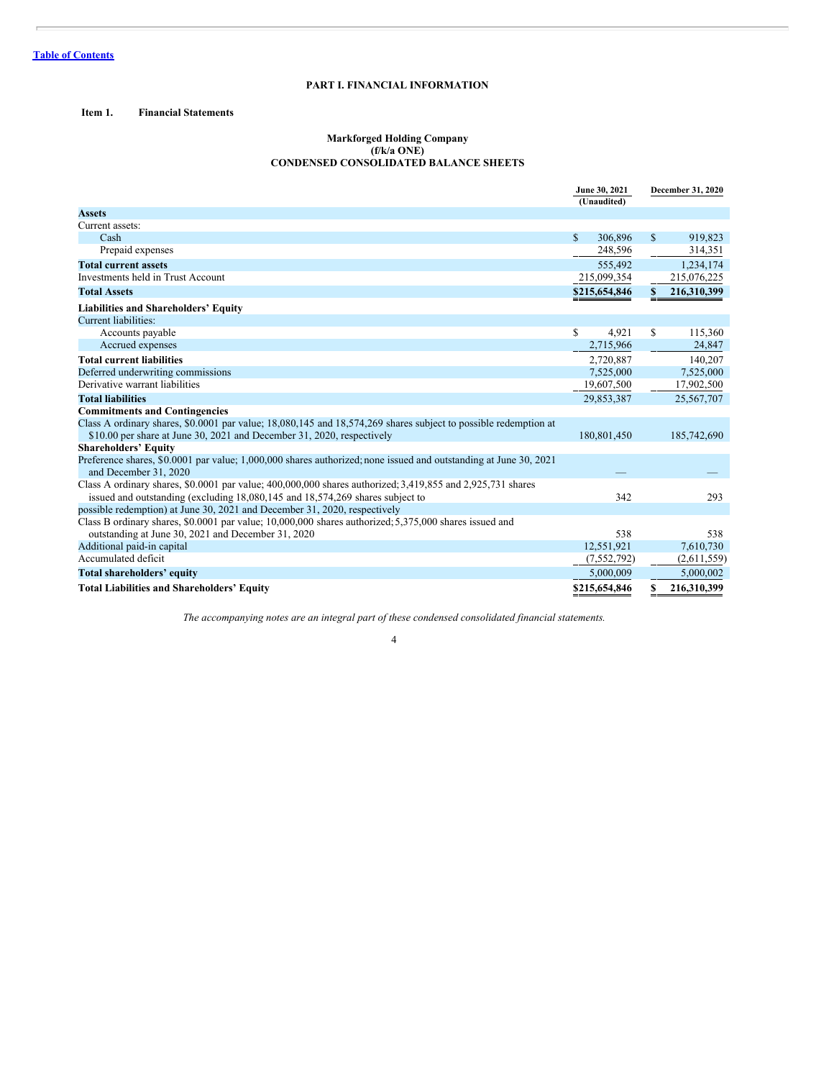# **PART I. FINANCIAL INFORMATION**

# <span id="page-6-2"></span><span id="page-6-1"></span><span id="page-6-0"></span>**Item 1. Financial Statements**

#### **Markforged Holding Company (f/k/a ONE) CONDENSED CONSOLIDATED BALANCE SHEETS**

|                                                                                                                                                                                                    | June 30, 2021<br>(Unaudited) | December 31, 2020 |
|----------------------------------------------------------------------------------------------------------------------------------------------------------------------------------------------------|------------------------------|-------------------|
| <b>Assets</b>                                                                                                                                                                                      |                              |                   |
| Current assets:                                                                                                                                                                                    |                              |                   |
| Cash                                                                                                                                                                                               | \$<br>306,896                | \$<br>919,823     |
| Prepaid expenses                                                                                                                                                                                   | 248,596                      | 314,351           |
| <b>Total current assets</b>                                                                                                                                                                        | 555,492                      | 1,234,174         |
| Investments held in Trust Account                                                                                                                                                                  | 215,099,354                  | 215,076,225       |
| <b>Total Assets</b>                                                                                                                                                                                | \$215,654,846                | \$<br>216,310,399 |
| <b>Liabilities and Shareholders' Equity</b>                                                                                                                                                        |                              |                   |
| Current liabilities:                                                                                                                                                                               |                              |                   |
| Accounts payable                                                                                                                                                                                   | \$<br>4,921                  | \$<br>115,360     |
| Accrued expenses                                                                                                                                                                                   | 2,715,966                    | 24,847            |
| <b>Total current liabilities</b>                                                                                                                                                                   | 2,720,887                    | 140,207           |
| Deferred underwriting commissions                                                                                                                                                                  | 7,525,000                    | 7,525,000         |
| Derivative warrant liabilities                                                                                                                                                                     | 19,607,500                   | 17,902,500        |
| <b>Total liabilities</b>                                                                                                                                                                           | 29,853,387                   | 25,567,707        |
| <b>Commitments and Contingencies</b>                                                                                                                                                               |                              |                   |
| Class A ordinary shares, \$0,0001 par value; 18,080,145 and 18,574,269 shares subject to possible redemption at                                                                                    |                              |                   |
| \$10.00 per share at June 30, 2021 and December 31, 2020, respectively                                                                                                                             | 180,801,450                  | 185,742,690       |
| <b>Shareholders' Equity</b>                                                                                                                                                                        |                              |                   |
| Preference shares, \$0.0001 par value; 1,000,000 shares authorized; none issued and outstanding at June 30, 2021<br>and December 31, 2020                                                          |                              |                   |
| Class A ordinary shares, $$0.0001$ par value; $400,000,000$ shares authorized; $3,419,855$ and $2,925,731$ shares<br>issued and outstanding (excluding 18,080,145 and 18,574,269 shares subject to | 342                          | 293               |
| possible redemption) at June 30, 2021 and December 31, 2020, respectively                                                                                                                          |                              |                   |
| Class B ordinary shares, \$0.0001 par value; 10,000,000 shares authorized; 5,375,000 shares issued and<br>outstanding at June 30, 2021 and December 31, 2020                                       | 538                          | 538               |
| Additional paid-in capital                                                                                                                                                                         | 12,551,921                   | 7,610,730         |
| Accumulated deficit                                                                                                                                                                                | (7, 552, 792)                | (2,611,559)       |
| Total shareholders' equity                                                                                                                                                                         | 5,000,009                    | 5,000,002         |
| <b>Total Liabilities and Shareholders' Equity</b>                                                                                                                                                  | \$215,654,846                | 216,310,399       |

*The accompanying notes are an integral part of these condensed consolidated financial statements.*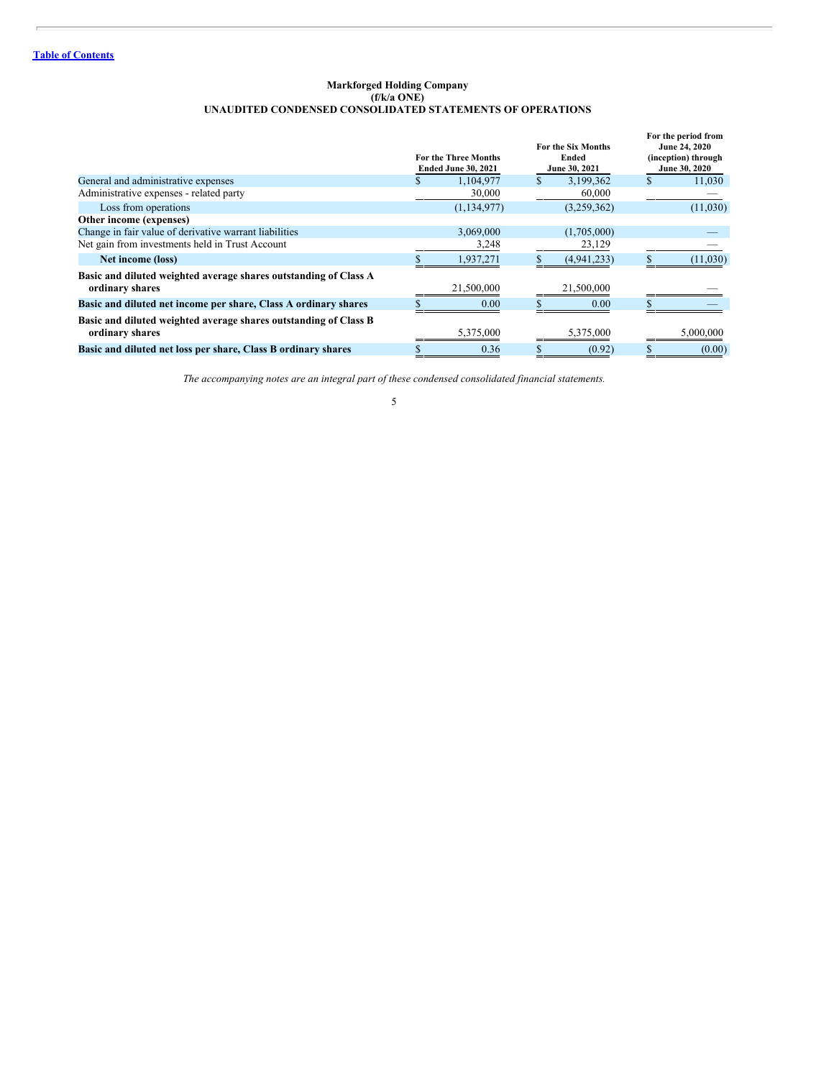#### **Markforged Holding Company (f/k/a ONE) UNAUDITED CONDENSED CONSOLIDATED STATEMENTS OF OPERATIONS**

<span id="page-7-0"></span>

|                                                                                     | <b>For the Three Months</b><br><b>Ended June 30, 2021</b> | <b>For the Six Months</b><br>Ended<br>June 30, 2021 | For the period from<br>June 24, 2020<br>(inception) through<br>June 30, 2020 |
|-------------------------------------------------------------------------------------|-----------------------------------------------------------|-----------------------------------------------------|------------------------------------------------------------------------------|
| General and administrative expenses                                                 | 1,104,977                                                 | 3,199,362                                           | 11,030                                                                       |
| Administrative expenses - related party                                             | 30,000                                                    | 60,000                                              |                                                                              |
| Loss from operations                                                                | (1, 134, 977)                                             | (3,259,362)                                         | (11,030)                                                                     |
| Other income (expenses)                                                             |                                                           |                                                     |                                                                              |
| Change in fair value of derivative warrant liabilities                              | 3.069,000                                                 | (1,705,000)                                         |                                                                              |
| Net gain from investments held in Trust Account                                     | 3,248                                                     | 23,129                                              |                                                                              |
| Net income (loss)                                                                   | 1,937,271                                                 | (4,941,233)                                         | (11,030)                                                                     |
| Basic and diluted weighted average shares outstanding of Class A<br>ordinary shares | 21,500,000                                                | 21,500,000                                          |                                                                              |
| Basic and diluted net income per share, Class A ordinary shares                     | 0.00                                                      | 0.00                                                |                                                                              |
| Basic and diluted weighted average shares outstanding of Class B<br>ordinary shares | 5,375,000                                                 | 5,375,000                                           | 5,000,000                                                                    |
| Basic and diluted net loss per share, Class B ordinary shares                       | 0.36                                                      | (0.92)                                              | (0.00)                                                                       |

*The accompanying notes are an integral part of these condensed consolidated financial statements.*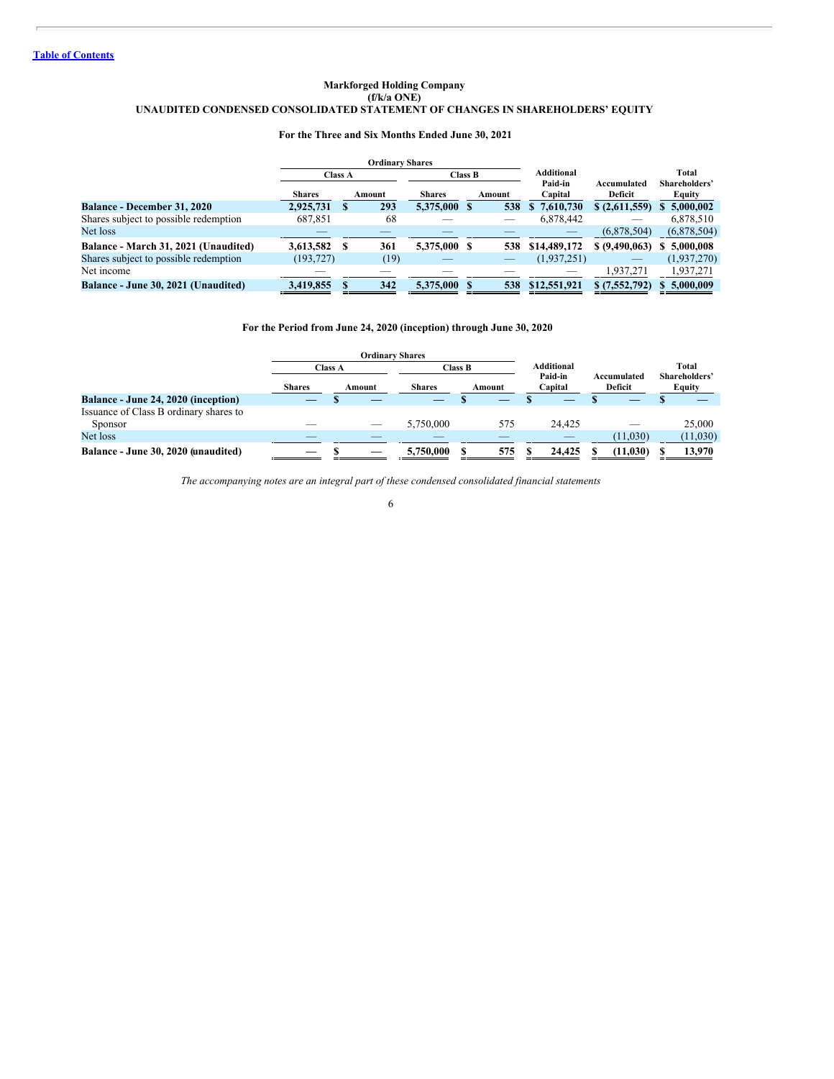# <span id="page-8-0"></span>**Markforged Holding Company (f/k/a ONE) UNAUDITED CONDENSED CONSOLIDATED STATEMENT OF CHANGES IN SHAREHOLDERS' EQUITY**

# **For the Three and Six Months Ended June 30, 2021**

|                                       | <b>Ordinary Shares</b> |                |        |               |         |        |                    |                        |                         |
|---------------------------------------|------------------------|----------------|--------|---------------|---------|--------|--------------------|------------------------|-------------------------|
|                                       |                        | <b>Class A</b> |        |               | Class B |        | <b>Additional</b>  |                        | Total                   |
|                                       | <b>Shares</b>          |                | Amount | <b>Shares</b> |         | Amount | Paid-in<br>Capital | Accumulated<br>Deficit | Shareholders'<br>Equity |
| <b>Balance - December 31, 2020</b>    | 2,925,731              | S              | 293    | 5,375,000 \$  |         | 538    | \$7.610,730        | \$(2,611,559)          | \$5,000,002             |
| Shares subject to possible redemption | 687,851                |                | 68     |               |         |        | 6,878,442          |                        | 6,878,510               |
| Net loss                              |                        |                |        |               |         |        |                    | (6,878,504)            | (6,878,504)             |
| Balance - March 31, 2021 (Unaudited)  | 3,613,582              |                | 361    | 5,375,000 \$  |         | 538    | \$14,489,172       | \$ (9,490,063)         | \$5,000,008             |
| Shares subject to possible redemption | (193, 727)             |                | (19)   |               |         |        | (1, 937, 251)      |                        | (1,937,270)             |
| Net income                            |                        |                |        |               |         |        |                    | 1,937,271              | 1,937,271               |
| Balance - June 30, 2021 (Unaudited)   | 3,419,855              |                | 342    | 5,375,000     |         | 538    | \$12,551,921       | \$(7,552,792)          | \$5,000,009             |

# **For the Period from June 24, 2020 (inception) through June 30, 2020**

|                                        |               |                | <b>Ordinary Shares</b> |               |                |        |            |                    |  |                               |       |                                |
|----------------------------------------|---------------|----------------|------------------------|---------------|----------------|--------|------------|--------------------|--|-------------------------------|-------|--------------------------------|
|                                        |               | <b>Class A</b> |                        |               | <b>Class B</b> |        | Additional |                    |  |                               | Total |                                |
|                                        | <b>Shares</b> |                | Amount                 | <b>Shares</b> |                | Amount |            | Paid-in<br>Capital |  | Accumulated<br><b>Deficit</b> |       | Shareholders'<br><b>Equity</b> |
| Balance - June 24, 2020 (inception)    |               |                |                        |               |                |        |            |                    |  |                               |       |                                |
| Issuance of Class B ordinary shares to |               |                |                        |               |                |        |            |                    |  |                               |       |                                |
| Sponsor                                |               |                |                        | 5.750,000     |                | 575    |            | 24.425             |  |                               |       | 25,000                         |
| Net loss                               |               |                |                        |               |                |        |            |                    |  | (11,030)                      |       | (11,030)                       |
| Balance - June 30, 2020 (unaudited)    |               |                |                        | 5,750,000     |                | 575    |            | 24.425             |  | (11,030)                      |       | 13,970                         |

*The accompanying notes are an integral part of these condensed consolidated financial statements*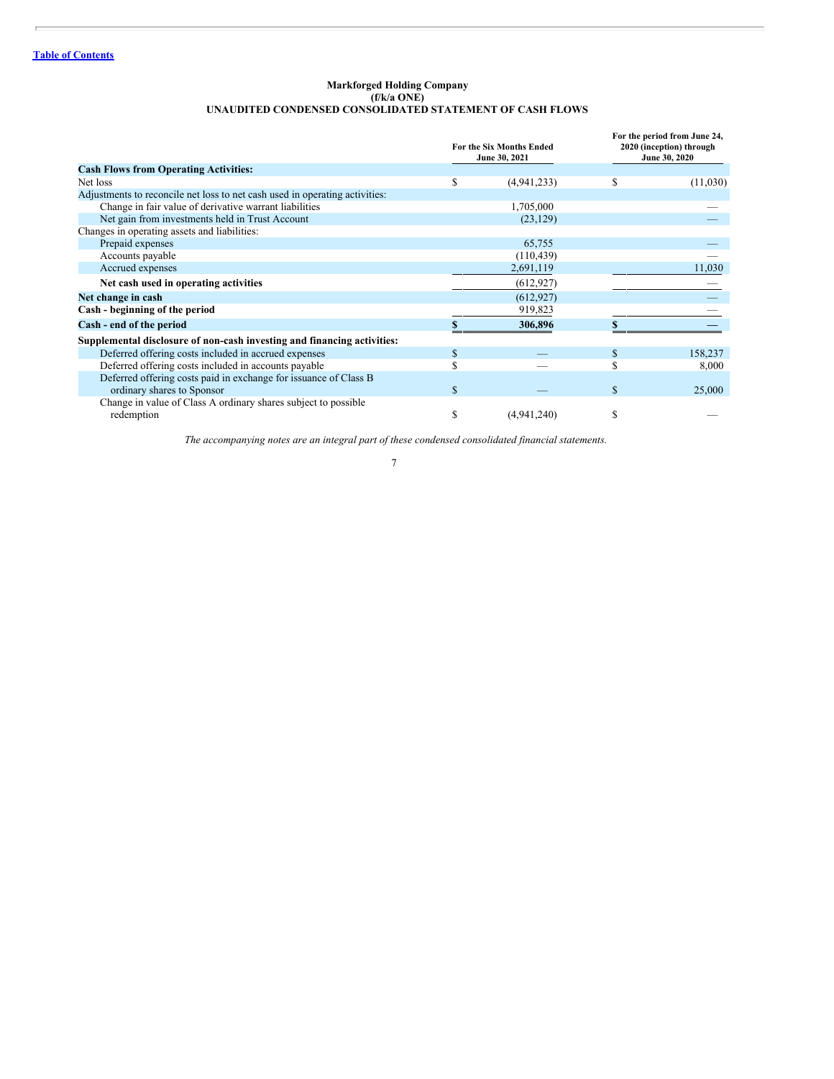#### **Markforged Holding Company (f/k/a ONE) UNAUDITED CONDENSED CONSOLIDATED STATEMENT OF CASH FLOWS**

<span id="page-9-0"></span>

|                                                                             |    | <b>For the Six Months Ended</b><br>June 30, 2021 | For the period from June 24,<br>2020 (inception) through<br>June 30, 2020 |          |  |
|-----------------------------------------------------------------------------|----|--------------------------------------------------|---------------------------------------------------------------------------|----------|--|
| <b>Cash Flows from Operating Activities:</b>                                |    |                                                  |                                                                           |          |  |
| Net loss                                                                    | S  | (4,941,233)                                      | S                                                                         | (11,030) |  |
| Adjustments to reconcile net loss to net cash used in operating activities: |    |                                                  |                                                                           |          |  |
| Change in fair value of derivative warrant liabilities                      |    | 1,705,000                                        |                                                                           |          |  |
| Net gain from investments held in Trust Account                             |    | (23, 129)                                        |                                                                           |          |  |
| Changes in operating assets and liabilities:                                |    |                                                  |                                                                           |          |  |
| Prepaid expenses                                                            |    | 65,755                                           |                                                                           |          |  |
| Accounts payable                                                            |    | (110, 439)                                       |                                                                           |          |  |
| Accrued expenses                                                            |    | 2,691,119                                        |                                                                           | 11,030   |  |
| Net cash used in operating activities                                       |    | (612, 927)                                       |                                                                           |          |  |
| Net change in cash                                                          |    | (612, 927)                                       |                                                                           |          |  |
| Cash - beginning of the period                                              |    | 919,823                                          |                                                                           |          |  |
| Cash - end of the period                                                    |    | 306,896                                          |                                                                           |          |  |
| Supplemental disclosure of non-cash investing and financing activities:     |    |                                                  |                                                                           |          |  |
| Deferred offering costs included in accrued expenses                        | \$ |                                                  | S                                                                         | 158,237  |  |
| Deferred offering costs included in accounts payable                        |    |                                                  | ה.                                                                        | 8,000    |  |
| Deferred offering costs paid in exchange for issuance of Class B            |    |                                                  |                                                                           |          |  |
| ordinary shares to Sponsor                                                  | \$ |                                                  | $\mathbf S$                                                               | 25,000   |  |
| Change in value of Class A ordinary shares subject to possible              |    |                                                  |                                                                           |          |  |
| redemption                                                                  | \$ | (4,941,240)                                      | S                                                                         |          |  |

*The accompanying notes are an integral part of these condensed consolidated financial statements.*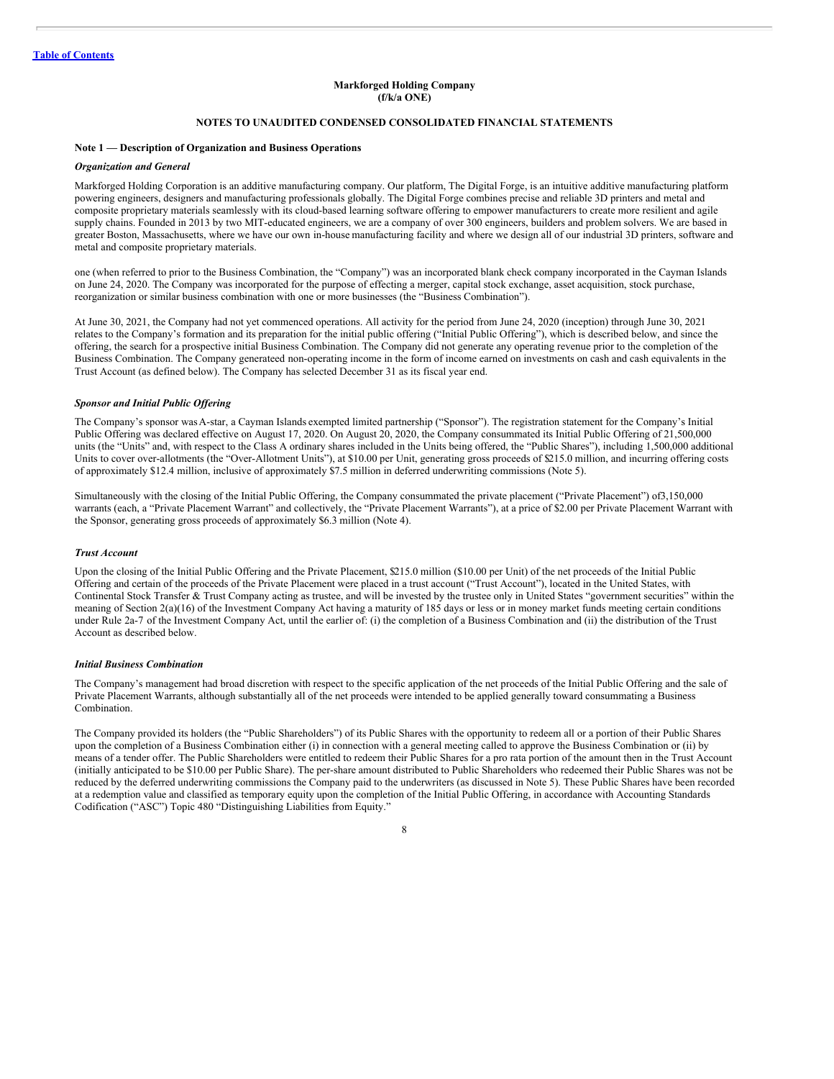# **NOTES TO UNAUDITED CONDENSED CONSOLIDATED FINANCIAL STATEMENTS**

# <span id="page-10-0"></span>**Note 1 — Description of Organization and Business Operations**

#### *Organization and General*

Markforged Holding Corporation is an additive manufacturing company. Our platform, The Digital Forge, is an intuitive additive manufacturing platform powering engineers, designers and manufacturing professionals globally. The Digital Forge combines precise and reliable 3D printers and metal and composite proprietary materials seamlessly with its cloud-based learning software offering to empower manufacturers to create more resilient and agile supply chains. Founded in 2013 by two MIT-educated engineers, we are a company of over 300 engineers, builders and problem solvers. We are based in greater Boston, Massachusetts, where we have our own in-house manufacturing facility and where we design all of our industrial 3D printers, software and metal and composite proprietary materials.

one (when referred to prior to the Business Combination, the "Company") was an incorporated blank check company incorporated in the Cayman Islands on June 24, 2020. The Company was incorporated for the purpose of effecting a merger, capital stock exchange, asset acquisition, stock purchase, reorganization or similar business combination with one or more businesses (the "Business Combination").

At June 30, 2021, the Company had not yet commenced operations. All activity for the period from June 24, 2020 (inception) through June 30, 2021 relates to the Company's formation and its preparation for the initial public offering ("Initial Public Offering"), which is described below, and since the offering, the search for a prospective initial Business Combination. The Company did not generate any operating revenue prior to the completion of the Business Combination. The Company generateed non-operating income in the form of income earned on investments on cash and cash equivalents in the Trust Account (as defined below). The Company has selected December 31 as its fiscal year end.

# *Sponsor and Initial Public Of ering*

The Company's sponsor wasA-star, a Cayman Islands exempted limited partnership ("Sponsor"). The registration statement for the Company's Initial Public Offering was declared effective on August 17, 2020. On August 20, 2020, the Company consummated its Initial Public Offering of 21,500,000 units (the "Units" and, with respect to the Class A ordinary shares included in the Units being offered, the "Public Shares"), including 1,500,000 additional Units to cover over-allotments (the "Over-Allotment Units"), at \$10.00 per Unit, generating gross proceeds of \$215.0 million, and incurring offering costs of approximately \$12.4 million, inclusive of approximately \$7.5 million in deferred underwriting commissions (Note 5).

Simultaneously with the closing of the Initial Public Offering, the Company consummated the private placement ("Private Placement") of3,150,000 warrants (each, a "Private Placement Warrant" and collectively, the "Private Placement Warrants"), at a price of \$2.00 per Private Placement Warrant with the Sponsor, generating gross proceeds of approximately \$6.3 million (Note 4).

#### *Trust Account*

Upon the closing of the Initial Public Offering and the Private Placement, \$215.0 million (\$10.00 per Unit) of the net proceeds of the Initial Public Offering and certain of the proceeds of the Private Placement were placed in a trust account ("Trust Account"), located in the United States, with Continental Stock Transfer & Trust Company acting as trustee, and will be invested by the trustee only in United States "government securities" within the meaning of Section 2(a)(16) of the Investment Company Act having a maturity of 185 days or less or in money market funds meeting certain conditions under Rule 2a-7 of the Investment Company Act, until the earlier of: (i) the completion of a Business Combination and (ii) the distribution of the Trust Account as described below.

#### *Initial Business Combination*

The Company's management had broad discretion with respect to the specific application of the net proceeds of the Initial Public Offering and the sale of Private Placement Warrants, although substantially all of the net proceeds were intended to be applied generally toward consummating a Business Combination.

The Company provided its holders (the "Public Shareholders") of its Public Shares with the opportunity to redeem all or a portion of their Public Shares upon the completion of a Business Combination either (i) in connection with a general meeting called to approve the Business Combination or (ii) by means of a tender offer. The Public Shareholders were entitled to redeem their Public Shares for a pro rata portion of the amount then in the Trust Account (initially anticipated to be \$10.00 per Public Share). The per-share amount distributed to Public Shareholders who redeemed their Public Shares was not be reduced by the deferred underwriting commissions the Company paid to the underwriters (as discussed in Note 5). These Public Shares have been recorded at a redemption value and classified as temporary equity upon the completion of the Initial Public Offering, in accordance with Accounting Standards Codification ("ASC") Topic 480 "Distinguishing Liabilities from Equity."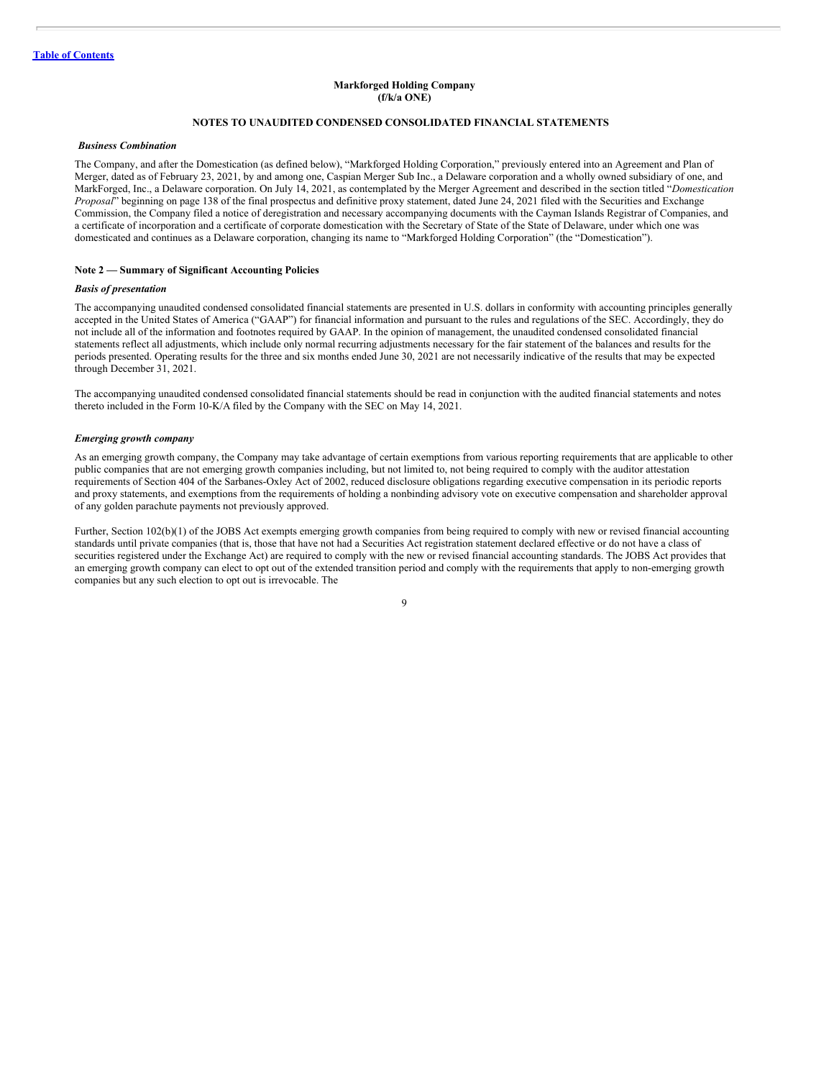# **NOTES TO UNAUDITED CONDENSED CONSOLIDATED FINANCIAL STATEMENTS**

#### *Business Combination*

The Company, and after the Domestication (as defined below), "Markforged Holding Corporation," previously entered into an Agreement and Plan of Merger, dated as of February 23, 2021, by and among one, Caspian Merger Sub Inc., a Delaware corporation and a wholly owned subsidiary of one, and MarkForged, Inc., a Delaware corporation. On July 14, 2021, as contemplated by the Merger Agreement and described in the section titled "*Domestication Proposal*" beginning on page 138 of the final prospectus and definitive proxy statement, dated June 24, 2021 filed with the Securities and Exchange Commission, the Company filed a notice of deregistration and necessary accompanying documents with the Cayman Islands Registrar of Companies, and a certificate of incorporation and a certificate of corporate domestication with the Secretary of State of the State of Delaware, under which one was domesticated and continues as a Delaware corporation, changing its name to "Markforged Holding Corporation" (the "Domestication").

# **Note 2 — Summary of Significant Accounting Policies**

#### *Basis of presentation*

The accompanying unaudited condensed consolidated financial statements are presented in U.S. dollars in conformity with accounting principles generally accepted in the United States of America ("GAAP") for financial information and pursuant to the rules and regulations of the SEC. Accordingly, they do not include all of the information and footnotes required by GAAP. In the opinion of management, the unaudited condensed consolidated financial statements reflect all adjustments, which include only normal recurring adjustments necessary for the fair statement of the balances and results for the periods presented. Operating results for the three and six months ended June 30, 2021 are not necessarily indicative of the results that may be expected through December 31, 2021.

The accompanying unaudited condensed consolidated financial statements should be read in conjunction with the audited financial statements and notes thereto included in the Form 10-K/A filed by the Company with the SEC on May 14, 2021.

#### *Emerging growth company*

As an emerging growth company, the Company may take advantage of certain exemptions from various reporting requirements that are applicable to other public companies that are not emerging growth companies including, but not limited to, not being required to comply with the auditor attestation requirements of Section 404 of the Sarbanes-Oxley Act of 2002, reduced disclosure obligations regarding executive compensation in its periodic reports and proxy statements, and exemptions from the requirements of holding a nonbinding advisory vote on executive compensation and shareholder approval of any golden parachute payments not previously approved.

Further, Section 102(b)(1) of the JOBS Act exempts emerging growth companies from being required to comply with new or revised financial accounting standards until private companies (that is, those that have not had a Securities Act registration statement declared effective or do not have a class of securities registered under the Exchange Act) are required to comply with the new or revised financial accounting standards. The JOBS Act provides that an emerging growth company can elect to opt out of the extended transition period and comply with the requirements that apply to non-emerging growth companies but any such election to opt out is irrevocable. The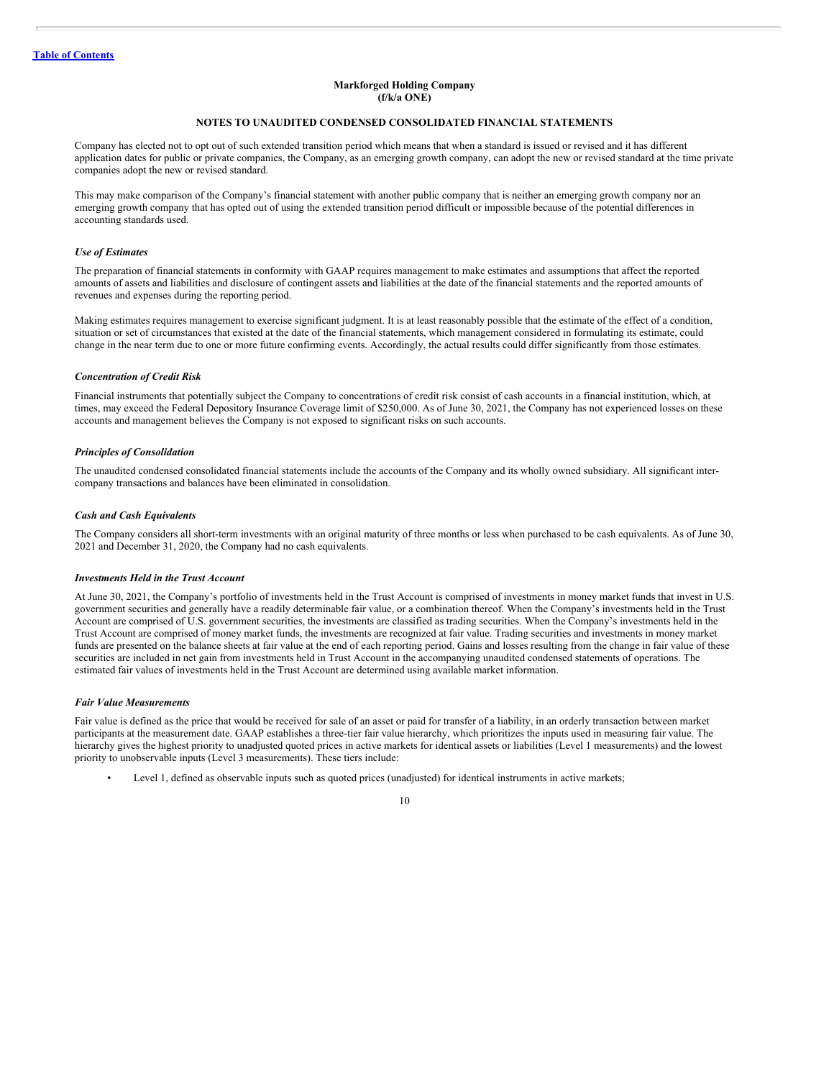#### **NOTES TO UNAUDITED CONDENSED CONSOLIDATED FINANCIAL STATEMENTS**

Company has elected not to opt out of such extended transition period which means that when a standard is issued or revised and it has different application dates for public or private companies, the Company, as an emerging growth company, can adopt the new or revised standard at the time private companies adopt the new or revised standard.

This may make comparison of the Company's financial statement with another public company that is neither an emerging growth company nor an emerging growth company that has opted out of using the extended transition period difficult or impossible because of the potential differences in accounting standards used.

#### *Use of Estimates*

The preparation of financial statements in conformity with GAAP requires management to make estimates and assumptions that affect the reported amounts of assets and liabilities and disclosure of contingent assets and liabilities at the date of the financial statements and the reported amounts of revenues and expenses during the reporting period.

Making estimates requires management to exercise significant judgment. It is at least reasonably possible that the estimate of the effect of a condition, situation or set of circumstances that existed at the date of the financial statements, which management considered in formulating its estimate, could change in the near term due to one or more future confirming events. Accordingly, the actual results could differ significantly from those estimates.

#### *Concentration of Credit Risk*

Financial instruments that potentially subject the Company to concentrations of credit risk consist of cash accounts in a financial institution, which, at times, may exceed the Federal Depository Insurance Coverage limit of \$250,000. As of June 30, 2021, the Company has not experienced losses on these accounts and management believes the Company is not exposed to significant risks on such accounts.

#### *Principles of Consolidation*

The unaudited condensed consolidated financial statements include the accounts of the Company and its wholly owned subsidiary. All significant intercompany transactions and balances have been eliminated in consolidation.

# *Cash and Cash Equivalents*

The Company considers all short-term investments with an original maturity of three months or less when purchased to be cash equivalents. As of June 30, 2021 and December 31, 2020, the Company had no cash equivalents.

#### *Investments Held in the Trust Account*

At June 30, 2021, the Company's portfolio of investments held in the Trust Account is comprised of investments in money market funds that invest in U.S. government securities and generally have a readily determinable fair value, or a combination thereof. When the Company's investments held in the Trust Account are comprised of U.S. government securities, the investments are classified as trading securities. When the Company's investments held in the Trust Account are comprised of money market funds, the investments are recognized at fair value. Trading securities and investments in money market funds are presented on the balance sheets at fair value at the end of each reporting period. Gains and losses resulting from the change in fair value of these securities are included in net gain from investments held in Trust Account in the accompanying unaudited condensed statements of operations. The estimated fair values of investments held in the Trust Account are determined using available market information.

#### *Fair Value Measurements*

Fair value is defined as the price that would be received for sale of an asset or paid for transfer of a liability, in an orderly transaction between market participants at the measurement date. GAAP establishes a three-tier fair value hierarchy, which prioritizes the inputs used in measuring fair value. The hierarchy gives the highest priority to unadjusted quoted prices in active markets for identical assets or liabilities (Level 1 measurements) and the lowest priority to unobservable inputs (Level 3 measurements). These tiers include:

Level 1, defined as observable inputs such as quoted prices (unadjusted) for identical instruments in active markets;

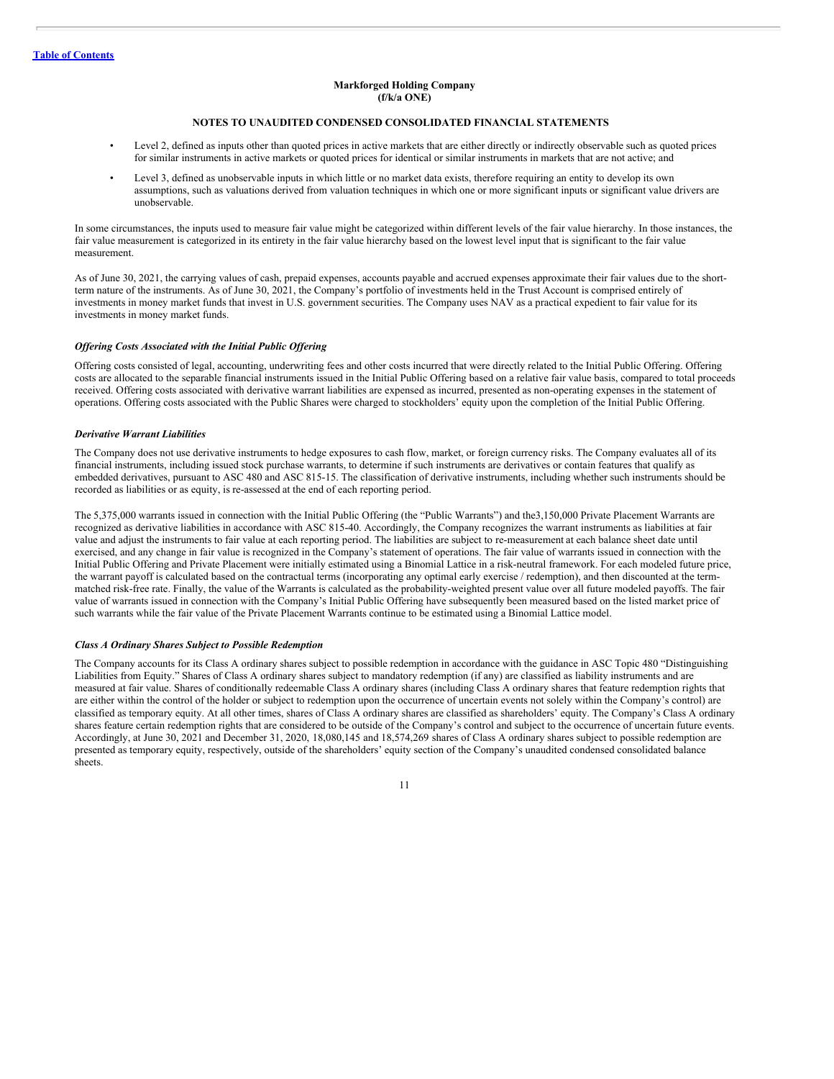#### **NOTES TO UNAUDITED CONDENSED CONSOLIDATED FINANCIAL STATEMENTS**

- Level 2, defined as inputs other than quoted prices in active markets that are either directly or indirectly observable such as quoted prices for similar instruments in active markets or quoted prices for identical or similar instruments in markets that are not active; and
- Level 3, defined as unobservable inputs in which little or no market data exists, therefore requiring an entity to develop its own assumptions, such as valuations derived from valuation techniques in which one or more significant inputs or significant value drivers are unobservable.

In some circumstances, the inputs used to measure fair value might be categorized within different levels of the fair value hierarchy. In those instances, the fair value measurement is categorized in its entirety in the fair value hierarchy based on the lowest level input that is significant to the fair value measurement.

As of June 30, 2021, the carrying values of cash, prepaid expenses, accounts payable and accrued expenses approximate their fair values due to the shortterm nature of the instruments. As of June 30, 2021, the Company's portfolio of investments held in the Trust Account is comprised entirely of investments in money market funds that invest in U.S. government securities. The Company uses NAV as a practical expedient to fair value for its investments in money market funds.

#### *Of ering Costs Associated with the Initial Public Of ering*

Offering costs consisted of legal, accounting, underwriting fees and other costs incurred that were directly related to the Initial Public Offering. Offering costs are allocated to the separable financial instruments issued in the Initial Public Offering based on a relative fair value basis, compared to total proceeds received. Offering costs associated with derivative warrant liabilities are expensed as incurred, presented as non-operating expenses in the statement of operations. Offering costs associated with the Public Shares were charged to stockholders' equity upon the completion of the Initial Public Offering.

#### *Derivative Warrant Liabilities*

The Company does not use derivative instruments to hedge exposures to cash flow, market, or foreign currency risks. The Company evaluates all of its financial instruments, including issued stock purchase warrants, to determine if such instruments are derivatives or contain features that qualify as embedded derivatives, pursuant to ASC 480 and ASC 815-15. The classification of derivative instruments, including whether such instruments should be recorded as liabilities or as equity, is re-assessed at the end of each reporting period.

The 5,375,000 warrants issued in connection with the Initial Public Offering (the "Public Warrants") and the3,150,000 Private Placement Warrants are recognized as derivative liabilities in accordance with ASC 815-40. Accordingly, the Company recognizes the warrant instruments as liabilities at fair value and adjust the instruments to fair value at each reporting period. The liabilities are subject to re-measurement at each balance sheet date until exercised, and any change in fair value is recognized in the Company's statement of operations. The fair value of warrants issued in connection with the Initial Public Offering and Private Placement were initially estimated using a Binomial Lattice in a risk-neutral framework. For each modeled future price, the warrant payoff is calculated based on the contractual terms (incorporating any optimal early exercise / redemption), and then discounted at the termmatched risk-free rate. Finally, the value of the Warrants is calculated as the probability-weighted present value over all future modeled payoffs. The fair value of warrants issued in connection with the Company's Initial Public Offering have subsequently been measured based on the listed market price of such warrants while the fair value of the Private Placement Warrants continue to be estimated using a Binomial Lattice model.

#### *Class A Ordinary Shares Subject to Possible Redemption*

The Company accounts for its Class A ordinary shares subject to possible redemption in accordance with the guidance in ASC Topic 480 "Distinguishing Liabilities from Equity." Shares of Class A ordinary shares subject to mandatory redemption (if any) are classified as liability instruments and are measured at fair value. Shares of conditionally redeemable Class A ordinary shares (including Class A ordinary shares that feature redemption rights that are either within the control of the holder or subject to redemption upon the occurrence of uncertain events not solely within the Company's control) are classified as temporary equity. At all other times, shares of Class A ordinary shares are classified as shareholders' equity. The Company's Class A ordinary shares feature certain redemption rights that are considered to be outside of the Company's control and subject to the occurrence of uncertain future events. Accordingly, at June 30, 2021 and December 31, 2020, 18,080,145 and 18,574,269 shares of Class A ordinary shares subject to possible redemption are presented as temporary equity, respectively, outside of the shareholders' equity section of the Company's unaudited condensed consolidated balance sheets.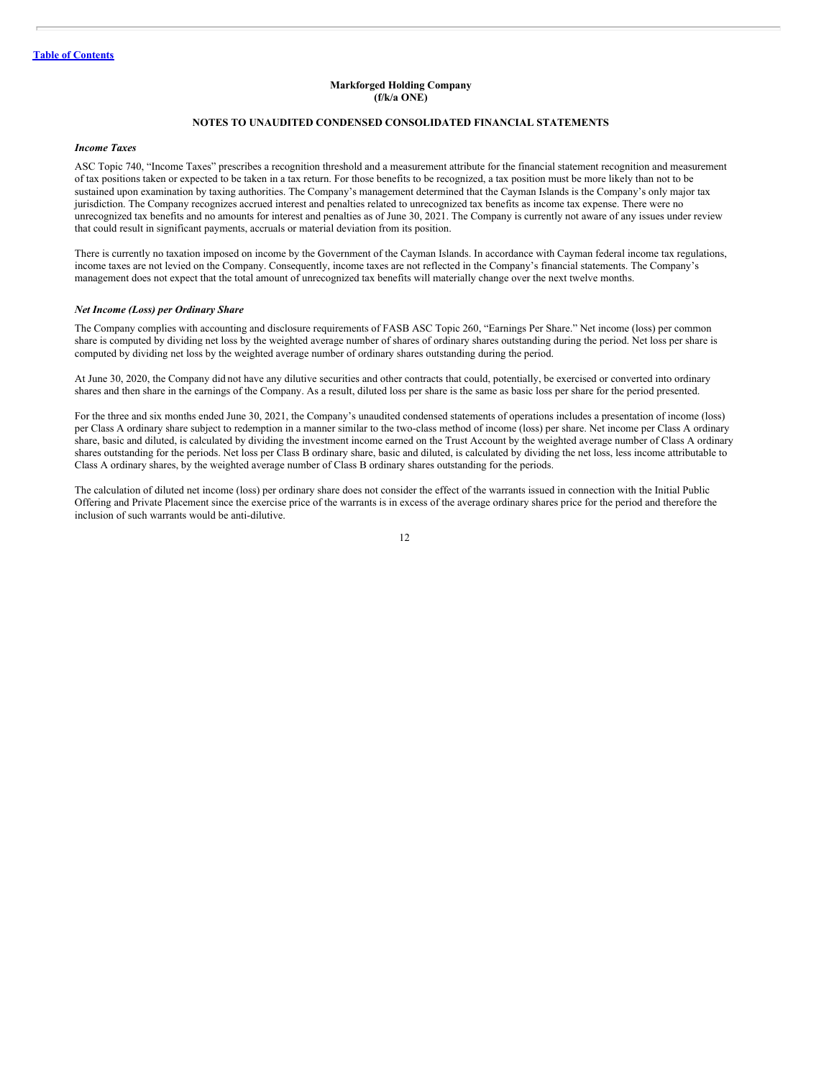# **NOTES TO UNAUDITED CONDENSED CONSOLIDATED FINANCIAL STATEMENTS**

# *Income Taxes*

ASC Topic 740, "Income Taxes" prescribes a recognition threshold and a measurement attribute for the financial statement recognition and measurement of tax positions taken or expected to be taken in a tax return. For those benefits to be recognized, a tax position must be more likely than not to be sustained upon examination by taxing authorities. The Company's management determined that the Cayman Islands is the Company's only major tax jurisdiction. The Company recognizes accrued interest and penalties related to unrecognized tax benefits as income tax expense. There were no unrecognized tax benefits and no amounts for interest and penalties as of June 30, 2021. The Company is currently not aware of any issues under review that could result in significant payments, accruals or material deviation from its position.

There is currently no taxation imposed on income by the Government of the Cayman Islands. In accordance with Cayman federal income tax regulations, income taxes are not levied on the Company. Consequently, income taxes are not reflected in the Company's financial statements. The Company's management does not expect that the total amount of unrecognized tax benefits will materially change over the next twelve months.

# *Net Income (Loss) per Ordinary Share*

The Company complies with accounting and disclosure requirements of FASB ASC Topic 260, "Earnings Per Share." Net income (loss) per common share is computed by dividing net loss by the weighted average number of shares of ordinary shares outstanding during the period. Net loss per share is computed by dividing net loss by the weighted average number of ordinary shares outstanding during the period.

At June 30, 2020, the Company did not have any dilutive securities and other contracts that could, potentially, be exercised or converted into ordinary shares and then share in the earnings of the Company. As a result, diluted loss per share is the same as basic loss per share for the period presented.

For the three and six months ended June 30, 2021, the Company's unaudited condensed statements of operations includes a presentation of income (loss) per Class A ordinary share subject to redemption in a manner similar to the two-class method of income (loss) per share. Net income per Class A ordinary share, basic and diluted, is calculated by dividing the investment income earned on the Trust Account by the weighted average number of Class A ordinary shares outstanding for the periods. Net loss per Class B ordinary share, basic and diluted, is calculated by dividing the net loss, less income attributable to Class A ordinary shares, by the weighted average number of Class B ordinary shares outstanding for the periods.

The calculation of diluted net income (loss) per ordinary share does not consider the effect of the warrants issued in connection with the Initial Public Offering and Private Placement since the exercise price of the warrants is in excess of the average ordinary shares price for the period and therefore the inclusion of such warrants would be anti-dilutive.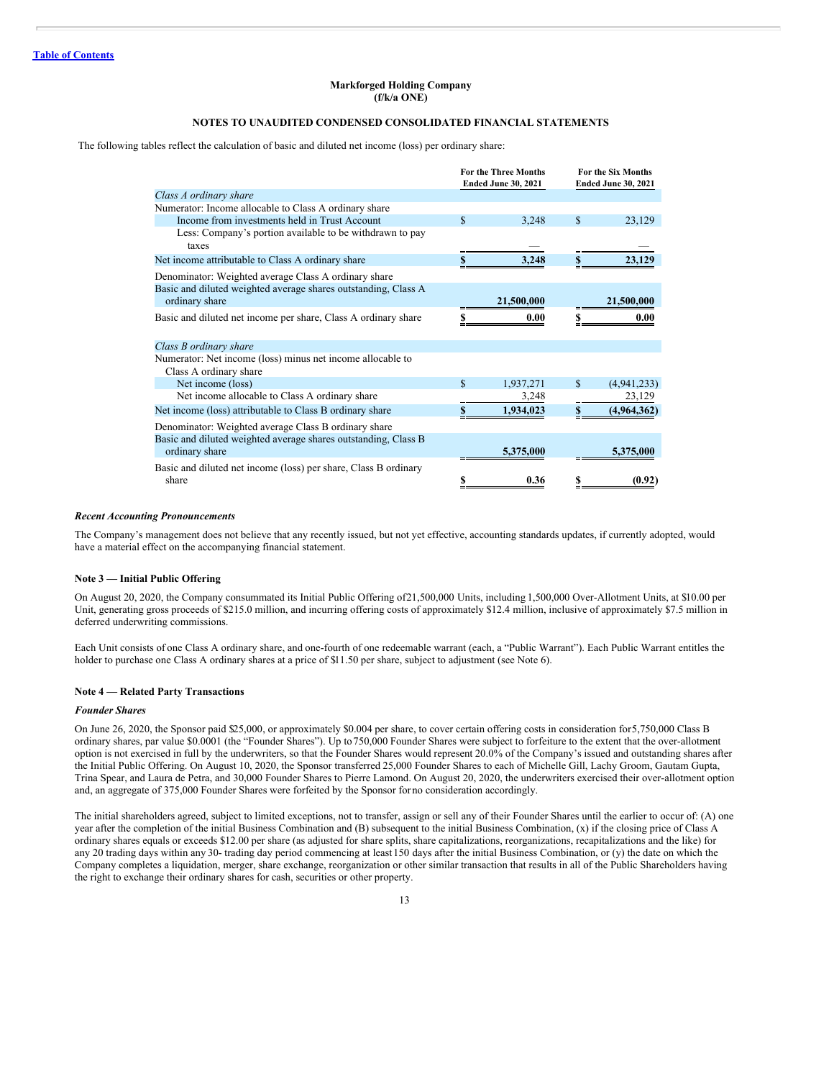# **NOTES TO UNAUDITED CONDENSED CONSOLIDATED FINANCIAL STATEMENTS**

The following tables reflect the calculation of basic and diluted net income (loss) per ordinary share:

|                                                                 | <b>For the Three Months</b><br><b>Ended June 30, 2021</b> |            |   | <b>For the Six Months</b><br><b>Ended June 30, 2021</b> |
|-----------------------------------------------------------------|-----------------------------------------------------------|------------|---|---------------------------------------------------------|
| Class A ordinary share                                          |                                                           |            |   |                                                         |
| Numerator: Income allocable to Class A ordinary share           |                                                           |            |   |                                                         |
| Income from investments held in Trust Account                   | \$                                                        | 3,248      | S | 23,129                                                  |
| Less: Company's portion available to be withdrawn to pay        |                                                           |            |   |                                                         |
| taxes                                                           |                                                           |            |   |                                                         |
| Net income attributable to Class A ordinary share               |                                                           | 3,248      |   | 23,129                                                  |
| Denominator: Weighted average Class A ordinary share            |                                                           |            |   |                                                         |
| Basic and diluted weighted average shares outstanding, Class A  |                                                           |            |   |                                                         |
| ordinary share                                                  |                                                           | 21,500,000 |   | 21,500,000                                              |
| Basic and diluted net income per share, Class A ordinary share  |                                                           | 0.00       |   | 0.00                                                    |
| Class B ordinary share                                          |                                                           |            |   |                                                         |
| Numerator: Net income (loss) minus net income allocable to      |                                                           |            |   |                                                         |
| Class A ordinary share                                          |                                                           |            |   |                                                         |
| Net income (loss)                                               | \$                                                        | 1,937,271  | S | (4,941,233)                                             |
| Net income allocable to Class A ordinary share                  |                                                           | 3,248      |   | 23,129                                                  |
| Net income (loss) attributable to Class B ordinary share        |                                                           | 1,934,023  |   | (4,964,362)                                             |
| Denominator: Weighted average Class B ordinary share            |                                                           |            |   |                                                         |
| Basic and diluted weighted average shares outstanding, Class B  |                                                           |            |   |                                                         |
| ordinary share                                                  |                                                           | 5,375,000  |   | 5,375,000                                               |
| Basic and diluted net income (loss) per share, Class B ordinary |                                                           |            |   |                                                         |
| share                                                           | \$                                                        | 0.36       |   | (0.92)                                                  |
|                                                                 |                                                           |            |   |                                                         |

# *Recent Accounting Pronouncements*

The Company's management does not believe that any recently issued, but not yet effective, accounting standards updates, if currently adopted, would have a material effect on the accompanying financial statement.

#### **Note 3 — Initial Public Offering**

On August 20, 2020, the Company consummated its Initial Public Offering of21,500,000 Units, including 1,500,000 Over-Allotment Units, at \$10.00 per Unit, generating gross proceeds of \$215.0 million, and incurring offering costs of approximately \$12.4 million, inclusive of approximately \$7.5 million in deferred underwriting commissions.

Each Unit consists of one Class A ordinary share, and one-fourth of one redeemable warrant (each, a "Public Warrant"). Each Public Warrant entitles the holder to purchase one Class A ordinary shares at a price of \$11.50 per share, subject to adjustment (see Note 6).

# **Note 4 — Related Party Transactions**

#### *Founder Shares*

On June 26, 2020, the Sponsor paid \$25,000, or approximately \$0.004 per share, to cover certain offering costs in consideration for5,750,000 Class B ordinary shares, par value \$0.0001 (the "Founder Shares"). Up to750,000 Founder Shares were subject to forfeiture to the extent that the over-allotment option is not exercised in full by the underwriters, so that the Founder Shares would represent 20.0% of the Company's issued and outstanding shares after the Initial Public Offering. On August 10, 2020, the Sponsor transferred 25,000 Founder Shares to each of Michelle Gill, Lachy Groom, Gautam Gupta, Trina Spear, and Laura de Petra, and 30,000 Founder Shares to Pierre Lamond. On August 20, 2020, the underwriters exercised their over-allotment option and, an aggregate of 375,000 Founder Shares were forfeited by the Sponsor forno consideration accordingly.

The initial shareholders agreed, subject to limited exceptions, not to transfer, assign or sell any of their Founder Shares until the earlier to occur of: (A) one year after the completion of the initial Business Combination and (B) subsequent to the initial Business Combination, (x) if the closing price of Class A ordinary shares equals or exceeds \$12.00 per share (as adjusted for share splits, share capitalizations, reorganizations, recapitalizations and the like) for any 20 trading days within any 30- trading day period commencing at least150 days after the initial Business Combination, or (y) the date on which the Company completes a liquidation, merger, share exchange, reorganization or other similar transaction that results in all of the Public Shareholders having the right to exchange their ordinary shares for cash, securities or other property.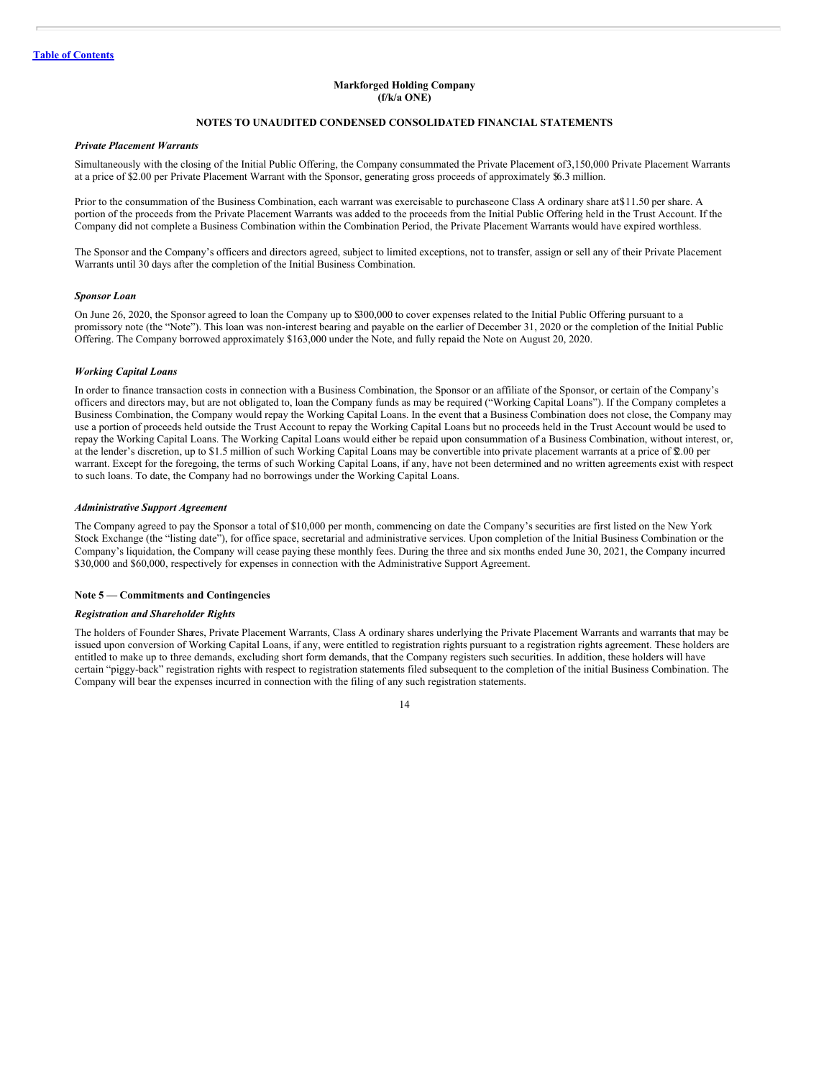# **NOTES TO UNAUDITED CONDENSED CONSOLIDATED FINANCIAL STATEMENTS**

#### *Private Placement Warrants*

Simultaneously with the closing of the Initial Public Offering, the Company consummated the Private Placement of3,150,000 Private Placement Warrants at a price of \$2.00 per Private Placement Warrant with the Sponsor, generating gross proceeds of approximately \$6.3 million.

Prior to the consummation of the Business Combination, each warrant was exercisable to purchaseone Class A ordinary share at\$11.50 per share. A portion of the proceeds from the Private Placement Warrants was added to the proceeds from the Initial Public Offering held in the Trust Account. If the Company did not complete a Business Combination within the Combination Period, the Private Placement Warrants would have expired worthless.

The Sponsor and the Company's officers and directors agreed, subject to limited exceptions, not to transfer, assign or sell any of their Private Placement Warrants until 30 days after the completion of the Initial Business Combination.

#### *Sponsor Loan*

On June 26, 2020, the Sponsor agreed to loan the Company up to \$300,000 to cover expenses related to the Initial Public Offering pursuant to a promissory note (the "Note"). This loan was non-interest bearing and payable on the earlier of December 31, 2020 or the completion of the Initial Public Offering. The Company borrowed approximately \$163,000 under the Note, and fully repaid the Note on August 20, 2020.

#### *Working Capital Loans*

In order to finance transaction costs in connection with a Business Combination, the Sponsor or an affiliate of the Sponsor, or certain of the Company's officers and directors may, but are not obligated to, loan the Company funds as may be required ("Working Capital Loans"). If the Company completes a Business Combination, the Company would repay the Working Capital Loans. In the event that a Business Combination does not close, the Company may use a portion of proceeds held outside the Trust Account to repay the Working Capital Loans but no proceeds held in the Trust Account would be used to repay the Working Capital Loans. The Working Capital Loans would either be repaid upon consummation of a Business Combination, without interest, or, at the lender's discretion, up to \$1.5 million of such Working Capital Loans may be convertible into private placement warrants at a price of \$2.00 per warrant. Except for the foregoing, the terms of such Working Capital Loans, if any, have not been determined and no written agreements exist with respect to such loans. To date, the Company had no borrowings under the Working Capital Loans.

# *Administrative Support Agreement*

The Company agreed to pay the Sponsor a total of \$10,000 per month, commencing on date the Company's securities are first listed on the New York Stock Exchange (the "listing date"), for office space, secretarial and administrative services. Upon completion of the Initial Business Combination or the Company's liquidation, the Company will cease paying these monthly fees. During the three and six months ended June 30, 2021, the Company incurred \$30,000 and \$60,000, respectively for expenses in connection with the Administrative Support Agreement.

#### **Note 5 — Commitments and Contingencies**

#### *Registration and Shareholder Rights*

The holders of Founder Shares, Private Placement Warrants, Class A ordinary shares underlying the Private Placement Warrants and warrants that may be issued upon conversion of Working Capital Loans, if any, were entitled to registration rights pursuant to a registration rights agreement. These holders are entitled to make up to three demands, excluding short form demands, that the Company registers such securities. In addition, these holders will have certain "piggy-back" registration rights with respect to registration statements filed subsequent to the completion of the initial Business Combination. The Company will bear the expenses incurred in connection with the filing of any such registration statements.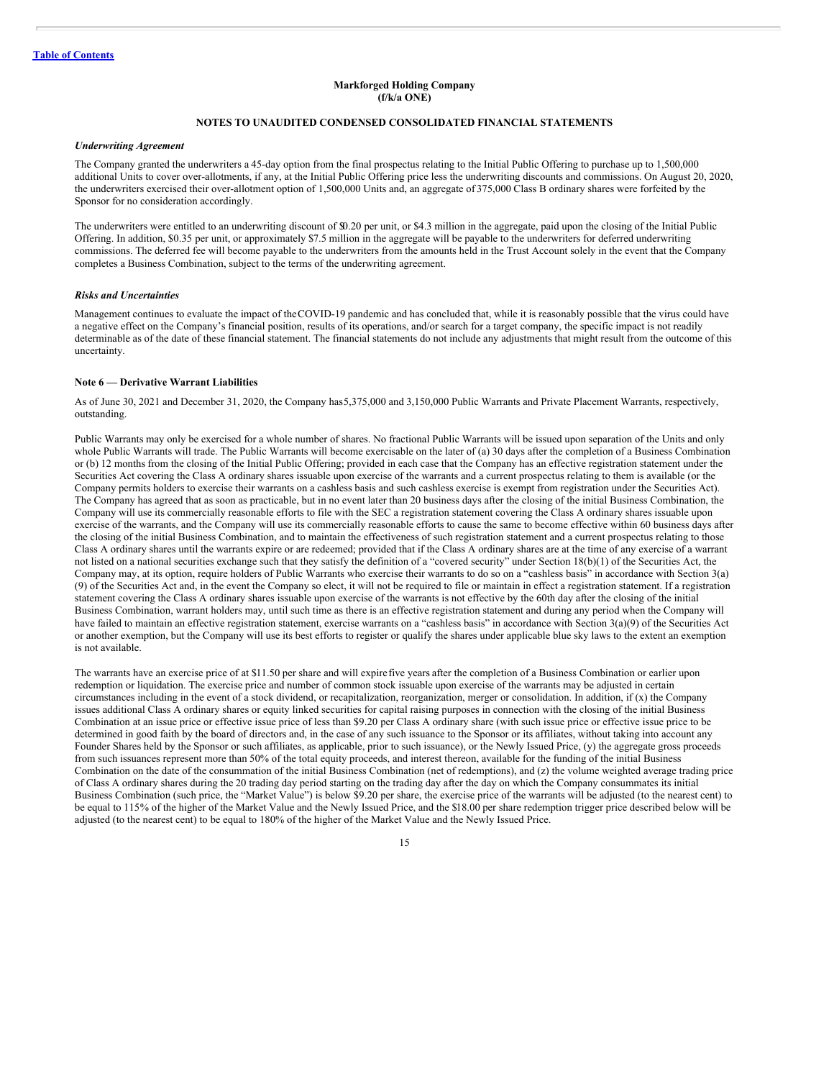# **NOTES TO UNAUDITED CONDENSED CONSOLIDATED FINANCIAL STATEMENTS**

#### *Underwriting Agreement*

The Company granted the underwriters a 45-day option from the final prospectus relating to the Initial Public Offering to purchase up to 1,500,000 additional Units to cover over-allotments, if any, at the Initial Public Offering price less the underwriting discounts and commissions. On August 20, 2020, the underwriters exercised their over-allotment option of 1,500,000 Units and, an aggregate of 375,000 Class B ordinary shares were forfeited by the Sponsor for no consideration accordingly.

The underwriters were entitled to an underwriting discount of \$0.20 per unit, or \$4.3 million in the aggregate, paid upon the closing of the Initial Public Offering. In addition, \$0.35 per unit, or approximately \$7.5 million in the aggregate will be payable to the underwriters for deferred underwriting commissions. The deferred fee will become payable to the underwriters from the amounts held in the Trust Account solely in the event that the Company completes a Business Combination, subject to the terms of the underwriting agreement.

#### *Risks and Uncertainties*

Management continues to evaluate the impact of theCOVID-19 pandemic and has concluded that, while it is reasonably possible that the virus could have a negative effect on the Company's financial position, results of its operations, and/or search for a target company, the specific impact is not readily determinable as of the date of these financial statement. The financial statements do not include any adjustments that might result from the outcome of this uncertainty.

# **Note 6 — Derivative Warrant Liabilities**

As of June 30, 2021 and December 31, 2020, the Company has5,375,000 and 3,150,000 Public Warrants and Private Placement Warrants, respectively, outstanding.

Public Warrants may only be exercised for a whole number of shares. No fractional Public Warrants will be issued upon separation of the Units and only whole Public Warrants will trade. The Public Warrants will become exercisable on the later of (a) 30 days after the completion of a Business Combination or (b) 12 months from the closing of the Initial Public Offering; provided in each case that the Company has an effective registration statement under the Securities Act covering the Class A ordinary shares issuable upon exercise of the warrants and a current prospectus relating to them is available (or the Company permits holders to exercise their warrants on a cashless basis and such cashless exercise is exempt from registration under the Securities Act). The Company has agreed that as soon as practicable, but in no event later than 20 business days after the closing of the initial Business Combination, the Company will use its commercially reasonable efforts to file with the SEC a registration statement covering the Class A ordinary shares issuable upon exercise of the warrants, and the Company will use its commercially reasonable efforts to cause the same to become effective within 60 business days after the closing of the initial Business Combination, and to maintain the effectiveness of such registration statement and a current prospectus relating to those Class A ordinary shares until the warrants expire or are redeemed; provided that if the Class A ordinary shares are at the time of any exercise of a warrant not listed on a national securities exchange such that they satisfy the definition of a "covered security" under Section 18(b)(1) of the Securities Act, the Company may, at its option, require holders of Public Warrants who exercise their warrants to do so on a "cashless basis" in accordance with Section 3(a) (9) of the Securities Act and, in the event the Company so elect, it will not be required to file or maintain in effect a registration statement. If a registration statement covering the Class A ordinary shares issuable upon exercise of the warrants is not effective by the 60th day after the closing of the initial Business Combination, warrant holders may, until such time as there is an effective registration statement and during any period when the Company will have failed to maintain an effective registration statement, exercise warrants on a "cashless basis" in accordance with Section 3(a)(9) of the Securities Act or another exemption, but the Company will use its best efforts to register or qualify the shares under applicable blue sky laws to the extent an exemption is not available.

The warrants have an exercise price of at \$11.50 per share and will expirefive years after the completion of a Business Combination or earlier upon redemption or liquidation. The exercise price and number of common stock issuable upon exercise of the warrants may be adjusted in certain circumstances including in the event of a stock dividend, or recapitalization, reorganization, merger or consolidation. In addition, if (x) the Company issues additional Class A ordinary shares or equity linked securities for capital raising purposes in connection with the closing of the initial Business Combination at an issue price or effective issue price of less than \$9.20 per Class A ordinary share (with such issue price or effective issue price to be determined in good faith by the board of directors and, in the case of any such issuance to the Sponsor or its affiliates, without taking into account any Founder Shares held by the Sponsor or such affiliates, as applicable, prior to such issuance), or the Newly Issued Price, (y) the aggregate gross proceeds from such issuances represent more than 50% of the total equity proceeds, and interest thereon, available for the funding of the initial Business Combination on the date of the consummation of the initial Business Combination (net of redemptions), and (z) the volume weighted average trading price of Class A ordinary shares during the 20 trading day period starting on the trading day after the day on which the Company consummates its initial Business Combination (such price, the "Market Value") is below \$9.20 per share, the exercise price of the warrants will be adjusted (to the nearest cent) to be equal to 115% of the higher of the Market Value and the Newly Issued Price, and the \$18.00 per share redemption trigger price described below will be adjusted (to the nearest cent) to be equal to 180% of the higher of the Market Value and the Newly Issued Price.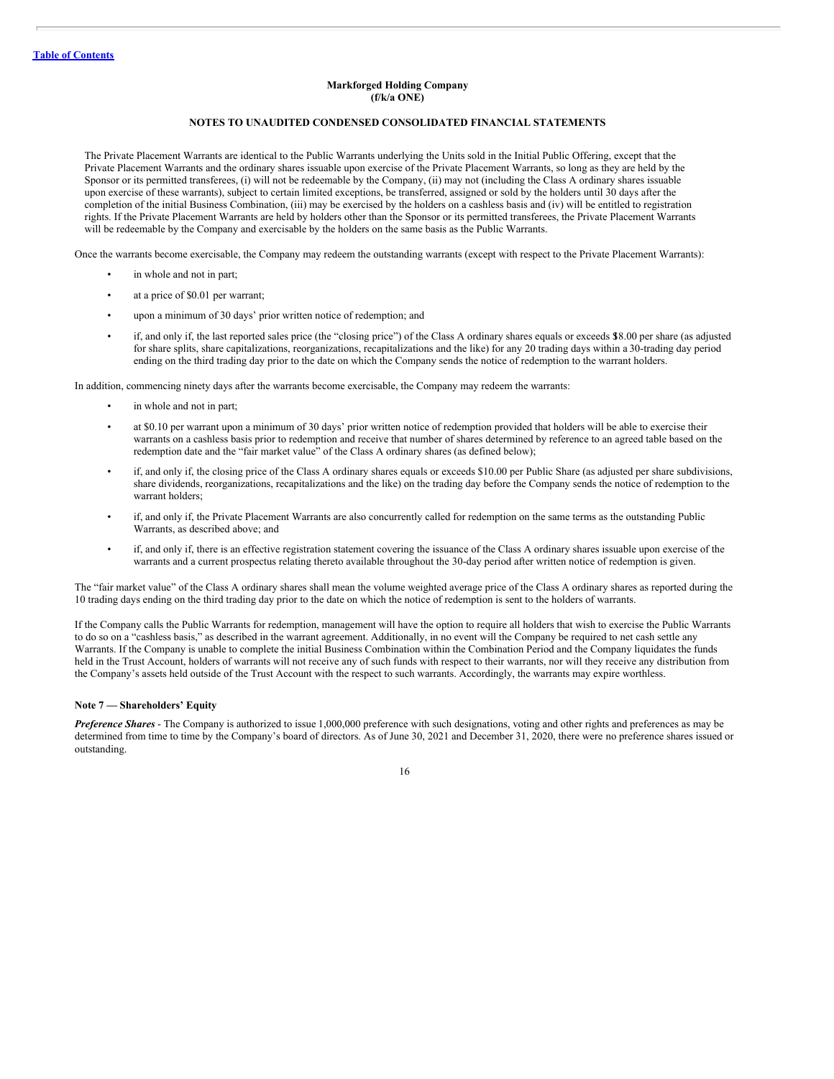# **NOTES TO UNAUDITED CONDENSED CONSOLIDATED FINANCIAL STATEMENTS**

The Private Placement Warrants are identical to the Public Warrants underlying the Units sold in the Initial Public Offering, except that the Private Placement Warrants and the ordinary shares issuable upon exercise of the Private Placement Warrants, so long as they are held by the Sponsor or its permitted transferees, (i) will not be redeemable by the Company, (ii) may not (including the Class A ordinary shares issuable upon exercise of these warrants), subject to certain limited exceptions, be transferred, assigned or sold by the holders until 30 days after the completion of the initial Business Combination, (iii) may be exercised by the holders on a cashless basis and (iv) will be entitled to registration rights. If the Private Placement Warrants are held by holders other than the Sponsor or its permitted transferees, the Private Placement Warrants will be redeemable by the Company and exercisable by the holders on the same basis as the Public Warrants.

Once the warrants become exercisable, the Company may redeem the outstanding warrants (except with respect to the Private Placement Warrants):

- in whole and not in part;
- at a price of \$0.01 per warrant;
- upon a minimum of 30 days' prior written notice of redemption; and
- if, and only if, the last reported sales price (the "closing price") of the Class A ordinary shares equals or exceeds \$18.00 per share (as adjusted for share splits, share capitalizations, reorganizations, recapitalizations and the like) for any 20 trading days within a 30-trading day period ending on the third trading day prior to the date on which the Company sends the notice of redemption to the warrant holders.

In addition, commencing ninety days after the warrants become exercisable, the Company may redeem the warrants:

- in whole and not in part;
- at \$0.10 per warrant upon a minimum of 30 days' prior written notice of redemption provided that holders will be able to exercise their warrants on a cashless basis prior to redemption and receive that number of shares determined by reference to an agreed table based on the redemption date and the "fair market value" of the Class A ordinary shares (as defined below);
- if, and only if, the closing price of the Class A ordinary shares equals or exceeds \$10.00 per Public Share (as adjusted per share subdivisions, share dividends, reorganizations, recapitalizations and the like) on the trading day before the Company sends the notice of redemption to the warrant holders;
- if, and only if, the Private Placement Warrants are also concurrently called for redemption on the same terms as the outstanding Public Warrants, as described above; and
- if, and only if, there is an effective registration statement covering the issuance of the Class A ordinary shares issuable upon exercise of the warrants and a current prospectus relating thereto available throughout the 30-day period after written notice of redemption is given.

The "fair market value" of the Class A ordinary shares shall mean the volume weighted average price of the Class A ordinary shares as reported during the 10 trading days ending on the third trading day prior to the date on which the notice of redemption is sent to the holders of warrants.

If the Company calls the Public Warrants for redemption, management will have the option to require all holders that wish to exercise the Public Warrants to do so on a "cashless basis," as described in the warrant agreement. Additionally, in no event will the Company be required to net cash settle any Warrants. If the Company is unable to complete the initial Business Combination within the Combination Period and the Company liquidates the funds held in the Trust Account, holders of warrants will not receive any of such funds with respect to their warrants, nor will they receive any distribution from the Company's assets held outside of the Trust Account with the respect to such warrants. Accordingly, the warrants may expire worthless.

# **Note 7 — Shareholders' Equity**

*Preference Shares* - The Company is authorized to issue 1,000,000 preference with such designations, voting and other rights and preferences as may be determined from time to time by the Company's board of directors. As of June 30, 2021 and December 31, 2020, there were no preference shares issued or outstanding.

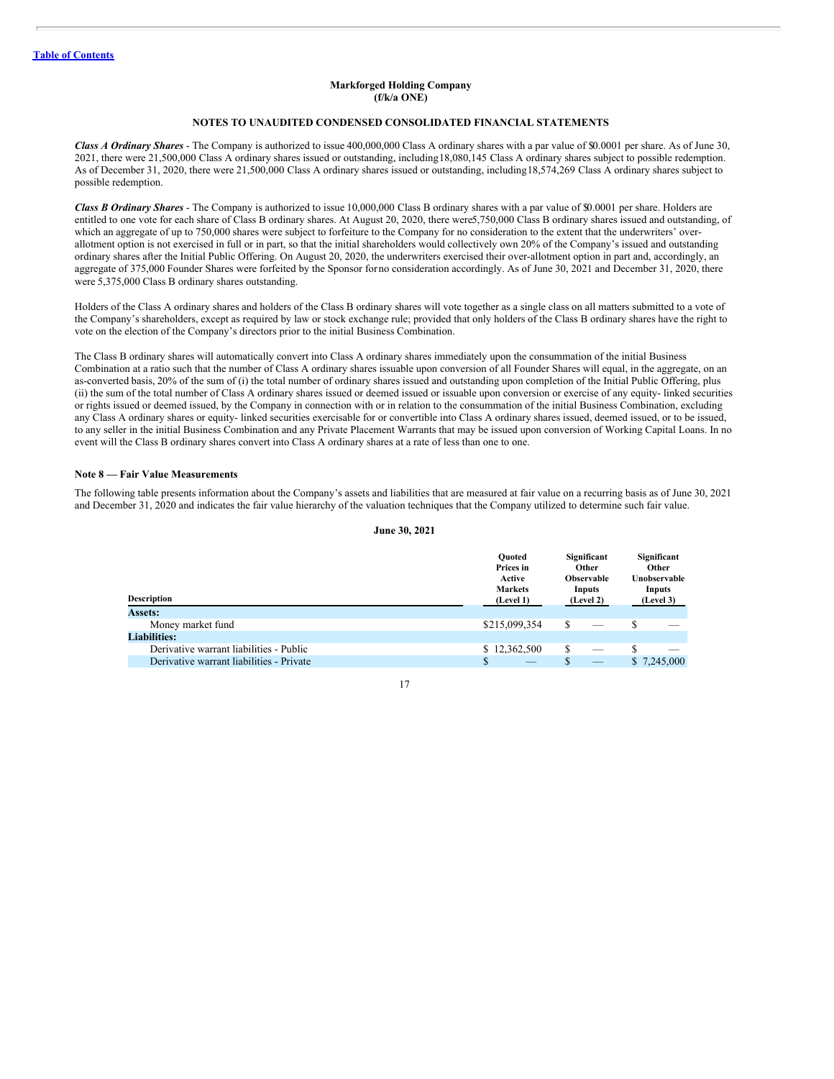# **NOTES TO UNAUDITED CONDENSED CONSOLIDATED FINANCIAL STATEMENTS**

*Class A Ordinary Shares* - The Company is authorized to issue 400,000,000 Class A ordinary shares with a par value of \$0.0001 per share. As of June 30, 2021, there were 21,500,000 Class A ordinary shares issued or outstanding, including18,080,145 Class A ordinary shares subject to possible redemption. As of December 31, 2020, there were 21,500,000 Class A ordinary shares issued or outstanding, including18,574,269 Class A ordinary shares subject to possible redemption.

*Class B Ordinary Shares* - The Company is authorized to issue 10,000,000 Class B ordinary shares with a par value of \$0.0001 per share. Holders are entitled to one vote for each share of Class B ordinary shares. At August 20, 2020, there were5,750,000 Class B ordinary shares issued and outstanding, of which an aggregate of up to 750,000 shares were subject to forfeiture to the Company for no consideration to the extent that the underwriters' overallotment option is not exercised in full or in part, so that the initial shareholders would collectively own 20% of the Company's issued and outstanding ordinary shares after the Initial Public Offering. On August 20, 2020, the underwriters exercised their over-allotment option in part and, accordingly, an aggregate of 375,000 Founder Shares were forfeited by the Sponsor forno consideration accordingly. As of June 30, 2021 and December 31, 2020, there were 5,375,000 Class B ordinary shares outstanding.

Holders of the Class A ordinary shares and holders of the Class B ordinary shares will vote together as a single class on all matters submitted to a vote of the Company's shareholders, except as required by law or stock exchange rule; provided that only holders of the Class B ordinary shares have the right to vote on the election of the Company's directors prior to the initial Business Combination.

The Class B ordinary shares will automatically convert into Class A ordinary shares immediately upon the consummation of the initial Business Combination at a ratio such that the number of Class A ordinary shares issuable upon conversion of all Founder Shares will equal, in the aggregate, on an as-converted basis, 20% of the sum of (i) the total number of ordinary shares issued and outstanding upon completion of the Initial Public Offering, plus (ii) the sum of the total number of Class A ordinary shares issued or deemed issued or issuable upon conversion or exercise of any equity- linked securities or rights issued or deemed issued, by the Company in connection with or in relation to the consummation of the initial Business Combination, excluding any Class A ordinary shares or equity- linked securities exercisable for or convertible into Class A ordinary shares issued, deemed issued, or to be issued, to any seller in the initial Business Combination and any Private Placement Warrants that may be issued upon conversion of Working Capital Loans. In no event will the Class B ordinary shares convert into Class A ordinary shares at a rate of less than one to one.

# **Note 8 — Fair Value Measurements**

The following table presents information about the Company's assets and liabilities that are measured at fair value on a recurring basis as of June 30, 2021 and December 31, 2020 and indicates the fair value hierarchy of the valuation techniques that the Company utilized to determine such fair value.

#### **June 30, 2021**

| <b>Description</b>                       | <b>Ouoted</b><br>Prices in<br>Active<br><b>Markets</b><br>(Level 1) | Significant<br>Other<br><b>Observable</b><br>Inputs<br>(Level 2) |                          | Significant<br>Other<br>Unobservable<br>Inputs<br>(Level 3) |  |
|------------------------------------------|---------------------------------------------------------------------|------------------------------------------------------------------|--------------------------|-------------------------------------------------------------|--|
| <b>Assets:</b>                           |                                                                     |                                                                  |                          |                                                             |  |
| Money market fund                        | \$215,099,354                                                       | S                                                                | -                        |                                                             |  |
| Liabilities:                             |                                                                     |                                                                  |                          |                                                             |  |
| Derivative warrant liabilities - Public  | \$12,362,500                                                        | S                                                                | -                        |                                                             |  |
| Derivative warrant liabilities - Private | \$<br>$-$                                                           | \$                                                               | $\overline{\phantom{a}}$ | \$7,245,000                                                 |  |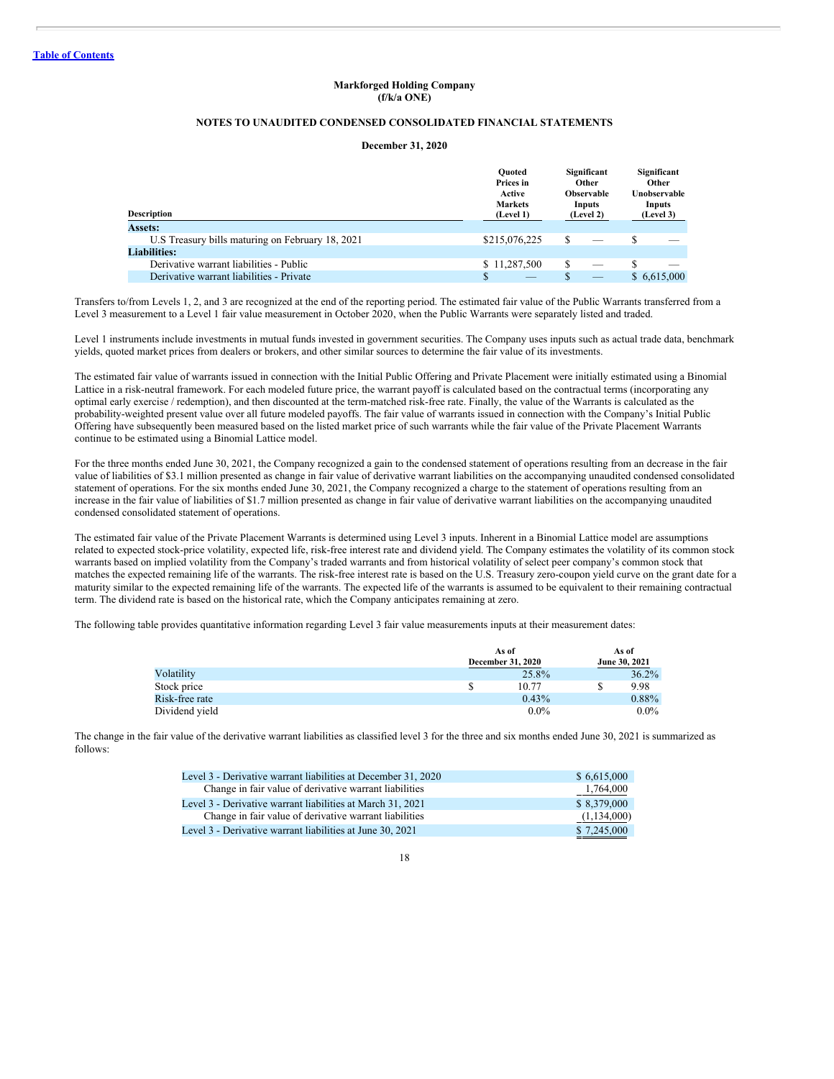# **NOTES TO UNAUDITED CONDENSED CONSOLIDATED FINANCIAL STATEMENTS**

#### **December 31, 2020**

| <b>Description</b>                                | Ouoted<br>Prices in<br>Active<br><b>Markets</b><br>(Level 1) | Significant<br>Other<br><b>Observable</b><br>Inputs<br>(Level 2) |     | Significant<br>Other<br>Unobservable<br>Inputs<br>(Level 3) |
|---------------------------------------------------|--------------------------------------------------------------|------------------------------------------------------------------|-----|-------------------------------------------------------------|
| Assets:                                           |                                                              |                                                                  |     |                                                             |
| U.S. Treasury bills maturing on February 18, 2021 | \$215,076,225                                                |                                                                  |     |                                                             |
| <b>Liabilities:</b>                               |                                                              |                                                                  |     |                                                             |
| Derivative warrant liabilities - Public           | \$11,287,500                                                 | S                                                                | -   |                                                             |
| Derivative warrant liabilities - Private          | \$<br>$-$                                                    |                                                                  | $-$ | \$6.615.000                                                 |

Transfers to/from Levels 1, 2, and 3 are recognized at the end of the reporting period. The estimated fair value of the Public Warrants transferred from a Level 3 measurement to a Level 1 fair value measurement in October 2020, when the Public Warrants were separately listed and traded.

Level 1 instruments include investments in mutual funds invested in government securities. The Company uses inputs such as actual trade data, benchmark yields, quoted market prices from dealers or brokers, and other similar sources to determine the fair value of its investments.

The estimated fair value of warrants issued in connection with the Initial Public Offering and Private Placement were initially estimated using a Binomial Lattice in a risk-neutral framework. For each modeled future price, the warrant payoff is calculated based on the contractual terms (incorporating any optimal early exercise / redemption), and then discounted at the term-matched risk-free rate. Finally, the value of the Warrants is calculated as the probability-weighted present value over all future modeled payoffs. The fair value of warrants issued in connection with the Company's Initial Public Offering have subsequently been measured based on the listed market price of such warrants while the fair value of the Private Placement Warrants continue to be estimated using a Binomial Lattice model.

For the three months ended June 30, 2021, the Company recognized a gain to the condensed statement of operations resulting from an decrease in the fair value of liabilities of \$3.1 million presented as change in fair value of derivative warrant liabilities on the accompanying unaudited condensed consolidated statement of operations. For the six months ended June 30, 2021, the Company recognized a charge to the statement of operations resulting from an increase in the fair value of liabilities of \$1.7 million presented as change in fair value of derivative warrant liabilities on the accompanying unaudited condensed consolidated statement of operations.

The estimated fair value of the Private Placement Warrants is determined using Level 3 inputs. Inherent in a Binomial Lattice model are assumptions related to expected stock-price volatility, expected life, risk-free interest rate and dividend yield. The Company estimates the volatility of its common stock warrants based on implied volatility from the Company's traded warrants and from historical volatility of select peer company's common stock that matches the expected remaining life of the warrants. The risk-free interest rate is based on the U.S. Treasury zero-coupon yield curve on the grant date for a maturity similar to the expected remaining life of the warrants. The expected life of the warrants is assumed to be equivalent to their remaining contractual term. The dividend rate is based on the historical rate, which the Company anticipates remaining at zero.

The following table provides quantitative information regarding Level 3 fair value measurements inputs at their measurement dates:

|                | As of             |  | As of    |  |
|----------------|-------------------|--|----------|--|
|                | December 31, 2020 |  |          |  |
| Volatility     | 25.8%             |  | $36.2\%$ |  |
| Stock price    | \$<br>10.77       |  | 9.98     |  |
| Risk-free rate | $0.43\%$          |  | 0.88%    |  |
| Dividend yield | $0.0\%$           |  | $0.0\%$  |  |

The change in the fair value of the derivative warrant liabilities as classified level 3 for the three and six months ended June 30, 2021 is summarized as follows:

| Level 3 - Derivative warrant liabilities at December 31, 2020 | \$6,615,000  |
|---------------------------------------------------------------|--------------|
| Change in fair value of derivative warrant liabilities        | 1,764,000    |
| Level 3 - Derivative warrant liabilities at March 31, 2021    | \$ 8,379,000 |
| Change in fair value of derivative warrant liabilities        | (1,134,000)  |
| Level 3 - Derivative warrant liabilities at June 30, 2021     | \$7,245,000  |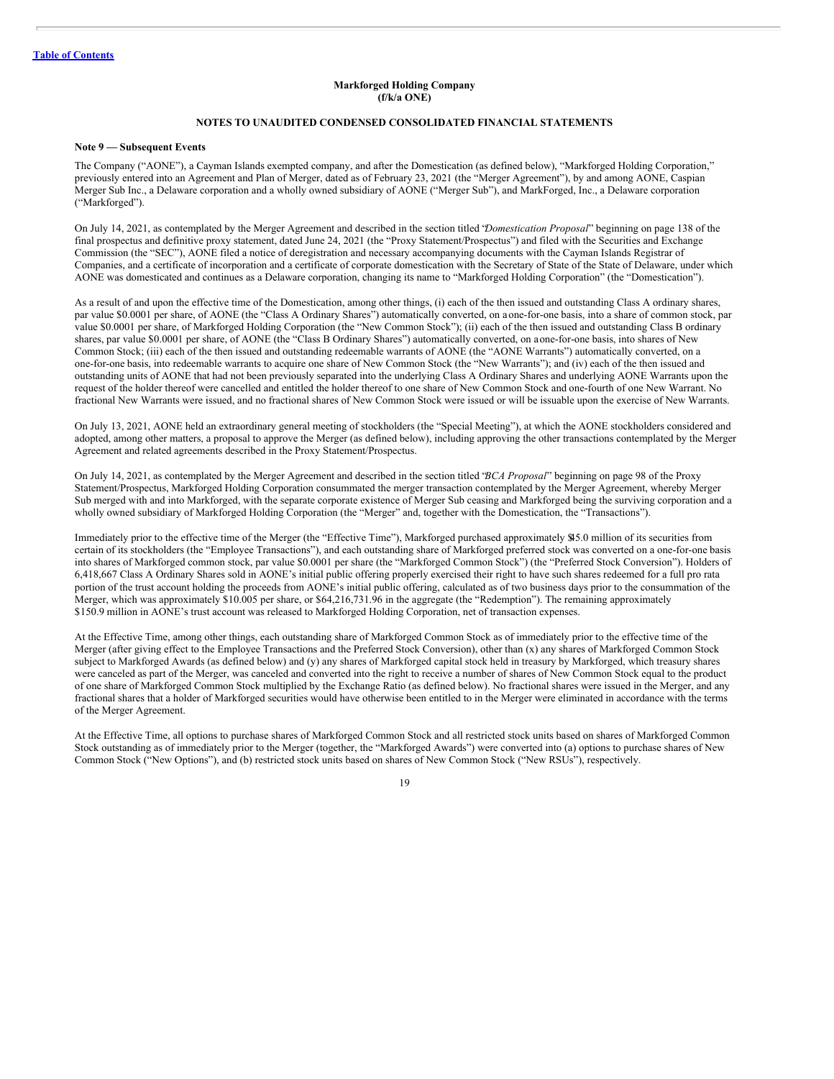#### **NOTES TO UNAUDITED CONDENSED CONSOLIDATED FINANCIAL STATEMENTS**

# **Note 9 — Subsequent Events**

The Company ("AONE"), a Cayman Islands exempted company, and after the Domestication (as defined below), "Markforged Holding Corporation," previously entered into an Agreement and Plan of Merger, dated as of February 23, 2021 (the "Merger Agreement"), by and among AONE, Caspian Merger Sub Inc., a Delaware corporation and a wholly owned subsidiary of AONE ("Merger Sub"), and MarkForged, Inc., a Delaware corporation ("Markforged").

On July 14, 2021, as contemplated by the Merger Agreement and described in the section titled "*Domestication Proposal*" beginning on page 138 of the final prospectus and definitive proxy statement, dated June 24, 2021 (the "Proxy Statement/Prospectus") and filed with the Securities and Exchange Commission (the "SEC"), AONE filed a notice of deregistration and necessary accompanying documents with the Cayman Islands Registrar of Companies, and a certificate of incorporation and a certificate of corporate domestication with the Secretary of State of the State of Delaware, under which AONE was domesticated and continues as a Delaware corporation, changing its name to "Markforged Holding Corporation" (the "Domestication").

As a result of and upon the effective time of the Domestication, among other things, (i) each of the then issued and outstanding Class A ordinary shares, par value \$0.0001 per share, of AONE (the "Class A Ordinary Shares") automatically converted, on aone-for-one basis, into a share of common stock, par value \$0.0001 per share, of Markforged Holding Corporation (the "New Common Stock"); (ii) each of the then issued and outstanding Class B ordinary shares, par value \$0.0001 per share, of AONE (the "Class B Ordinary Shares") automatically converted, on aone-for-one basis, into shares of New Common Stock; (iii) each of the then issued and outstanding redeemable warrants of AONE (the "AONE Warrants") automatically converted, on a one-for-one basis, into redeemable warrants to acquire one share of New Common Stock (the "New Warrants"); and (iv) each of the then issued and outstanding units of AONE that had not been previously separated into the underlying Class A Ordinary Shares and underlying AONE Warrants upon the request of the holder thereof were cancelled and entitled the holder thereof to one share of New Common Stock and one-fourth of one New Warrant. No fractional New Warrants were issued, and no fractional shares of New Common Stock were issued or will be issuable upon the exercise of New Warrants.

On July 13, 2021, AONE held an extraordinary general meeting of stockholders (the "Special Meeting"), at which the AONE stockholders considered and adopted, among other matters, a proposal to approve the Merger (as defined below), including approving the other transactions contemplated by the Merger Agreement and related agreements described in the Proxy Statement/Prospectus.

On July 14, 2021, as contemplated by the Merger Agreement and described in the section titled "*BCA Proposal*" beginning on page 98 of the Proxy Statement/Prospectus, Markforged Holding Corporation consummated the merger transaction contemplated by the Merger Agreement, whereby Merger Sub merged with and into Markforged, with the separate corporate existence of Merger Sub ceasing and Markforged being the surviving corporation and a wholly owned subsidiary of Markforged Holding Corporation (the "Merger" and, together with the Domestication, the "Transactions").

Immediately prior to the effective time of the Merger (the "Effective Time"), Markforged purchased approximately \$45.0 million of its securities from certain of its stockholders (the "Employee Transactions"), and each outstanding share of Markforged preferred stock was converted on a one-for-one basis into shares of Markforged common stock, par value \$0.0001 per share (the "Markforged Common Stock") (the "Preferred Stock Conversion"). Holders of 6,418,667 Class A Ordinary Shares sold in AONE's initial public offering properly exercised their right to have such shares redeemed for a full pro rata portion of the trust account holding the proceeds from AONE's initial public offering, calculated as of two business days prior to the consummation of the Merger, which was approximately \$10.005 per share, or \$64,216,731.96 in the aggregate (the "Redemption"). The remaining approximately \$150.9 million in AONE's trust account was released to Markforged Holding Corporation, net of transaction expenses.

At the Effective Time, among other things, each outstanding share of Markforged Common Stock as of immediately prior to the effective time of the Merger (after giving effect to the Employee Transactions and the Preferred Stock Conversion), other than (x) any shares of Markforged Common Stock subject to Markforged Awards (as defined below) and (y) any shares of Markforged capital stock held in treasury by Markforged, which treasury shares were canceled as part of the Merger, was canceled and converted into the right to receive a number of shares of New Common Stock equal to the product of one share of Markforged Common Stock multiplied by the Exchange Ratio (as defined below). No fractional shares were issued in the Merger, and any fractional shares that a holder of Markforged securities would have otherwise been entitled to in the Merger were eliminated in accordance with the terms of the Merger Agreement.

At the Effective Time, all options to purchase shares of Markforged Common Stock and all restricted stock units based on shares of Markforged Common Stock outstanding as of immediately prior to the Merger (together, the "Markforged Awards") were converted into (a) options to purchase shares of New Common Stock ("New Options"), and (b) restricted stock units based on shares of New Common Stock ("New RSUs"), respectively.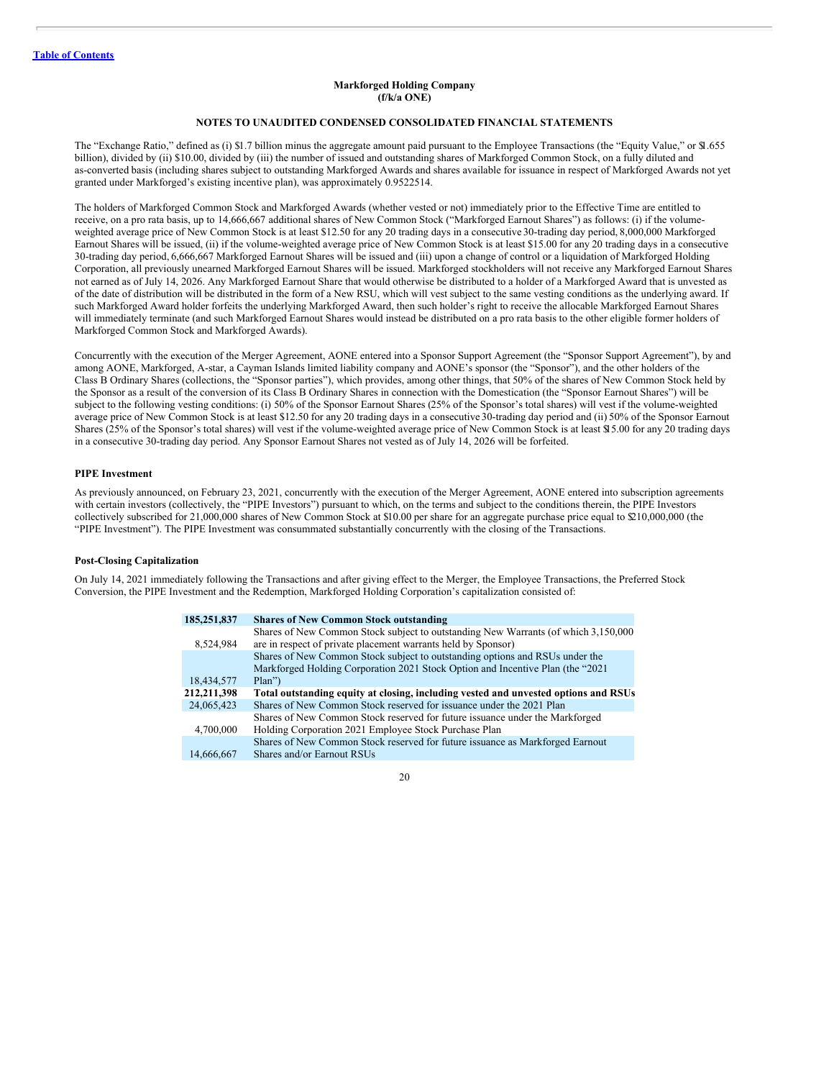#### **NOTES TO UNAUDITED CONDENSED CONSOLIDATED FINANCIAL STATEMENTS**

The "Exchange Ratio," defined as (i) \$1.7 billion minus the aggregate amount paid pursuant to the Employee Transactions (the "Equity Value," or \$1.655 billion), divided by (ii) \$10.00, divided by (iii) the number of issued and outstanding shares of Markforged Common Stock, on a fully diluted and as-converted basis (including shares subject to outstanding Markforged Awards and shares available for issuance in respect of Markforged Awards not yet granted under Markforged's existing incentive plan), was approximately 0.9522514.

The holders of Markforged Common Stock and Markforged Awards (whether vested or not) immediately prior to the Effective Time are entitled to receive, on a pro rata basis, up to 14,666,667 additional shares of New Common Stock ("Markforged Earnout Shares") as follows: (i) if the volumeweighted average price of New Common Stock is at least \$12.50 for any 20 trading days in a consecutive 30-trading day period, 8,000,000 Markforged Earnout Shares will be issued, (ii) if the volume-weighted average price of New Common Stock is at least \$15.00 for any 20 trading days in a consecutive 30-trading day period, 6,666,667 Markforged Earnout Shares will be issued and (iii) upon a change of control or a liquidation of Markforged Holding Corporation, all previously unearned Markforged Earnout Shares will be issued. Markforged stockholders will not receive any Markforged Earnout Shares not earned as of July 14, 2026. Any Markforged Earnout Share that would otherwise be distributed to a holder of a Markforged Award that is unvested as of the date of distribution will be distributed in the form of a New RSU, which will vest subject to the same vesting conditions as the underlying award. If such Markforged Award holder forfeits the underlying Markforged Award, then such holder's right to receive the allocable Markforged Earnout Shares will immediately terminate (and such Markforged Earnout Shares would instead be distributed on a pro rata basis to the other eligible former holders of Markforged Common Stock and Markforged Awards).

Concurrently with the execution of the Merger Agreement, AONE entered into a Sponsor Support Agreement (the "Sponsor Support Agreement"), by and among AONE, Markforged, A-star, a Cayman Islands limited liability company and AONE's sponsor (the "Sponsor"), and the other holders of the Class B Ordinary Shares (collections, the "Sponsor parties"), which provides, among other things, that 50% of the shares of New Common Stock held by the Sponsor as a result of the conversion of its Class B Ordinary Shares in connection with the Domestication (the "Sponsor Earnout Shares") will be subject to the following vesting conditions: (i) 50% of the Sponsor Earnout Shares (25% of the Sponsor's total shares) will vest if the volume-weighted average price of New Common Stock is at least \$12.50 for any 20 trading days in a consecutive 30-trading day period and (ii) 50% of the Sponsor Earnout Shares (25% of the Sponsor's total shares) will vest if the volume-weighted average price of New Common Stock is at least \$15.00 for any 20 trading days in a consecutive 30-trading day period. Any Sponsor Earnout Shares not vested as of July 14, 2026 will be forfeited.

# **PIPE Investment**

As previously announced, on February 23, 2021, concurrently with the execution of the Merger Agreement, AONE entered into subscription agreements with certain investors (collectively, the "PIPE Investors") pursuant to which, on the terms and subject to the conditions therein, the PIPE Investors collectively subscribed for 21,000,000 shares of New Common Stock at \$10.00 per share for an aggregate purchase price equal to \$210,000,000 (the "PIPE Investment"). The PIPE Investment was consummated substantially concurrently with the closing of the Transactions.

# **Post-Closing Capitalization**

On July 14, 2021 immediately following the Transactions and after giving effect to the Merger, the Employee Transactions, the Preferred Stock Conversion, the PIPE Investment and the Redemption, Markforged Holding Corporation's capitalization consisted of:

| 185,251,837 | <b>Shares of New Common Stock outstanding</b>                                       |
|-------------|-------------------------------------------------------------------------------------|
|             | Shares of New Common Stock subject to outstanding New Warrants (of which 3,150,000  |
| 8,524,984   | are in respect of private placement warrants held by Sponsor)                       |
|             | Shares of New Common Stock subject to outstanding options and RSUs under the        |
|             | Markforged Holding Corporation 2021 Stock Option and Incentive Plan (the "2021"     |
| 18,434,577  | Plan"                                                                               |
| 212,211,398 | Total outstanding equity at closing, including vested and unvested options and RSUs |
| 24,065,423  | Shares of New Common Stock reserved for issuance under the 2021 Plan                |
|             | Shares of New Common Stock reserved for future issuance under the Markforged        |
| 4,700,000   | Holding Corporation 2021 Employee Stock Purchase Plan                               |
|             | Shares of New Common Stock reserved for future issuance as Markforged Earnout       |
| 14,666,667  | Shares and/or Earnout RSUs                                                          |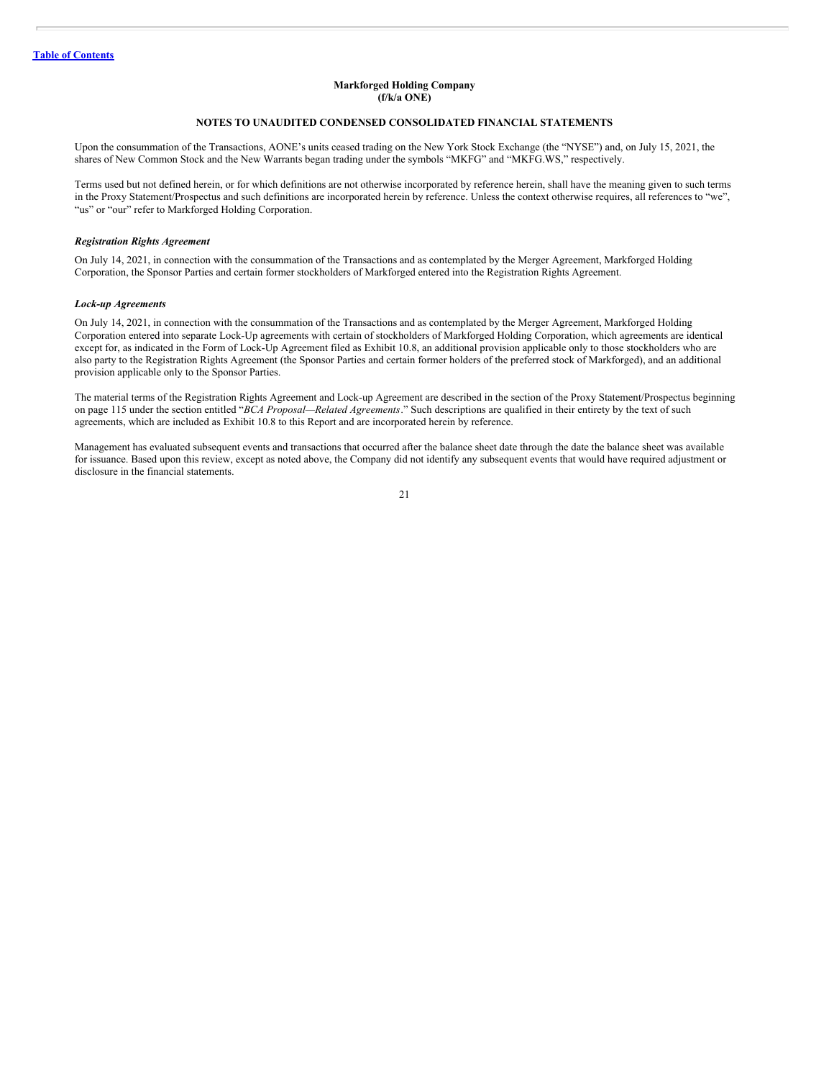# **NOTES TO UNAUDITED CONDENSED CONSOLIDATED FINANCIAL STATEMENTS**

Upon the consummation of the Transactions, AONE's units ceased trading on the New York Stock Exchange (the "NYSE") and, on July 15, 2021, the shares of New Common Stock and the New Warrants began trading under the symbols "MKFG" and "MKFG.WS," respectively.

Terms used but not defined herein, or for which definitions are not otherwise incorporated by reference herein, shall have the meaning given to such terms in the Proxy Statement/Prospectus and such definitions are incorporated herein by reference. Unless the context otherwise requires, all references to "we", "us" or "our" refer to Markforged Holding Corporation.

# *Registration Rights Agreement*

On July 14, 2021, in connection with the consummation of the Transactions and as contemplated by the Merger Agreement, Markforged Holding Corporation, the Sponsor Parties and certain former stockholders of Markforged entered into the Registration Rights Agreement.

#### *Lock-up Agreements*

On July 14, 2021, in connection with the consummation of the Transactions and as contemplated by the Merger Agreement, Markforged Holding Corporation entered into separate Lock-Up agreements with certain of stockholders of Markforged Holding Corporation, which agreements are identical except for, as indicated in the Form of Lock-Up Agreement filed as Exhibit 10.8, an additional provision applicable only to those stockholders who are also party to the Registration Rights Agreement (the Sponsor Parties and certain former holders of the preferred stock of Markforged), and an additional provision applicable only to the Sponsor Parties.

The material terms of the Registration Rights Agreement and Lock-up Agreement are described in the section of the Proxy Statement/Prospectus beginning on page 115 under the section entitled "*BCA Proposal—Related Agreements*." Such descriptions are qualified in their entirety by the text of such agreements, which are included as Exhibit 10.8 to this Report and are incorporated herein by reference.

Management has evaluated subsequent events and transactions that occurred after the balance sheet date through the date the balance sheet was available for issuance. Based upon this review, except as noted above, the Company did not identify any subsequent events that would have required adjustment or disclosure in the financial statements.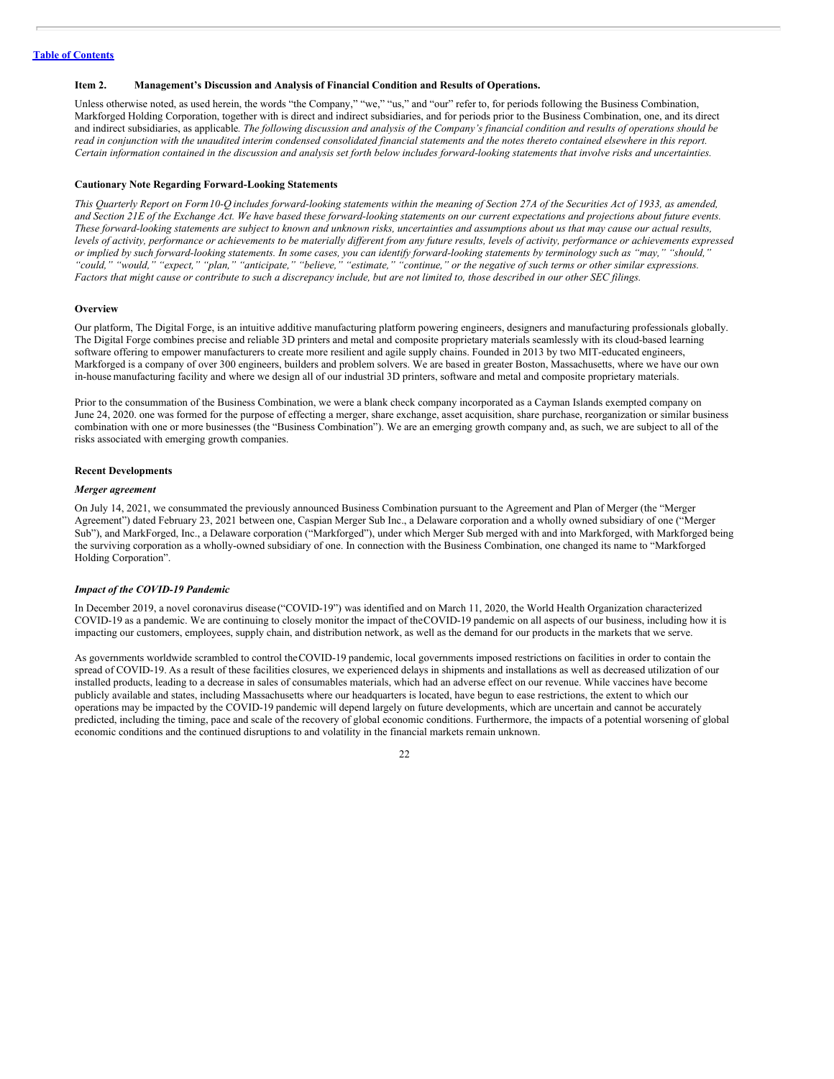#### <span id="page-24-0"></span>**Item 2. Management's Discussion and Analysis of Financial Condition and Results of Operations.**

Unless otherwise noted, as used herein, the words "the Company," "we," "us," and "our" refer to, for periods following the Business Combination, Markforged Holding Corporation, together with is direct and indirect subsidiaries, and for periods prior to the Business Combination, one, and its direct and indirect subsidiaries, as applicable. The following discussion and analysis of the Company's financial condition and results of operations should be read in conjunction with the unaudited interim condensed consolidated financial statements and the notes thereto contained elsewhere in this report. Certain information contained in the discussion and analysis set forth below includes forward-looking statements that involve risks and uncertainties.

# **Cautionary Note Regarding Forward-Looking Statements**

This Quarterly Report on Form 10-Q includes forward-looking statements within the meaning of Section 27A of the Securities Act of 1933, as amended, and Section 21E of the Exchange Act. We have based these forward-looking statements on our current expectations and projections about future events. These forward-looking statements are subject to known and unknown risks, uncertainties and assumptions about us that may cause our actual results, levels of activity, performance or achievements to be materially different from any future results, levels of activity, performance or achievements expressed or implied by such forward-looking statements. In some cases, you can identify forward-looking statements by terminology such as "may," "should," "could," "would," "expect," "plan," "anticipate," "believe," "estimate," "continue," or the negative of such terms or other similar expressions. Factors that might cause or contribute to such a discrepancy include, but are not limited to, those described in our other SEC filings.

#### **Overview**

Our platform, The Digital Forge, is an intuitive additive manufacturing platform powering engineers, designers and manufacturing professionals globally. The Digital Forge combines precise and reliable 3D printers and metal and composite proprietary materials seamlessly with its cloud-based learning software offering to empower manufacturers to create more resilient and agile supply chains. Founded in 2013 by two MIT-educated engineers, Markforged is a company of over 300 engineers, builders and problem solvers. We are based in greater Boston, Massachusetts, where we have our own in-house manufacturing facility and where we design all of our industrial 3D printers, software and metal and composite proprietary materials.

Prior to the consummation of the Business Combination, we were a blank check company incorporated as a Cayman Islands exempted company on June 24, 2020. one was formed for the purpose of effecting a merger, share exchange, asset acquisition, share purchase, reorganization or similar business combination with one or more businesses (the "Business Combination"). We are an emerging growth company and, as such, we are subject to all of the risks associated with emerging growth companies.

# **Recent Developments**

#### *Merger agreement*

On July 14, 2021, we consummated the previously announced Business Combination pursuant to the Agreement and Plan of Merger (the "Merger Agreement") dated February 23, 2021 between one, Caspian Merger Sub Inc., a Delaware corporation and a wholly owned subsidiary of one ("Merger Sub"), and MarkForged, Inc., a Delaware corporation ("Markforged"), under which Merger Sub merged with and into Markforged, with Markforged being the surviving corporation as a wholly-owned subsidiary of one. In connection with the Business Combination, one changed its name to "Markforged Holding Corporation".

#### *Impact of the COVID-19 Pandemic*

In December 2019, a novel coronavirus disease ("COVID-19") was identified and on March 11, 2020, the World Health Organization characterized COVID-19 as a pandemic. We are continuing to closely monitor the impact of theCOVID-19 pandemic on all aspects of our business, including how it is impacting our customers, employees, supply chain, and distribution network, as well as the demand for our products in the markets that we serve.

As governments worldwide scrambled to control theCOVID-19 pandemic, local governments imposed restrictions on facilities in order to contain the spread of COVID-19. As a result of these facilities closures, we experienced delays in shipments and installations as well as decreased utilization of our installed products, leading to a decrease in sales of consumables materials, which had an adverse effect on our revenue. While vaccines have become publicly available and states, including Massachusetts where our headquarters is located, have begun to ease restrictions, the extent to which our operations may be impacted by the COVID-19 pandemic will depend largely on future developments, which are uncertain and cannot be accurately predicted, including the timing, pace and scale of the recovery of global economic conditions. Furthermore, the impacts of a potential worsening of global economic conditions and the continued disruptions to and volatility in the financial markets remain unknown.

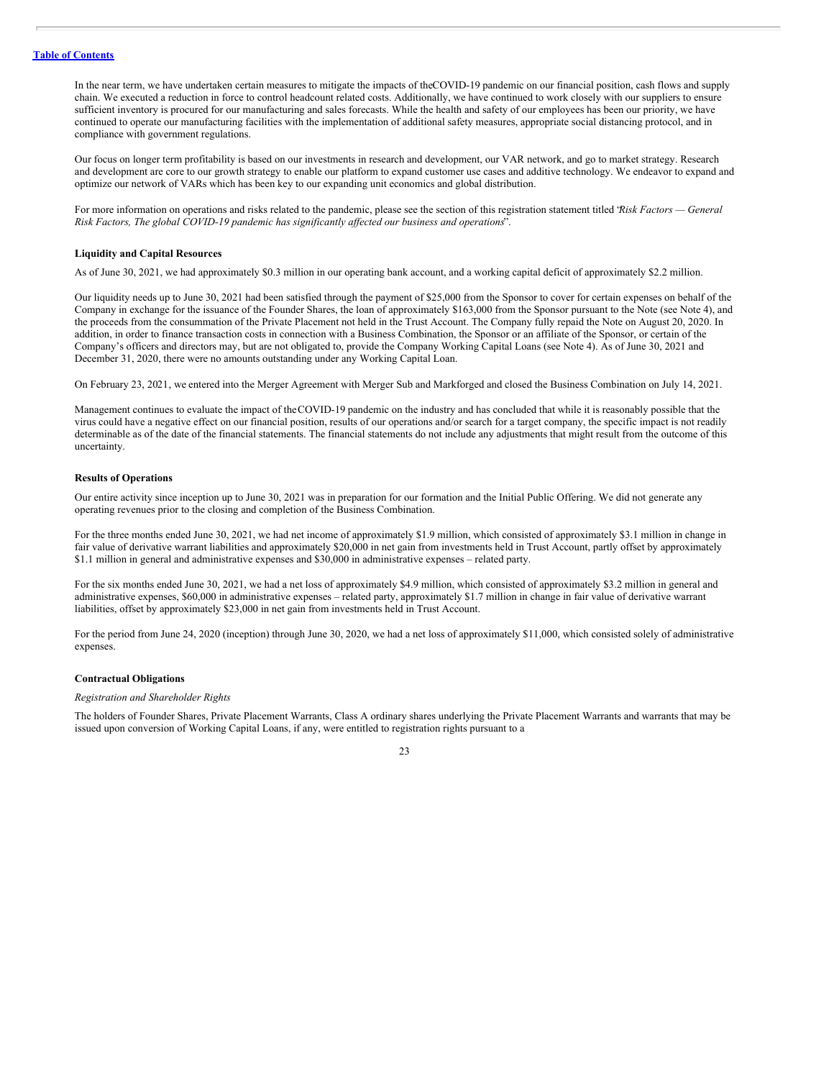#### **Table of [Contents](#page-2-0)**

In the near term, we have undertaken certain measures to mitigate the impacts of theCOVID-19 pandemic on our financial position, cash flows and supply chain. We executed a reduction in force to control headcount related costs. Additionally, we have continued to work closely with our suppliers to ensure sufficient inventory is procured for our manufacturing and sales forecasts. While the health and safety of our employees has been our priority, we have continued to operate our manufacturing facilities with the implementation of additional safety measures, appropriate social distancing protocol, and in compliance with government regulations.

Our focus on longer term profitability is based on our investments in research and development, our VAR network, and go to market strategy. Research and development are core to our growth strategy to enable our platform to expand customer use cases and additive technology. We endeavor to expand and optimize our network of VARs which has been key to our expanding unit economics and global distribution.

For more information on operations and risks related to the pandemic, please see the section of this registration statement titled "*Risk Factors — General Risk Factors, The global COVID-19 pandemic has significantly af ected our business and operations*".

#### **Liquidity and Capital Resources**

As of June 30, 2021, we had approximately \$0.3 million in our operating bank account, and a working capital deficit of approximately \$2.2 million.

Our liquidity needs up to June 30, 2021 had been satisfied through the payment of \$25,000 from the Sponsor to cover for certain expenses on behalf of the Company in exchange for the issuance of the Founder Shares, the loan of approximately \$163,000 from the Sponsor pursuant to the Note (see Note 4), and the proceeds from the consummation of the Private Placement not held in the Trust Account. The Company fully repaid the Note on August 20, 2020. In addition, in order to finance transaction costs in connection with a Business Combination, the Sponsor or an affiliate of the Sponsor, or certain of the Company's officers and directors may, but are not obligated to, provide the Company Working Capital Loans (see Note 4). As of June 30, 2021 and December 31, 2020, there were no amounts outstanding under any Working Capital Loan.

On February 23, 2021, we entered into the Merger Agreement with Merger Sub and Markforged and closed the Business Combination on July 14, 2021.

Management continues to evaluate the impact of theCOVID-19 pandemic on the industry and has concluded that while it is reasonably possible that the virus could have a negative effect on our financial position, results of our operations and/or search for a target company, the specific impact is not readily determinable as of the date of the financial statements. The financial statements do not include any adjustments that might result from the outcome of this uncertainty.

# **Results of Operations**

Our entire activity since inception up to June 30, 2021 was in preparation for our formation and the Initial Public Offering. We did not generate any operating revenues prior to the closing and completion of the Business Combination.

For the three months ended June 30, 2021, we had net income of approximately \$1.9 million, which consisted of approximately \$3.1 million in change in fair value of derivative warrant liabilities and approximately \$20,000 in net gain from investments held in Trust Account, partly offset by approximately \$1.1 million in general and administrative expenses and \$30,000 in administrative expenses – related party.

For the six months ended June 30, 2021, we had a net loss of approximately \$4.9 million, which consisted of approximately \$3.2 million in general and administrative expenses, \$60,000 in administrative expenses – related party, approximately \$1.7 million in change in fair value of derivative warrant liabilities, offset by approximately \$23,000 in net gain from investments held in Trust Account.

For the period from June 24, 2020 (inception) through June 30, 2020, we had a net loss of approximately \$11,000, which consisted solely of administrative expenses.

#### **Contractual Obligations**

#### *Registration and Shareholder Rights*

The holders of Founder Shares, Private Placement Warrants, Class A ordinary shares underlying the Private Placement Warrants and warrants that may be issued upon conversion of Working Capital Loans, if any, were entitled to registration rights pursuant to a

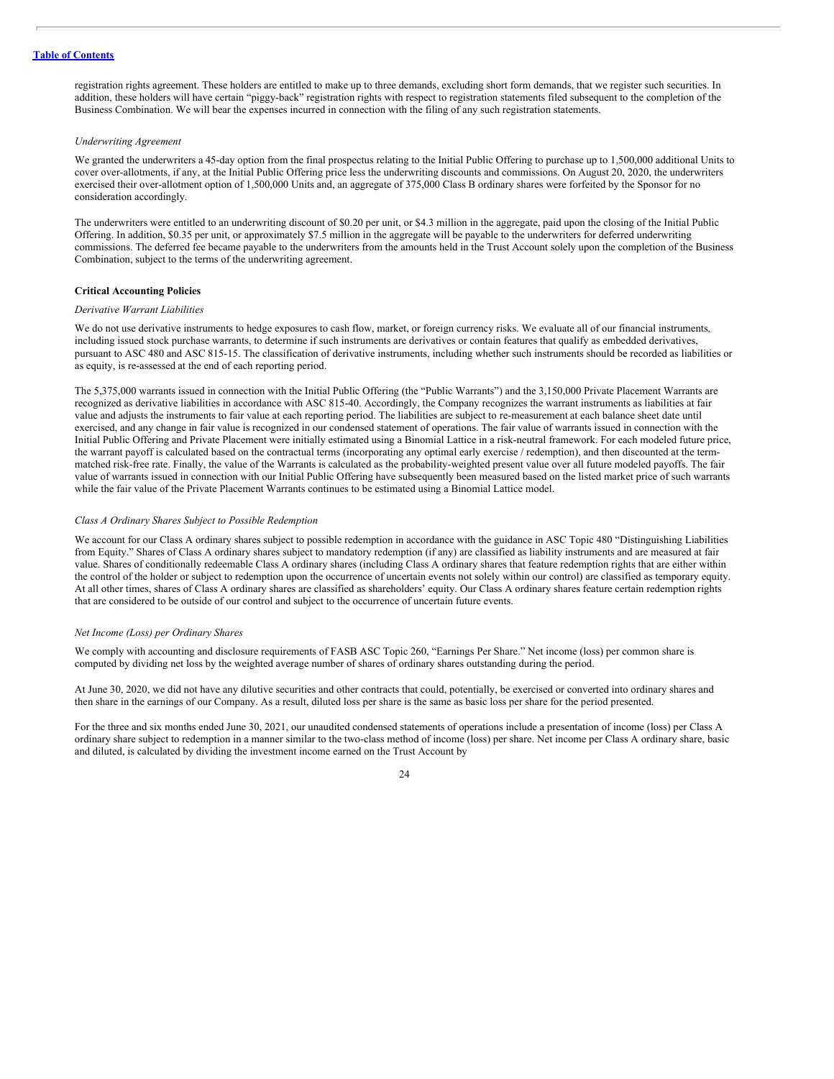registration rights agreement. These holders are entitled to make up to three demands, excluding short form demands, that we register such securities. In addition, these holders will have certain "piggy-back" registration rights with respect to registration statements filed subsequent to the completion of the Business Combination. We will bear the expenses incurred in connection with the filing of any such registration statements.

#### *Underwriting Agreement*

We granted the underwriters a 45-day option from the final prospectus relating to the Initial Public Offering to purchase up to 1,500,000 additional Units to cover over-allotments, if any, at the Initial Public Offering price less the underwriting discounts and commissions. On August 20, 2020, the underwriters exercised their over-allotment option of 1,500,000 Units and, an aggregate of 375,000 Class B ordinary shares were forfeited by the Sponsor for no consideration accordingly.

The underwriters were entitled to an underwriting discount of \$0.20 per unit, or \$4.3 million in the aggregate, paid upon the closing of the Initial Public Offering. In addition, \$0.35 per unit, or approximately \$7.5 million in the aggregate will be payable to the underwriters for deferred underwriting commissions. The deferred fee became payable to the underwriters from the amounts held in the Trust Account solely upon the completion of the Business Combination, subject to the terms of the underwriting agreement.

# **Critical Accounting Policies**

#### *Derivative Warrant Liabilities*

We do not use derivative instruments to hedge exposures to cash flow, market, or foreign currency risks. We evaluate all of our financial instruments, including issued stock purchase warrants, to determine if such instruments are derivatives or contain features that qualify as embedded derivatives, pursuant to ASC 480 and ASC 815-15. The classification of derivative instruments, including whether such instruments should be recorded as liabilities or as equity, is re-assessed at the end of each reporting period.

The 5,375,000 warrants issued in connection with the Initial Public Offering (the "Public Warrants") and the 3,150,000 Private Placement Warrants are recognized as derivative liabilities in accordance with ASC 815-40. Accordingly, the Company recognizes the warrant instruments as liabilities at fair value and adjusts the instruments to fair value at each reporting period. The liabilities are subject to re-measurement at each balance sheet date until exercised, and any change in fair value is recognized in our condensed statement of operations. The fair value of warrants issued in connection with the Initial Public Offering and Private Placement were initially estimated using a Binomial Lattice in a risk-neutral framework. For each modeled future price, the warrant payoff is calculated based on the contractual terms (incorporating any optimal early exercise / redemption), and then discounted at the termmatched risk-free rate. Finally, the value of the Warrants is calculated as the probability-weighted present value over all future modeled payoffs. The fair value of warrants issued in connection with our Initial Public Offering have subsequently been measured based on the listed market price of such warrants while the fair value of the Private Placement Warrants continues to be estimated using a Binomial Lattice model.

#### *Class A Ordinary Shares Subject to Possible Redemption*

We account for our Class A ordinary shares subject to possible redemption in accordance with the guidance in ASC Topic 480 "Distinguishing Liabilities from Equity." Shares of Class A ordinary shares subject to mandatory redemption (if any) are classified as liability instruments and are measured at fair value. Shares of conditionally redeemable Class A ordinary shares (including Class A ordinary shares that feature redemption rights that are either within the control of the holder or subject to redemption upon the occurrence of uncertain events not solely within our control) are classified as temporary equity. At all other times, shares of Class A ordinary shares are classified as shareholders' equity. Our Class A ordinary shares feature certain redemption rights that are considered to be outside of our control and subject to the occurrence of uncertain future events.

#### *Net Income (Loss) per Ordinary Shares*

We comply with accounting and disclosure requirements of FASB ASC Topic 260, "Earnings Per Share." Net income (loss) per common share is computed by dividing net loss by the weighted average number of shares of ordinary shares outstanding during the period.

At June 30, 2020, we did not have any dilutive securities and other contracts that could, potentially, be exercised or converted into ordinary shares and then share in the earnings of our Company. As a result, diluted loss per share is the same as basic loss per share for the period presented.

For the three and six months ended June 30, 2021, our unaudited condensed statements of operations include a presentation of income (loss) per Class A ordinary share subject to redemption in a manner similar to the two-class method of income (loss) per share. Net income per Class A ordinary share, basic and diluted, is calculated by dividing the investment income earned on the Trust Account by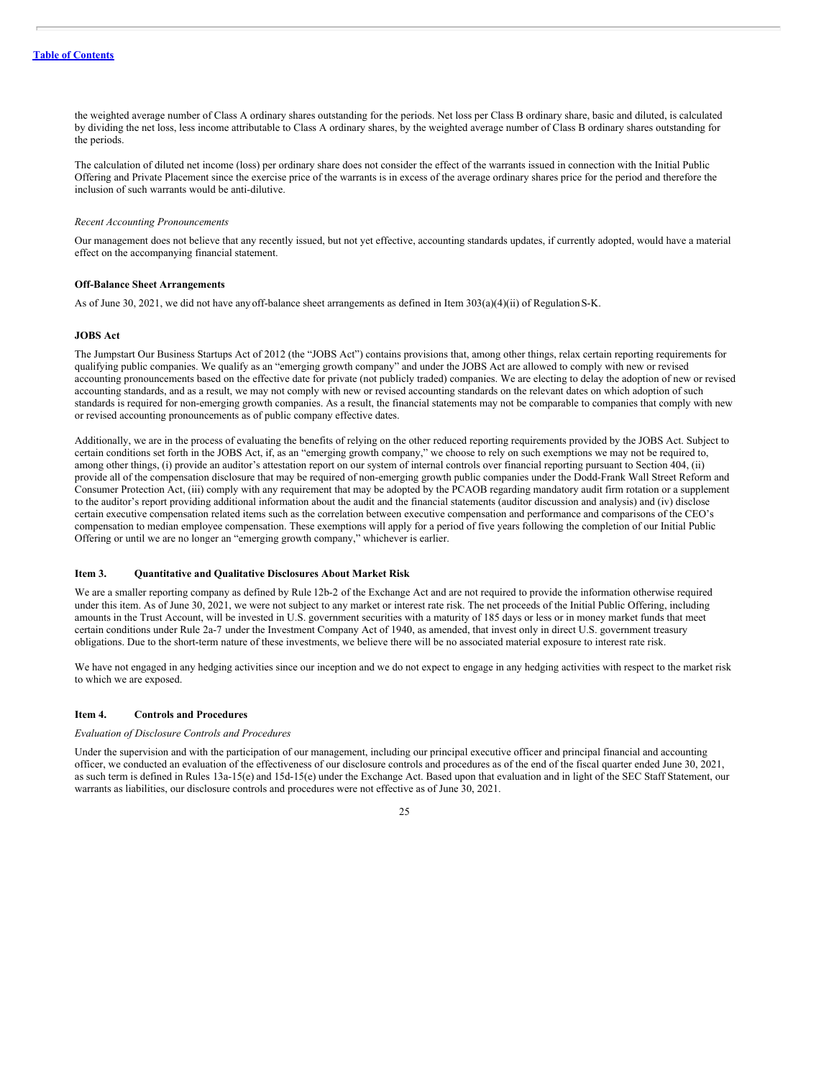the weighted average number of Class A ordinary shares outstanding for the periods. Net loss per Class B ordinary share, basic and diluted, is calculated by dividing the net loss, less income attributable to Class A ordinary shares, by the weighted average number of Class B ordinary shares outstanding for the periods.

The calculation of diluted net income (loss) per ordinary share does not consider the effect of the warrants issued in connection with the Initial Public Offering and Private Placement since the exercise price of the warrants is in excess of the average ordinary shares price for the period and therefore the inclusion of such warrants would be anti-dilutive.

#### *Recent Accounting Pronouncements*

Our management does not believe that any recently issued, but not yet effective, accounting standards updates, if currently adopted, would have a material effect on the accompanying financial statement.

#### **Off-Balance Sheet Arrangements**

As of June 30, 2021, we did not have anyoff-balance sheet arrangements as defined in Item 303(a)(4)(ii) of RegulationS-K.

# **JOBS Act**

The Jumpstart Our Business Startups Act of 2012 (the "JOBS Act") contains provisions that, among other things, relax certain reporting requirements for qualifying public companies. We qualify as an "emerging growth company" and under the JOBS Act are allowed to comply with new or revised accounting pronouncements based on the effective date for private (not publicly traded) companies. We are electing to delay the adoption of new or revised accounting standards, and as a result, we may not comply with new or revised accounting standards on the relevant dates on which adoption of such standards is required for non-emerging growth companies. As a result, the financial statements may not be comparable to companies that comply with new or revised accounting pronouncements as of public company effective dates.

Additionally, we are in the process of evaluating the benefits of relying on the other reduced reporting requirements provided by the JOBS Act. Subject to certain conditions set forth in the JOBS Act, if, as an "emerging growth company," we choose to rely on such exemptions we may not be required to, among other things, (i) provide an auditor's attestation report on our system of internal controls over financial reporting pursuant to Section 404, (ii) provide all of the compensation disclosure that may be required of non-emerging growth public companies under the Dodd-Frank Wall Street Reform and Consumer Protection Act, (iii) comply with any requirement that may be adopted by the PCAOB regarding mandatory audit firm rotation or a supplement to the auditor's report providing additional information about the audit and the financial statements (auditor discussion and analysis) and (iv) disclose certain executive compensation related items such as the correlation between executive compensation and performance and comparisons of the CEO's compensation to median employee compensation. These exemptions will apply for a period of five years following the completion of our Initial Public Offering or until we are no longer an "emerging growth company," whichever is earlier.

#### <span id="page-27-0"></span>**Item 3. Quantitative and Qualitative Disclosures About Market Risk**

We are a smaller reporting company as defined by Rule 12b-2 of the Exchange Act and are not required to provide the information otherwise required under this item. As of June 30, 2021, we were not subject to any market or interest rate risk. The net proceeds of the Initial Public Offering, including amounts in the Trust Account, will be invested in U.S. government securities with a maturity of 185 days or less or in money market funds that meet certain conditions under Rule 2a-7 under the Investment Company Act of 1940, as amended, that invest only in direct U.S. government treasury obligations. Due to the short-term nature of these investments, we believe there will be no associated material exposure to interest rate risk.

We have not engaged in any hedging activities since our inception and we do not expect to engage in any hedging activities with respect to the market risk to which we are exposed.

#### <span id="page-27-1"></span>**Item 4. Controls and Procedures**

#### *Evaluation of Disclosure Controls and Procedures*

Under the supervision and with the participation of our management, including our principal executive officer and principal financial and accounting officer, we conducted an evaluation of the effectiveness of our disclosure controls and procedures as of the end of the fiscal quarter ended June 30, 2021, as such term is defined in Rules 13a-15(e) and 15d-15(e) under the Exchange Act. Based upon that evaluation and in light of the SEC Staff Statement, our warrants as liabilities, our disclosure controls and procedures were not effective as of June 30, 2021.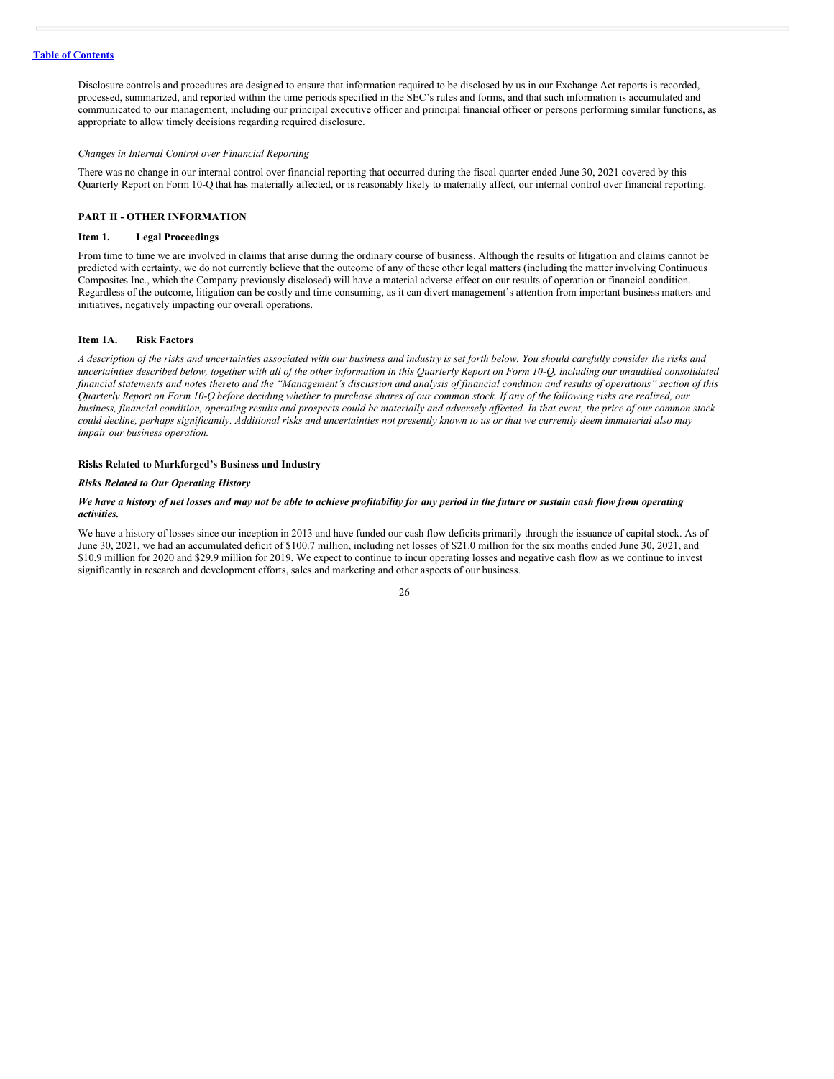Disclosure controls and procedures are designed to ensure that information required to be disclosed by us in our Exchange Act reports is recorded, processed, summarized, and reported within the time periods specified in the SEC's rules and forms, and that such information is accumulated and communicated to our management, including our principal executive officer and principal financial officer or persons performing similar functions, as appropriate to allow timely decisions regarding required disclosure.

#### *Changes in Internal Control over Financial Reporting*

There was no change in our internal control over financial reporting that occurred during the fiscal quarter ended June 30, 2021 covered by this Quarterly Report on Form 10-Q that has materially affected, or is reasonably likely to materially affect, our internal control over financial reporting.

# <span id="page-28-0"></span>**PART II - OTHER INFORMATION**

# <span id="page-28-1"></span>**Item 1. Legal Proceedings**

From time to time we are involved in claims that arise during the ordinary course of business. Although the results of litigation and claims cannot be predicted with certainty, we do not currently believe that the outcome of any of these other legal matters (including the matter involving Continuous Composites Inc., which the Company previously disclosed) will have a material adverse effect on our results of operation or financial condition. Regardless of the outcome, litigation can be costly and time consuming, as it can divert management's attention from important business matters and initiatives, negatively impacting our overall operations.

# <span id="page-28-2"></span>**Item 1A. Risk Factors**

A description of the risks and uncertainties associated with our business and industry is set forth below. You should carefully consider the risks and uncertainties described below, together with all of the other information in this Quarterly Report on Form 10-Q, including our unaudited consolidated financial statements and notes thereto and the "Management's discussion and analysis of financial condition and results of operations" section of this Quarterly Report on Form 10-Q before deciding whether to purchase shares of our common stock. If any of the following risks are realized, our business, financial condition, operating results and prospects could be materially and adversely affected. In that event, the price of our common stock could decline, perhaps significantly. Additional risks and uncertainties not presently known to us or that we currently deem immaterial also may *impair our business operation.*

# **Risks Related to Markforged's Business and Industry**

#### *Risks Related to Our Operating History*

#### We have a history of net losses and may not be able to achieve profitability for any period in the future or sustain cash flow from operating *activities.*

We have a history of losses since our inception in 2013 and have funded our cash flow deficits primarily through the issuance of capital stock. As of June 30, 2021, we had an accumulated deficit of \$100.7 million, including net losses of \$21.0 million for the six months ended June 30, 2021, and \$10.9 million for 2020 and \$29.9 million for 2019. We expect to continue to incur operating losses and negative cash flow as we continue to invest significantly in research and development efforts, sales and marketing and other aspects of our business.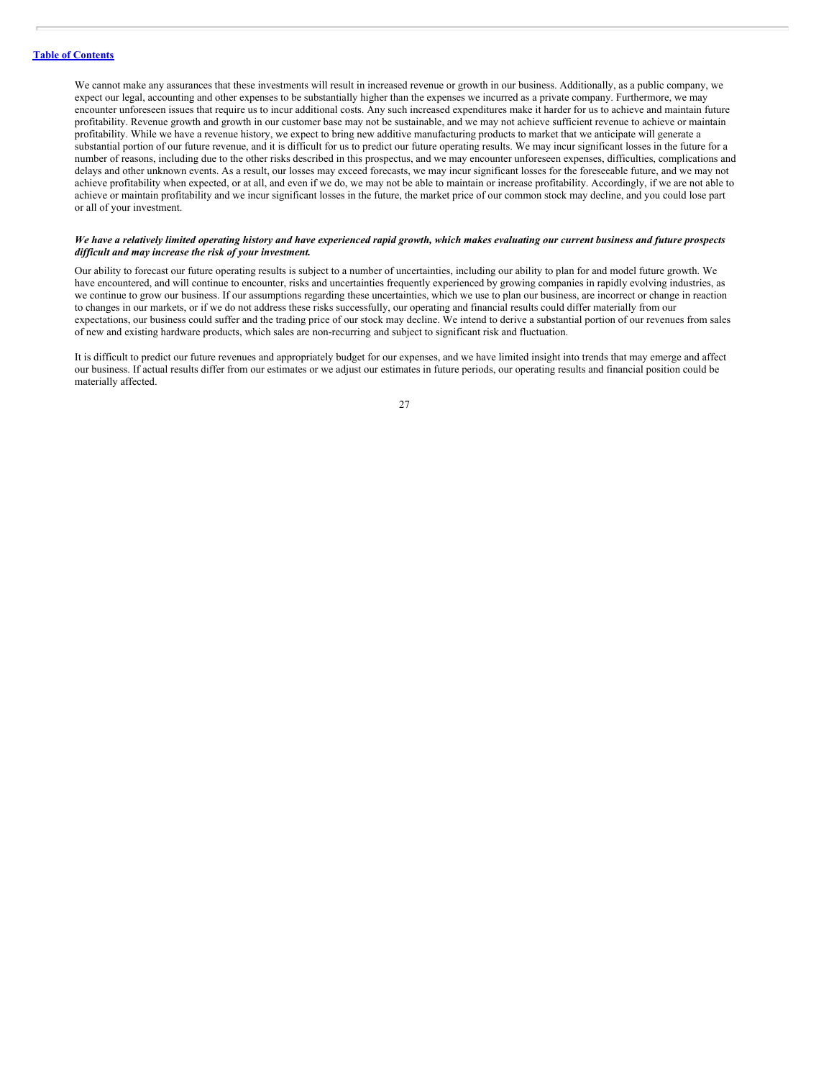We cannot make any assurances that these investments will result in increased revenue or growth in our business. Additionally, as a public company, we expect our legal, accounting and other expenses to be substantially higher than the expenses we incurred as a private company. Furthermore, we may encounter unforeseen issues that require us to incur additional costs. Any such increased expenditures make it harder for us to achieve and maintain future profitability. Revenue growth and growth in our customer base may not be sustainable, and we may not achieve sufficient revenue to achieve or maintain profitability. While we have a revenue history, we expect to bring new additive manufacturing products to market that we anticipate will generate a substantial portion of our future revenue, and it is difficult for us to predict our future operating results. We may incur significant losses in the future for a number of reasons, including due to the other risks described in this prospectus, and we may encounter unforeseen expenses, difficulties, complications and delays and other unknown events. As a result, our losses may exceed forecasts, we may incur significant losses for the foreseeable future, and we may not achieve profitability when expected, or at all, and even if we do, we may not be able to maintain or increase profitability. Accordingly, if we are not able to achieve or maintain profitability and we incur significant losses in the future, the market price of our common stock may decline, and you could lose part or all of your investment.

#### We have a relatively limited operating history and have experienced rapid growth, which makes evaluating our current business and future prospects *dif icult and may increase the risk of your investment.*

Our ability to forecast our future operating results is subject to a number of uncertainties, including our ability to plan for and model future growth. We have encountered, and will continue to encounter, risks and uncertainties frequently experienced by growing companies in rapidly evolving industries, as we continue to grow our business. If our assumptions regarding these uncertainties, which we use to plan our business, are incorrect or change in reaction to changes in our markets, or if we do not address these risks successfully, our operating and financial results could differ materially from our expectations, our business could suffer and the trading price of our stock may decline. We intend to derive a substantial portion of our revenues from sales of new and existing hardware products, which sales are non-recurring and subject to significant risk and fluctuation.

It is difficult to predict our future revenues and appropriately budget for our expenses, and we have limited insight into trends that may emerge and affect our business. If actual results differ from our estimates or we adjust our estimates in future periods, our operating results and financial position could be materially affected.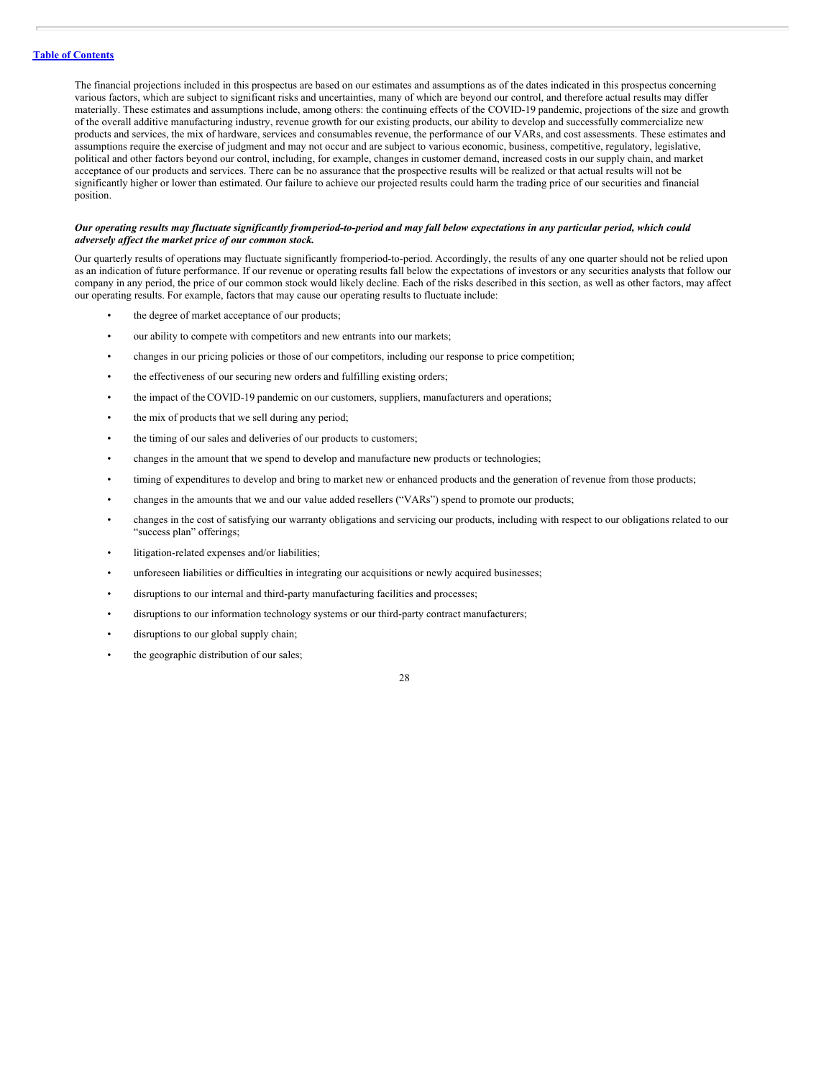The financial projections included in this prospectus are based on our estimates and assumptions as of the dates indicated in this prospectus concerning various factors, which are subject to significant risks and uncertainties, many of which are beyond our control, and therefore actual results may differ materially. These estimates and assumptions include, among others: the continuing effects of the COVID-19 pandemic, projections of the size and growth of the overall additive manufacturing industry, revenue growth for our existing products, our ability to develop and successfully commercialize new products and services, the mix of hardware, services and consumables revenue, the performance of our VARs, and cost assessments. These estimates and assumptions require the exercise of judgment and may not occur and are subject to various economic, business, competitive, regulatory, legislative, political and other factors beyond our control, including, for example, changes in customer demand, increased costs in our supply chain, and market acceptance of our products and services. There can be no assurance that the prospective results will be realized or that actual results will not be significantly higher or lower than estimated. Our failure to achieve our projected results could harm the trading price of our securities and financial position.

# Our operating results may fluctuate significantly fromperiod-to-period and may fall below expectations in any particular period, which could *adversely af ect the market price of our common stock.*

Our quarterly results of operations may fluctuate significantly fromperiod-to-period. Accordingly, the results of any one quarter should not be relied upon as an indication of future performance. If our revenue or operating results fall below the expectations of investors or any securities analysts that follow our company in any period, the price of our common stock would likely decline. Each of the risks described in this section, as well as other factors, may affect our operating results. For example, factors that may cause our operating results to fluctuate include:

- the degree of market acceptance of our products;
- our ability to compete with competitors and new entrants into our markets;
- changes in our pricing policies or those of our competitors, including our response to price competition;
- the effectiveness of our securing new orders and fulfilling existing orders;
- the impact of the COVID-19 pandemic on our customers, suppliers, manufacturers and operations;
- the mix of products that we sell during any period;
- the timing of our sales and deliveries of our products to customers;
- changes in the amount that we spend to develop and manufacture new products or technologies;
- timing of expenditures to develop and bring to market new or enhanced products and the generation of revenue from those products;
- changes in the amounts that we and our value added resellers ("VARs") spend to promote our products;
- changes in the cost of satisfying our warranty obligations and servicing our products, including with respect to our obligations related to our "success plan" offerings;
- litigation-related expenses and/or liabilities;
- unforeseen liabilities or difficulties in integrating our acquisitions or newly acquired businesses;
- disruptions to our internal and third-party manufacturing facilities and processes;
- disruptions to our information technology systems or our third-party contract manufacturers;
- disruptions to our global supply chain;
- the geographic distribution of our sales;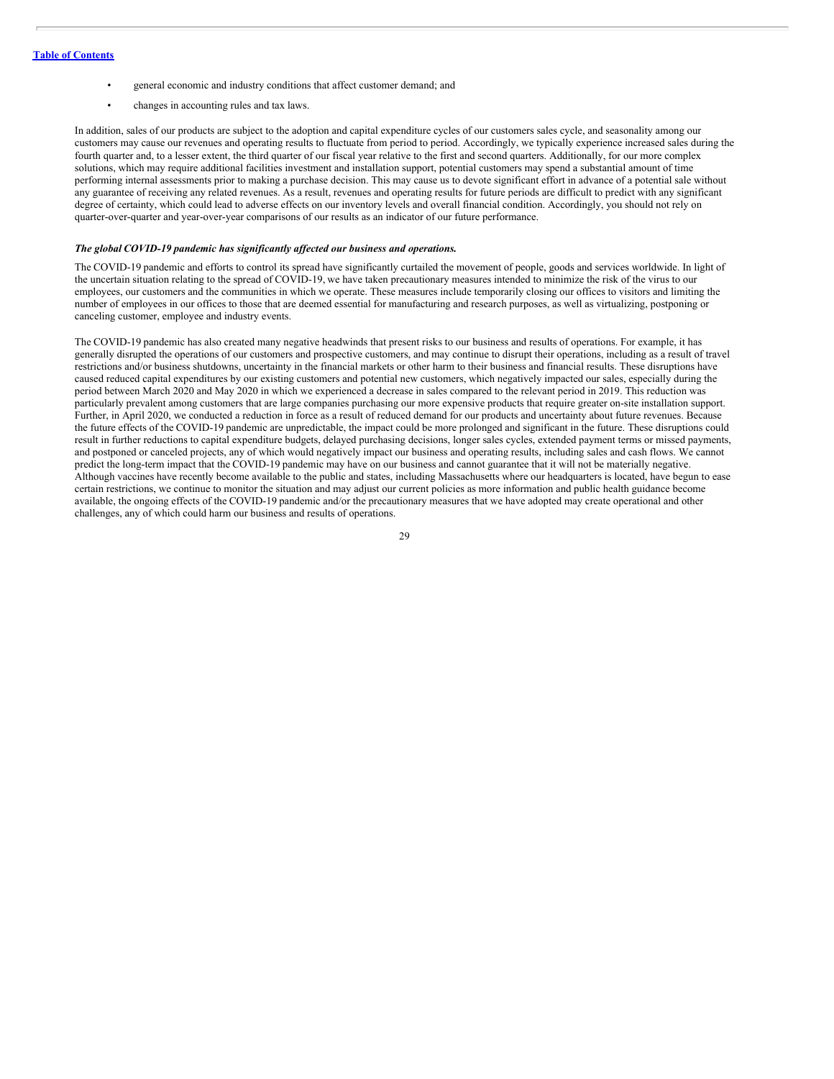- general economic and industry conditions that affect customer demand; and
- changes in accounting rules and tax laws.

In addition, sales of our products are subject to the adoption and capital expenditure cycles of our customers sales cycle, and seasonality among our customers may cause our revenues and operating results to fluctuate from period to period. Accordingly, we typically experience increased sales during the fourth quarter and, to a lesser extent, the third quarter of our fiscal year relative to the first and second quarters. Additionally, for our more complex solutions, which may require additional facilities investment and installation support, potential customers may spend a substantial amount of time performing internal assessments prior to making a purchase decision. This may cause us to devote significant effort in advance of a potential sale without any guarantee of receiving any related revenues. As a result, revenues and operating results for future periods are difficult to predict with any significant degree of certainty, which could lead to adverse effects on our inventory levels and overall financial condition. Accordingly, you should not rely on quarter-over-quarter and year-over-year comparisons of our results as an indicator of our future performance.

# *The global COVID-19 pandemic has significantly af ected our business and operations.*

The COVID-19 pandemic and efforts to control its spread have significantly curtailed the movement of people, goods and services worldwide. In light of the uncertain situation relating to the spread of COVID-19, we have taken precautionary measures intended to minimize the risk of the virus to our employees, our customers and the communities in which we operate. These measures include temporarily closing our offices to visitors and limiting the number of employees in our offices to those that are deemed essential for manufacturing and research purposes, as well as virtualizing, postponing or canceling customer, employee and industry events.

The COVID-19 pandemic has also created many negative headwinds that present risks to our business and results of operations. For example, it has generally disrupted the operations of our customers and prospective customers, and may continue to disrupt their operations, including as a result of travel restrictions and/or business shutdowns, uncertainty in the financial markets or other harm to their business and financial results. These disruptions have caused reduced capital expenditures by our existing customers and potential new customers, which negatively impacted our sales, especially during the period between March 2020 and May 2020 in which we experienced a decrease in sales compared to the relevant period in 2019. This reduction was particularly prevalent among customers that are large companies purchasing our more expensive products that require greater on-site installation support. Further, in April 2020, we conducted a reduction in force as a result of reduced demand for our products and uncertainty about future revenues. Because the future effects of the COVID-19 pandemic are unpredictable, the impact could be more prolonged and significant in the future. These disruptions could result in further reductions to capital expenditure budgets, delayed purchasing decisions, longer sales cycles, extended payment terms or missed payments, and postponed or canceled projects, any of which would negatively impact our business and operating results, including sales and cash flows. We cannot predict the long-term impact that the COVID-19 pandemic may have on our business and cannot guarantee that it will not be materially negative. Although vaccines have recently become available to the public and states, including Massachusetts where our headquarters is located, have begun to ease certain restrictions, we continue to monitor the situation and may adjust our current policies as more information and public health guidance become available, the ongoing effects of the COVID-19 pandemic and/or the precautionary measures that we have adopted may create operational and other challenges, any of which could harm our business and results of operations.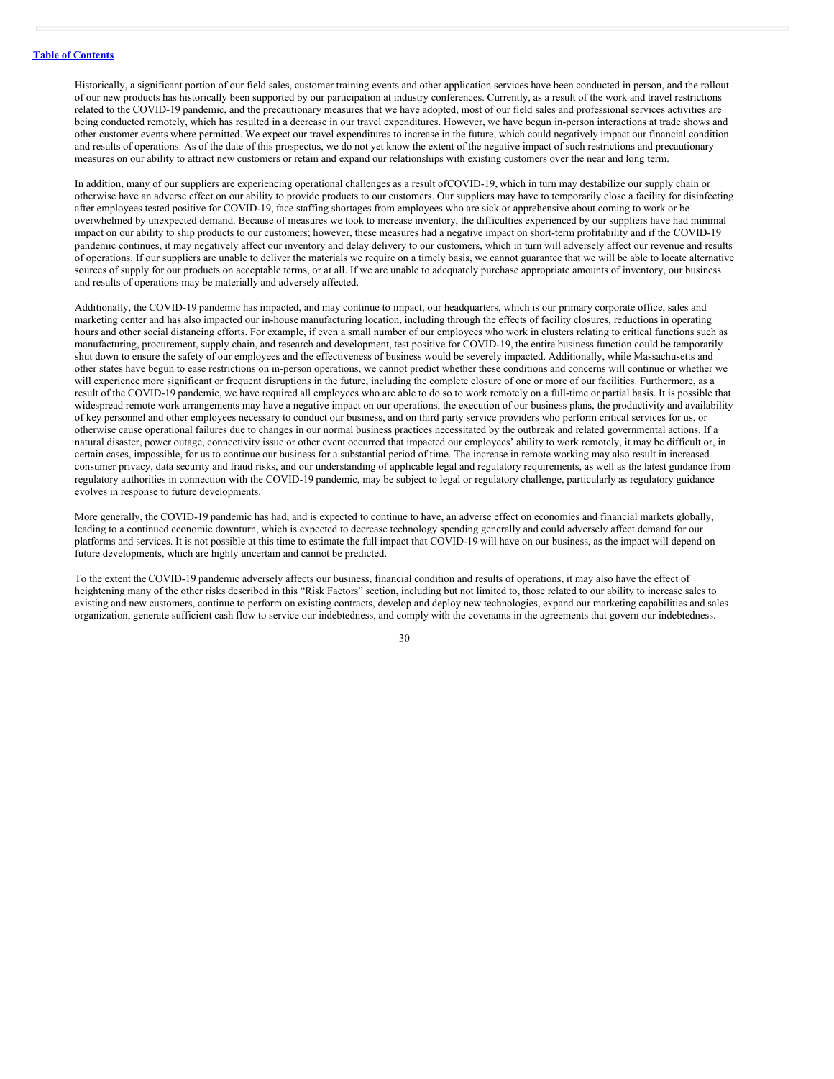Historically, a significant portion of our field sales, customer training events and other application services have been conducted in person, and the rollout of our new products has historically been supported by our participation at industry conferences. Currently, as a result of the work and travel restrictions related to the COVID-19 pandemic, and the precautionary measures that we have adopted, most of our field sales and professional services activities are being conducted remotely, which has resulted in a decrease in our travel expenditures. However, we have begun in-person interactions at trade shows and other customer events where permitted. We expect our travel expenditures to increase in the future, which could negatively impact our financial condition and results of operations. As of the date of this prospectus, we do not yet know the extent of the negative impact of such restrictions and precautionary measures on our ability to attract new customers or retain and expand our relationships with existing customers over the near and long term.

In addition, many of our suppliers are experiencing operational challenges as a result ofCOVID-19, which in turn may destabilize our supply chain or otherwise have an adverse effect on our ability to provide products to our customers. Our suppliers may have to temporarily close a facility for disinfecting after employees tested positive for COVID-19, face staffing shortages from employees who are sick or apprehensive about coming to work or be overwhelmed by unexpected demand. Because of measures we took to increase inventory, the difficulties experienced by our suppliers have had minimal impact on our ability to ship products to our customers; however, these measures had a negative impact on short-term profitability and if the COVID-19 pandemic continues, it may negatively affect our inventory and delay delivery to our customers, which in turn will adversely affect our revenue and results of operations. If our suppliers are unable to deliver the materials we require on a timely basis, we cannot guarantee that we will be able to locate alternative sources of supply for our products on acceptable terms, or at all. If we are unable to adequately purchase appropriate amounts of inventory, our business and results of operations may be materially and adversely affected.

Additionally, the COVID-19 pandemic has impacted, and may continue to impact, our headquarters, which is our primary corporate office, sales and marketing center and has also impacted our in-house manufacturing location, including through the effects of facility closures, reductions in operating hours and other social distancing efforts. For example, if even a small number of our employees who work in clusters relating to critical functions such as manufacturing, procurement, supply chain, and research and development, test positive for COVID-19, the entire business function could be temporarily shut down to ensure the safety of our employees and the effectiveness of business would be severely impacted. Additionally, while Massachusetts and other states have begun to ease restrictions on in-person operations, we cannot predict whether these conditions and concerns will continue or whether we will experience more significant or frequent disruptions in the future, including the complete closure of one or more of our facilities. Furthermore, as a result of the COVID-19 pandemic, we have required all employees who are able to do so to work remotely on a full-time or partial basis. It is possible that widespread remote work arrangements may have a negative impact on our operations, the execution of our business plans, the productivity and availability of key personnel and other employees necessary to conduct our business, and on third party service providers who perform critical services for us, or otherwise cause operational failures due to changes in our normal business practices necessitated by the outbreak and related governmental actions. If a natural disaster, power outage, connectivity issue or other event occurred that impacted our employees' ability to work remotely, it may be difficult or, in certain cases, impossible, for us to continue our business for a substantial period of time. The increase in remote working may also result in increased consumer privacy, data security and fraud risks, and our understanding of applicable legal and regulatory requirements, as well as the latest guidance from regulatory authorities in connection with the COVID-19 pandemic, may be subject to legal or regulatory challenge, particularly as regulatory guidance evolves in response to future developments.

More generally, the COVID-19 pandemic has had, and is expected to continue to have, an adverse effect on economies and financial markets globally, leading to a continued economic downturn, which is expected to decrease technology spending generally and could adversely affect demand for our platforms and services. It is not possible at this time to estimate the full impact that COVID-19 will have on our business, as the impact will depend on future developments, which are highly uncertain and cannot be predicted.

To the extent the COVID-19 pandemic adversely affects our business, financial condition and results of operations, it may also have the effect of heightening many of the other risks described in this "Risk Factors" section, including but not limited to, those related to our ability to increase sales to existing and new customers, continue to perform on existing contracts, develop and deploy new technologies, expand our marketing capabilities and sales organization, generate sufficient cash flow to service our indebtedness, and comply with the covenants in the agreements that govern our indebtedness.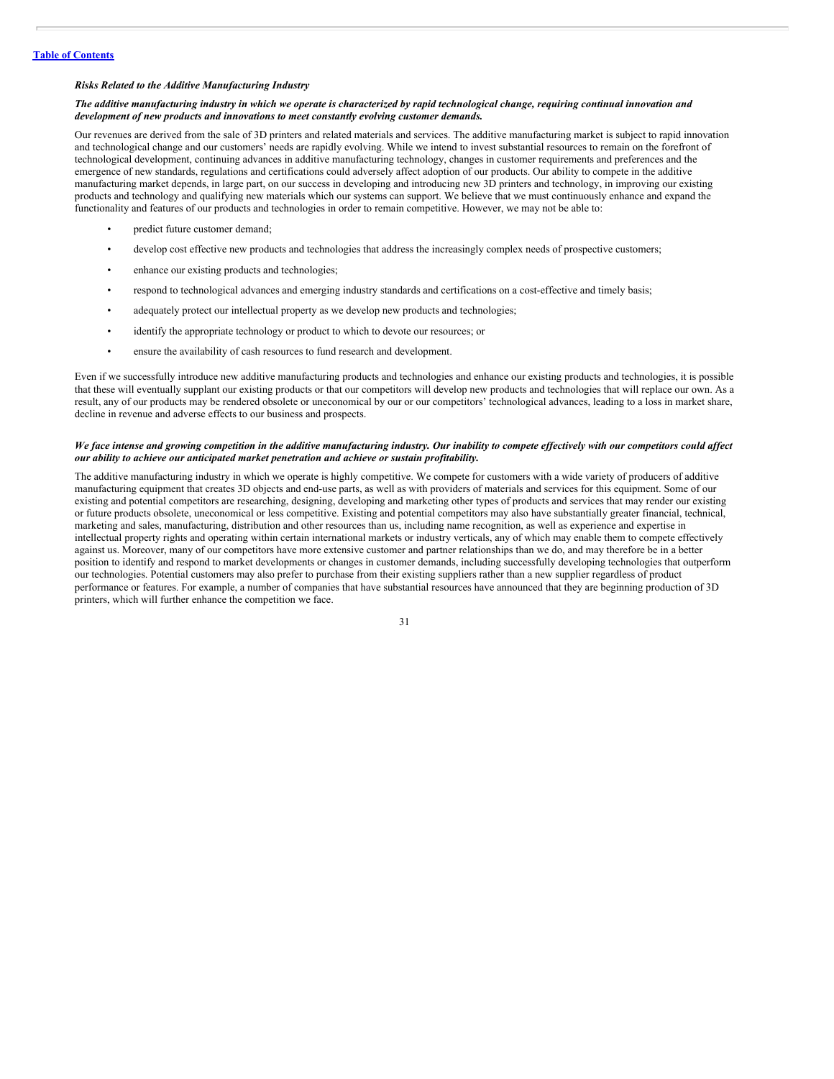#### *Risks Related to the Additive Manufacturing Industry*

### The additive manufacturing industry in which we operate is characterized by rapid technological change, requiring continual innovation and *development of new products and innovations to meet constantly evolving customer demands.*

Our revenues are derived from the sale of 3D printers and related materials and services. The additive manufacturing market is subject to rapid innovation and technological change and our customers' needs are rapidly evolving. While we intend to invest substantial resources to remain on the forefront of technological development, continuing advances in additive manufacturing technology, changes in customer requirements and preferences and the emergence of new standards, regulations and certifications could adversely affect adoption of our products. Our ability to compete in the additive manufacturing market depends, in large part, on our success in developing and introducing new 3D printers and technology, in improving our existing products and technology and qualifying new materials which our systems can support. We believe that we must continuously enhance and expand the functionality and features of our products and technologies in order to remain competitive. However, we may not be able to:

- predict future customer demand;
- develop cost effective new products and technologies that address the increasingly complex needs of prospective customers;
- enhance our existing products and technologies;
- respond to technological advances and emerging industry standards and certifications on a cost-effective and timely basis;
- adequately protect our intellectual property as we develop new products and technologies;
- identify the appropriate technology or product to which to devote our resources; or
- ensure the availability of cash resources to fund research and development.

Even if we successfully introduce new additive manufacturing products and technologies and enhance our existing products and technologies, it is possible that these will eventually supplant our existing products or that our competitors will develop new products and technologies that will replace our own. As a result, any of our products may be rendered obsolete or uneconomical by our or our competitors' technological advances, leading to a loss in market share, decline in revenue and adverse effects to our business and prospects.

# We face intense and growing competition in the additive manufacturing industry. Our inability to compete effectively with our competitors could affect *our ability to achieve our anticipated market penetration and achieve or sustain profitability.*

The additive manufacturing industry in which we operate is highly competitive. We compete for customers with a wide variety of producers of additive manufacturing equipment that creates 3D objects and end-use parts, as well as with providers of materials and services for this equipment. Some of our existing and potential competitors are researching, designing, developing and marketing other types of products and services that may render our existing or future products obsolete, uneconomical or less competitive. Existing and potential competitors may also have substantially greater financial, technical, marketing and sales, manufacturing, distribution and other resources than us, including name recognition, as well as experience and expertise in intellectual property rights and operating within certain international markets or industry verticals, any of which may enable them to compete effectively against us. Moreover, many of our competitors have more extensive customer and partner relationships than we do, and may therefore be in a better position to identify and respond to market developments or changes in customer demands, including successfully developing technologies that outperform our technologies. Potential customers may also prefer to purchase from their existing suppliers rather than a new supplier regardless of product performance or features. For example, a number of companies that have substantial resources have announced that they are beginning production of 3D printers, which will further enhance the competition we face.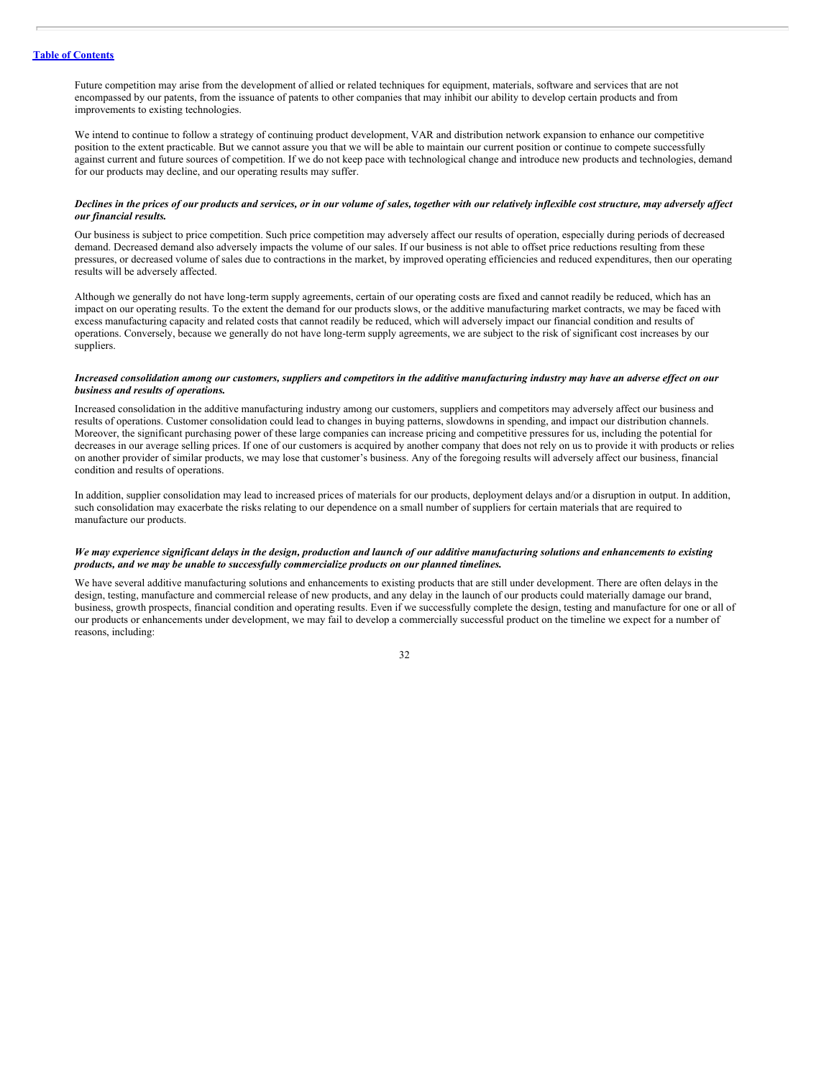Future competition may arise from the development of allied or related techniques for equipment, materials, software and services that are not encompassed by our patents, from the issuance of patents to other companies that may inhibit our ability to develop certain products and from improvements to existing technologies.

We intend to continue to follow a strategy of continuing product development, VAR and distribution network expansion to enhance our competitive position to the extent practicable. But we cannot assure you that we will be able to maintain our current position or continue to compete successfully against current and future sources of competition. If we do not keep pace with technological change and introduce new products and technologies, demand for our products may decline, and our operating results may suffer.

#### Declines in the prices of our products and services, or in our volume of sales, together with our relatively inflexible cost structure, may adversely affect *our financial results.*

Our business is subject to price competition. Such price competition may adversely affect our results of operation, especially during periods of decreased demand. Decreased demand also adversely impacts the volume of our sales. If our business is not able to offset price reductions resulting from these pressures, or decreased volume of sales due to contractions in the market, by improved operating efficiencies and reduced expenditures, then our operating results will be adversely affected.

Although we generally do not have long-term supply agreements, certain of our operating costs are fixed and cannot readily be reduced, which has an impact on our operating results. To the extent the demand for our products slows, or the additive manufacturing market contracts, we may be faced with excess manufacturing capacity and related costs that cannot readily be reduced, which will adversely impact our financial condition and results of operations. Conversely, because we generally do not have long-term supply agreements, we are subject to the risk of significant cost increases by our suppliers.

#### Increased consolidation among our customers, suppliers and competitors in the additive manufacturing industry may have an adverse effect on our *business and results of operations.*

Increased consolidation in the additive manufacturing industry among our customers, suppliers and competitors may adversely affect our business and results of operations. Customer consolidation could lead to changes in buying patterns, slowdowns in spending, and impact our distribution channels. Moreover, the significant purchasing power of these large companies can increase pricing and competitive pressures for us, including the potential for decreases in our average selling prices. If one of our customers is acquired by another company that does not rely on us to provide it with products or relies on another provider of similar products, we may lose that customer's business. Any of the foregoing results will adversely affect our business, financial condition and results of operations.

In addition, supplier consolidation may lead to increased prices of materials for our products, deployment delays and/or a disruption in output. In addition, such consolidation may exacerbate the risks relating to our dependence on a small number of suppliers for certain materials that are required to manufacture our products.

# We may experience significant delays in the design, production and launch of our additive manufacturing solutions and enhancements to existing *products, and we may be unable to successfully commercialize products on our planned timelines.*

We have several additive manufacturing solutions and enhancements to existing products that are still under development. There are often delays in the design, testing, manufacture and commercial release of new products, and any delay in the launch of our products could materially damage our brand, business, growth prospects, financial condition and operating results. Even if we successfully complete the design, testing and manufacture for one or all of our products or enhancements under development, we may fail to develop a commercially successful product on the timeline we expect for a number of reasons, including: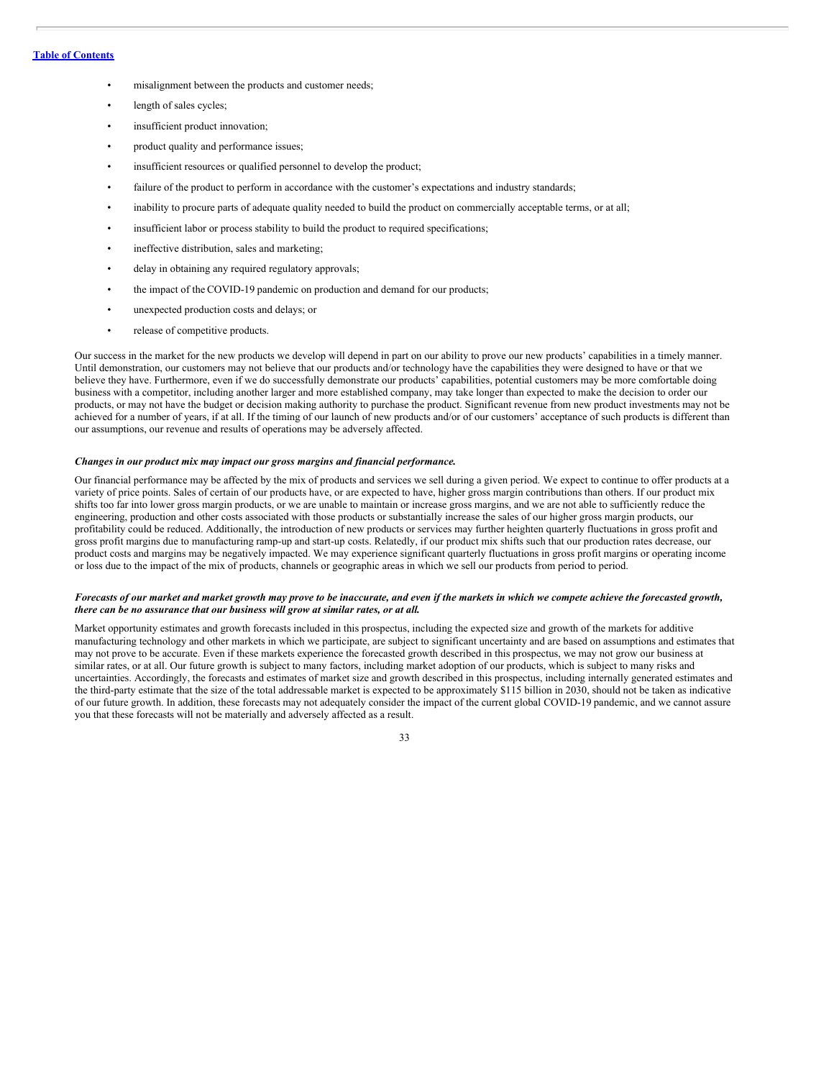- misalignment between the products and customer needs;
- length of sales cycles;
- insufficient product innovation;
- product quality and performance issues;
- insufficient resources or qualified personnel to develop the product;
- failure of the product to perform in accordance with the customer's expectations and industry standards;
- inability to procure parts of adequate quality needed to build the product on commercially acceptable terms, or at all;
- insufficient labor or process stability to build the product to required specifications;
- ineffective distribution, sales and marketing;
- delay in obtaining any required regulatory approvals;
- the impact of the COVID-19 pandemic on production and demand for our products;
- unexpected production costs and delays; or
- release of competitive products.

Our success in the market for the new products we develop will depend in part on our ability to prove our new products' capabilities in a timely manner. Until demonstration, our customers may not believe that our products and/or technology have the capabilities they were designed to have or that we believe they have. Furthermore, even if we do successfully demonstrate our products' capabilities, potential customers may be more comfortable doing business with a competitor, including another larger and more established company, may take longer than expected to make the decision to order our products, or may not have the budget or decision making authority to purchase the product. Significant revenue from new product investments may not be achieved for a number of years, if at all. If the timing of our launch of new products and/or of our customers' acceptance of such products is different than our assumptions, our revenue and results of operations may be adversely affected.

#### *Changes in our product mix may impact our gross margins and financial performance.*

Our financial performance may be affected by the mix of products and services we sell during a given period. We expect to continue to offer products at a variety of price points. Sales of certain of our products have, or are expected to have, higher gross margin contributions than others. If our product mix shifts too far into lower gross margin products, or we are unable to maintain or increase gross margins, and we are not able to sufficiently reduce the engineering, production and other costs associated with those products or substantially increase the sales of our higher gross margin products, our profitability could be reduced. Additionally, the introduction of new products or services may further heighten quarterly fluctuations in gross profit and gross profit margins due to manufacturing ramp-up and start-up costs. Relatedly, if our product mix shifts such that our production rates decrease, our product costs and margins may be negatively impacted. We may experience significant quarterly fluctuations in gross profit margins or operating income or loss due to the impact of the mix of products, channels or geographic areas in which we sell our products from period to period.

# Forecasts of our market and market growth may prove to be inaccurate, and even if the markets in which we compete achieve the forecasted growth, *there can be no assurance that our business will grow at similar rates, or at all.*

Market opportunity estimates and growth forecasts included in this prospectus, including the expected size and growth of the markets for additive manufacturing technology and other markets in which we participate, are subject to significant uncertainty and are based on assumptions and estimates that may not prove to be accurate. Even if these markets experience the forecasted growth described in this prospectus, we may not grow our business at similar rates, or at all. Our future growth is subject to many factors, including market adoption of our products, which is subject to many risks and uncertainties. Accordingly, the forecasts and estimates of market size and growth described in this prospectus, including internally generated estimates and the third-party estimate that the size of the total addressable market is expected to be approximately \$115 billion in 2030, should not be taken as indicative of our future growth. In addition, these forecasts may not adequately consider the impact of the current global COVID-19 pandemic, and we cannot assure you that these forecasts will not be materially and adversely affected as a result.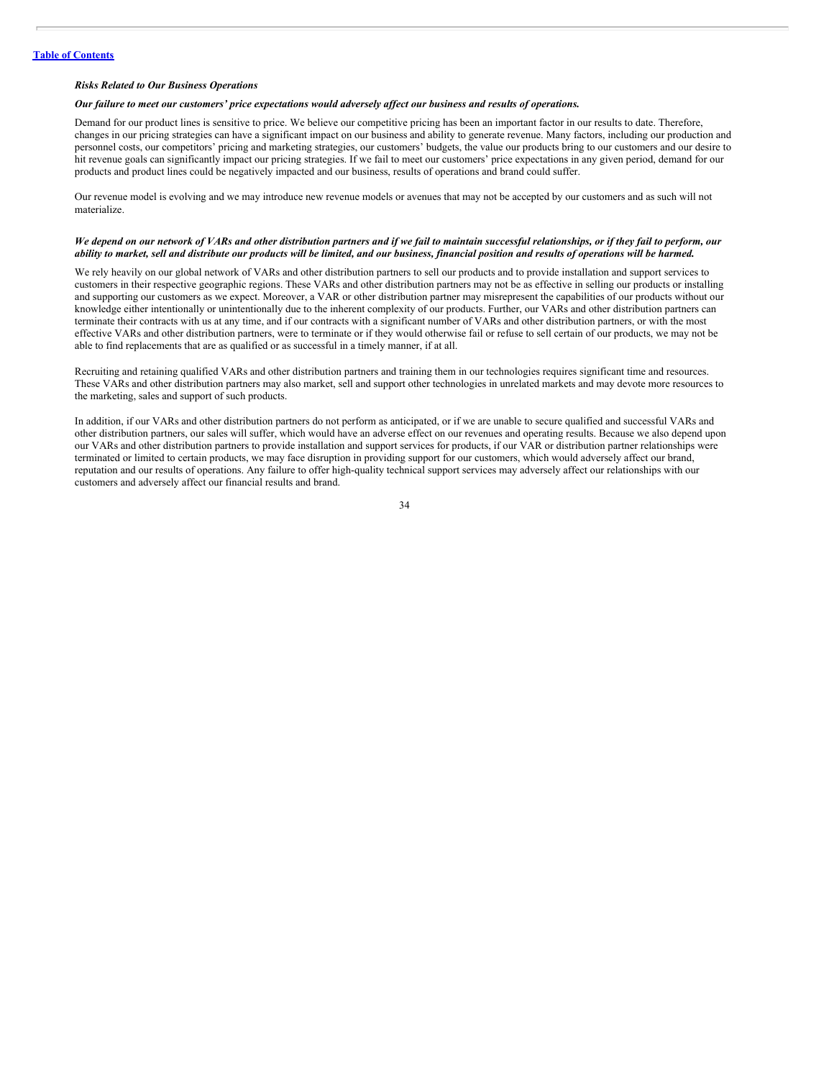### *Risks Related to Our Business Operations*

## Our failure to meet our customers' price expectations would adversely affect our business and results of operations.

Demand for our product lines is sensitive to price. We believe our competitive pricing has been an important factor in our results to date. Therefore, changes in our pricing strategies can have a significant impact on our business and ability to generate revenue. Many factors, including our production and personnel costs, our competitors' pricing and marketing strategies, our customers' budgets, the value our products bring to our customers and our desire to hit revenue goals can significantly impact our pricing strategies. If we fail to meet our customers' price expectations in any given period, demand for our products and product lines could be negatively impacted and our business, results of operations and brand could suffer.

Our revenue model is evolving and we may introduce new revenue models or avenues that may not be accepted by our customers and as such will not materialize.

## We depend on our network of VARs and other distribution partners and if we fail to maintain successful relationships, or if they fail to perform, our ability to market, sell and distribute our products will be limited, and our business, financial position and results of operations will be harmed.

We rely heavily on our global network of VARs and other distribution partners to sell our products and to provide installation and support services to customers in their respective geographic regions. These VARs and other distribution partners may not be as effective in selling our products or installing and supporting our customers as we expect. Moreover, a VAR or other distribution partner may misrepresent the capabilities of our products without our knowledge either intentionally or unintentionally due to the inherent complexity of our products. Further, our VARs and other distribution partners can terminate their contracts with us at any time, and if our contracts with a significant number of VARs and other distribution partners, or with the most effective VARs and other distribution partners, were to terminate or if they would otherwise fail or refuse to sell certain of our products, we may not be able to find replacements that are as qualified or as successful in a timely manner, if at all.

Recruiting and retaining qualified VARs and other distribution partners and training them in our technologies requires significant time and resources. These VARs and other distribution partners may also market, sell and support other technologies in unrelated markets and may devote more resources to the marketing, sales and support of such products.

In addition, if our VARs and other distribution partners do not perform as anticipated, or if we are unable to secure qualified and successful VARs and other distribution partners, our sales will suffer, which would have an adverse effect on our revenues and operating results. Because we also depend upon our VARs and other distribution partners to provide installation and support services for products, if our VAR or distribution partner relationships were terminated or limited to certain products, we may face disruption in providing support for our customers, which would adversely affect our brand, reputation and our results of operations. Any failure to offer high-quality technical support services may adversely affect our relationships with our customers and adversely affect our financial results and brand.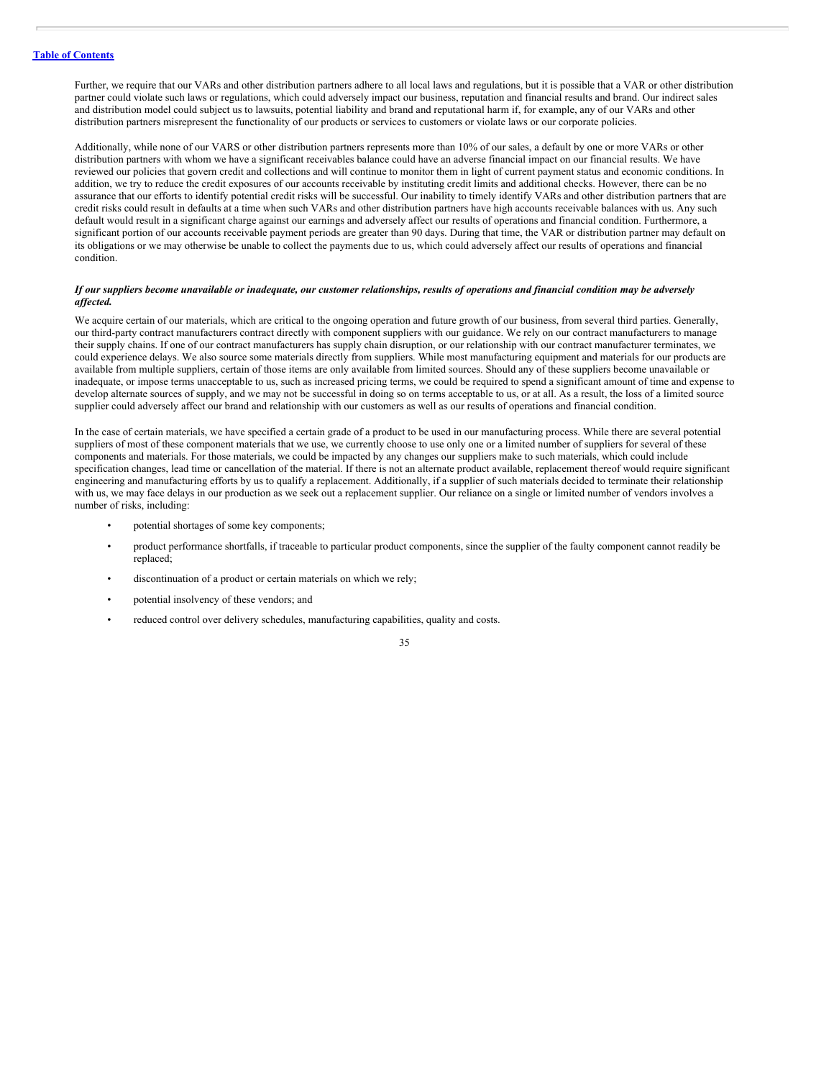Further, we require that our VARs and other distribution partners adhere to all local laws and regulations, but it is possible that a VAR or other distribution partner could violate such laws or regulations, which could adversely impact our business, reputation and financial results and brand. Our indirect sales and distribution model could subject us to lawsuits, potential liability and brand and reputational harm if, for example, any of our VARs and other distribution partners misrepresent the functionality of our products or services to customers or violate laws or our corporate policies.

Additionally, while none of our VARS or other distribution partners represents more than 10% of our sales, a default by one or more VARs or other distribution partners with whom we have a significant receivables balance could have an adverse financial impact on our financial results. We have reviewed our policies that govern credit and collections and will continue to monitor them in light of current payment status and economic conditions. In addition, we try to reduce the credit exposures of our accounts receivable by instituting credit limits and additional checks. However, there can be no assurance that our efforts to identify potential credit risks will be successful. Our inability to timely identify VARs and other distribution partners that are credit risks could result in defaults at a time when such VARs and other distribution partners have high accounts receivable balances with us. Any such default would result in a significant charge against our earnings and adversely affect our results of operations and financial condition. Furthermore, a significant portion of our accounts receivable payment periods are greater than 90 days. During that time, the VAR or distribution partner may default on its obligations or we may otherwise be unable to collect the payments due to us, which could adversely affect our results of operations and financial condition.

# If our suppliers become unavailable or inadequate, our customer relationships, results of operations and financial condition may be adversely *af ected.*

We acquire certain of our materials, which are critical to the ongoing operation and future growth of our business, from several third parties. Generally, our third-party contract manufacturers contract directly with component suppliers with our guidance. We rely on our contract manufacturers to manage their supply chains. If one of our contract manufacturers has supply chain disruption, or our relationship with our contract manufacturer terminates, we could experience delays. We also source some materials directly from suppliers. While most manufacturing equipment and materials for our products are available from multiple suppliers, certain of those items are only available from limited sources. Should any of these suppliers become unavailable or inadequate, or impose terms unacceptable to us, such as increased pricing terms, we could be required to spend a significant amount of time and expense to develop alternate sources of supply, and we may not be successful in doing so on terms acceptable to us, or at all. As a result, the loss of a limited source supplier could adversely affect our brand and relationship with our customers as well as our results of operations and financial condition.

In the case of certain materials, we have specified a certain grade of a product to be used in our manufacturing process. While there are several potential suppliers of most of these component materials that we use, we currently choose to use only one or a limited number of suppliers for several of these components and materials. For those materials, we could be impacted by any changes our suppliers make to such materials, which could include specification changes, lead time or cancellation of the material. If there is not an alternate product available, replacement thereof would require significant engineering and manufacturing efforts by us to qualify a replacement. Additionally, if a supplier of such materials decided to terminate their relationship with us, we may face delays in our production as we seek out a replacement supplier. Our reliance on a single or limited number of vendors involves a number of risks, including:

- potential shortages of some key components;
- product performance shortfalls, if traceable to particular product components, since the supplier of the faulty component cannot readily be replaced;
- discontinuation of a product or certain materials on which we rely;
- potential insolvency of these vendors; and
- reduced control over delivery schedules, manufacturing capabilities, quality and costs.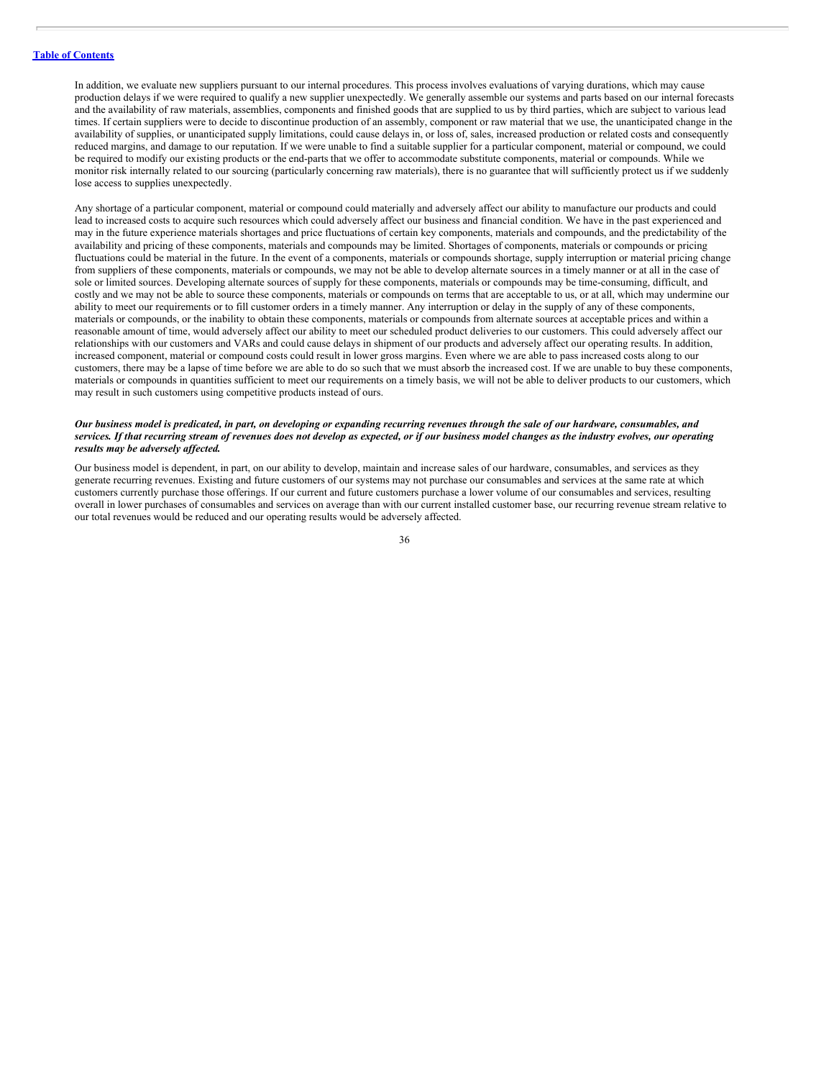In addition, we evaluate new suppliers pursuant to our internal procedures. This process involves evaluations of varying durations, which may cause production delays if we were required to qualify a new supplier unexpectedly. We generally assemble our systems and parts based on our internal forecasts and the availability of raw materials, assemblies, components and finished goods that are supplied to us by third parties, which are subject to various lead times. If certain suppliers were to decide to discontinue production of an assembly, component or raw material that we use, the unanticipated change in the availability of supplies, or unanticipated supply limitations, could cause delays in, or loss of, sales, increased production or related costs and consequently reduced margins, and damage to our reputation. If we were unable to find a suitable supplier for a particular component, material or compound, we could be required to modify our existing products or the end-parts that we offer to accommodate substitute components, material or compounds. While we monitor risk internally related to our sourcing (particularly concerning raw materials), there is no guarantee that will sufficiently protect us if we suddenly lose access to supplies unexpectedly.

Any shortage of a particular component, material or compound could materially and adversely affect our ability to manufacture our products and could lead to increased costs to acquire such resources which could adversely affect our business and financial condition. We have in the past experienced and may in the future experience materials shortages and price fluctuations of certain key components, materials and compounds, and the predictability of the availability and pricing of these components, materials and compounds may be limited. Shortages of components, materials or compounds or pricing fluctuations could be material in the future. In the event of a components, materials or compounds shortage, supply interruption or material pricing change from suppliers of these components, materials or compounds, we may not be able to develop alternate sources in a timely manner or at all in the case of sole or limited sources. Developing alternate sources of supply for these components, materials or compounds may be time-consuming, difficult, and costly and we may not be able to source these components, materials or compounds on terms that are acceptable to us, or at all, which may undermine our ability to meet our requirements or to fill customer orders in a timely manner. Any interruption or delay in the supply of any of these components, materials or compounds, or the inability to obtain these components, materials or compounds from alternate sources at acceptable prices and within a reasonable amount of time, would adversely affect our ability to meet our scheduled product deliveries to our customers. This could adversely affect our relationships with our customers and VARs and could cause delays in shipment of our products and adversely affect our operating results. In addition, increased component, material or compound costs could result in lower gross margins. Even where we are able to pass increased costs along to our customers, there may be a lapse of time before we are able to do so such that we must absorb the increased cost. If we are unable to buy these components, materials or compounds in quantities sufficient to meet our requirements on a timely basis, we will not be able to deliver products to our customers, which may result in such customers using competitive products instead of ours.

# Our business model is predicated, in part, on developing or expanding recurring revenues through the sale of our hardware, consumables, and services. If that recurring stream of revenues does not develop as expected, or if our business model changes as the industry evolves, our operating *results may be adversely af ected.*

Our business model is dependent, in part, on our ability to develop, maintain and increase sales of our hardware, consumables, and services as they generate recurring revenues. Existing and future customers of our systems may not purchase our consumables and services at the same rate at which customers currently purchase those offerings. If our current and future customers purchase a lower volume of our consumables and services, resulting overall in lower purchases of consumables and services on average than with our current installed customer base, our recurring revenue stream relative to our total revenues would be reduced and our operating results would be adversely affected.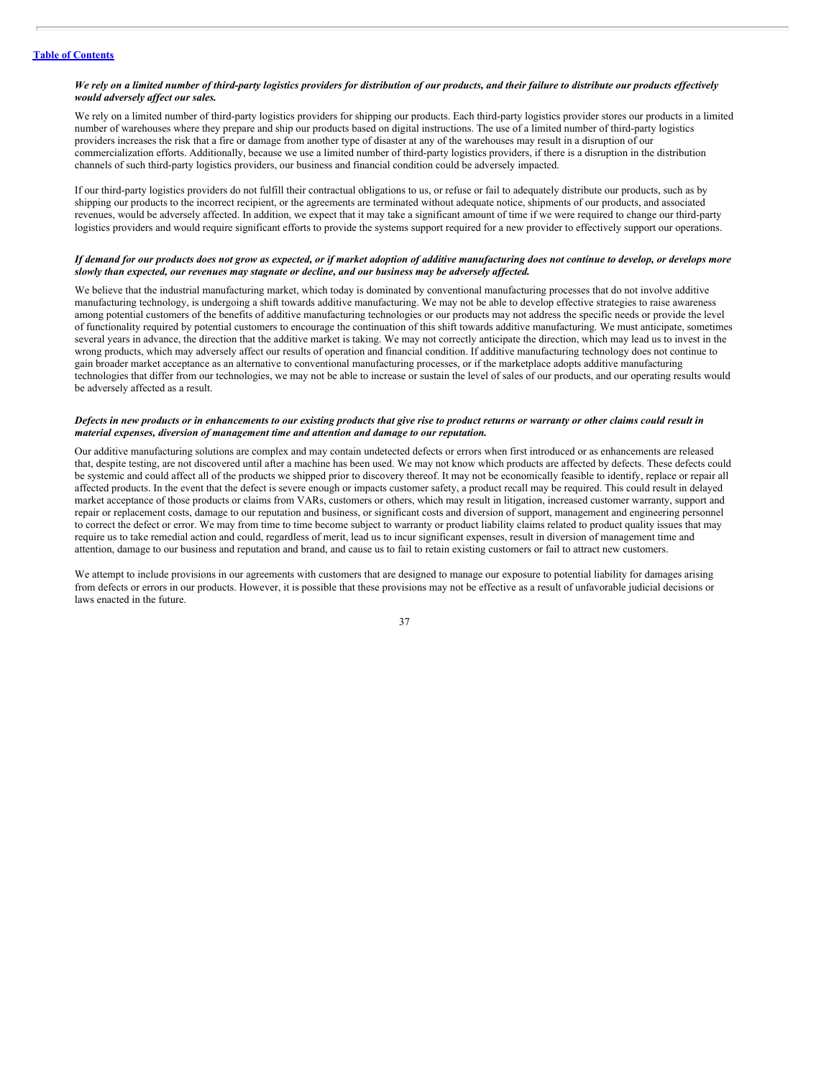### We rely on a limited number of third-party logistics providers for distribution of our products, and their failure to distribute our products effectively *would adversely af ect our sales.*

We rely on a limited number of third-party logistics providers for shipping our products. Each third-party logistics provider stores our products in a limited number of warehouses where they prepare and ship our products based on digital instructions. The use of a limited number of third-party logistics providers increases the risk that a fire or damage from another type of disaster at any of the warehouses may result in a disruption of our commercialization efforts. Additionally, because we use a limited number of third-party logistics providers, if there is a disruption in the distribution channels of such third-party logistics providers, our business and financial condition could be adversely impacted.

If our third-party logistics providers do not fulfill their contractual obligations to us, or refuse or fail to adequately distribute our products, such as by shipping our products to the incorrect recipient, or the agreements are terminated without adequate notice, shipments of our products, and associated revenues, would be adversely affected. In addition, we expect that it may take a significant amount of time if we were required to change our third-party logistics providers and would require significant efforts to provide the systems support required for a new provider to effectively support our operations.

## If demand for our products does not grow as expected, or if market adoption of additive manufacturing does not continue to develop, or develops more *slowly than expected, our revenues may stagnate or decline, and our business may be adversely af ected.*

We believe that the industrial manufacturing market, which today is dominated by conventional manufacturing processes that do not involve additive manufacturing technology, is undergoing a shift towards additive manufacturing. We may not be able to develop effective strategies to raise awareness among potential customers of the benefits of additive manufacturing technologies or our products may not address the specific needs or provide the level of functionality required by potential customers to encourage the continuation of this shift towards additive manufacturing. We must anticipate, sometimes several years in advance, the direction that the additive market is taking. We may not correctly anticipate the direction, which may lead us to invest in the wrong products, which may adversely affect our results of operation and financial condition. If additive manufacturing technology does not continue to gain broader market acceptance as an alternative to conventional manufacturing processes, or if the marketplace adopts additive manufacturing technologies that differ from our technologies, we may not be able to increase or sustain the level of sales of our products, and our operating results would be adversely affected as a result.

### Defects in new products or in enhancements to our existing products that give rise to product returns or warranty or other claims could result in *material expenses, diversion of management time and attention and damage to our reputation.*

Our additive manufacturing solutions are complex and may contain undetected defects or errors when first introduced or as enhancements are released that, despite testing, are not discovered until after a machine has been used. We may not know which products are affected by defects. These defects could be systemic and could affect all of the products we shipped prior to discovery thereof. It may not be economically feasible to identify, replace or repair all affected products. In the event that the defect is severe enough or impacts customer safety, a product recall may be required. This could result in delayed market acceptance of those products or claims from VARs, customers or others, which may result in litigation, increased customer warranty, support and repair or replacement costs, damage to our reputation and business, or significant costs and diversion of support, management and engineering personnel to correct the defect or error. We may from time to time become subject to warranty or product liability claims related to product quality issues that may require us to take remedial action and could, regardless of merit, lead us to incur significant expenses, result in diversion of management time and attention, damage to our business and reputation and brand, and cause us to fail to retain existing customers or fail to attract new customers.

We attempt to include provisions in our agreements with customers that are designed to manage our exposure to potential liability for damages arising from defects or errors in our products. However, it is possible that these provisions may not be effective as a result of unfavorable judicial decisions or laws enacted in the future.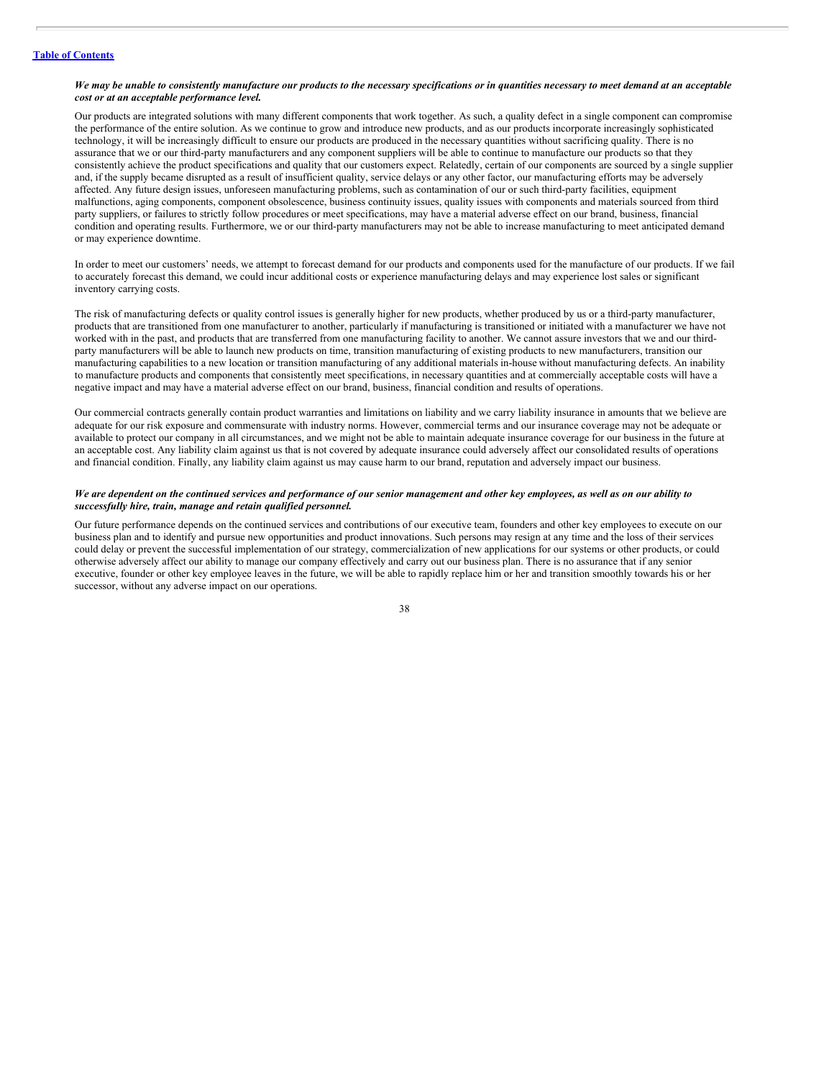### We may be unable to consistently manufacture our products to the necessary specifications or in quantities necessary to meet demand at an acceptable *cost or at an acceptable performance level.*

Our products are integrated solutions with many different components that work together. As such, a quality defect in a single component can compromise the performance of the entire solution. As we continue to grow and introduce new products, and as our products incorporate increasingly sophisticated technology, it will be increasingly difficult to ensure our products are produced in the necessary quantities without sacrificing quality. There is no assurance that we or our third-party manufacturers and any component suppliers will be able to continue to manufacture our products so that they consistently achieve the product specifications and quality that our customers expect. Relatedly, certain of our components are sourced by a single supplier and, if the supply became disrupted as a result of insufficient quality, service delays or any other factor, our manufacturing efforts may be adversely affected. Any future design issues, unforeseen manufacturing problems, such as contamination of our or such third-party facilities, equipment malfunctions, aging components, component obsolescence, business continuity issues, quality issues with components and materials sourced from third party suppliers, or failures to strictly follow procedures or meet specifications, may have a material adverse effect on our brand, business, financial condition and operating results. Furthermore, we or our third-party manufacturers may not be able to increase manufacturing to meet anticipated demand or may experience downtime.

In order to meet our customers' needs, we attempt to forecast demand for our products and components used for the manufacture of our products. If we fail to accurately forecast this demand, we could incur additional costs or experience manufacturing delays and may experience lost sales or significant inventory carrying costs.

The risk of manufacturing defects or quality control issues is generally higher for new products, whether produced by us or a third-party manufacturer, products that are transitioned from one manufacturer to another, particularly if manufacturing is transitioned or initiated with a manufacturer we have not worked with in the past, and products that are transferred from one manufacturing facility to another. We cannot assure investors that we and our thirdparty manufacturers will be able to launch new products on time, transition manufacturing of existing products to new manufacturers, transition our manufacturing capabilities to a new location or transition manufacturing of any additional materials in-house without manufacturing defects. An inability to manufacture products and components that consistently meet specifications, in necessary quantities and at commercially acceptable costs will have a negative impact and may have a material adverse effect on our brand, business, financial condition and results of operations.

Our commercial contracts generally contain product warranties and limitations on liability and we carry liability insurance in amounts that we believe are adequate for our risk exposure and commensurate with industry norms. However, commercial terms and our insurance coverage may not be adequate or available to protect our company in all circumstances, and we might not be able to maintain adequate insurance coverage for our business in the future at an acceptable cost. Any liability claim against us that is not covered by adequate insurance could adversely affect our consolidated results of operations and financial condition. Finally, any liability claim against us may cause harm to our brand, reputation and adversely impact our business.

## We are dependent on the continued services and performance of our senior management and other key employees, as well as on our ability to *successfully hire, train, manage and retain qualified personnel.*

Our future performance depends on the continued services and contributions of our executive team, founders and other key employees to execute on our business plan and to identify and pursue new opportunities and product innovations. Such persons may resign at any time and the loss of their services could delay or prevent the successful implementation of our strategy, commercialization of new applications for our systems or other products, or could otherwise adversely affect our ability to manage our company effectively and carry out our business plan. There is no assurance that if any senior executive, founder or other key employee leaves in the future, we will be able to rapidly replace him or her and transition smoothly towards his or her successor, without any adverse impact on our operations.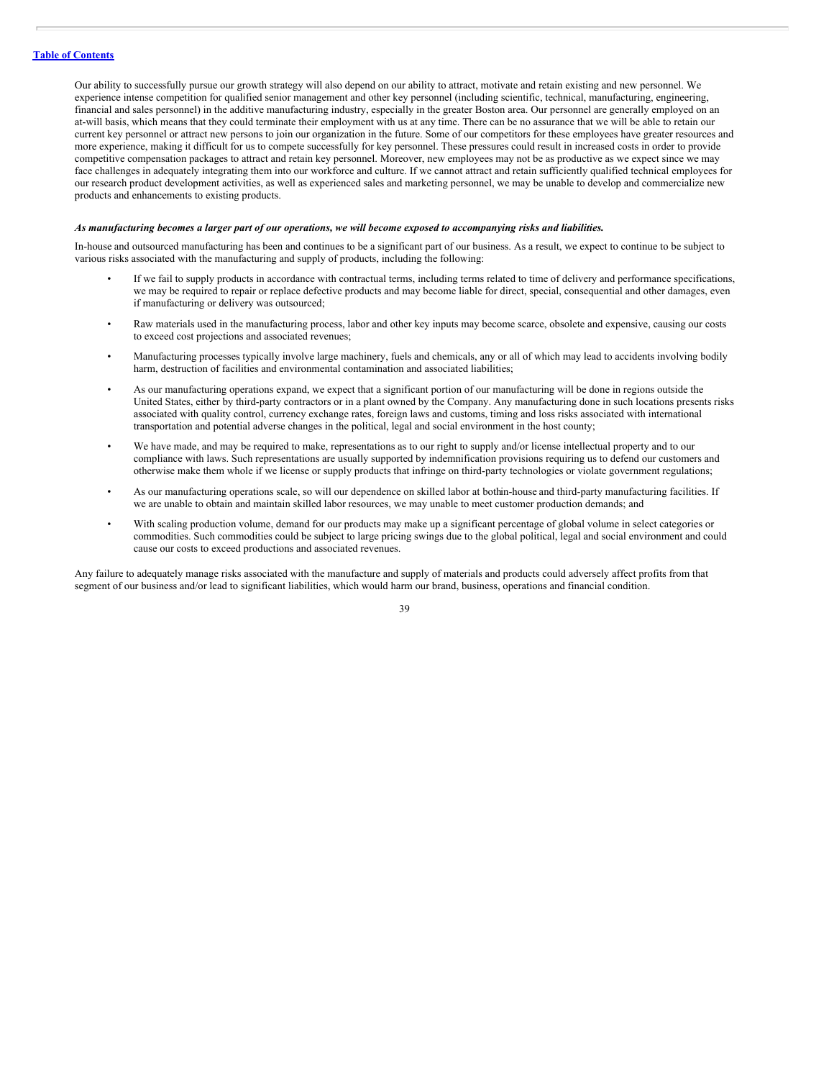Our ability to successfully pursue our growth strategy will also depend on our ability to attract, motivate and retain existing and new personnel. We experience intense competition for qualified senior management and other key personnel (including scientific, technical, manufacturing, engineering, financial and sales personnel) in the additive manufacturing industry, especially in the greater Boston area. Our personnel are generally employed on an at-will basis, which means that they could terminate their employment with us at any time. There can be no assurance that we will be able to retain our current key personnel or attract new persons to join our organization in the future. Some of our competitors for these employees have greater resources and more experience, making it difficult for us to compete successfully for key personnel. These pressures could result in increased costs in order to provide competitive compensation packages to attract and retain key personnel. Moreover, new employees may not be as productive as we expect since we may face challenges in adequately integrating them into our workforce and culture. If we cannot attract and retain sufficiently qualified technical employees for our research product development activities, as well as experienced sales and marketing personnel, we may be unable to develop and commercialize new products and enhancements to existing products.

## As manufacturing becomes a larger part of our operations, we will become exposed to accompanying risks and liabilities.

In-house and outsourced manufacturing has been and continues to be a significant part of our business. As a result, we expect to continue to be subject to various risks associated with the manufacturing and supply of products, including the following:

- If we fail to supply products in accordance with contractual terms, including terms related to time of delivery and performance specifications, we may be required to repair or replace defective products and may become liable for direct, special, consequential and other damages, even if manufacturing or delivery was outsourced;
- Raw materials used in the manufacturing process, labor and other key inputs may become scarce, obsolete and expensive, causing our costs to exceed cost projections and associated revenues;
- Manufacturing processes typically involve large machinery, fuels and chemicals, any or all of which may lead to accidents involving bodily harm, destruction of facilities and environmental contamination and associated liabilities;
- As our manufacturing operations expand, we expect that a significant portion of our manufacturing will be done in regions outside the United States, either by third-party contractors or in a plant owned by the Company. Any manufacturing done in such locations presents risks associated with quality control, currency exchange rates, foreign laws and customs, timing and loss risks associated with international transportation and potential adverse changes in the political, legal and social environment in the host county;
- We have made, and may be required to make, representations as to our right to supply and/or license intellectual property and to our compliance with laws. Such representations are usually supported by indemnification provisions requiring us to defend our customers and otherwise make them whole if we license or supply products that infringe on third-party technologies or violate government regulations;
- As our manufacturing operations scale, so will our dependence on skilled labor at bothin-house and third-party manufacturing facilities. If we are unable to obtain and maintain skilled labor resources, we may unable to meet customer production demands; and
- With scaling production volume, demand for our products may make up a significant percentage of global volume in select categories or commodities. Such commodities could be subject to large pricing swings due to the global political, legal and social environment and could cause our costs to exceed productions and associated revenues.

Any failure to adequately manage risks associated with the manufacture and supply of materials and products could adversely affect profits from that segment of our business and/or lead to significant liabilities, which would harm our brand, business, operations and financial condition.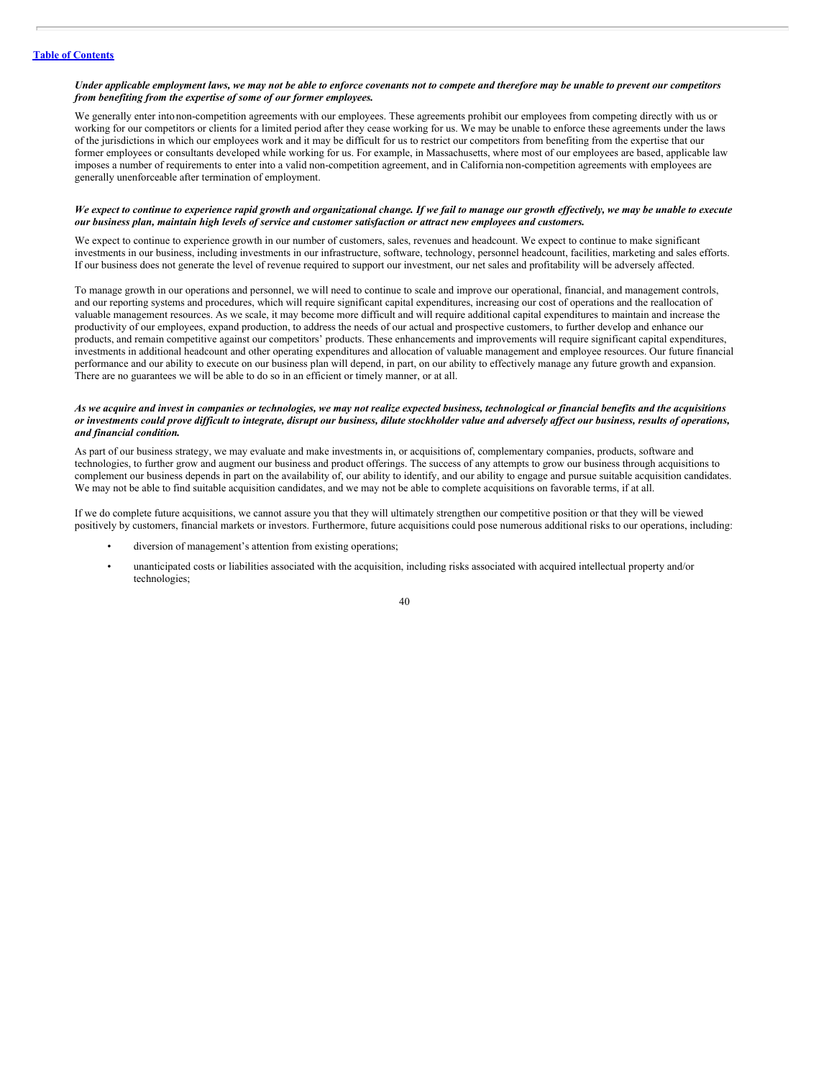### Under applicable employment laws, we may not be able to enforce covenants not to compete and therefore may be unable to prevent our competitors *from benefiting from the expertise of some of our former employees.*

We generally enter into non-competition agreements with our employees. These agreements prohibit our employees from competing directly with us or working for our competitors or clients for a limited period after they cease working for us. We may be unable to enforce these agreements under the laws of the jurisdictions in which our employees work and it may be difficult for us to restrict our competitors from benefiting from the expertise that our former employees or consultants developed while working for us. For example, in Massachusetts, where most of our employees are based, applicable law imposes a number of requirements to enter into a valid non-competition agreement, and in California non-competition agreements with employees are generally unenforceable after termination of employment.

### We expect to continue to experience rapid growth and organizational change. If we fail to manage our growth effectively, we may be unable to execute our business plan, maintain high levels of service and customer satisfaction or attract new employees and customers.

We expect to continue to experience growth in our number of customers, sales, revenues and headcount. We expect to continue to make significant investments in our business, including investments in our infrastructure, software, technology, personnel headcount, facilities, marketing and sales efforts. If our business does not generate the level of revenue required to support our investment, our net sales and profitability will be adversely affected.

To manage growth in our operations and personnel, we will need to continue to scale and improve our operational, financial, and management controls, and our reporting systems and procedures, which will require significant capital expenditures, increasing our cost of operations and the reallocation of valuable management resources. As we scale, it may become more difficult and will require additional capital expenditures to maintain and increase the productivity of our employees, expand production, to address the needs of our actual and prospective customers, to further develop and enhance our products, and remain competitive against our competitors' products. These enhancements and improvements will require significant capital expenditures, investments in additional headcount and other operating expenditures and allocation of valuable management and employee resources. Our future financial performance and our ability to execute on our business plan will depend, in part, on our ability to effectively manage any future growth and expansion. There are no guarantees we will be able to do so in an efficient or timely manner, or at all.

### As we acquire and invest in companies or technologies, we may not realize expected business, technological or financial benefits and the acquisitions or investments could prove difficult to integrate, disrupt our business, dilute stockholder value and adversely affect our business, results of operations, *and financial condition.*

As part of our business strategy, we may evaluate and make investments in, or acquisitions of, complementary companies, products, software and technologies, to further grow and augment our business and product offerings. The success of any attempts to grow our business through acquisitions to complement our business depends in part on the availability of, our ability to identify, and our ability to engage and pursue suitable acquisition candidates. We may not be able to find suitable acquisition candidates, and we may not be able to complete acquisitions on favorable terms, if at all.

If we do complete future acquisitions, we cannot assure you that they will ultimately strengthen our competitive position or that they will be viewed positively by customers, financial markets or investors. Furthermore, future acquisitions could pose numerous additional risks to our operations, including:

- diversion of management's attention from existing operations;
- unanticipated costs or liabilities associated with the acquisition, including risks associated with acquired intellectual property and/or technologies;

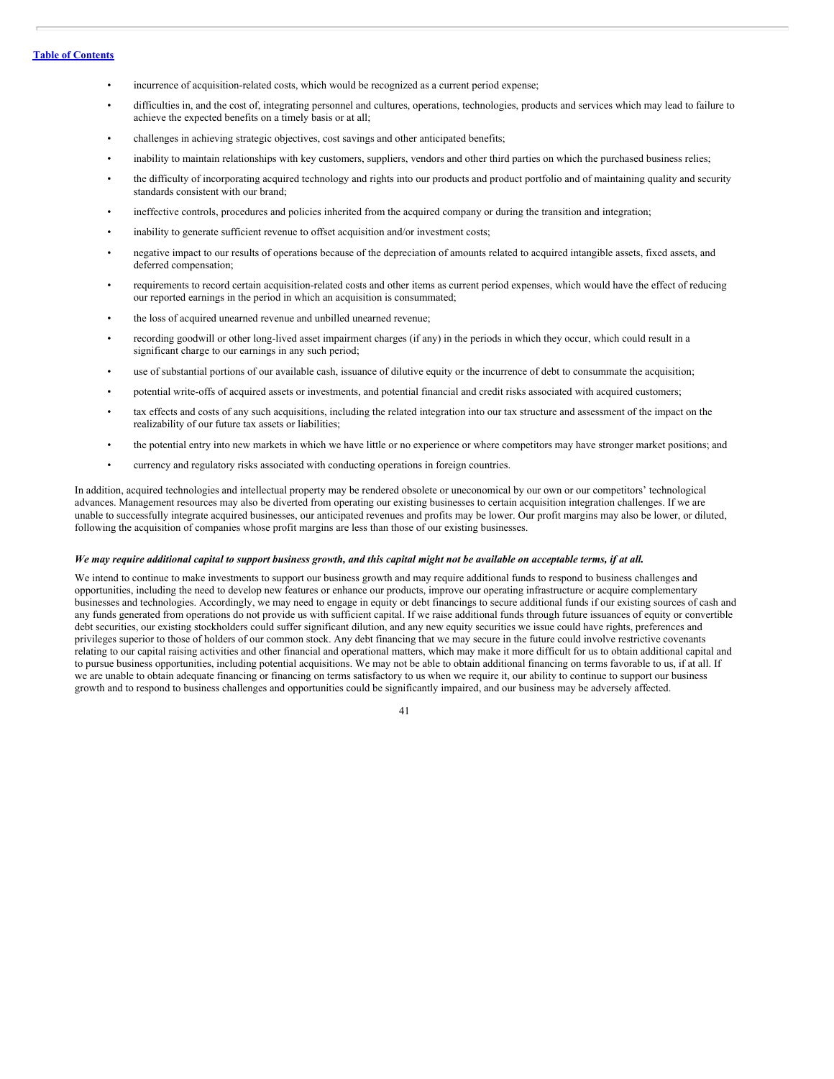# **Table of [Contents](#page-2-0)**

- incurrence of acquisition-related costs, which would be recognized as a current period expense;
- difficulties in, and the cost of, integrating personnel and cultures, operations, technologies, products and services which may lead to failure to achieve the expected benefits on a timely basis or at all;
- challenges in achieving strategic objectives, cost savings and other anticipated benefits;
- inability to maintain relationships with key customers, suppliers, vendors and other third parties on which the purchased business relies;
- the difficulty of incorporating acquired technology and rights into our products and product portfolio and of maintaining quality and security standards consistent with our brand;
- ineffective controls, procedures and policies inherited from the acquired company or during the transition and integration;
- inability to generate sufficient revenue to offset acquisition and/or investment costs;
- negative impact to our results of operations because of the depreciation of amounts related to acquired intangible assets, fixed assets, and deferred compensation;
- requirements to record certain acquisition-related costs and other items as current period expenses, which would have the effect of reducing our reported earnings in the period in which an acquisition is consummated;
- the loss of acquired unearned revenue and unbilled unearned revenue;
- recording goodwill or other long-lived asset impairment charges (if any) in the periods in which they occur, which could result in a significant charge to our earnings in any such period;
- use of substantial portions of our available cash, issuance of dilutive equity or the incurrence of debt to consummate the acquisition;
- potential write-offs of acquired assets or investments, and potential financial and credit risks associated with acquired customers;
- tax effects and costs of any such acquisitions, including the related integration into our tax structure and assessment of the impact on the realizability of our future tax assets or liabilities;
- the potential entry into new markets in which we have little or no experience or where competitors may have stronger market positions; and
- currency and regulatory risks associated with conducting operations in foreign countries.

In addition, acquired technologies and intellectual property may be rendered obsolete or uneconomical by our own or our competitors' technological advances. Management resources may also be diverted from operating our existing businesses to certain acquisition integration challenges. If we are unable to successfully integrate acquired businesses, our anticipated revenues and profits may be lower. Our profit margins may also be lower, or diluted, following the acquisition of companies whose profit margins are less than those of our existing businesses.

# We may require additional capital to support business growth, and this capital might not be available on acceptable terms, if at all.

We intend to continue to make investments to support our business growth and may require additional funds to respond to business challenges and opportunities, including the need to develop new features or enhance our products, improve our operating infrastructure or acquire complementary businesses and technologies. Accordingly, we may need to engage in equity or debt financings to secure additional funds if our existing sources of cash and any funds generated from operations do not provide us with sufficient capital. If we raise additional funds through future issuances of equity or convertible debt securities, our existing stockholders could suffer significant dilution, and any new equity securities we issue could have rights, preferences and privileges superior to those of holders of our common stock. Any debt financing that we may secure in the future could involve restrictive covenants relating to our capital raising activities and other financial and operational matters, which may make it more difficult for us to obtain additional capital and to pursue business opportunities, including potential acquisitions. We may not be able to obtain additional financing on terms favorable to us, if at all. If we are unable to obtain adequate financing or financing on terms satisfactory to us when we require it, our ability to continue to support our business growth and to respond to business challenges and opportunities could be significantly impaired, and our business may be adversely affected.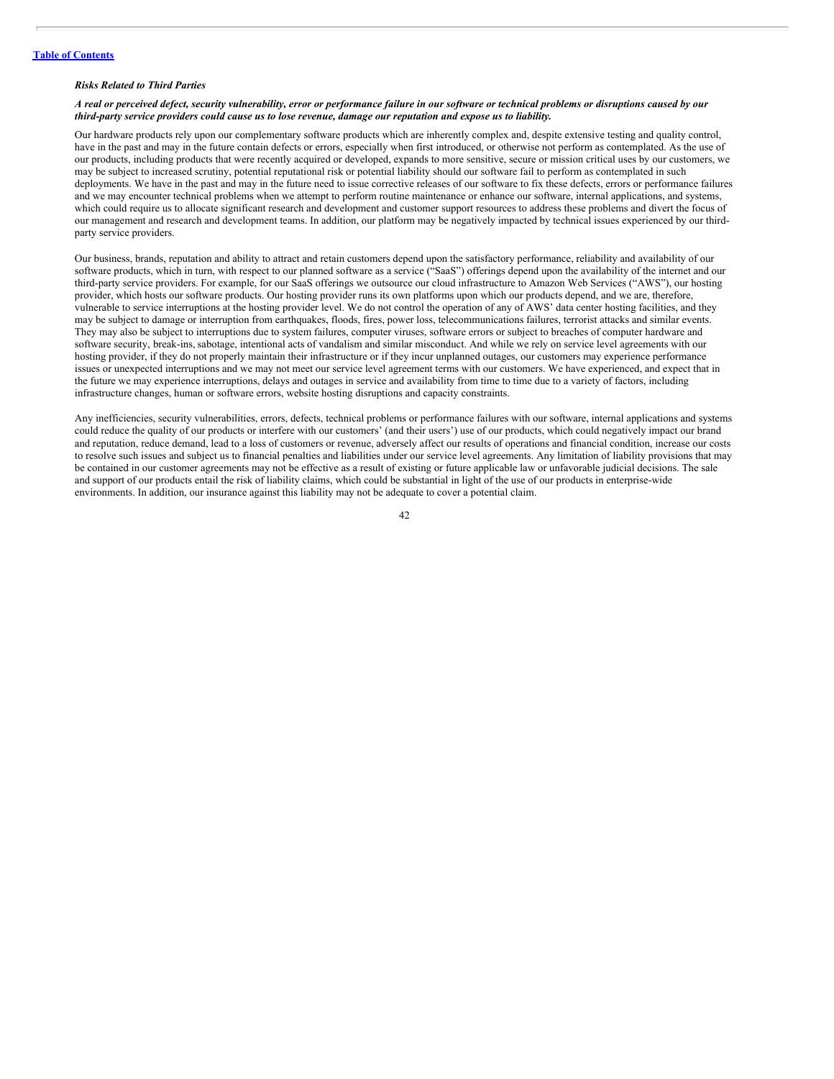#### *Risks Related to Third Parties*

### A real or perceived defect, security vulnerability, error or performance failure in our software or technical problems or disruptions caused by our third-party service providers could cause us to lose revenue, damage our reputation and expose us to liability,

Our hardware products rely upon our complementary software products which are inherently complex and, despite extensive testing and quality control, have in the past and may in the future contain defects or errors, especially when first introduced, or otherwise not perform as contemplated. As the use of our products, including products that were recently acquired or developed, expands to more sensitive, secure or mission critical uses by our customers, we may be subject to increased scrutiny, potential reputational risk or potential liability should our software fail to perform as contemplated in such deployments. We have in the past and may in the future need to issue corrective releases of our software to fix these defects, errors or performance failures and we may encounter technical problems when we attempt to perform routine maintenance or enhance our software, internal applications, and systems, which could require us to allocate significant research and development and customer support resources to address these problems and divert the focus of our management and research and development teams. In addition, our platform may be negatively impacted by technical issues experienced by our thirdparty service providers.

Our business, brands, reputation and ability to attract and retain customers depend upon the satisfactory performance, reliability and availability of our software products, which in turn, with respect to our planned software as a service ("SaaS") offerings depend upon the availability of the internet and our third-party service providers. For example, for our SaaS offerings we outsource our cloud infrastructure to Amazon Web Services ("AWS"), our hosting provider, which hosts our software products. Our hosting provider runs its own platforms upon which our products depend, and we are, therefore, vulnerable to service interruptions at the hosting provider level. We do not control the operation of any of AWS' data center hosting facilities, and they may be subject to damage or interruption from earthquakes, floods, fires, power loss, telecommunications failures, terrorist attacks and similar events. They may also be subject to interruptions due to system failures, computer viruses, software errors or subject to breaches of computer hardware and software security, break-ins, sabotage, intentional acts of vandalism and similar misconduct. And while we rely on service level agreements with our hosting provider, if they do not properly maintain their infrastructure or if they incur unplanned outages, our customers may experience performance issues or unexpected interruptions and we may not meet our service level agreement terms with our customers. We have experienced, and expect that in the future we may experience interruptions, delays and outages in service and availability from time to time due to a variety of factors, including infrastructure changes, human or software errors, website hosting disruptions and capacity constraints.

Any inefficiencies, security vulnerabilities, errors, defects, technical problems or performance failures with our software, internal applications and systems could reduce the quality of our products or interfere with our customers' (and their users') use of our products, which could negatively impact our brand and reputation, reduce demand, lead to a loss of customers or revenue, adversely affect our results of operations and financial condition, increase our costs to resolve such issues and subject us to financial penalties and liabilities under our service level agreements. Any limitation of liability provisions that may be contained in our customer agreements may not be effective as a result of existing or future applicable law or unfavorable judicial decisions. The sale and support of our products entail the risk of liability claims, which could be substantial in light of the use of our products in enterprise-wide environments. In addition, our insurance against this liability may not be adequate to cover a potential claim.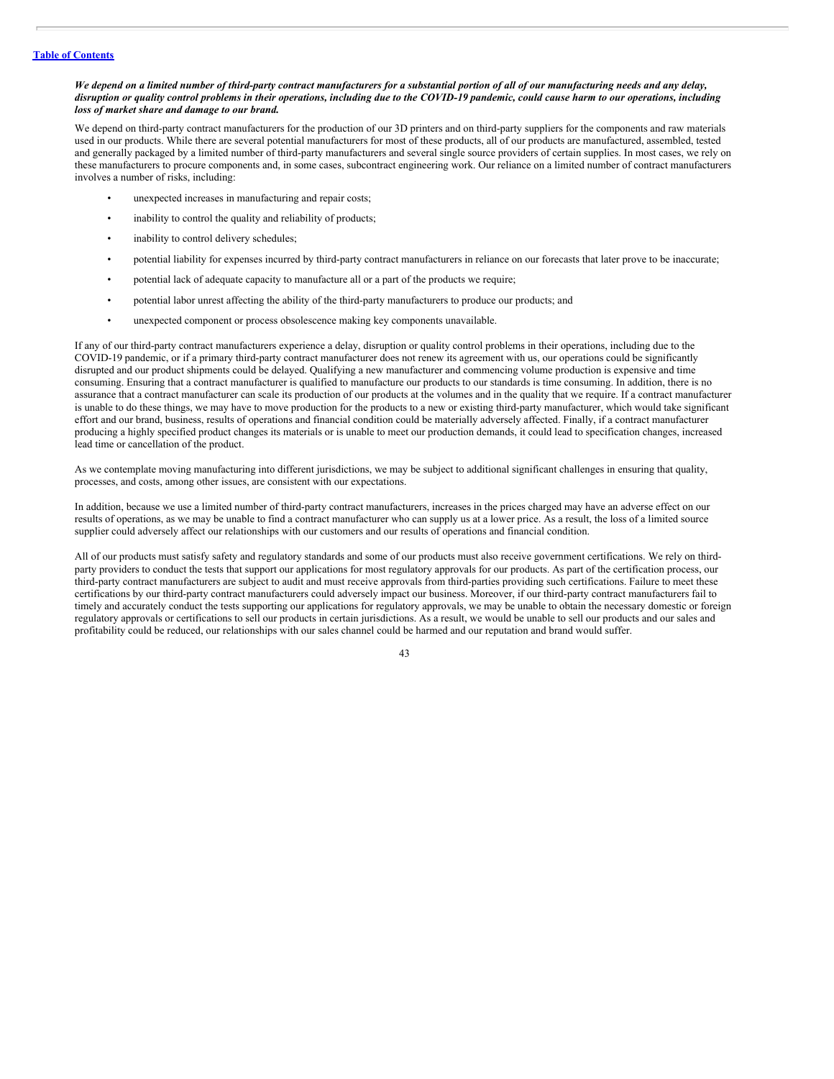# **Table of [Contents](#page-2-0)**

### We depend on a limited number of third-party contract manufacturers for a substantial portion of all of our manufacturing needs and any delay, disruption or quality control problems in their operations, including due to the COVID-19 pandemic, could cause harm to our operations, including *loss of market share and damage to our brand.*

We depend on third-party contract manufacturers for the production of our 3D printers and on third-party suppliers for the components and raw materials used in our products. While there are several potential manufacturers for most of these products, all of our products are manufactured, assembled, tested and generally packaged by a limited number of third-party manufacturers and several single source providers of certain supplies. In most cases, we rely on these manufacturers to procure components and, in some cases, subcontract engineering work. Our reliance on a limited number of contract manufacturers involves a number of risks, including:

- unexpected increases in manufacturing and repair costs;
- inability to control the quality and reliability of products;
- inability to control delivery schedules;
- potential liability for expenses incurred by third-party contract manufacturers in reliance on our forecasts that later prove to be inaccurate;
- potential lack of adequate capacity to manufacture all or a part of the products we require;
- potential labor unrest affecting the ability of the third-party manufacturers to produce our products; and
- unexpected component or process obsolescence making key components unavailable.

If any of our third-party contract manufacturers experience a delay, disruption or quality control problems in their operations, including due to the COVID-19 pandemic, or if a primary third-party contract manufacturer does not renew its agreement with us, our operations could be significantly disrupted and our product shipments could be delayed. Qualifying a new manufacturer and commencing volume production is expensive and time consuming. Ensuring that a contract manufacturer is qualified to manufacture our products to our standards is time consuming. In addition, there is no assurance that a contract manufacturer can scale its production of our products at the volumes and in the quality that we require. If a contract manufacturer is unable to do these things, we may have to move production for the products to a new or existing third-party manufacturer, which would take significant effort and our brand, business, results of operations and financial condition could be materially adversely affected. Finally, if a contract manufacturer producing a highly specified product changes its materials or is unable to meet our production demands, it could lead to specification changes, increased lead time or cancellation of the product.

As we contemplate moving manufacturing into different jurisdictions, we may be subject to additional significant challenges in ensuring that quality, processes, and costs, among other issues, are consistent with our expectations.

In addition, because we use a limited number of third-party contract manufacturers, increases in the prices charged may have an adverse effect on our results of operations, as we may be unable to find a contract manufacturer who can supply us at a lower price. As a result, the loss of a limited source supplier could adversely affect our relationships with our customers and our results of operations and financial condition.

All of our products must satisfy safety and regulatory standards and some of our products must also receive government certifications. We rely on thirdparty providers to conduct the tests that support our applications for most regulatory approvals for our products. As part of the certification process, our third-party contract manufacturers are subject to audit and must receive approvals from third-parties providing such certifications. Failure to meet these certifications by our third-party contract manufacturers could adversely impact our business. Moreover, if our third-party contract manufacturers fail to timely and accurately conduct the tests supporting our applications for regulatory approvals, we may be unable to obtain the necessary domestic or foreign regulatory approvals or certifications to sell our products in certain jurisdictions. As a result, we would be unable to sell our products and our sales and profitability could be reduced, our relationships with our sales channel could be harmed and our reputation and brand would suffer.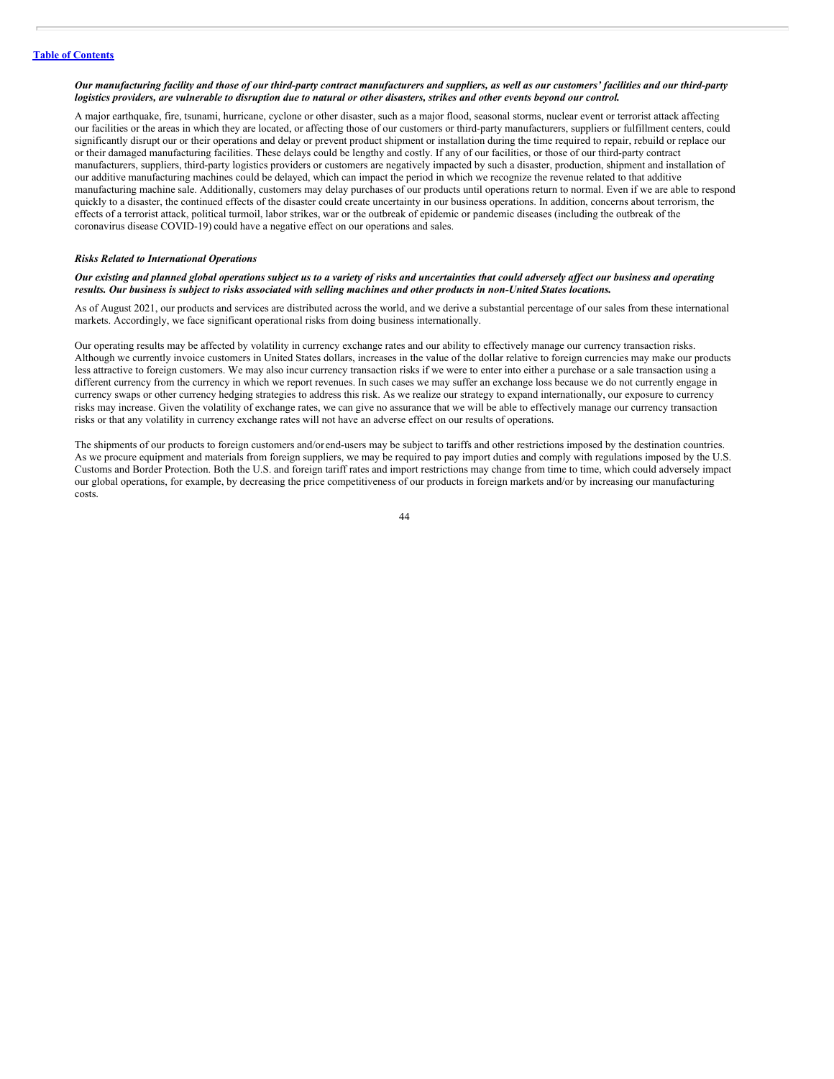### Our manufacturing facility and those of our third-party contract manufacturers and suppliers, as well as our customers' facilities and our third-party logistics providers, are vulnerable to disruption due to natural or other disasters, strikes and other events beyond our control.

A major earthquake, fire, tsunami, hurricane, cyclone or other disaster, such as a major flood, seasonal storms, nuclear event or terrorist attack affecting our facilities or the areas in which they are located, or affecting those of our customers or third-party manufacturers, suppliers or fulfillment centers, could significantly disrupt our or their operations and delay or prevent product shipment or installation during the time required to repair, rebuild or replace our or their damaged manufacturing facilities. These delays could be lengthy and costly. If any of our facilities, or those of our third-party contract manufacturers, suppliers, third-party logistics providers or customers are negatively impacted by such a disaster, production, shipment and installation of our additive manufacturing machines could be delayed, which can impact the period in which we recognize the revenue related to that additive manufacturing machine sale. Additionally, customers may delay purchases of our products until operations return to normal. Even if we are able to respond quickly to a disaster, the continued effects of the disaster could create uncertainty in our business operations. In addition, concerns about terrorism, the effects of a terrorist attack, political turmoil, labor strikes, war or the outbreak of epidemic or pandemic diseases (including the outbreak of the coronavirus disease COVID-19) could have a negative effect on our operations and sales.

### *Risks Related to International Operations*

## Our existing and planned global operations subject us to a variety of risks and uncertainties that could adversely affect our business and operating results. Our business is subject to risks associated with selling machines and other products in non-United States locations.

As of August 2021, our products and services are distributed across the world, and we derive a substantial percentage of our sales from these international markets. Accordingly, we face significant operational risks from doing business internationally.

Our operating results may be affected by volatility in currency exchange rates and our ability to effectively manage our currency transaction risks. Although we currently invoice customers in United States dollars, increases in the value of the dollar relative to foreign currencies may make our products less attractive to foreign customers. We may also incur currency transaction risks if we were to enter into either a purchase or a sale transaction using a different currency from the currency in which we report revenues. In such cases we may suffer an exchange loss because we do not currently engage in currency swaps or other currency hedging strategies to address this risk. As we realize our strategy to expand internationally, our exposure to currency risks may increase. Given the volatility of exchange rates, we can give no assurance that we will be able to effectively manage our currency transaction risks or that any volatility in currency exchange rates will not have an adverse effect on our results of operations.

The shipments of our products to foreign customers and/or end-users may be subject to tariffs and other restrictions imposed by the destination countries. As we procure equipment and materials from foreign suppliers, we may be required to pay import duties and comply with regulations imposed by the U.S. Customs and Border Protection. Both the U.S. and foreign tariff rates and import restrictions may change from time to time, which could adversely impact our global operations, for example, by decreasing the price competitiveness of our products in foreign markets and/or by increasing our manufacturing costs.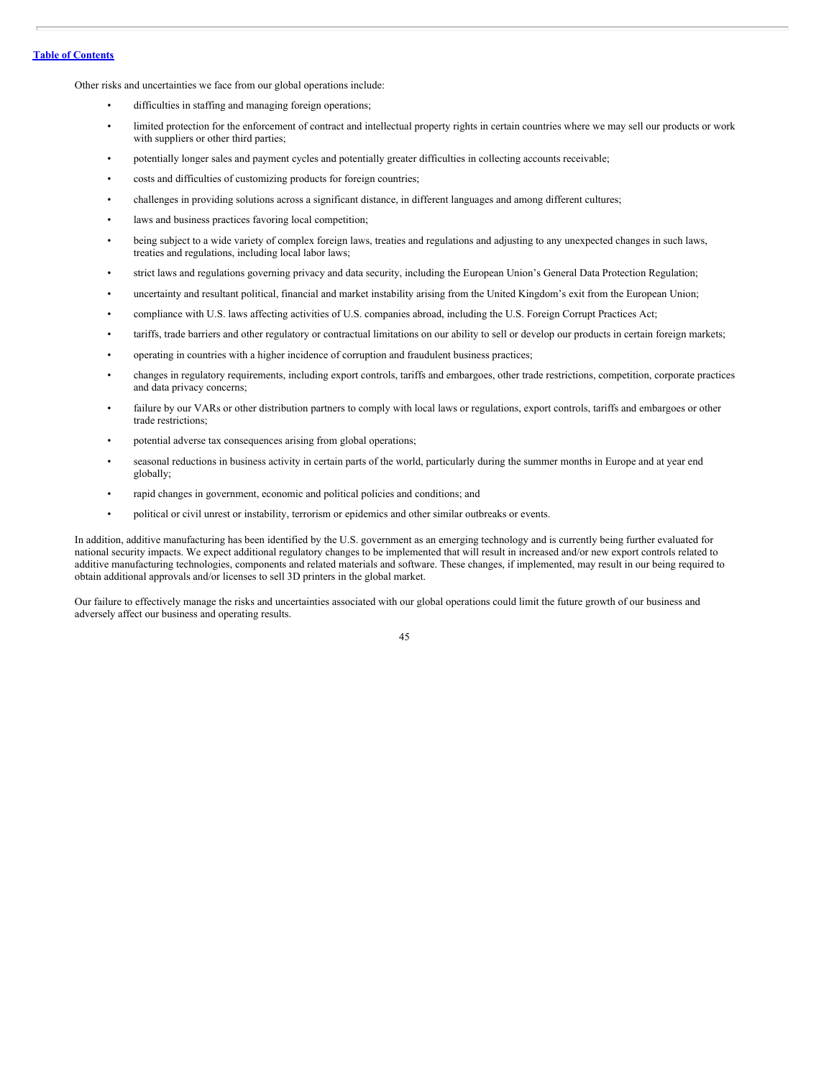# **Table of [Contents](#page-2-0)**

Other risks and uncertainties we face from our global operations include:

- difficulties in staffing and managing foreign operations;
- limited protection for the enforcement of contract and intellectual property rights in certain countries where we may sell our products or work with suppliers or other third parties;
- potentially longer sales and payment cycles and potentially greater difficulties in collecting accounts receivable;
- costs and difficulties of customizing products for foreign countries;
- challenges in providing solutions across a significant distance, in different languages and among different cultures;
- laws and business practices favoring local competition;
- being subject to a wide variety of complex foreign laws, treaties and regulations and adjusting to any unexpected changes in such laws, treaties and regulations, including local labor laws;
- strict laws and regulations governing privacy and data security, including the European Union's General Data Protection Regulation;
- uncertainty and resultant political, financial and market instability arising from the United Kingdom's exit from the European Union;
- compliance with U.S. laws affecting activities of U.S. companies abroad, including the U.S. Foreign Corrupt Practices Act;
- tariffs, trade barriers and other regulatory or contractual limitations on our ability to sell or develop our products in certain foreign markets;
- operating in countries with a higher incidence of corruption and fraudulent business practices;
- changes in regulatory requirements, including export controls, tariffs and embargoes, other trade restrictions, competition, corporate practices and data privacy concerns;
- failure by our VARs or other distribution partners to comply with local laws or regulations, export controls, tariffs and embargoes or other trade restrictions;
- potential adverse tax consequences arising from global operations;
- seasonal reductions in business activity in certain parts of the world, particularly during the summer months in Europe and at year end globally;
- rapid changes in government, economic and political policies and conditions; and
- political or civil unrest or instability, terrorism or epidemics and other similar outbreaks or events.

In addition, additive manufacturing has been identified by the U.S. government as an emerging technology and is currently being further evaluated for national security impacts. We expect additional regulatory changes to be implemented that will result in increased and/or new export controls related to additive manufacturing technologies, components and related materials and software. These changes, if implemented, may result in our being required to obtain additional approvals and/or licenses to sell 3D printers in the global market.

Our failure to effectively manage the risks and uncertainties associated with our global operations could limit the future growth of our business and adversely affect our business and operating results.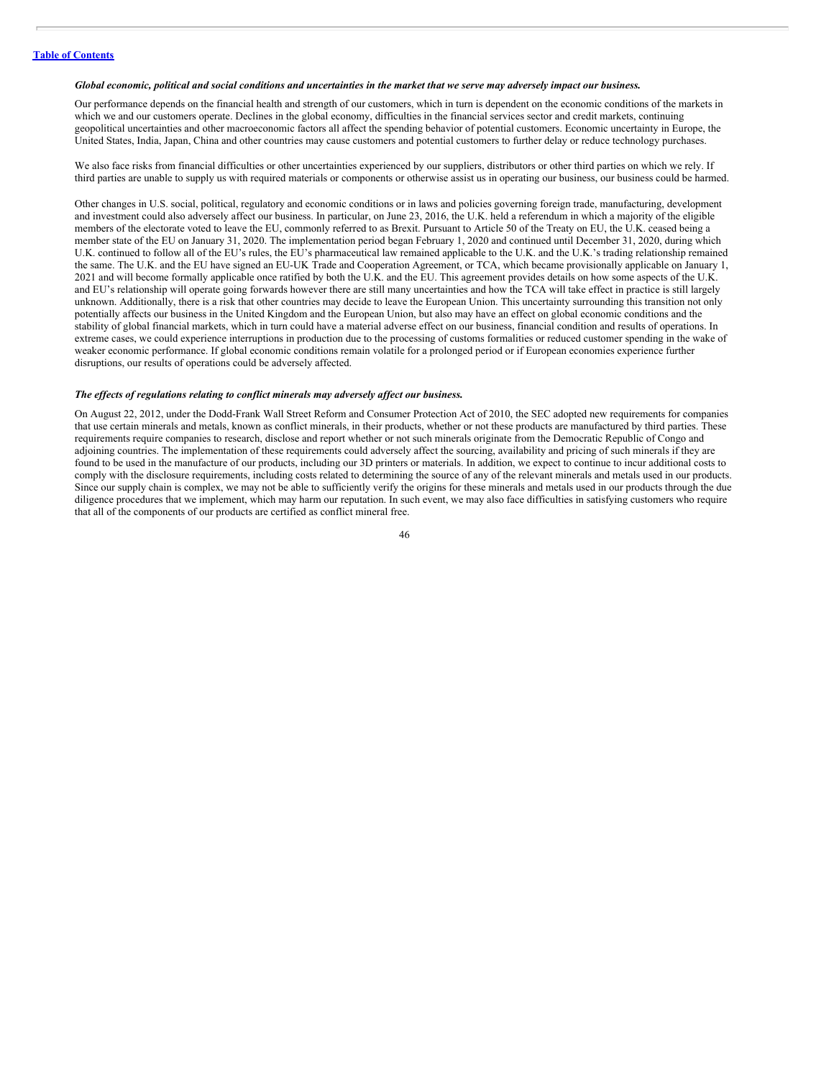#### Global economic, political and social conditions and uncertainties in the market that we serve may adversely impact our business.

Our performance depends on the financial health and strength of our customers, which in turn is dependent on the economic conditions of the markets in which we and our customers operate. Declines in the global economy, difficulties in the financial services sector and credit markets, continuing geopolitical uncertainties and other macroeconomic factors all affect the spending behavior of potential customers. Economic uncertainty in Europe, the United States, India, Japan, China and other countries may cause customers and potential customers to further delay or reduce technology purchases.

We also face risks from financial difficulties or other uncertainties experienced by our suppliers, distributors or other third parties on which we rely. If third parties are unable to supply us with required materials or components or otherwise assist us in operating our business, our business could be harmed.

Other changes in U.S. social, political, regulatory and economic conditions or in laws and policies governing foreign trade, manufacturing, development and investment could also adversely affect our business. In particular, on June 23, 2016, the U.K. held a referendum in which a majority of the eligible members of the electorate voted to leave the EU, commonly referred to as Brexit. Pursuant to Article 50 of the Treaty on EU, the U.K. ceased being a member state of the EU on January 31, 2020. The implementation period began February 1, 2020 and continued until December 31, 2020, during which U.K. continued to follow all of the EU's rules, the EU's pharmaceutical law remained applicable to the U.K. and the U.K.'s trading relationship remained the same. The U.K. and the EU have signed an EU-UK Trade and Cooperation Agreement, or TCA, which became provisionally applicable on January 1, 2021 and will become formally applicable once ratified by both the U.K. and the EU. This agreement provides details on how some aspects of the U.K. and EU's relationship will operate going forwards however there are still many uncertainties and how the TCA will take effect in practice is still largely unknown. Additionally, there is a risk that other countries may decide to leave the European Union. This uncertainty surrounding this transition not only potentially affects our business in the United Kingdom and the European Union, but also may have an effect on global economic conditions and the stability of global financial markets, which in turn could have a material adverse effect on our business, financial condition and results of operations. In extreme cases, we could experience interruptions in production due to the processing of customs formalities or reduced customer spending in the wake of weaker economic performance. If global economic conditions remain volatile for a prolonged period or if European economies experience further disruptions, our results of operations could be adversely affected.

# *The ef ects of regulations relating to conflict minerals may adversely af ect our business.*

On August 22, 2012, under the Dodd-Frank Wall Street Reform and Consumer Protection Act of 2010, the SEC adopted new requirements for companies that use certain minerals and metals, known as conflict minerals, in their products, whether or not these products are manufactured by third parties. These requirements require companies to research, disclose and report whether or not such minerals originate from the Democratic Republic of Congo and adjoining countries. The implementation of these requirements could adversely affect the sourcing, availability and pricing of such minerals if they are found to be used in the manufacture of our products, including our 3D printers or materials. In addition, we expect to continue to incur additional costs to comply with the disclosure requirements, including costs related to determining the source of any of the relevant minerals and metals used in our products. Since our supply chain is complex, we may not be able to sufficiently verify the origins for these minerals and metals used in our products through the due diligence procedures that we implement, which may harm our reputation. In such event, we may also face difficulties in satisfying customers who require that all of the components of our products are certified as conflict mineral free.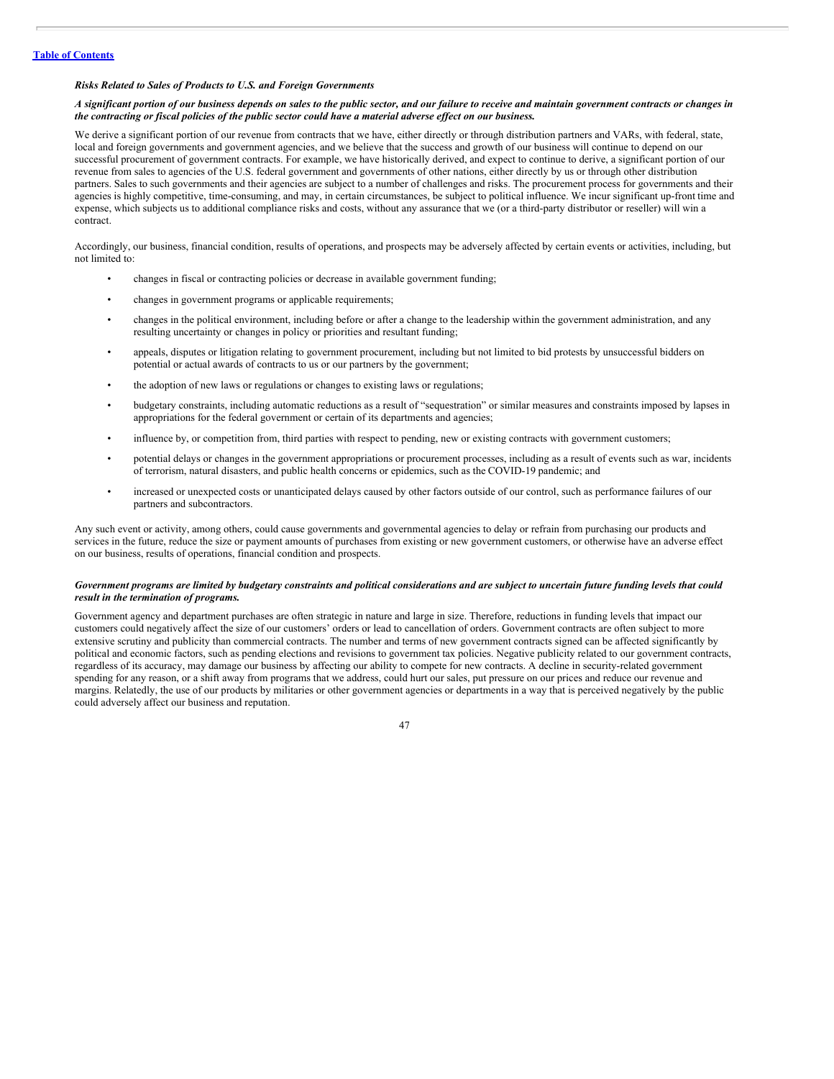#### *Risks Related to Sales of Products to U.S. and Foreign Governments*

# A significant portion of our business depends on sales to the public sector, and our failure to receive and maintain government contracts or changes in the contracting or fiscal policies of the public sector could have a material adverse effect on our business.

We derive a significant portion of our revenue from contracts that we have, either directly or through distribution partners and VARs, with federal, state, local and foreign governments and government agencies, and we believe that the success and growth of our business will continue to depend on our successful procurement of government contracts. For example, we have historically derived, and expect to continue to derive, a significant portion of our revenue from sales to agencies of the U.S. federal government and governments of other nations, either directly by us or through other distribution partners. Sales to such governments and their agencies are subject to a number of challenges and risks. The procurement process for governments and their agencies is highly competitive, time-consuming, and may, in certain circumstances, be subject to political influence. We incur significant up-front time and expense, which subjects us to additional compliance risks and costs, without any assurance that we (or a third-party distributor or reseller) will win a contract.

Accordingly, our business, financial condition, results of operations, and prospects may be adversely affected by certain events or activities, including, but not limited to:

- changes in fiscal or contracting policies or decrease in available government funding;
- changes in government programs or applicable requirements;
- changes in the political environment, including before or after a change to the leadership within the government administration, and any resulting uncertainty or changes in policy or priorities and resultant funding;
- appeals, disputes or litigation relating to government procurement, including but not limited to bid protests by unsuccessful bidders on potential or actual awards of contracts to us or our partners by the government;
- the adoption of new laws or regulations or changes to existing laws or regulations;
- budgetary constraints, including automatic reductions as a result of "sequestration" or similar measures and constraints imposed by lapses in appropriations for the federal government or certain of its departments and agencies;
- influence by, or competition from, third parties with respect to pending, new or existing contracts with government customers;
- potential delays or changes in the government appropriations or procurement processes, including as a result of events such as war, incidents of terrorism, natural disasters, and public health concerns or epidemics, such as the COVID-19 pandemic; and
- increased or unexpected costs or unanticipated delays caused by other factors outside of our control, such as performance failures of our partners and subcontractors.

Any such event or activity, among others, could cause governments and governmental agencies to delay or refrain from purchasing our products and services in the future, reduce the size or payment amounts of purchases from existing or new government customers, or otherwise have an adverse effect on our business, results of operations, financial condition and prospects.

### Government programs are limited by budgetary constraints and political considerations and are subject to uncertain future funding levels that could *result in the termination of programs.*

Government agency and department purchases are often strategic in nature and large in size. Therefore, reductions in funding levels that impact our customers could negatively affect the size of our customers' orders or lead to cancellation of orders. Government contracts are often subject to more extensive scrutiny and publicity than commercial contracts. The number and terms of new government contracts signed can be affected significantly by political and economic factors, such as pending elections and revisions to government tax policies. Negative publicity related to our government contracts, regardless of its accuracy, may damage our business by affecting our ability to compete for new contracts. A decline in security-related government spending for any reason, or a shift away from programs that we address, could hurt our sales, put pressure on our prices and reduce our revenue and margins. Relatedly, the use of our products by militaries or other government agencies or departments in a way that is perceived negatively by the public could adversely affect our business and reputation.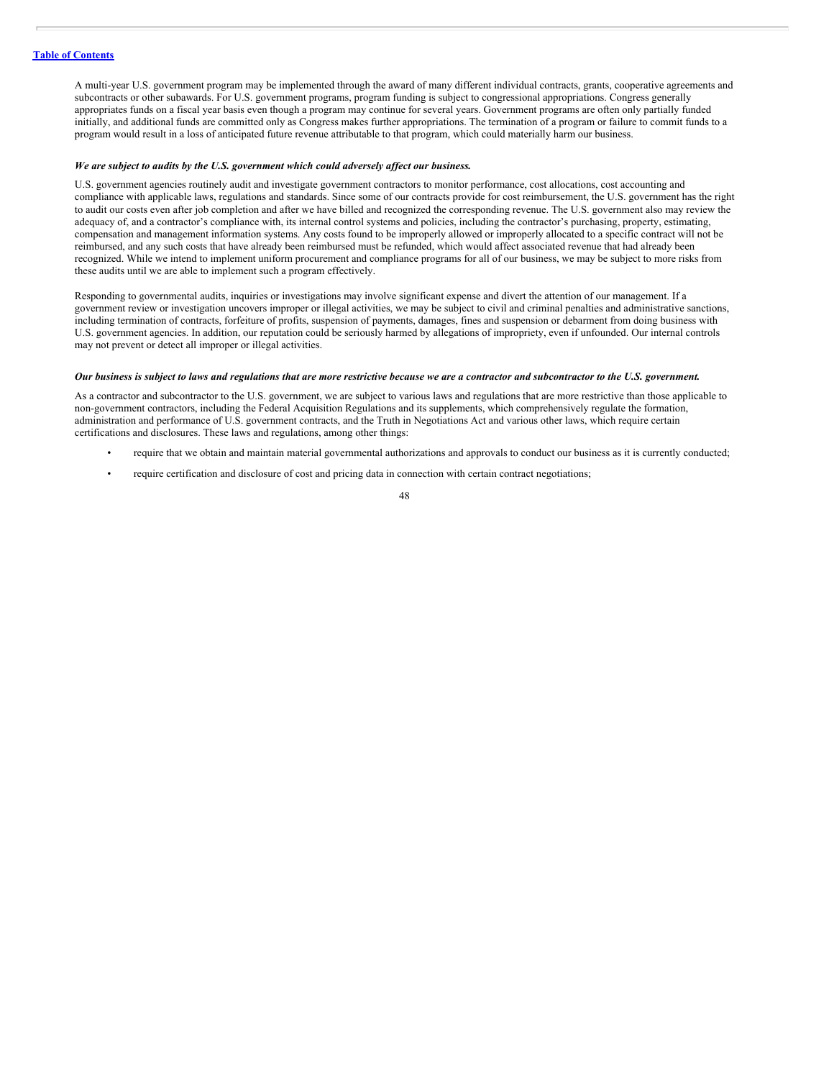A multi-year U.S. government program may be implemented through the award of many different individual contracts, grants, cooperative agreements and subcontracts or other subawards. For U.S. government programs, program funding is subject to congressional appropriations. Congress generally appropriates funds on a fiscal year basis even though a program may continue for several years. Government programs are often only partially funded initially, and additional funds are committed only as Congress makes further appropriations. The termination of a program or failure to commit funds to a program would result in a loss of anticipated future revenue attributable to that program, which could materially harm our business.

## *We are subject to audits by the U.S. government which could adversely af ect our business.*

U.S. government agencies routinely audit and investigate government contractors to monitor performance, cost allocations, cost accounting and compliance with applicable laws, regulations and standards. Since some of our contracts provide for cost reimbursement, the U.S. government has the right to audit our costs even after job completion and after we have billed and recognized the corresponding revenue. The U.S. government also may review the adequacy of, and a contractor's compliance with, its internal control systems and policies, including the contractor's purchasing, property, estimating, compensation and management information systems. Any costs found to be improperly allowed or improperly allocated to a specific contract will not be reimbursed, and any such costs that have already been reimbursed must be refunded, which would affect associated revenue that had already been recognized. While we intend to implement uniform procurement and compliance programs for all of our business, we may be subject to more risks from these audits until we are able to implement such a program effectively.

Responding to governmental audits, inquiries or investigations may involve significant expense and divert the attention of our management. If a government review or investigation uncovers improper or illegal activities, we may be subject to civil and criminal penalties and administrative sanctions, including termination of contracts, forfeiture of profits, suspension of payments, damages, fines and suspension or debarment from doing business with U.S. government agencies. In addition, our reputation could be seriously harmed by allegations of impropriety, even if unfounded. Our internal controls may not prevent or detect all improper or illegal activities.

#### Our business is subject to laws and regulations that are more restrictive because we are a contractor and subcontractor to the U.S. government.

As a contractor and subcontractor to the U.S. government, we are subject to various laws and regulations that are more restrictive than those applicable to non-government contractors, including the Federal Acquisition Regulations and its supplements, which comprehensively regulate the formation, administration and performance of U.S. government contracts, and the Truth in Negotiations Act and various other laws, which require certain certifications and disclosures. These laws and regulations, among other things:

- require that we obtain and maintain material governmental authorizations and approvals to conduct our business as it is currently conducted;
- require certification and disclosure of cost and pricing data in connection with certain contract negotiations;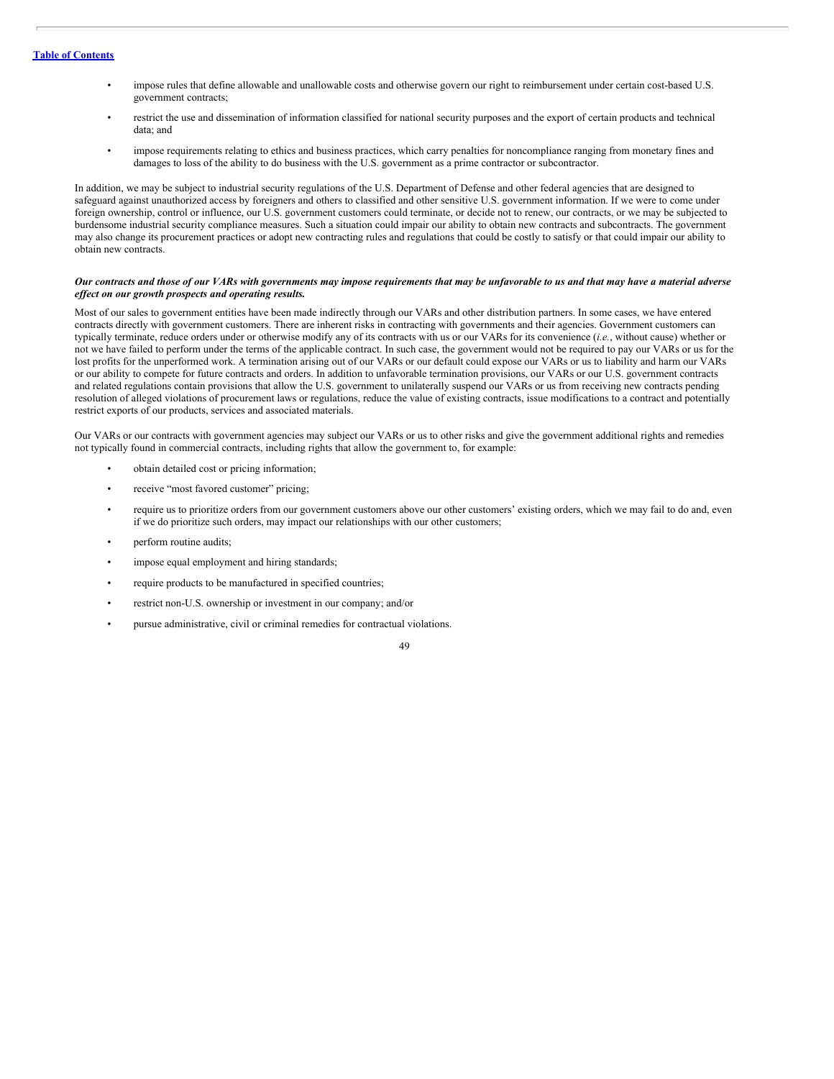- impose rules that define allowable and unallowable costs and otherwise govern our right to reimbursement under certain cost-based U.S. government contracts;
- restrict the use and dissemination of information classified for national security purposes and the export of certain products and technical data; and
- impose requirements relating to ethics and business practices, which carry penalties for noncompliance ranging from monetary fines and damages to loss of the ability to do business with the U.S. government as a prime contractor or subcontractor.

In addition, we may be subject to industrial security regulations of the U.S. Department of Defense and other federal agencies that are designed to safeguard against unauthorized access by foreigners and others to classified and other sensitive U.S. government information. If we were to come under foreign ownership, control or influence, our U.S. government customers could terminate, or decide not to renew, our contracts, or we may be subjected to burdensome industrial security compliance measures. Such a situation could impair our ability to obtain new contracts and subcontracts. The government may also change its procurement practices or adopt new contracting rules and regulations that could be costly to satisfy or that could impair our ability to obtain new contracts.

## Our contracts and those of our VARs with governments may impose requirements that may be unfavorable to us and that may have a material adverse *ef ect on our growth prospects and operating results.*

Most of our sales to government entities have been made indirectly through our VARs and other distribution partners. In some cases, we have entered contracts directly with government customers. There are inherent risks in contracting with governments and their agencies. Government customers can typically terminate, reduce orders under or otherwise modify any of its contracts with us or our VARs for its convenience (*i.e.*, without cause) whether or not we have failed to perform under the terms of the applicable contract. In such case, the government would not be required to pay our VARs or us for the lost profits for the unperformed work. A termination arising out of our VARs or our default could expose our VARs or us to liability and harm our VARs or our ability to compete for future contracts and orders. In addition to unfavorable termination provisions, our VARs or our U.S. government contracts and related regulations contain provisions that allow the U.S. government to unilaterally suspend our VARs or us from receiving new contracts pending resolution of alleged violations of procurement laws or regulations, reduce the value of existing contracts, issue modifications to a contract and potentially restrict exports of our products, services and associated materials.

Our VARs or our contracts with government agencies may subject our VARs or us to other risks and give the government additional rights and remedies not typically found in commercial contracts, including rights that allow the government to, for example:

- obtain detailed cost or pricing information;
- receive "most favored customer" pricing;
- require us to prioritize orders from our government customers above our other customers' existing orders, which we may fail to do and, even if we do prioritize such orders, may impact our relationships with our other customers;
- perform routine audits;
- impose equal employment and hiring standards;
- require products to be manufactured in specified countries;
- restrict non-U.S. ownership or investment in our company; and/or
- pursue administrative, civil or criminal remedies for contractual violations.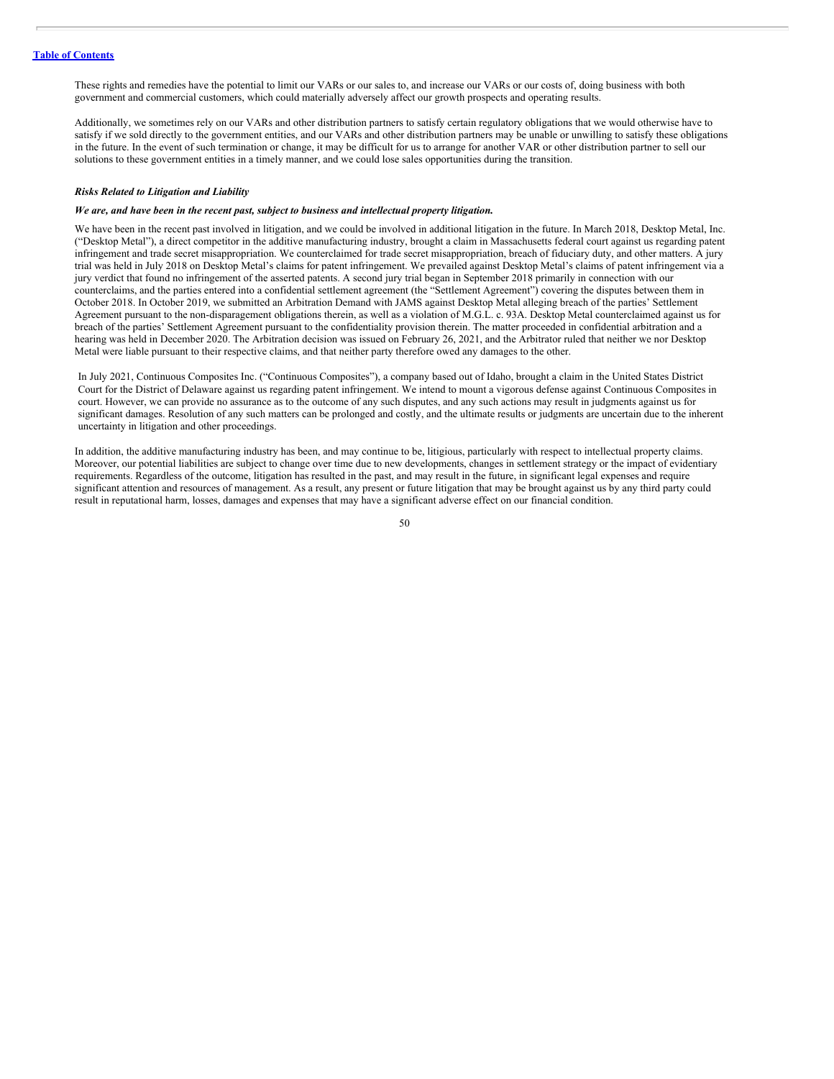These rights and remedies have the potential to limit our VARs or our sales to, and increase our VARs or our costs of, doing business with both government and commercial customers, which could materially adversely affect our growth prospects and operating results.

Additionally, we sometimes rely on our VARs and other distribution partners to satisfy certain regulatory obligations that we would otherwise have to satisfy if we sold directly to the government entities, and our VARs and other distribution partners may be unable or unwilling to satisfy these obligations in the future. In the event of such termination or change, it may be difficult for us to arrange for another VAR or other distribution partner to sell our solutions to these government entities in a timely manner, and we could lose sales opportunities during the transition.

#### *Risks Related to Litigation and Liability*

# *We are, and have been in the recent past, subject to business and intellectual property litigation.*

We have been in the recent past involved in litigation, and we could be involved in additional litigation in the future. In March 2018, Desktop Metal, Inc. ("Desktop Metal"), a direct competitor in the additive manufacturing industry, brought a claim in Massachusetts federal court against us regarding patent infringement and trade secret misappropriation. We counterclaimed for trade secret misappropriation, breach of fiduciary duty, and other matters. A jury trial was held in July 2018 on Desktop Metal's claims for patent infringement. We prevailed against Desktop Metal's claims of patent infringement via a jury verdict that found no infringement of the asserted patents. A second jury trial began in September 2018 primarily in connection with our counterclaims, and the parties entered into a confidential settlement agreement (the "Settlement Agreement") covering the disputes between them in October 2018. In October 2019, we submitted an Arbitration Demand with JAMS against Desktop Metal alleging breach of the parties' Settlement Agreement pursuant to the non-disparagement obligations therein, as well as a violation of M.G.L. c. 93A. Desktop Metal counterclaimed against us for breach of the parties' Settlement Agreement pursuant to the confidentiality provision therein. The matter proceeded in confidential arbitration and a hearing was held in December 2020. The Arbitration decision was issued on February 26, 2021, and the Arbitrator ruled that neither we nor Desktop Metal were liable pursuant to their respective claims, and that neither party therefore owed any damages to the other.

In July 2021, Continuous Composites Inc. ("Continuous Composites"), a company based out of Idaho, brought a claim in the United States District Court for the District of Delaware against us regarding patent infringement. We intend to mount a vigorous defense against Continuous Composites in court. However, we can provide no assurance as to the outcome of any such disputes, and any such actions may result in judgments against us for significant damages. Resolution of any such matters can be prolonged and costly, and the ultimate results or judgments are uncertain due to the inherent uncertainty in litigation and other proceedings.

In addition, the additive manufacturing industry has been, and may continue to be, litigious, particularly with respect to intellectual property claims. Moreover, our potential liabilities are subject to change over time due to new developments, changes in settlement strategy or the impact of evidentiary requirements. Regardless of the outcome, litigation has resulted in the past, and may result in the future, in significant legal expenses and require significant attention and resources of management. As a result, any present or future litigation that may be brought against us by any third party could result in reputational harm, losses, damages and expenses that may have a significant adverse effect on our financial condition.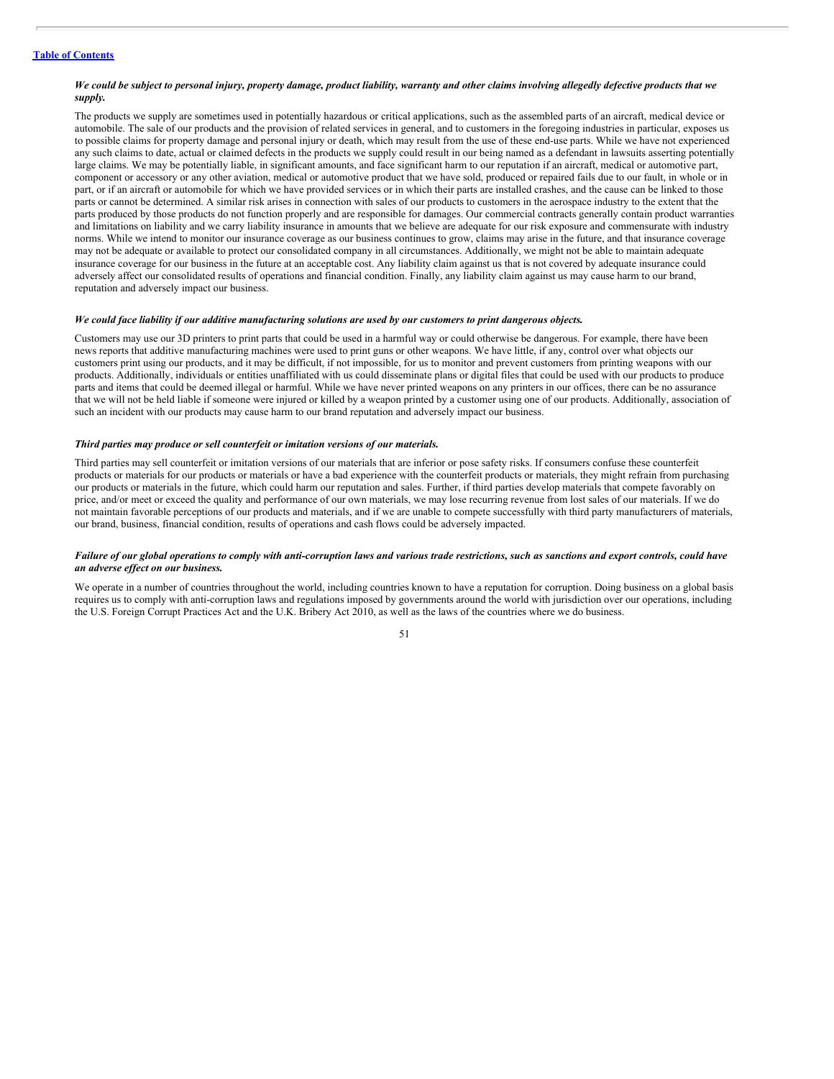### We could be subject to personal injury, property damage, product liability, warranty and other claims involving allegedly defective products that we *supply.*

The products we supply are sometimes used in potentially hazardous or critical applications, such as the assembled parts of an aircraft, medical device or automobile. The sale of our products and the provision of related services in general, and to customers in the foregoing industries in particular, exposes us to possible claims for property damage and personal injury or death, which may result from the use of these end-use parts. While we have not experienced any such claims to date, actual or claimed defects in the products we supply could result in our being named as a defendant in lawsuits asserting potentially large claims. We may be potentially liable, in significant amounts, and face significant harm to our reputation if an aircraft, medical or automotive part, component or accessory or any other aviation, medical or automotive product that we have sold, produced or repaired fails due to our fault, in whole or in part, or if an aircraft or automobile for which we have provided services or in which their parts are installed crashes, and the cause can be linked to those parts or cannot be determined. A similar risk arises in connection with sales of our products to customers in the aerospace industry to the extent that the parts produced by those products do not function properly and are responsible for damages. Our commercial contracts generally contain product warranties and limitations on liability and we carry liability insurance in amounts that we believe are adequate for our risk exposure and commensurate with industry norms. While we intend to monitor our insurance coverage as our business continues to grow, claims may arise in the future, and that insurance coverage may not be adequate or available to protect our consolidated company in all circumstances. Additionally, we might not be able to maintain adequate insurance coverage for our business in the future at an acceptable cost. Any liability claim against us that is not covered by adequate insurance could adversely affect our consolidated results of operations and financial condition. Finally, any liability claim against us may cause harm to our brand, reputation and adversely impact our business.

## We could face liability if our additive manufacturing solutions are used by our customers to print dangerous objects.

Customers may use our 3D printers to print parts that could be used in a harmful way or could otherwise be dangerous. For example, there have been news reports that additive manufacturing machines were used to print guns or other weapons. We have little, if any, control over what objects our customers print using our products, and it may be difficult, if not impossible, for us to monitor and prevent customers from printing weapons with our products. Additionally, individuals or entities unaffiliated with us could disseminate plans or digital files that could be used with our products to produce parts and items that could be deemed illegal or harmful. While we have never printed weapons on any printers in our offices, there can be no assurance that we will not be held liable if someone were injured or killed by a weapon printed by a customer using one of our products. Additionally, association of such an incident with our products may cause harm to our brand reputation and adversely impact our business.

## *Third parties may produce or sell counterfeit or imitation versions of our materials.*

Third parties may sell counterfeit or imitation versions of our materials that are inferior or pose safety risks. If consumers confuse these counterfeit products or materials for our products or materials or have a bad experience with the counterfeit products or materials, they might refrain from purchasing our products or materials in the future, which could harm our reputation and sales. Further, if third parties develop materials that compete favorably on price, and/or meet or exceed the quality and performance of our own materials, we may lose recurring revenue from lost sales of our materials. If we do not maintain favorable perceptions of our products and materials, and if we are unable to compete successfully with third party manufacturers of materials, our brand, business, financial condition, results of operations and cash flows could be adversely impacted.

### Failure of our global operations to comply with anti-corruption laws and various trade restrictions, such as sanctions and export controls, could have *an adverse ef ect on our business.*

We operate in a number of countries throughout the world, including countries known to have a reputation for corruption. Doing business on a global basis requires us to comply with anti-corruption laws and regulations imposed by governments around the world with jurisdiction over our operations, including the U.S. Foreign Corrupt Practices Act and the U.K. Bribery Act 2010, as well as the laws of the countries where we do business.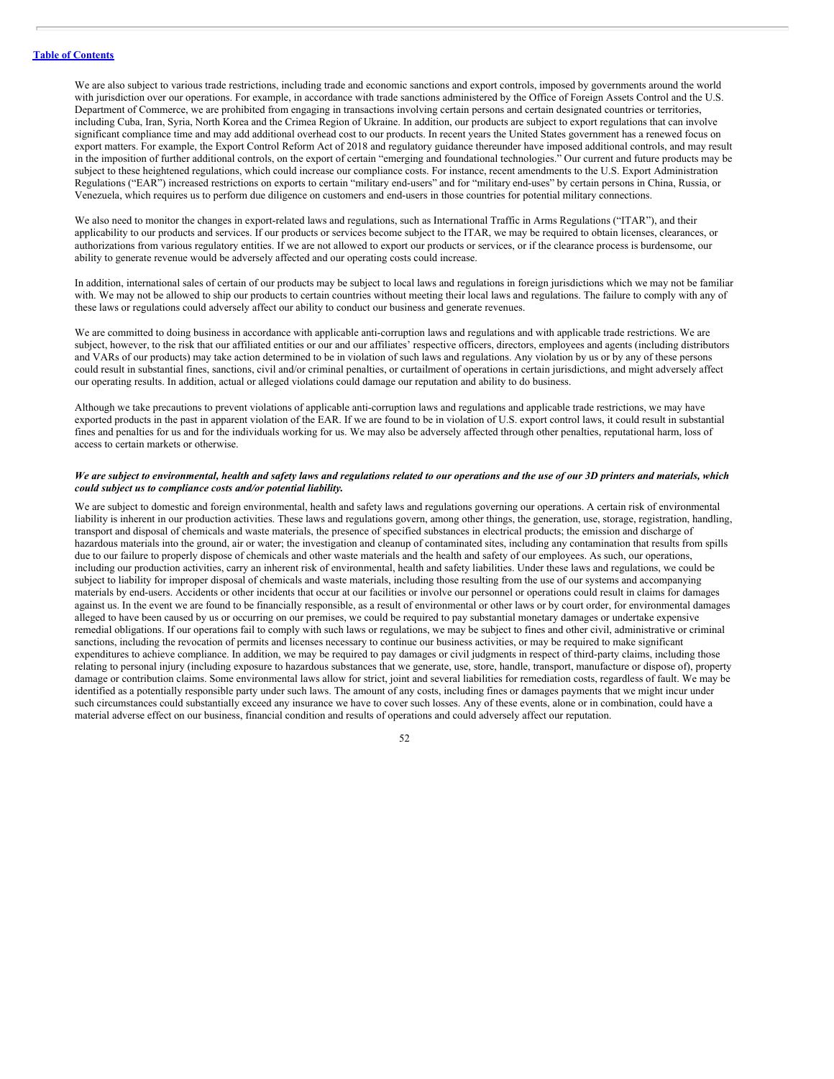We are also subject to various trade restrictions, including trade and economic sanctions and export controls, imposed by governments around the world with jurisdiction over our operations. For example, in accordance with trade sanctions administered by the Office of Foreign Assets Control and the U.S. Department of Commerce, we are prohibited from engaging in transactions involving certain persons and certain designated countries or territories, including Cuba, Iran, Syria, North Korea and the Crimea Region of Ukraine. In addition, our products are subject to export regulations that can involve significant compliance time and may add additional overhead cost to our products. In recent years the United States government has a renewed focus on export matters. For example, the Export Control Reform Act of 2018 and regulatory guidance thereunder have imposed additional controls, and may result in the imposition of further additional controls, on the export of certain "emerging and foundational technologies." Our current and future products may be subject to these heightened regulations, which could increase our compliance costs. For instance, recent amendments to the U.S. Export Administration Regulations ("EAR") increased restrictions on exports to certain "military end-users" and for "military end-uses" by certain persons in China, Russia, or Venezuela, which requires us to perform due diligence on customers and end-users in those countries for potential military connections.

We also need to monitor the changes in export-related laws and regulations, such as International Traffic in Arms Regulations ("ITAR"), and their applicability to our products and services. If our products or services become subject to the ITAR, we may be required to obtain licenses, clearances, or authorizations from various regulatory entities. If we are not allowed to export our products or services, or if the clearance process is burdensome, our ability to generate revenue would be adversely affected and our operating costs could increase.

In addition, international sales of certain of our products may be subject to local laws and regulations in foreign jurisdictions which we may not be familiar with. We may not be allowed to ship our products to certain countries without meeting their local laws and regulations. The failure to comply with any of these laws or regulations could adversely affect our ability to conduct our business and generate revenues.

We are committed to doing business in accordance with applicable anti-corruption laws and regulations and with applicable trade restrictions. We are subject, however, to the risk that our affiliated entities or our and our affiliates' respective officers, directors, employees and agents (including distributors and VARs of our products) may take action determined to be in violation of such laws and regulations. Any violation by us or by any of these persons could result in substantial fines, sanctions, civil and/or criminal penalties, or curtailment of operations in certain jurisdictions, and might adversely affect our operating results. In addition, actual or alleged violations could damage our reputation and ability to do business.

Although we take precautions to prevent violations of applicable anti-corruption laws and regulations and applicable trade restrictions, we may have exported products in the past in apparent violation of the EAR. If we are found to be in violation of U.S. export control laws, it could result in substantial fines and penalties for us and for the individuals working for us. We may also be adversely affected through other penalties, reputational harm, loss of access to certain markets or otherwise.

## We are subject to environmental, health and safety laws and regulations related to our operations and the use of our 3D printers and materials, which *could subject us to compliance costs and/or potential liability.*

We are subject to domestic and foreign environmental, health and safety laws and regulations governing our operations. A certain risk of environmental liability is inherent in our production activities. These laws and regulations govern, among other things, the generation, use, storage, registration, handling, transport and disposal of chemicals and waste materials, the presence of specified substances in electrical products; the emission and discharge of hazardous materials into the ground, air or water; the investigation and cleanup of contaminated sites, including any contamination that results from spills due to our failure to properly dispose of chemicals and other waste materials and the health and safety of our employees. As such, our operations, including our production activities, carry an inherent risk of environmental, health and safety liabilities. Under these laws and regulations, we could be subject to liability for improper disposal of chemicals and waste materials, including those resulting from the use of our systems and accompanying materials by end-users. Accidents or other incidents that occur at our facilities or involve our personnel or operations could result in claims for damages against us. In the event we are found to be financially responsible, as a result of environmental or other laws or by court order, for environmental damages alleged to have been caused by us or occurring on our premises, we could be required to pay substantial monetary damages or undertake expensive remedial obligations. If our operations fail to comply with such laws or regulations, we may be subject to fines and other civil, administrative or criminal sanctions, including the revocation of permits and licenses necessary to continue our business activities, or may be required to make significant expenditures to achieve compliance. In addition, we may be required to pay damages or civil judgments in respect of third-party claims, including those relating to personal injury (including exposure to hazardous substances that we generate, use, store, handle, transport, manufacture or dispose of), property damage or contribution claims. Some environmental laws allow for strict, joint and several liabilities for remediation costs, regardless of fault. We may be identified as a potentially responsible party under such laws. The amount of any costs, including fines or damages payments that we might incur under such circumstances could substantially exceed any insurance we have to cover such losses. Any of these events, alone or in combination, could have a material adverse effect on our business, financial condition and results of operations and could adversely affect our reputation.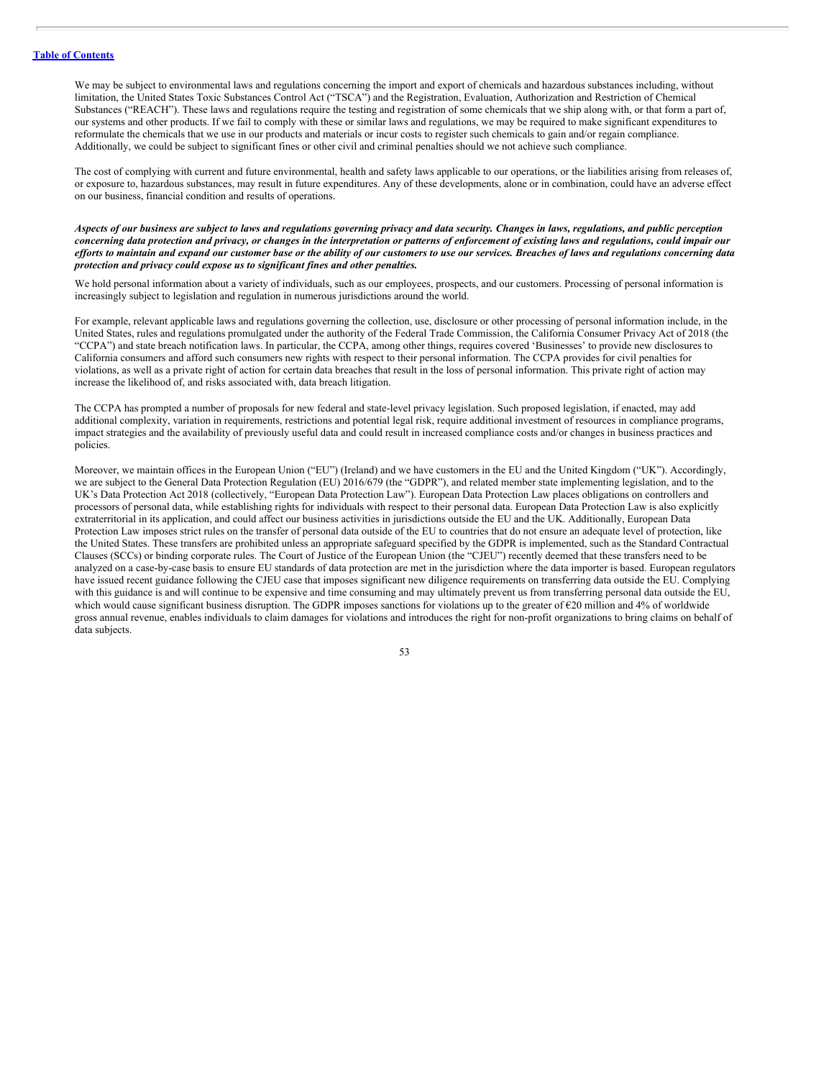#### **Table of [Contents](#page-2-0)**

We may be subject to environmental laws and regulations concerning the import and export of chemicals and hazardous substances including, without limitation, the United States Toxic Substances Control Act ("TSCA") and the Registration, Evaluation, Authorization and Restriction of Chemical Substances ("REACH"). These laws and regulations require the testing and registration of some chemicals that we ship along with, or that form a part of, our systems and other products. If we fail to comply with these or similar laws and regulations, we may be required to make significant expenditures to reformulate the chemicals that we use in our products and materials or incur costs to register such chemicals to gain and/or regain compliance. Additionally, we could be subject to significant fines or other civil and criminal penalties should we not achieve such compliance.

The cost of complying with current and future environmental, health and safety laws applicable to our operations, or the liabilities arising from releases of, or exposure to, hazardous substances, may result in future expenditures. Any of these developments, alone or in combination, could have an adverse effect on our business, financial condition and results of operations.

Aspects of our business are subject to laws and regulations governing privacy and data security. Changes in laws, regulations, and public perception concerning data protection and privacy, or changes in the interpretation or patterns of enforcement of existing laws and regulations, could impair our efforts to maintain and expand our customer base or the ability of our customers to use our services. Breaches of laws and regulations concerning data *protection and privacy could expose us to significant fines and other penalties.*

We hold personal information about a variety of individuals, such as our employees, prospects, and our customers. Processing of personal information is increasingly subject to legislation and regulation in numerous jurisdictions around the world.

For example, relevant applicable laws and regulations governing the collection, use, disclosure or other processing of personal information include, in the United States, rules and regulations promulgated under the authority of the Federal Trade Commission, the California Consumer Privacy Act of 2018 (the "CCPA") and state breach notification laws. In particular, the CCPA, among other things, requires covered 'Businesses' to provide new disclosures to California consumers and afford such consumers new rights with respect to their personal information. The CCPA provides for civil penalties for violations, as well as a private right of action for certain data breaches that result in the loss of personal information. This private right of action may increase the likelihood of, and risks associated with, data breach litigation.

The CCPA has prompted a number of proposals for new federal and state-level privacy legislation. Such proposed legislation, if enacted, may add additional complexity, variation in requirements, restrictions and potential legal risk, require additional investment of resources in compliance programs, impact strategies and the availability of previously useful data and could result in increased compliance costs and/or changes in business practices and policies.

Moreover, we maintain offices in the European Union ("EU") (Ireland) and we have customers in the EU and the United Kingdom ("UK"). Accordingly, we are subject to the General Data Protection Regulation (EU) 2016/679 (the "GDPR"), and related member state implementing legislation, and to the UK's Data Protection Act 2018 (collectively, "European Data Protection Law"). European Data Protection Law places obligations on controllers and processors of personal data, while establishing rights for individuals with respect to their personal data. European Data Protection Law is also explicitly extraterritorial in its application, and could affect our business activities in jurisdictions outside the EU and the UK. Additionally, European Data Protection Law imposes strict rules on the transfer of personal data outside of the EU to countries that do not ensure an adequate level of protection, like the United States. These transfers are prohibited unless an appropriate safeguard specified by the GDPR is implemented, such as the Standard Contractual Clauses (SCCs) or binding corporate rules. The Court of Justice of the European Union (the "CJEU") recently deemed that these transfers need to be analyzed on a case-by-case basis to ensure EU standards of data protection are met in the jurisdiction where the data importer is based. European regulators have issued recent guidance following the CJEU case that imposes significant new diligence requirements on transferring data outside the EU. Complying with this guidance is and will continue to be expensive and time consuming and may ultimately prevent us from transferring personal data outside the EU, which would cause significant business disruption. The GDPR imposes sanctions for violations up to the greater of  $\epsilon$ 20 million and 4% of worldwide gross annual revenue, enables individuals to claim damages for violations and introduces the right for non-profit organizations to bring claims on behalf of data subjects.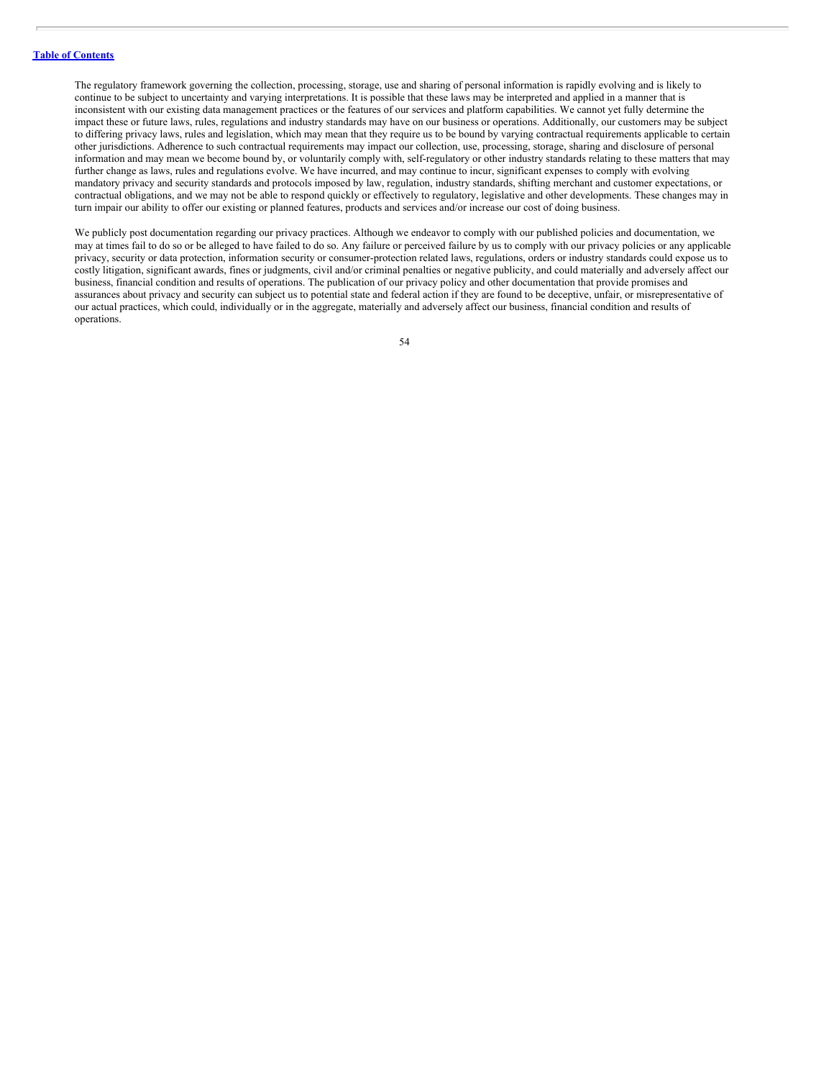The regulatory framework governing the collection, processing, storage, use and sharing of personal information is rapidly evolving and is likely to continue to be subject to uncertainty and varying interpretations. It is possible that these laws may be interpreted and applied in a manner that is inconsistent with our existing data management practices or the features of our services and platform capabilities. We cannot yet fully determine the impact these or future laws, rules, regulations and industry standards may have on our business or operations. Additionally, our customers may be subject to differing privacy laws, rules and legislation, which may mean that they require us to be bound by varying contractual requirements applicable to certain other jurisdictions. Adherence to such contractual requirements may impact our collection, use, processing, storage, sharing and disclosure of personal information and may mean we become bound by, or voluntarily comply with, self-regulatory or other industry standards relating to these matters that may further change as laws, rules and regulations evolve. We have incurred, and may continue to incur, significant expenses to comply with evolving mandatory privacy and security standards and protocols imposed by law, regulation, industry standards, shifting merchant and customer expectations, or contractual obligations, and we may not be able to respond quickly or effectively to regulatory, legislative and other developments. These changes may in turn impair our ability to offer our existing or planned features, products and services and/or increase our cost of doing business.

We publicly post documentation regarding our privacy practices. Although we endeavor to comply with our published policies and documentation, we may at times fail to do so or be alleged to have failed to do so. Any failure or perceived failure by us to comply with our privacy policies or any applicable privacy, security or data protection, information security or consumer-protection related laws, regulations, orders or industry standards could expose us to costly litigation, significant awards, fines or judgments, civil and/or criminal penalties or negative publicity, and could materially and adversely affect our business, financial condition and results of operations. The publication of our privacy policy and other documentation that provide promises and assurances about privacy and security can subject us to potential state and federal action if they are found to be deceptive, unfair, or misrepresentative of our actual practices, which could, individually or in the aggregate, materially and adversely affect our business, financial condition and results of operations.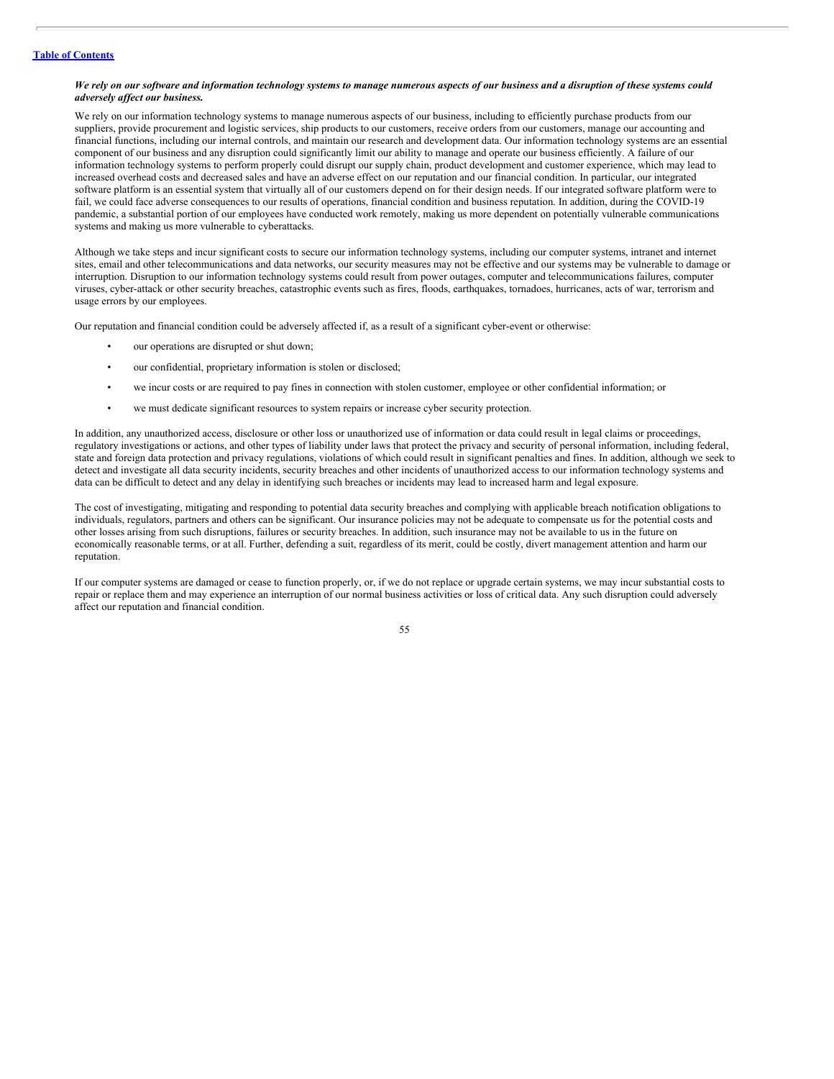### We rely on our software and information technology systems to manage numerous aspects of our business and a disruption of these systems could *adversely af ect our business.*

We rely on our information technology systems to manage numerous aspects of our business, including to efficiently purchase products from our suppliers, provide procurement and logistic services, ship products to our customers, receive orders from our customers, manage our accounting and financial functions, including our internal controls, and maintain our research and development data. Our information technology systems are an essential component of our business and any disruption could significantly limit our ability to manage and operate our business efficiently. A failure of our information technology systems to perform properly could disrupt our supply chain, product development and customer experience, which may lead to increased overhead costs and decreased sales and have an adverse effect on our reputation and our financial condition. In particular, our integrated software platform is an essential system that virtually all of our customers depend on for their design needs. If our integrated software platform were to fail, we could face adverse consequences to our results of operations, financial condition and business reputation. In addition, during the COVID-19 pandemic, a substantial portion of our employees have conducted work remotely, making us more dependent on potentially vulnerable communications systems and making us more vulnerable to cyberattacks.

Although we take steps and incur significant costs to secure our information technology systems, including our computer systems, intranet and internet sites, email and other telecommunications and data networks, our security measures may not be effective and our systems may be vulnerable to damage or interruption. Disruption to our information technology systems could result from power outages, computer and telecommunications failures, computer viruses, cyber-attack or other security breaches, catastrophic events such as fires, floods, earthquakes, tornadoes, hurricanes, acts of war, terrorism and usage errors by our employees.

Our reputation and financial condition could be adversely affected if, as a result of a significant cyber-event or otherwise:

- our operations are disrupted or shut down;
- our confidential, proprietary information is stolen or disclosed;
- we incur costs or are required to pay fines in connection with stolen customer, employee or other confidential information; or
- we must dedicate significant resources to system repairs or increase cyber security protection.

In addition, any unauthorized access, disclosure or other loss or unauthorized use of information or data could result in legal claims or proceedings, regulatory investigations or actions, and other types of liability under laws that protect the privacy and security of personal information, including federal, state and foreign data protection and privacy regulations, violations of which could result in significant penalties and fines. In addition, although we seek to detect and investigate all data security incidents, security breaches and other incidents of unauthorized access to our information technology systems and data can be difficult to detect and any delay in identifying such breaches or incidents may lead to increased harm and legal exposure.

The cost of investigating, mitigating and responding to potential data security breaches and complying with applicable breach notification obligations to individuals, regulators, partners and others can be significant. Our insurance policies may not be adequate to compensate us for the potential costs and other losses arising from such disruptions, failures or security breaches. In addition, such insurance may not be available to us in the future on economically reasonable terms, or at all. Further, defending a suit, regardless of its merit, could be costly, divert management attention and harm our reputation.

If our computer systems are damaged or cease to function properly, or, if we do not replace or upgrade certain systems, we may incur substantial costs to repair or replace them and may experience an interruption of our normal business activities or loss of critical data. Any such disruption could adversely affect our reputation and financial condition.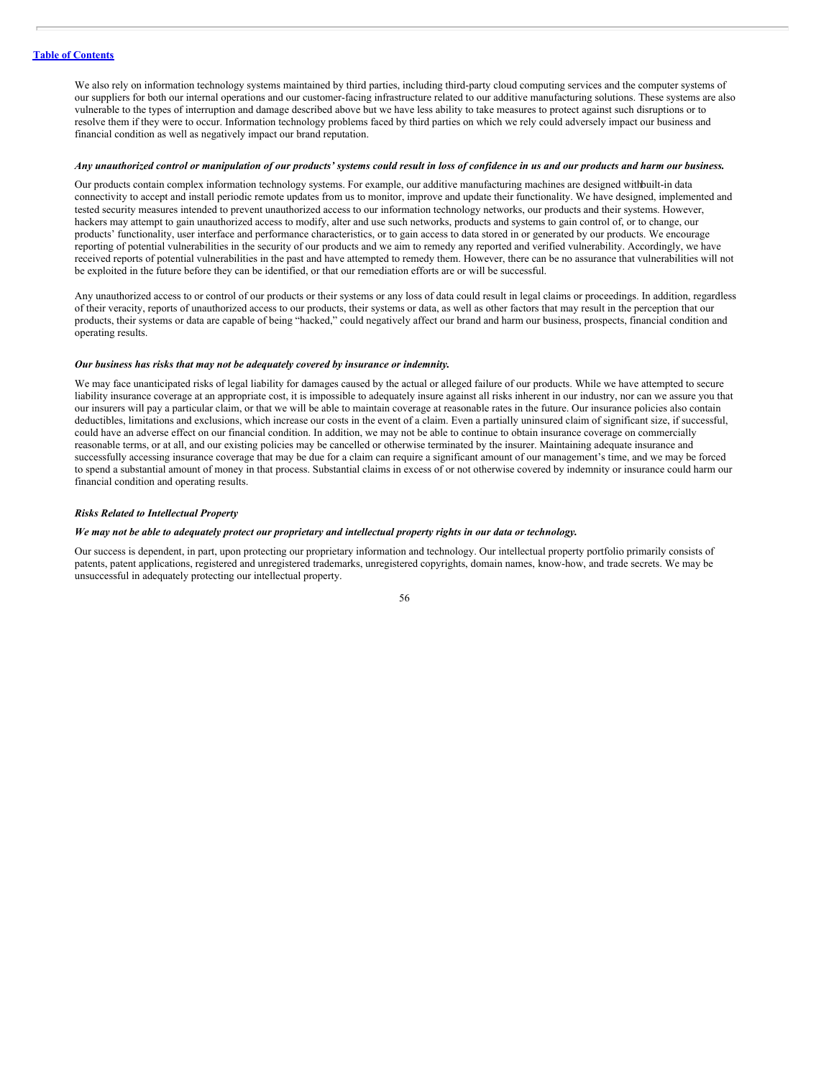We also rely on information technology systems maintained by third parties, including third-party cloud computing services and the computer systems of our suppliers for both our internal operations and our customer-facing infrastructure related to our additive manufacturing solutions. These systems are also vulnerable to the types of interruption and damage described above but we have less ability to take measures to protect against such disruptions or to resolve them if they were to occur. Information technology problems faced by third parties on which we rely could adversely impact our business and financial condition as well as negatively impact our brand reputation.

## Any unauthorized control or manipulation of our products' systems could result in loss of confidence in us and our products and harm our business.

Our products contain complex information technology systems. For example, our additive manufacturing machines are designed withbuilt-in data connectivity to accept and install periodic remote updates from us to monitor, improve and update their functionality. We have designed, implemented and tested security measures intended to prevent unauthorized access to our information technology networks, our products and their systems. However, hackers may attempt to gain unauthorized access to modify, alter and use such networks, products and systems to gain control of, or to change, our products' functionality, user interface and performance characteristics, or to gain access to data stored in or generated by our products. We encourage reporting of potential vulnerabilities in the security of our products and we aim to remedy any reported and verified vulnerability. Accordingly, we have received reports of potential vulnerabilities in the past and have attempted to remedy them. However, there can be no assurance that vulnerabilities will not be exploited in the future before they can be identified, or that our remediation efforts are or will be successful.

Any unauthorized access to or control of our products or their systems or any loss of data could result in legal claims or proceedings. In addition, regardless of their veracity, reports of unauthorized access to our products, their systems or data, as well as other factors that may result in the perception that our products, their systems or data are capable of being "hacked," could negatively affect our brand and harm our business, prospects, financial condition and operating results.

#### *Our business has risks that may not be adequately covered by insurance or indemnity.*

We may face unanticipated risks of legal liability for damages caused by the actual or alleged failure of our products. While we have attempted to secure liability insurance coverage at an appropriate cost, it is impossible to adequately insure against all risks inherent in our industry, nor can we assure you that our insurers will pay a particular claim, or that we will be able to maintain coverage at reasonable rates in the future. Our insurance policies also contain deductibles, limitations and exclusions, which increase our costs in the event of a claim. Even a partially uninsured claim of significant size, if successful, could have an adverse effect on our financial condition. In addition, we may not be able to continue to obtain insurance coverage on commercially reasonable terms, or at all, and our existing policies may be cancelled or otherwise terminated by the insurer. Maintaining adequate insurance and successfully accessing insurance coverage that may be due for a claim can require a significant amount of our management's time, and we may be forced to spend a substantial amount of money in that process. Substantial claims in excess of or not otherwise covered by indemnity or insurance could harm our financial condition and operating results.

## *Risks Related to Intellectual Property*

## We may not be able to adequately protect our proprietary and intellectual property rights in our data or technology.

Our success is dependent, in part, upon protecting our proprietary information and technology. Our intellectual property portfolio primarily consists of patents, patent applications, registered and unregistered trademarks, unregistered copyrights, domain names, know-how, and trade secrets. We may be unsuccessful in adequately protecting our intellectual property.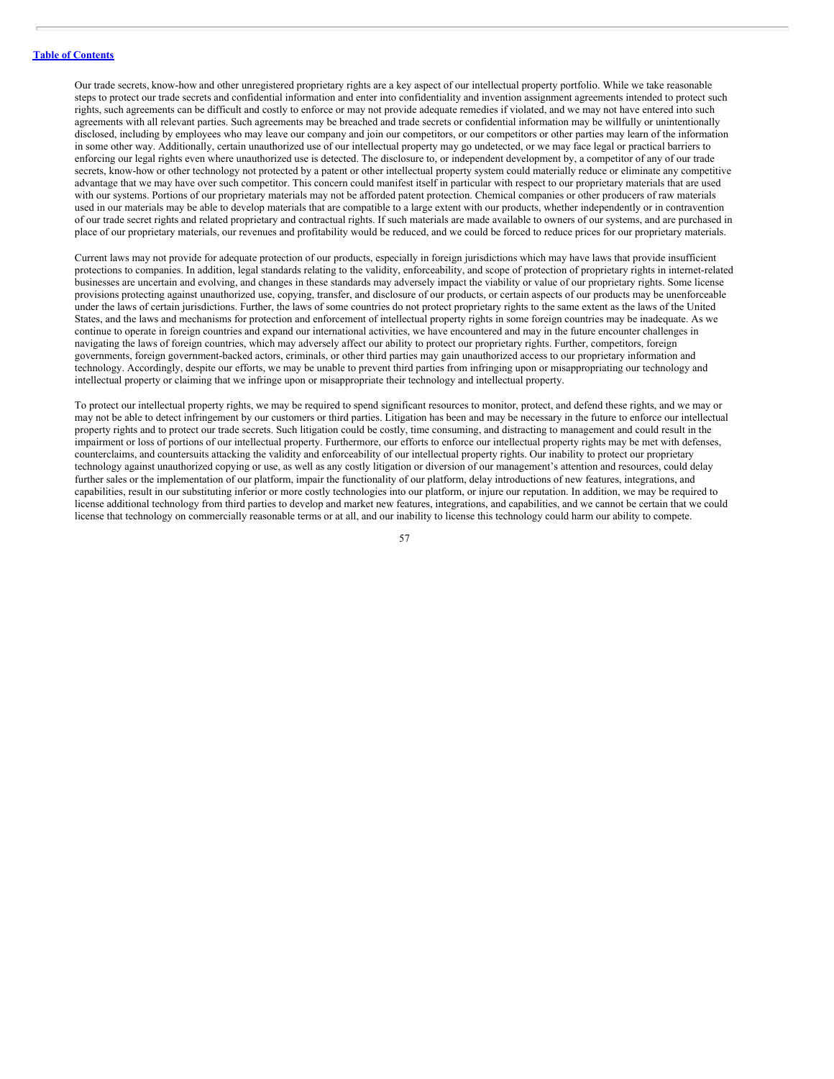Our trade secrets, know-how and other unregistered proprietary rights are a key aspect of our intellectual property portfolio. While we take reasonable steps to protect our trade secrets and confidential information and enter into confidentiality and invention assignment agreements intended to protect such rights, such agreements can be difficult and costly to enforce or may not provide adequate remedies if violated, and we may not have entered into such agreements with all relevant parties. Such agreements may be breached and trade secrets or confidential information may be willfully or unintentionally disclosed, including by employees who may leave our company and join our competitors, or our competitors or other parties may learn of the information in some other way. Additionally, certain unauthorized use of our intellectual property may go undetected, or we may face legal or practical barriers to enforcing our legal rights even where unauthorized use is detected. The disclosure to, or independent development by, a competitor of any of our trade secrets, know-how or other technology not protected by a patent or other intellectual property system could materially reduce or eliminate any competitive advantage that we may have over such competitor. This concern could manifest itself in particular with respect to our proprietary materials that are used with our systems. Portions of our proprietary materials may not be afforded patent protection. Chemical companies or other producers of raw materials used in our materials may be able to develop materials that are compatible to a large extent with our products, whether independently or in contravention of our trade secret rights and related proprietary and contractual rights. If such materials are made available to owners of our systems, and are purchased in place of our proprietary materials, our revenues and profitability would be reduced, and we could be forced to reduce prices for our proprietary materials.

Current laws may not provide for adequate protection of our products, especially in foreign jurisdictions which may have laws that provide insufficient protections to companies. In addition, legal standards relating to the validity, enforceability, and scope of protection of proprietary rights in internet-related businesses are uncertain and evolving, and changes in these standards may adversely impact the viability or value of our proprietary rights. Some license provisions protecting against unauthorized use, copying, transfer, and disclosure of our products, or certain aspects of our products may be unenforceable under the laws of certain jurisdictions. Further, the laws of some countries do not protect proprietary rights to the same extent as the laws of the United States, and the laws and mechanisms for protection and enforcement of intellectual property rights in some foreign countries may be inadequate. As we continue to operate in foreign countries and expand our international activities, we have encountered and may in the future encounter challenges in navigating the laws of foreign countries, which may adversely affect our ability to protect our proprietary rights. Further, competitors, foreign governments, foreign government-backed actors, criminals, or other third parties may gain unauthorized access to our proprietary information and technology. Accordingly, despite our efforts, we may be unable to prevent third parties from infringing upon or misappropriating our technology and intellectual property or claiming that we infringe upon or misappropriate their technology and intellectual property.

To protect our intellectual property rights, we may be required to spend significant resources to monitor, protect, and defend these rights, and we may or may not be able to detect infringement by our customers or third parties. Litigation has been and may be necessary in the future to enforce our intellectual property rights and to protect our trade secrets. Such litigation could be costly, time consuming, and distracting to management and could result in the impairment or loss of portions of our intellectual property. Furthermore, our efforts to enforce our intellectual property rights may be met with defenses, counterclaims, and countersuits attacking the validity and enforceability of our intellectual property rights. Our inability to protect our proprietary technology against unauthorized copying or use, as well as any costly litigation or diversion of our management's attention and resources, could delay further sales or the implementation of our platform, impair the functionality of our platform, delay introductions of new features, integrations, and capabilities, result in our substituting inferior or more costly technologies into our platform, or injure our reputation. In addition, we may be required to license additional technology from third parties to develop and market new features, integrations, and capabilities, and we cannot be certain that we could license that technology on commercially reasonable terms or at all, and our inability to license this technology could harm our ability to compete.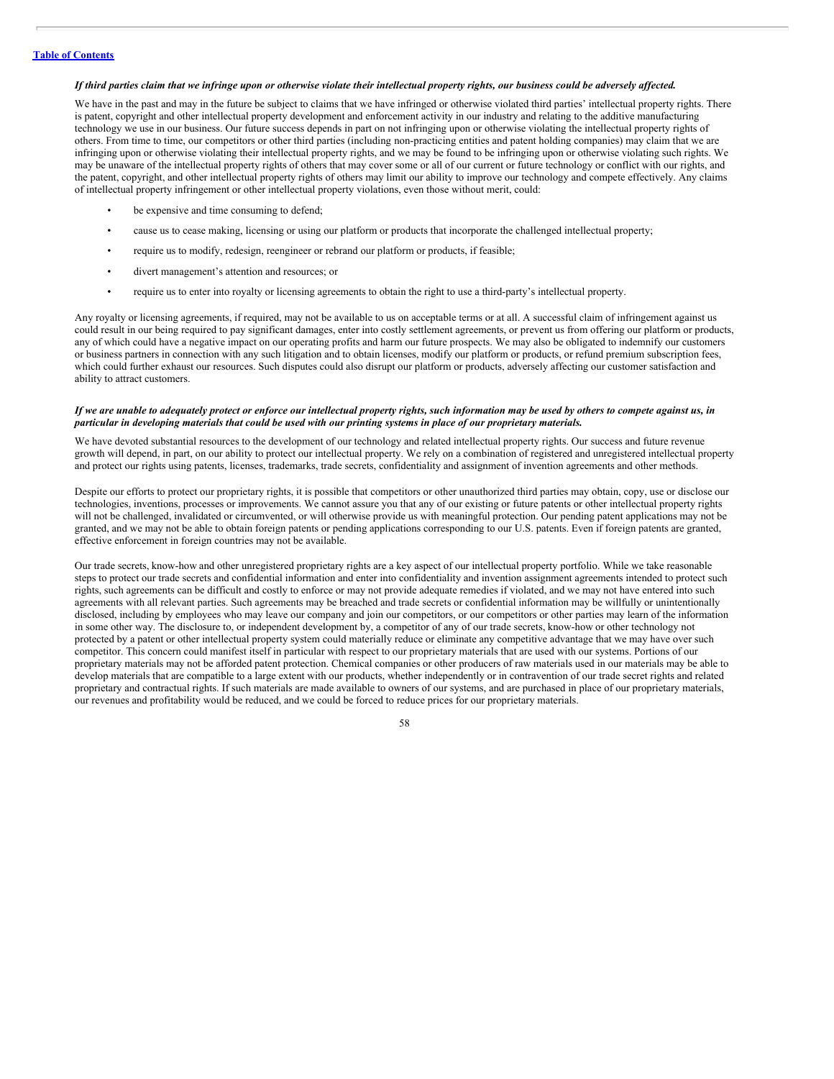#### If third parties claim that we infringe upon or otherwise violate their intellectual property rights, our business could be adversely affected.

We have in the past and may in the future be subject to claims that we have infringed or otherwise violated third parties' intellectual property rights. There is patent, copyright and other intellectual property development and enforcement activity in our industry and relating to the additive manufacturing technology we use in our business. Our future success depends in part on not infringing upon or otherwise violating the intellectual property rights of others. From time to time, our competitors or other third parties (including non-practicing entities and patent holding companies) may claim that we are infringing upon or otherwise violating their intellectual property rights, and we may be found to be infringing upon or otherwise violating such rights. We may be unaware of the intellectual property rights of others that may cover some or all of our current or future technology or conflict with our rights, and the patent, copyright, and other intellectual property rights of others may limit our ability to improve our technology and compete effectively. Any claims of intellectual property infringement or other intellectual property violations, even those without merit, could:

- be expensive and time consuming to defend;
- cause us to cease making, licensing or using our platform or products that incorporate the challenged intellectual property;
- require us to modify, redesign, reengineer or rebrand our platform or products, if feasible;
- divert management's attention and resources; or
- require us to enter into royalty or licensing agreements to obtain the right to use a third-party's intellectual property.

Any royalty or licensing agreements, if required, may not be available to us on acceptable terms or at all. A successful claim of infringement against us could result in our being required to pay significant damages, enter into costly settlement agreements, or prevent us from offering our platform or products, any of which could have a negative impact on our operating profits and harm our future prospects. We may also be obligated to indemnify our customers or business partners in connection with any such litigation and to obtain licenses, modify our platform or products, or refund premium subscription fees, which could further exhaust our resources. Such disputes could also disrupt our platform or products, adversely affecting our customer satisfaction and ability to attract customers.

# If we are unable to adequately protect or enforce our intellectual property rights, such information may be used by others to compete against us, in particular in developing materials that could be used with our printing systems in place of our proprietary materials.

We have devoted substantial resources to the development of our technology and related intellectual property rights. Our success and future revenue growth will depend, in part, on our ability to protect our intellectual property. We rely on a combination of registered and unregistered intellectual property and protect our rights using patents, licenses, trademarks, trade secrets, confidentiality and assignment of invention agreements and other methods.

Despite our efforts to protect our proprietary rights, it is possible that competitors or other unauthorized third parties may obtain, copy, use or disclose our technologies, inventions, processes or improvements. We cannot assure you that any of our existing or future patents or other intellectual property rights will not be challenged, invalidated or circumvented, or will otherwise provide us with meaningful protection. Our pending patent applications may not be granted, and we may not be able to obtain foreign patents or pending applications corresponding to our U.S. patents. Even if foreign patents are granted, effective enforcement in foreign countries may not be available.

Our trade secrets, know-how and other unregistered proprietary rights are a key aspect of our intellectual property portfolio. While we take reasonable steps to protect our trade secrets and confidential information and enter into confidentiality and invention assignment agreements intended to protect such rights, such agreements can be difficult and costly to enforce or may not provide adequate remedies if violated, and we may not have entered into such agreements with all relevant parties. Such agreements may be breached and trade secrets or confidential information may be willfully or unintentionally disclosed, including by employees who may leave our company and join our competitors, or our competitors or other parties may learn of the information in some other way. The disclosure to, or independent development by, a competitor of any of our trade secrets, know-how or other technology not protected by a patent or other intellectual property system could materially reduce or eliminate any competitive advantage that we may have over such competitor. This concern could manifest itself in particular with respect to our proprietary materials that are used with our systems. Portions of our proprietary materials may not be afforded patent protection. Chemical companies or other producers of raw materials used in our materials may be able to develop materials that are compatible to a large extent with our products, whether independently or in contravention of our trade secret rights and related proprietary and contractual rights. If such materials are made available to owners of our systems, and are purchased in place of our proprietary materials, our revenues and profitability would be reduced, and we could be forced to reduce prices for our proprietary materials.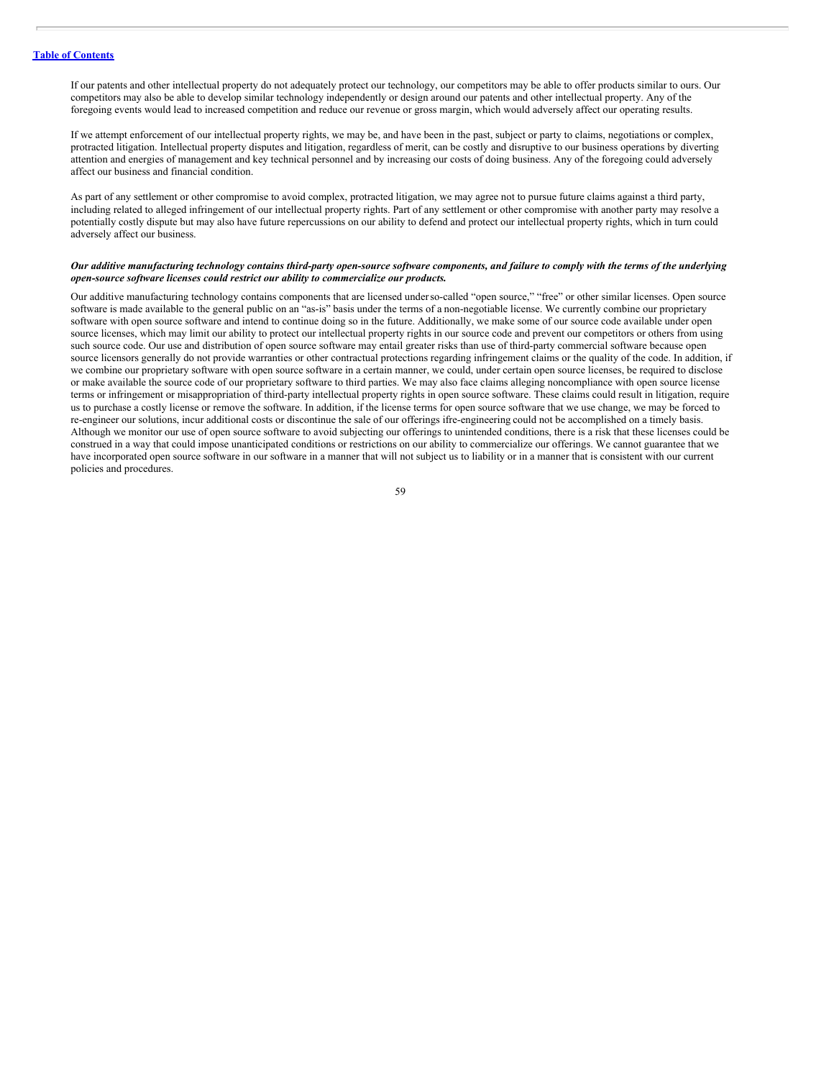If our patents and other intellectual property do not adequately protect our technology, our competitors may be able to offer products similar to ours. Our competitors may also be able to develop similar technology independently or design around our patents and other intellectual property. Any of the foregoing events would lead to increased competition and reduce our revenue or gross margin, which would adversely affect our operating results.

If we attempt enforcement of our intellectual property rights, we may be, and have been in the past, subject or party to claims, negotiations or complex, protracted litigation. Intellectual property disputes and litigation, regardless of merit, can be costly and disruptive to our business operations by diverting attention and energies of management and key technical personnel and by increasing our costs of doing business. Any of the foregoing could adversely affect our business and financial condition.

As part of any settlement or other compromise to avoid complex, protracted litigation, we may agree not to pursue future claims against a third party, including related to alleged infringement of our intellectual property rights. Part of any settlement or other compromise with another party may resolve a potentially costly dispute but may also have future repercussions on our ability to defend and protect our intellectual property rights, which in turn could adversely affect our business.

## Our additive manufacturing technology contains third-party open-source software components, and failure to comply with the terms of the underlying *open-source software licenses could restrict our ability to commercialize our products.*

Our additive manufacturing technology contains components that are licensed underso-called "open source," "free" or other similar licenses. Open source software is made available to the general public on an "as-is" basis under the terms of a non-negotiable license. We currently combine our proprietary software with open source software and intend to continue doing so in the future. Additionally, we make some of our source code available under open source licenses, which may limit our ability to protect our intellectual property rights in our source code and prevent our competitors or others from using such source code. Our use and distribution of open source software may entail greater risks than use of third-party commercial software because open source licensors generally do not provide warranties or other contractual protections regarding infringement claims or the quality of the code. In addition, if we combine our proprietary software with open source software in a certain manner, we could, under certain open source licenses, be required to disclose or make available the source code of our proprietary software to third parties. We may also face claims alleging noncompliance with open source license terms or infringement or misappropriation of third-party intellectual property rights in open source software. These claims could result in litigation, require us to purchase a costly license or remove the software. In addition, if the license terms for open source software that we use change, we may be forced to re-engineer our solutions, incur additional costs or discontinue the sale of our offerings ifre-engineering could not be accomplished on a timely basis. Although we monitor our use of open source software to avoid subjecting our offerings to unintended conditions, there is a risk that these licenses could be construed in a way that could impose unanticipated conditions or restrictions on our ability to commercialize our offerings. We cannot guarantee that we have incorporated open source software in our software in a manner that will not subject us to liability or in a manner that is consistent with our current policies and procedures.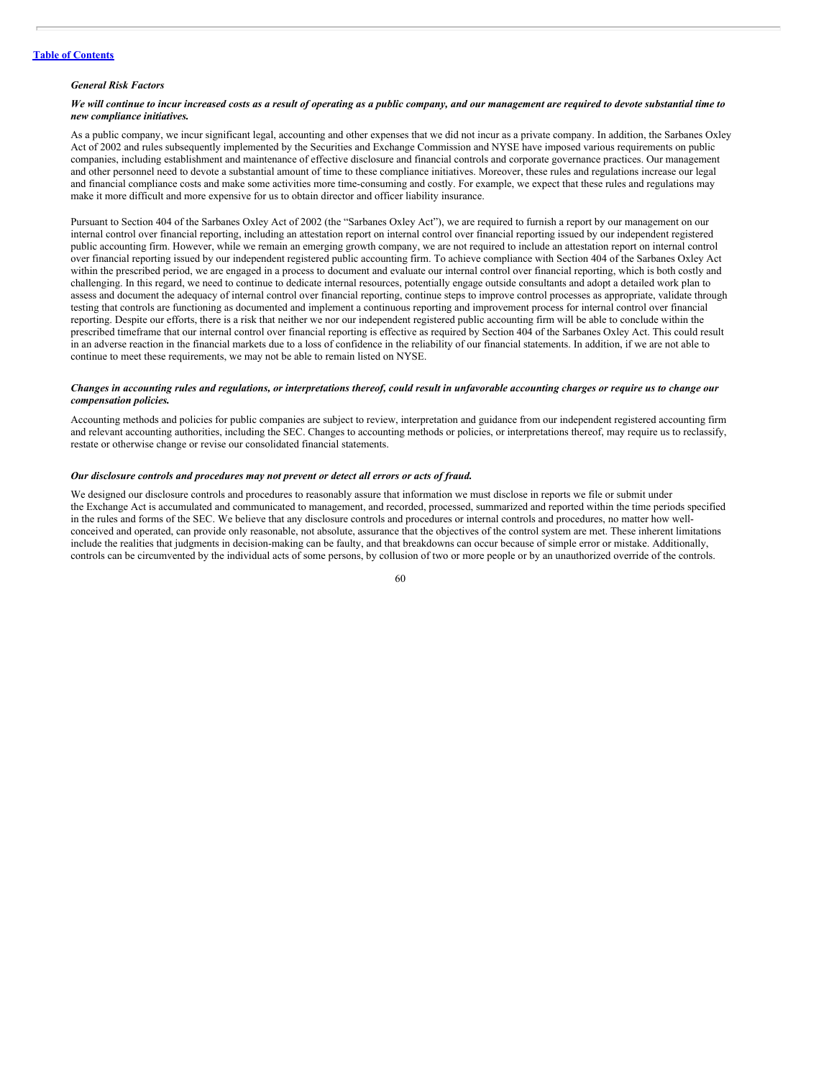#### *General Risk Factors*

## We will continue to incur increased costs as a result of operating as a public company, and our management are required to devote substantial time to *new compliance initiatives.*

As a public company, we incur significant legal, accounting and other expenses that we did not incur as a private company. In addition, the Sarbanes Oxley Act of 2002 and rules subsequently implemented by the Securities and Exchange Commission and NYSE have imposed various requirements on public companies, including establishment and maintenance of effective disclosure and financial controls and corporate governance practices. Our management and other personnel need to devote a substantial amount of time to these compliance initiatives. Moreover, these rules and regulations increase our legal and financial compliance costs and make some activities more time-consuming and costly. For example, we expect that these rules and regulations may make it more difficult and more expensive for us to obtain director and officer liability insurance.

Pursuant to Section 404 of the Sarbanes Oxley Act of 2002 (the "Sarbanes Oxley Act"), we are required to furnish a report by our management on our internal control over financial reporting, including an attestation report on internal control over financial reporting issued by our independent registered public accounting firm. However, while we remain an emerging growth company, we are not required to include an attestation report on internal control over financial reporting issued by our independent registered public accounting firm. To achieve compliance with Section 404 of the Sarbanes Oxley Act within the prescribed period, we are engaged in a process to document and evaluate our internal control over financial reporting, which is both costly and challenging. In this regard, we need to continue to dedicate internal resources, potentially engage outside consultants and adopt a detailed work plan to assess and document the adequacy of internal control over financial reporting, continue steps to improve control processes as appropriate, validate through testing that controls are functioning as documented and implement a continuous reporting and improvement process for internal control over financial reporting. Despite our efforts, there is a risk that neither we nor our independent registered public accounting firm will be able to conclude within the prescribed timeframe that our internal control over financial reporting is effective as required by Section 404 of the Sarbanes Oxley Act. This could result in an adverse reaction in the financial markets due to a loss of confidence in the reliability of our financial statements. In addition, if we are not able to continue to meet these requirements, we may not be able to remain listed on NYSE.

# Changes in accounting rules and regulations, or interpretations thereof, could result in unfavorable accounting charges or require us to change our *compensation policies.*

Accounting methods and policies for public companies are subject to review, interpretation and guidance from our independent registered accounting firm and relevant accounting authorities, including the SEC. Changes to accounting methods or policies, or interpretations thereof, may require us to reclassify, restate or otherwise change or revise our consolidated financial statements.

#### *Our disclosure controls and procedures may not prevent or detect all errors or acts of fraud.*

We designed our disclosure controls and procedures to reasonably assure that information we must disclose in reports we file or submit under the Exchange Act is accumulated and communicated to management, and recorded, processed, summarized and reported within the time periods specified in the rules and forms of the SEC. We believe that any disclosure controls and procedures or internal controls and procedures, no matter how wellconceived and operated, can provide only reasonable, not absolute, assurance that the objectives of the control system are met. These inherent limitations include the realities that judgments in decision-making can be faulty, and that breakdowns can occur because of simple error or mistake. Additionally, controls can be circumvented by the individual acts of some persons, by collusion of two or more people or by an unauthorized override of the controls.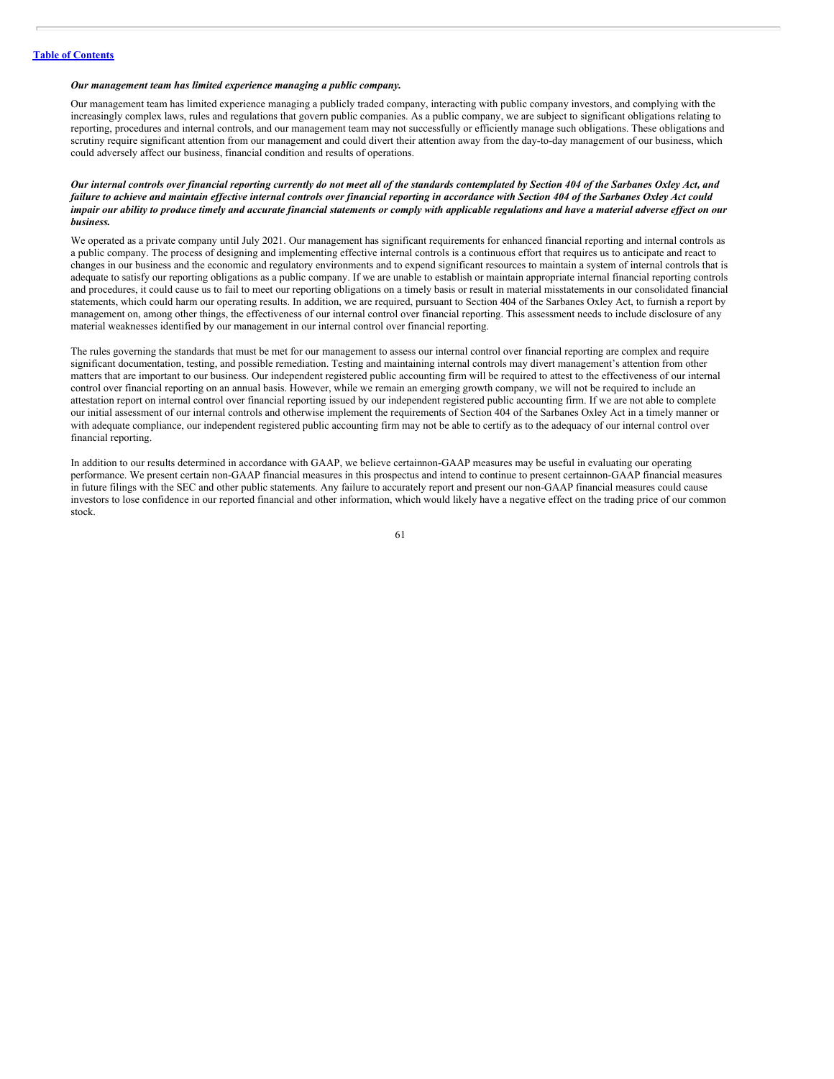#### *Our management team has limited experience managing a public company.*

Our management team has limited experience managing a publicly traded company, interacting with public company investors, and complying with the increasingly complex laws, rules and regulations that govern public companies. As a public company, we are subject to significant obligations relating to reporting, procedures and internal controls, and our management team may not successfully or efficiently manage such obligations. These obligations and scrutiny require significant attention from our management and could divert their attention away from the day-to-day management of our business, which could adversely affect our business, financial condition and results of operations.

Our internal controls over financial reporting currently do not meet all of the standards contemplated by Section 404 of the Sarbanes Oxley Act, and failure to achieve and maintain effective internal controls over financial reporting in accordance with Section 404 of the Sarbanes Oxley Act could impair our ability to produce timely and accurate financial statements or comply with applicable regulations and have a material adverse effect on our *business.*

We operated as a private company until July 2021. Our management has significant requirements for enhanced financial reporting and internal controls as a public company. The process of designing and implementing effective internal controls is a continuous effort that requires us to anticipate and react to changes in our business and the economic and regulatory environments and to expend significant resources to maintain a system of internal controls that is adequate to satisfy our reporting obligations as a public company. If we are unable to establish or maintain appropriate internal financial reporting controls and procedures, it could cause us to fail to meet our reporting obligations on a timely basis or result in material misstatements in our consolidated financial statements, which could harm our operating results. In addition, we are required, pursuant to Section 404 of the Sarbanes Oxley Act, to furnish a report by management on, among other things, the effectiveness of our internal control over financial reporting. This assessment needs to include disclosure of any material weaknesses identified by our management in our internal control over financial reporting.

The rules governing the standards that must be met for our management to assess our internal control over financial reporting are complex and require significant documentation, testing, and possible remediation. Testing and maintaining internal controls may divert management's attention from other matters that are important to our business. Our independent registered public accounting firm will be required to attest to the effectiveness of our internal control over financial reporting on an annual basis. However, while we remain an emerging growth company, we will not be required to include an attestation report on internal control over financial reporting issued by our independent registered public accounting firm. If we are not able to complete our initial assessment of our internal controls and otherwise implement the requirements of Section 404 of the Sarbanes Oxley Act in a timely manner or with adequate compliance, our independent registered public accounting firm may not be able to certify as to the adequacy of our internal control over financial reporting.

In addition to our results determined in accordance with GAAP, we believe certainnon-GAAP measures may be useful in evaluating our operating performance. We present certain non-GAAP financial measures in this prospectus and intend to continue to present certainnon-GAAP financial measures in future filings with the SEC and other public statements. Any failure to accurately report and present our non-GAAP financial measures could cause investors to lose confidence in our reported financial and other information, which would likely have a negative effect on the trading price of our common stock.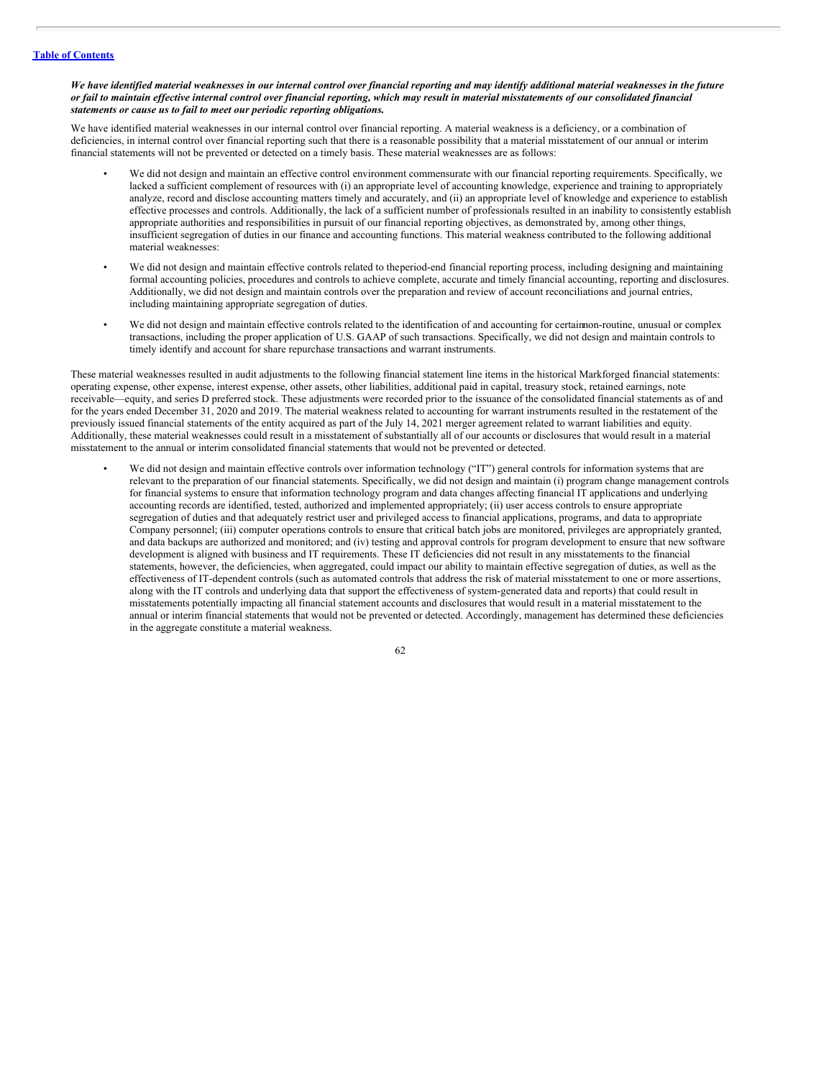## We have identified material weaknesses in our internal control over financial reporting and may identify additional material weaknesses in the future or fail to maintain effective internal control over financial reporting, which may result in material misstatements of our consolidated financial *statements or cause us to fail to meet our periodic reporting obligations.*

We have identified material weaknesses in our internal control over financial reporting. A material weakness is a deficiency, or a combination of deficiencies, in internal control over financial reporting such that there is a reasonable possibility that a material misstatement of our annual or interim financial statements will not be prevented or detected on a timely basis. These material weaknesses are as follows:

- We did not design and maintain an effective control environment commensurate with our financial reporting requirements. Specifically, we lacked a sufficient complement of resources with (i) an appropriate level of accounting knowledge, experience and training to appropriately analyze, record and disclose accounting matters timely and accurately, and (ii) an appropriate level of knowledge and experience to establish effective processes and controls. Additionally, the lack of a sufficient number of professionals resulted in an inability to consistently establish appropriate authorities and responsibilities in pursuit of our financial reporting objectives, as demonstrated by, among other things, insufficient segregation of duties in our finance and accounting functions. This material weakness contributed to the following additional material weaknesses:
- We did not design and maintain effective controls related to theperiod-end financial reporting process, including designing and maintaining formal accounting policies, procedures and controls to achieve complete, accurate and timely financial accounting, reporting and disclosures. Additionally, we did not design and maintain controls over the preparation and review of account reconciliations and journal entries, including maintaining appropriate segregation of duties.
- We did not design and maintain effective controls related to the identification of and accounting for certainnon-routine, unusual or complex transactions, including the proper application of U.S. GAAP of such transactions. Specifically, we did not design and maintain controls to timely identify and account for share repurchase transactions and warrant instruments.

These material weaknesses resulted in audit adjustments to the following financial statement line items in the historical Markforged financial statements: operating expense, other expense, interest expense, other assets, other liabilities, additional paid in capital, treasury stock, retained earnings, note receivable—equity, and series D preferred stock. These adjustments were recorded prior to the issuance of the consolidated financial statements as of and for the years ended December 31, 2020 and 2019. The material weakness related to accounting for warrant instruments resulted in the restatement of the previously issued financial statements of the entity acquired as part of the July 14, 2021 merger agreement related to warrant liabilities and equity. Additionally, these material weaknesses could result in a misstatement of substantially all of our accounts or disclosures that would result in a material misstatement to the annual or interim consolidated financial statements that would not be prevented or detected.

We did not design and maintain effective controls over information technology ("IT") general controls for information systems that are relevant to the preparation of our financial statements. Specifically, we did not design and maintain (i) program change management controls for financial systems to ensure that information technology program and data changes affecting financial IT applications and underlying accounting records are identified, tested, authorized and implemented appropriately; (ii) user access controls to ensure appropriate segregation of duties and that adequately restrict user and privileged access to financial applications, programs, and data to appropriate Company personnel; (iii) computer operations controls to ensure that critical batch jobs are monitored, privileges are appropriately granted, and data backups are authorized and monitored; and (iv) testing and approval controls for program development to ensure that new software development is aligned with business and IT requirements. These IT deficiencies did not result in any misstatements to the financial statements, however, the deficiencies, when aggregated, could impact our ability to maintain effective segregation of duties, as well as the effectiveness of IT-dependent controls (such as automated controls that address the risk of material misstatement to one or more assertions, along with the IT controls and underlying data that support the effectiveness of system-generated data and reports) that could result in misstatements potentially impacting all financial statement accounts and disclosures that would result in a material misstatement to the annual or interim financial statements that would not be prevented or detected. Accordingly, management has determined these deficiencies in the aggregate constitute a material weakness.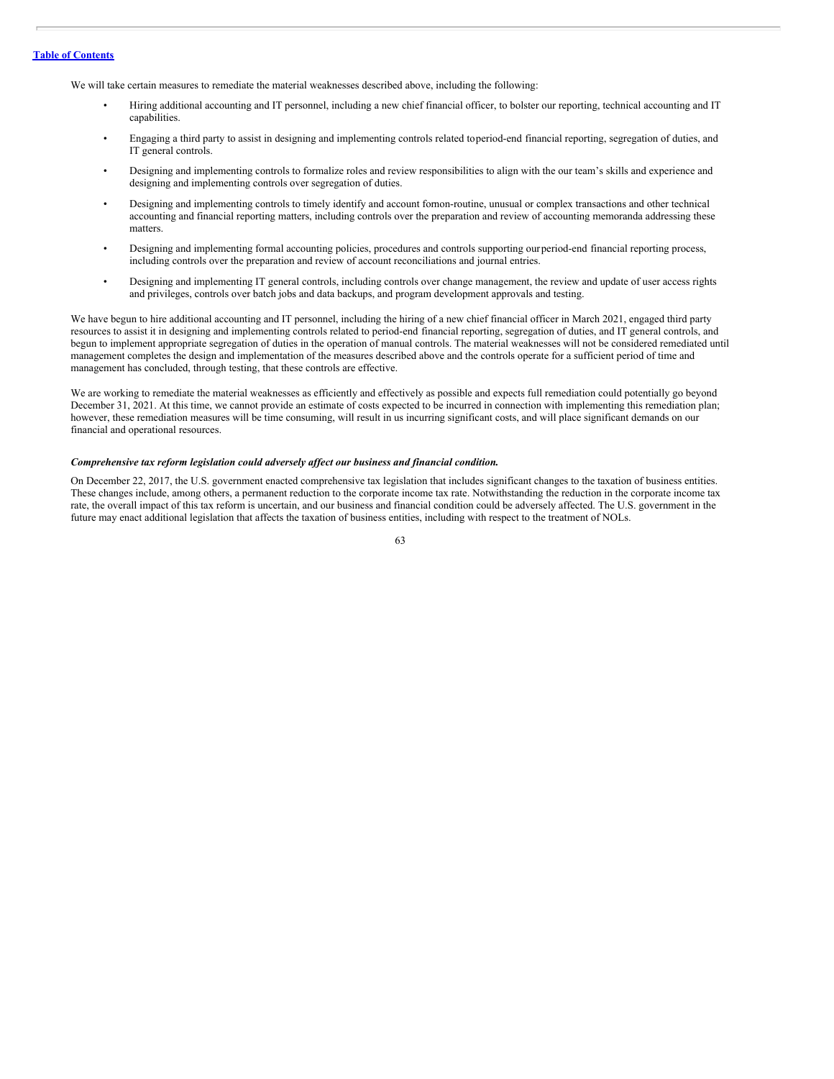# **Table of [Contents](#page-2-0)**

We will take certain measures to remediate the material weaknesses described above, including the following:

- Hiring additional accounting and IT personnel, including a new chief financial officer, to bolster our reporting, technical accounting and IT capabilities.
- Engaging a third party to assist in designing and implementing controls related toperiod-end financial reporting, segregation of duties, and IT general controls.
- Designing and implementing controls to formalize roles and review responsibilities to align with the our team's skills and experience and designing and implementing controls over segregation of duties.
- Designing and implementing controls to timely identify and account fornon-routine, unusual or complex transactions and other technical accounting and financial reporting matters, including controls over the preparation and review of accounting memoranda addressing these matters.
- Designing and implementing formal accounting policies, procedures and controls supporting ourperiod-end financial reporting process, including controls over the preparation and review of account reconciliations and journal entries.
- Designing and implementing IT general controls, including controls over change management, the review and update of user access rights and privileges, controls over batch jobs and data backups, and program development approvals and testing.

We have begun to hire additional accounting and IT personnel, including the hiring of a new chief financial officer in March 2021, engaged third party resources to assist it in designing and implementing controls related to period-end financial reporting, segregation of duties, and IT general controls, and begun to implement appropriate segregation of duties in the operation of manual controls. The material weaknesses will not be considered remediated until management completes the design and implementation of the measures described above and the controls operate for a sufficient period of time and management has concluded, through testing, that these controls are effective.

We are working to remediate the material weaknesses as efficiently and effectively as possible and expects full remediation could potentially go beyond December 31, 2021. At this time, we cannot provide an estimate of costs expected to be incurred in connection with implementing this remediation plan; however, these remediation measures will be time consuming, will result in us incurring significant costs, and will place significant demands on our financial and operational resources.

# *Comprehensive tax reform legislation could adversely af ect our business and financial condition.*

On December 22, 2017, the U.S. government enacted comprehensive tax legislation that includes significant changes to the taxation of business entities. These changes include, among others, a permanent reduction to the corporate income tax rate. Notwithstanding the reduction in the corporate income tax rate, the overall impact of this tax reform is uncertain, and our business and financial condition could be adversely affected. The U.S. government in the future may enact additional legislation that affects the taxation of business entities, including with respect to the treatment of NOLs.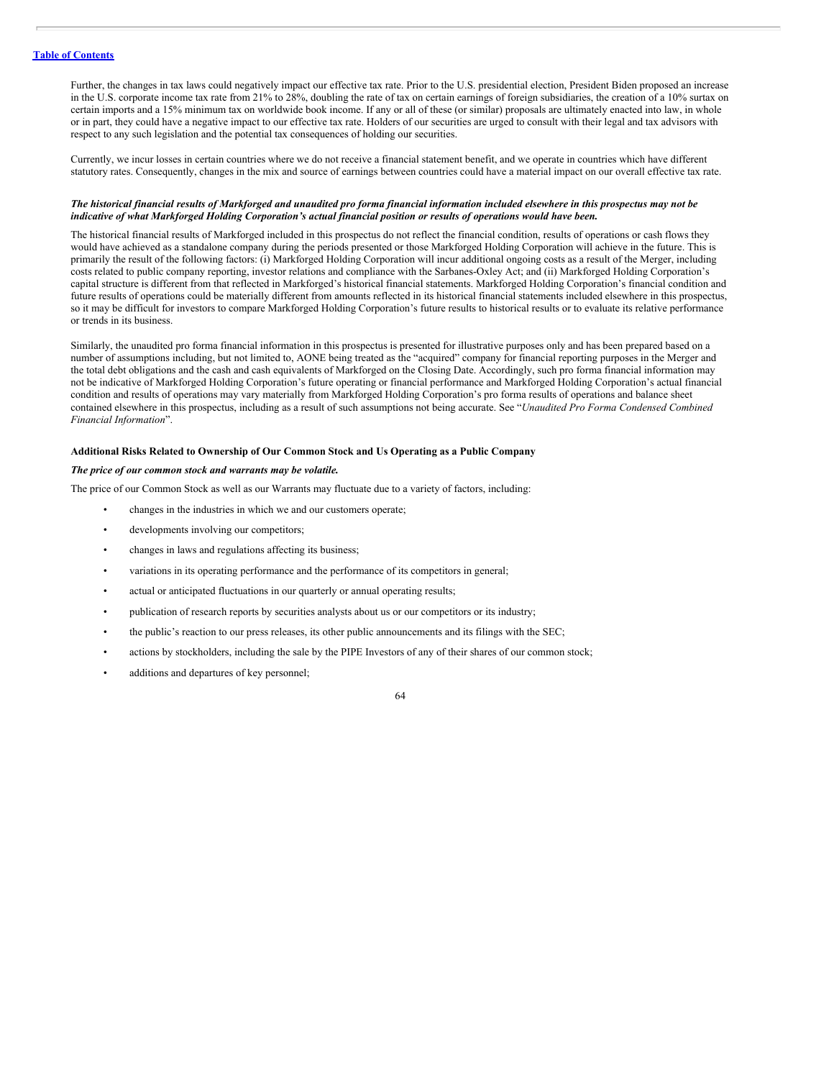# **Table of [Contents](#page-2-0)**

Further, the changes in tax laws could negatively impact our effective tax rate. Prior to the U.S. presidential election, President Biden proposed an increase in the U.S. corporate income tax rate from 21% to 28%, doubling the rate of tax on certain earnings of foreign subsidiaries, the creation of a 10% surtax on certain imports and a 15% minimum tax on worldwide book income. If any or all of these (or similar) proposals are ultimately enacted into law, in whole or in part, they could have a negative impact to our effective tax rate. Holders of our securities are urged to consult with their legal and tax advisors with respect to any such legislation and the potential tax consequences of holding our securities.

Currently, we incur losses in certain countries where we do not receive a financial statement benefit, and we operate in countries which have different statutory rates. Consequently, changes in the mix and source of earnings between countries could have a material impact on our overall effective tax rate.

# The historical financial results of Markforged and unaudited pro forma financial information included elsewhere in this prospectus may not be indicative of what Markforged Holding Corporation's actual financial position or results of operations would have been.

The historical financial results of Markforged included in this prospectus do not reflect the financial condition, results of operations or cash flows they would have achieved as a standalone company during the periods presented or those Markforged Holding Corporation will achieve in the future. This is primarily the result of the following factors: (i) Markforged Holding Corporation will incur additional ongoing costs as a result of the Merger, including costs related to public company reporting, investor relations and compliance with the Sarbanes-Oxley Act; and (ii) Markforged Holding Corporation's capital structure is different from that reflected in Markforged's historical financial statements. Markforged Holding Corporation's financial condition and future results of operations could be materially different from amounts reflected in its historical financial statements included elsewhere in this prospectus, so it may be difficult for investors to compare Markforged Holding Corporation's future results to historical results or to evaluate its relative performance or trends in its business.

Similarly, the unaudited pro forma financial information in this prospectus is presented for illustrative purposes only and has been prepared based on a number of assumptions including, but not limited to, AONE being treated as the "acquired" company for financial reporting purposes in the Merger and the total debt obligations and the cash and cash equivalents of Markforged on the Closing Date. Accordingly, such pro forma financial information may not be indicative of Markforged Holding Corporation's future operating or financial performance and Markforged Holding Corporation's actual financial condition and results of operations may vary materially from Markforged Holding Corporation's pro forma results of operations and balance sheet contained elsewhere in this prospectus, including as a result of such assumptions not being accurate. See "*Unaudited Pro Forma Condensed Combined Financial Information*".

# **Additional Risks Related to Ownership of Our Common Stock and Us Operating as a Public Company**

# *The price of our common stock and warrants may be volatile.*

The price of our Common Stock as well as our Warrants may fluctuate due to a variety of factors, including:

- changes in the industries in which we and our customers operate;
- developments involving our competitors;
- changes in laws and regulations affecting its business;
- variations in its operating performance and the performance of its competitors in general;
- actual or anticipated fluctuations in our quarterly or annual operating results;
- publication of research reports by securities analysts about us or our competitors or its industry;
- the public's reaction to our press releases, its other public announcements and its filings with the SEC;
- actions by stockholders, including the sale by the PIPE Investors of any of their shares of our common stock;
- additions and departures of key personnel;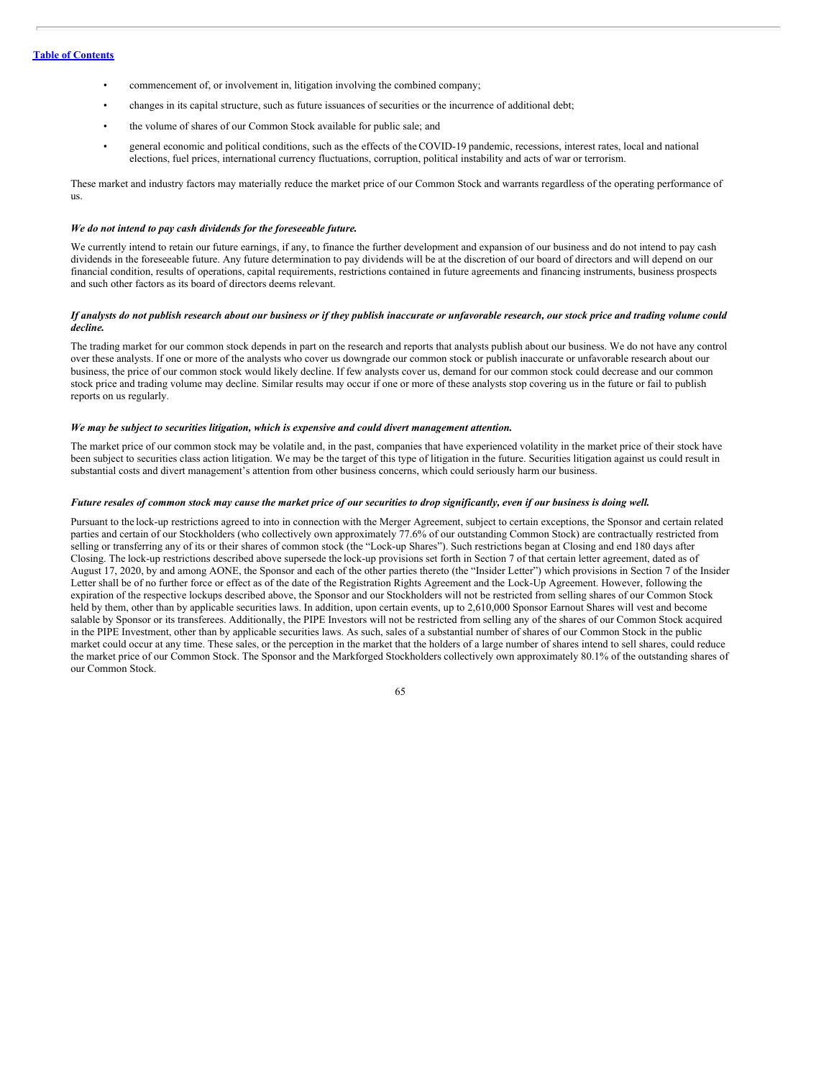- commencement of, or involvement in, litigation involving the combined company;
- changes in its capital structure, such as future issuances of securities or the incurrence of additional debt;
- the volume of shares of our Common Stock available for public sale; and
- general economic and political conditions, such as the effects of the COVID-19 pandemic, recessions, interest rates, local and national elections, fuel prices, international currency fluctuations, corruption, political instability and acts of war or terrorism.

These market and industry factors may materially reduce the market price of our Common Stock and warrants regardless of the operating performance of us.

#### *We do not intend to pay cash dividends for the foreseeable future.*

We currently intend to retain our future earnings, if any, to finance the further development and expansion of our business and do not intend to pay cash dividends in the foreseeable future. Any future determination to pay dividends will be at the discretion of our board of directors and will depend on our financial condition, results of operations, capital requirements, restrictions contained in future agreements and financing instruments, business prospects and such other factors as its board of directors deems relevant.

### If analysts do not publish research about our business or if they publish inaccurate or unfavorable research, our stock price and trading volume could *decline.*

The trading market for our common stock depends in part on the research and reports that analysts publish about our business. We do not have any control over these analysts. If one or more of the analysts who cover us downgrade our common stock or publish inaccurate or unfavorable research about our business, the price of our common stock would likely decline. If few analysts cover us, demand for our common stock could decrease and our common stock price and trading volume may decline. Similar results may occur if one or more of these analysts stop covering us in the future or fail to publish reports on us regularly.

# *We may be subject to securities litigation, which is expensive and could divert management attention.*

The market price of our common stock may be volatile and, in the past, companies that have experienced volatility in the market price of their stock have been subject to securities class action litigation. We may be the target of this type of litigation in the future. Securities litigation against us could result in substantial costs and divert management's attention from other business concerns, which could seriously harm our business.

## Future resales of common stock may cause the market price of our securities to drop significantly, even if our business is doing well.

Pursuant to the lock-up restrictions agreed to into in connection with the Merger Agreement, subject to certain exceptions, the Sponsor and certain related parties and certain of our Stockholders (who collectively own approximately 77.6% of our outstanding Common Stock) are contractually restricted from selling or transferring any of its or their shares of common stock (the "Lock-up Shares"). Such restrictions began at Closing and end 180 days after Closing. The lock-up restrictions described above supersede the lock-up provisions set forth in Section 7 of that certain letter agreement, dated as of August 17, 2020, by and among AONE, the Sponsor and each of the other parties thereto (the "Insider Letter") which provisions in Section 7 of the Insider Letter shall be of no further force or effect as of the date of the Registration Rights Agreement and the Lock-Up Agreement. However, following the expiration of the respective lockups described above, the Sponsor and our Stockholders will not be restricted from selling shares of our Common Stock held by them, other than by applicable securities laws. In addition, upon certain events, up to 2,610,000 Sponsor Earnout Shares will vest and become salable by Sponsor or its transferees. Additionally, the PIPE Investors will not be restricted from selling any of the shares of our Common Stock acquired in the PIPE Investment, other than by applicable securities laws. As such, sales of a substantial number of shares of our Common Stock in the public market could occur at any time. These sales, or the perception in the market that the holders of a large number of shares intend to sell shares, could reduce the market price of our Common Stock. The Sponsor and the Markforged Stockholders collectively own approximately 80.1% of the outstanding shares of our Common Stock.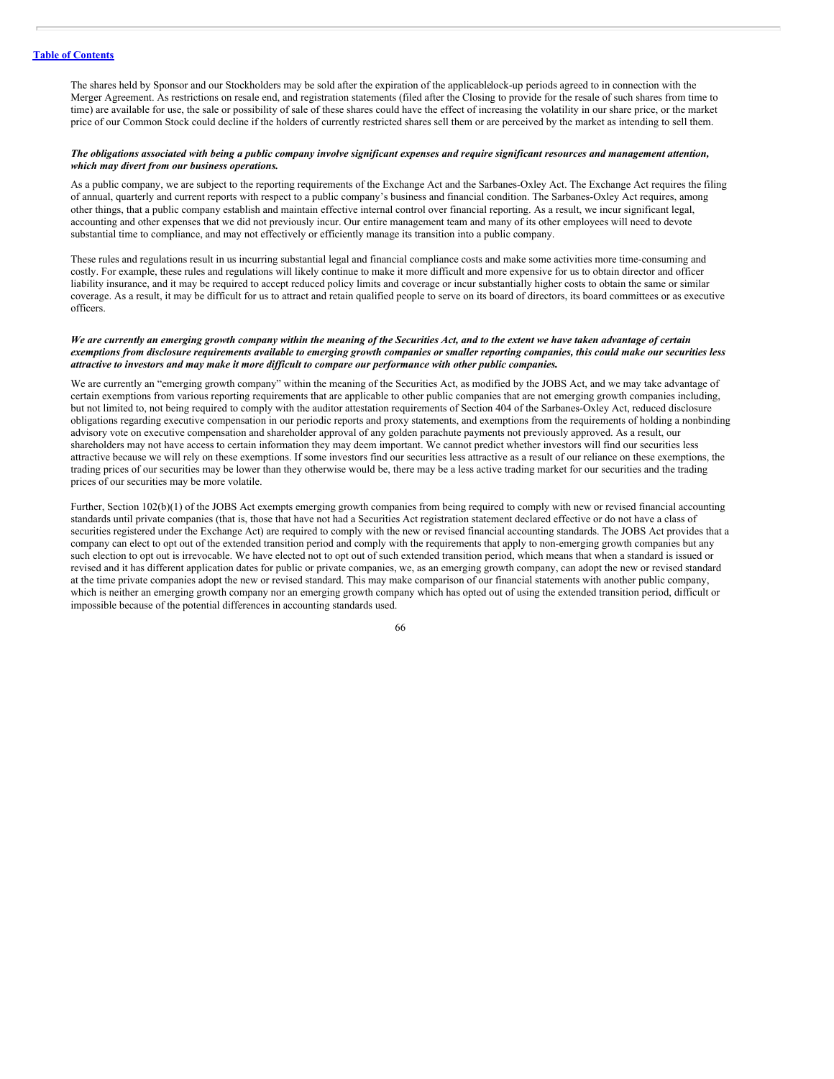# **Table of [Contents](#page-2-0)**

The shares held by Sponsor and our Stockholders may be sold after the expiration of the applicablelock-up periods agreed to in connection with the Merger Agreement. As restrictions on resale end, and registration statements (filed after the Closing to provide for the resale of such shares from time to time) are available for use, the sale or possibility of sale of these shares could have the effect of increasing the volatility in our share price, or the market price of our Common Stock could decline if the holders of currently restricted shares sell them or are perceived by the market as intending to sell them.

### The obligations associated with being a public company involve significant expenses and require significant resources and management attention, *which may divert from our business operations.*

As a public company, we are subject to the reporting requirements of the Exchange Act and the Sarbanes-Oxley Act. The Exchange Act requires the filing of annual, quarterly and current reports with respect to a public company's business and financial condition. The Sarbanes-Oxley Act requires, among other things, that a public company establish and maintain effective internal control over financial reporting. As a result, we incur significant legal, accounting and other expenses that we did not previously incur. Our entire management team and many of its other employees will need to devote substantial time to compliance, and may not effectively or efficiently manage its transition into a public company.

These rules and regulations result in us incurring substantial legal and financial compliance costs and make some activities more time-consuming and costly. For example, these rules and regulations will likely continue to make it more difficult and more expensive for us to obtain director and officer liability insurance, and it may be required to accept reduced policy limits and coverage or incur substantially higher costs to obtain the same or similar coverage. As a result, it may be difficult for us to attract and retain qualified people to serve on its board of directors, its board committees or as executive officers.

### We are currently an emerging growth company within the meaning of the Securities Act, and to the extent we have taken advantage of certain exemptions from disclosure requirements available to emerging growth companies or smaller reporting companies, this could make our securities less attractive to investors and may make it more difficult to compare our performance with other public companies.

We are currently an "emerging growth company" within the meaning of the Securities Act, as modified by the JOBS Act, and we may take advantage of certain exemptions from various reporting requirements that are applicable to other public companies that are not emerging growth companies including, but not limited to, not being required to comply with the auditor attestation requirements of Section 404 of the Sarbanes-Oxley Act, reduced disclosure obligations regarding executive compensation in our periodic reports and proxy statements, and exemptions from the requirements of holding a nonbinding advisory vote on executive compensation and shareholder approval of any golden parachute payments not previously approved. As a result, our shareholders may not have access to certain information they may deem important. We cannot predict whether investors will find our securities less attractive because we will rely on these exemptions. If some investors find our securities less attractive as a result of our reliance on these exemptions, the trading prices of our securities may be lower than they otherwise would be, there may be a less active trading market for our securities and the trading prices of our securities may be more volatile.

Further, Section 102(b)(1) of the JOBS Act exempts emerging growth companies from being required to comply with new or revised financial accounting standards until private companies (that is, those that have not had a Securities Act registration statement declared effective or do not have a class of securities registered under the Exchange Act) are required to comply with the new or revised financial accounting standards. The JOBS Act provides that a company can elect to opt out of the extended transition period and comply with the requirements that apply to non-emerging growth companies but any such election to opt out is irrevocable. We have elected not to opt out of such extended transition period, which means that when a standard is issued or revised and it has different application dates for public or private companies, we, as an emerging growth company, can adopt the new or revised standard at the time private companies adopt the new or revised standard. This may make comparison of our financial statements with another public company, which is neither an emerging growth company nor an emerging growth company which has opted out of using the extended transition period, difficult or impossible because of the potential differences in accounting standards used.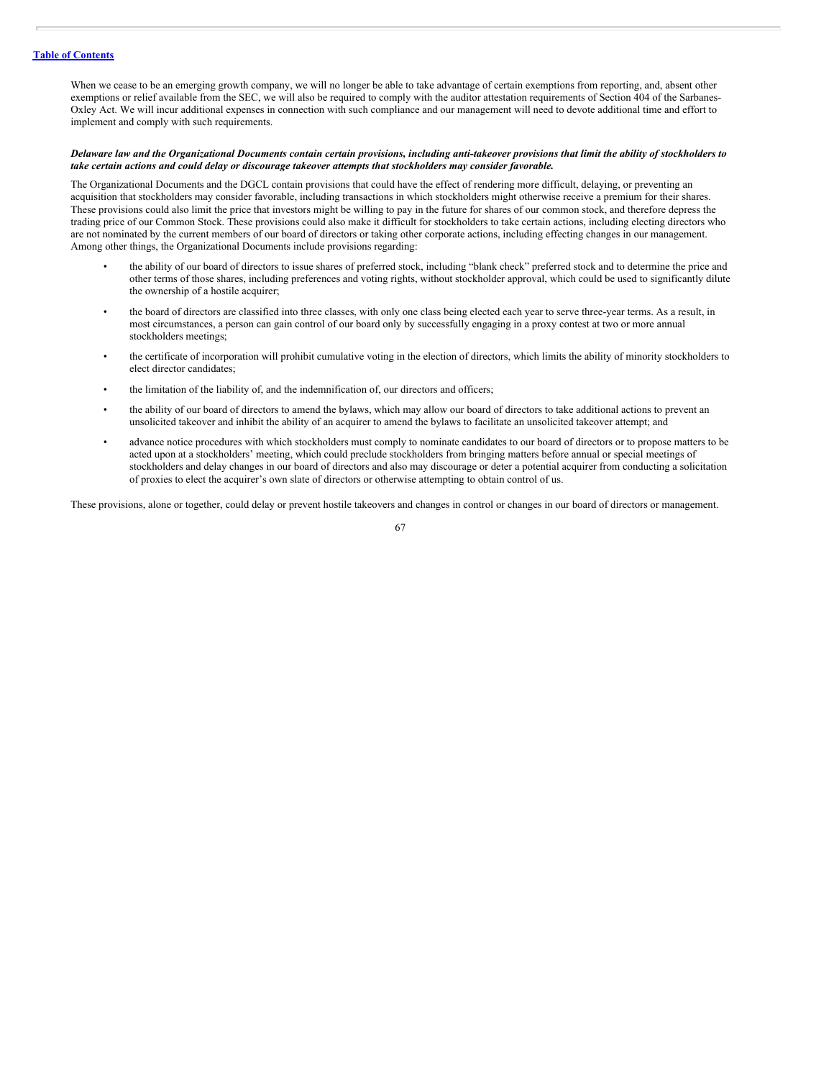When we cease to be an emerging growth company, we will no longer be able to take advantage of certain exemptions from reporting, and, absent other exemptions or relief available from the SEC, we will also be required to comply with the auditor attestation requirements of Section 404 of the Sarbanes-Oxley Act. We will incur additional expenses in connection with such compliance and our management will need to devote additional time and effort to implement and comply with such requirements.

### Delaware law and the Organizational Documents contain certain provisions, including anti-takeover provisions that limit the ability of stockholders to *take certain actions and could delay or discourage takeover attempts that stockholders may consider favorable.*

The Organizational Documents and the DGCL contain provisions that could have the effect of rendering more difficult, delaying, or preventing an acquisition that stockholders may consider favorable, including transactions in which stockholders might otherwise receive a premium for their shares. These provisions could also limit the price that investors might be willing to pay in the future for shares of our common stock, and therefore depress the trading price of our Common Stock. These provisions could also make it difficult for stockholders to take certain actions, including electing directors who are not nominated by the current members of our board of directors or taking other corporate actions, including effecting changes in our management. Among other things, the Organizational Documents include provisions regarding:

- the ability of our board of directors to issue shares of preferred stock, including "blank check" preferred stock and to determine the price and other terms of those shares, including preferences and voting rights, without stockholder approval, which could be used to significantly dilute the ownership of a hostile acquirer;
- the board of directors are classified into three classes, with only one class being elected each year to serve three-year terms. As a result, in most circumstances, a person can gain control of our board only by successfully engaging in a proxy contest at two or more annual stockholders meetings;
- the certificate of incorporation will prohibit cumulative voting in the election of directors, which limits the ability of minority stockholders to elect director candidates;
- the limitation of the liability of, and the indemnification of, our directors and officers;
- the ability of our board of directors to amend the bylaws, which may allow our board of directors to take additional actions to prevent an unsolicited takeover and inhibit the ability of an acquirer to amend the bylaws to facilitate an unsolicited takeover attempt; and
- advance notice procedures with which stockholders must comply to nominate candidates to our board of directors or to propose matters to be acted upon at a stockholders' meeting, which could preclude stockholders from bringing matters before annual or special meetings of stockholders and delay changes in our board of directors and also may discourage or deter a potential acquirer from conducting a solicitation of proxies to elect the acquirer's own slate of directors or otherwise attempting to obtain control of us.

These provisions, alone or together, could delay or prevent hostile takeovers and changes in control or changes in our board of directors or management.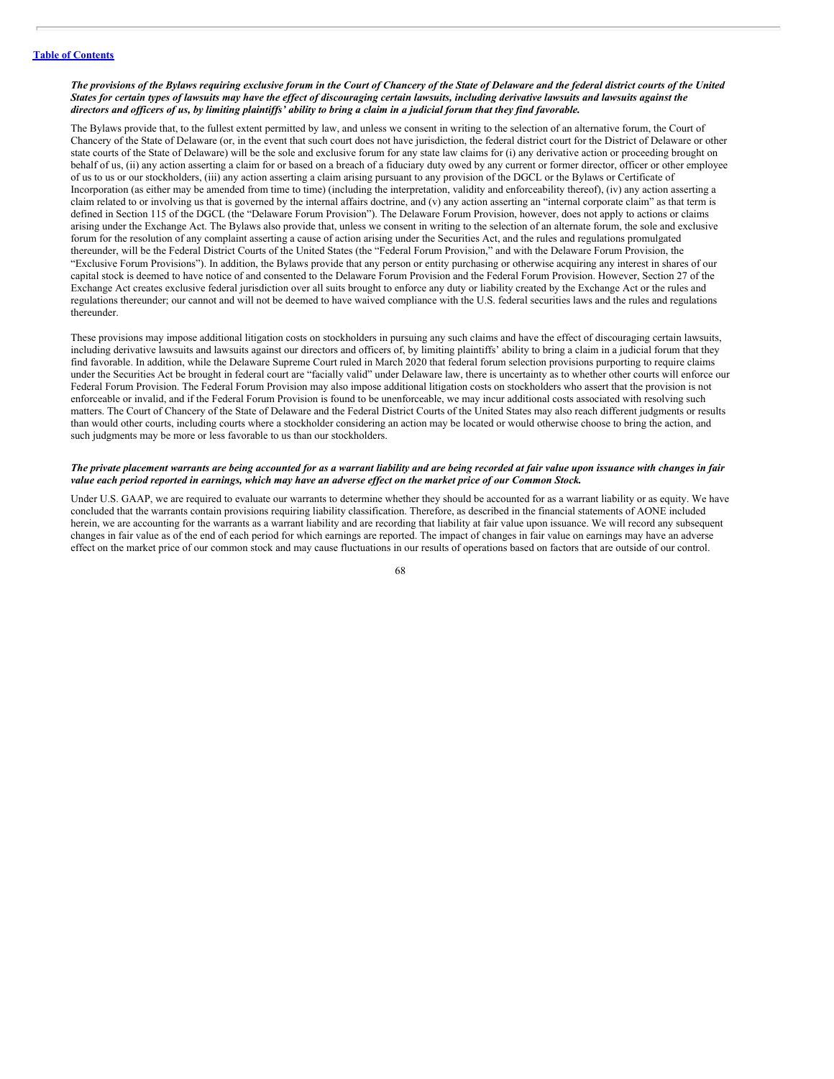### The provisions of the Bylaws requiring exclusive forum in the Court of Chancery of the State of Delaware and the federal district courts of the United States for certain types of lawsuits may have the effect of discouraging certain lawsuits, including derivative lawsuits and lawsuits against the directors and officers of us, by limiting plaintiffs' ability to bring a claim in a judicial forum that they find favorable.

The Bylaws provide that, to the fullest extent permitted by law, and unless we consent in writing to the selection of an alternative forum, the Court of Chancery of the State of Delaware (or, in the event that such court does not have jurisdiction, the federal district court for the District of Delaware or other state courts of the State of Delaware) will be the sole and exclusive forum for any state law claims for (i) any derivative action or proceeding brought on behalf of us, (ii) any action asserting a claim for or based on a breach of a fiduciary duty owed by any current or former director, officer or other employee of us to us or our stockholders, (iii) any action asserting a claim arising pursuant to any provision of the DGCL or the Bylaws or Certificate of Incorporation (as either may be amended from time to time) (including the interpretation, validity and enforceability thereof), (iv) any action asserting a claim related to or involving us that is governed by the internal affairs doctrine, and (v) any action asserting an "internal corporate claim" as that term is defined in Section 115 of the DGCL (the "Delaware Forum Provision"). The Delaware Forum Provision, however, does not apply to actions or claims arising under the Exchange Act. The Bylaws also provide that, unless we consent in writing to the selection of an alternate forum, the sole and exclusive forum for the resolution of any complaint asserting a cause of action arising under the Securities Act, and the rules and regulations promulgated thereunder, will be the Federal District Courts of the United States (the "Federal Forum Provision," and with the Delaware Forum Provision, the "Exclusive Forum Provisions"). In addition, the Bylaws provide that any person or entity purchasing or otherwise acquiring any interest in shares of our capital stock is deemed to have notice of and consented to the Delaware Forum Provision and the Federal Forum Provision. However, Section 27 of the Exchange Act creates exclusive federal jurisdiction over all suits brought to enforce any duty or liability created by the Exchange Act or the rules and regulations thereunder; our cannot and will not be deemed to have waived compliance with the U.S. federal securities laws and the rules and regulations thereunder.

These provisions may impose additional litigation costs on stockholders in pursuing any such claims and have the effect of discouraging certain lawsuits, including derivative lawsuits and lawsuits against our directors and officers of, by limiting plaintiffs' ability to bring a claim in a judicial forum that they find favorable. In addition, while the Delaware Supreme Court ruled in March 2020 that federal forum selection provisions purporting to require claims under the Securities Act be brought in federal court are "facially valid" under Delaware law, there is uncertainty as to whether other courts will enforce our Federal Forum Provision. The Federal Forum Provision may also impose additional litigation costs on stockholders who assert that the provision is not enforceable or invalid, and if the Federal Forum Provision is found to be unenforceable, we may incur additional costs associated with resolving such matters. The Court of Chancery of the State of Delaware and the Federal District Courts of the United States may also reach different judgments or results than would other courts, including courts where a stockholder considering an action may be located or would otherwise choose to bring the action, and such judgments may be more or less favorable to us than our stockholders.

## The private placement warrants are being accounted for as a warrant liability and are being recorded at fair value upon issuance with changes in fair value each period reported in earnings, which may have an adverse effect on the market price of our Common Stock.

Under U.S. GAAP, we are required to evaluate our warrants to determine whether they should be accounted for as a warrant liability or as equity. We have concluded that the warrants contain provisions requiring liability classification. Therefore, as described in the financial statements of AONE included herein, we are accounting for the warrants as a warrant liability and are recording that liability at fair value upon issuance. We will record any subsequent changes in fair value as of the end of each period for which earnings are reported. The impact of changes in fair value on earnings may have an adverse effect on the market price of our common stock and may cause fluctuations in our results of operations based on factors that are outside of our control.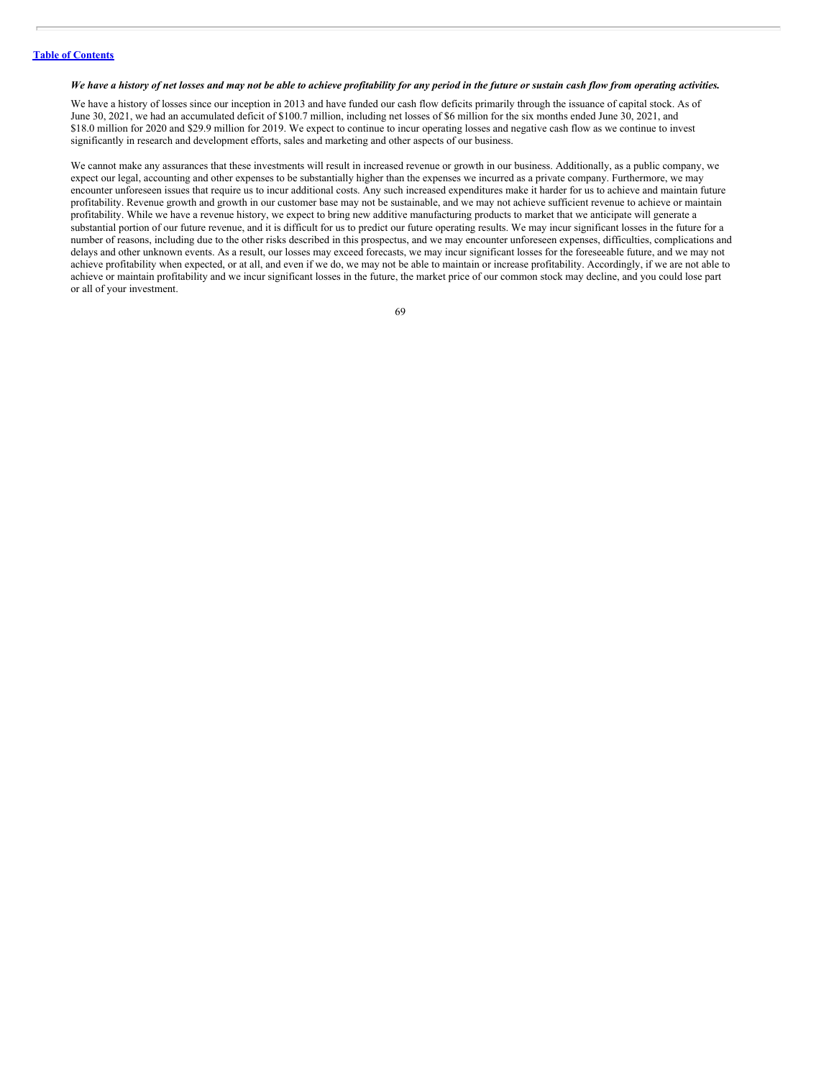#### We have a history of net losses and may not be able to achieve profitability for any period in the future or sustain cash flow from operating activities.

We have a history of losses since our inception in 2013 and have funded our cash flow deficits primarily through the issuance of capital stock. As of June 30, 2021, we had an accumulated deficit of \$100.7 million, including net losses of \$6 million for the six months ended June 30, 2021, and \$18.0 million for 2020 and \$29.9 million for 2019. We expect to continue to incur operating losses and negative cash flow as we continue to invest significantly in research and development efforts, sales and marketing and other aspects of our business.

We cannot make any assurances that these investments will result in increased revenue or growth in our business. Additionally, as a public company, we expect our legal, accounting and other expenses to be substantially higher than the expenses we incurred as a private company. Furthermore, we may encounter unforeseen issues that require us to incur additional costs. Any such increased expenditures make it harder for us to achieve and maintain future profitability. Revenue growth and growth in our customer base may not be sustainable, and we may not achieve sufficient revenue to achieve or maintain profitability. While we have a revenue history, we expect to bring new additive manufacturing products to market that we anticipate will generate a substantial portion of our future revenue, and it is difficult for us to predict our future operating results. We may incur significant losses in the future for a number of reasons, including due to the other risks described in this prospectus, and we may encounter unforeseen expenses, difficulties, complications and delays and other unknown events. As a result, our losses may exceed forecasts, we may incur significant losses for the foreseeable future, and we may not achieve profitability when expected, or at all, and even if we do, we may not be able to maintain or increase profitability. Accordingly, if we are not able to achieve or maintain profitability and we incur significant losses in the future, the market price of our common stock may decline, and you could lose part or all of your investment.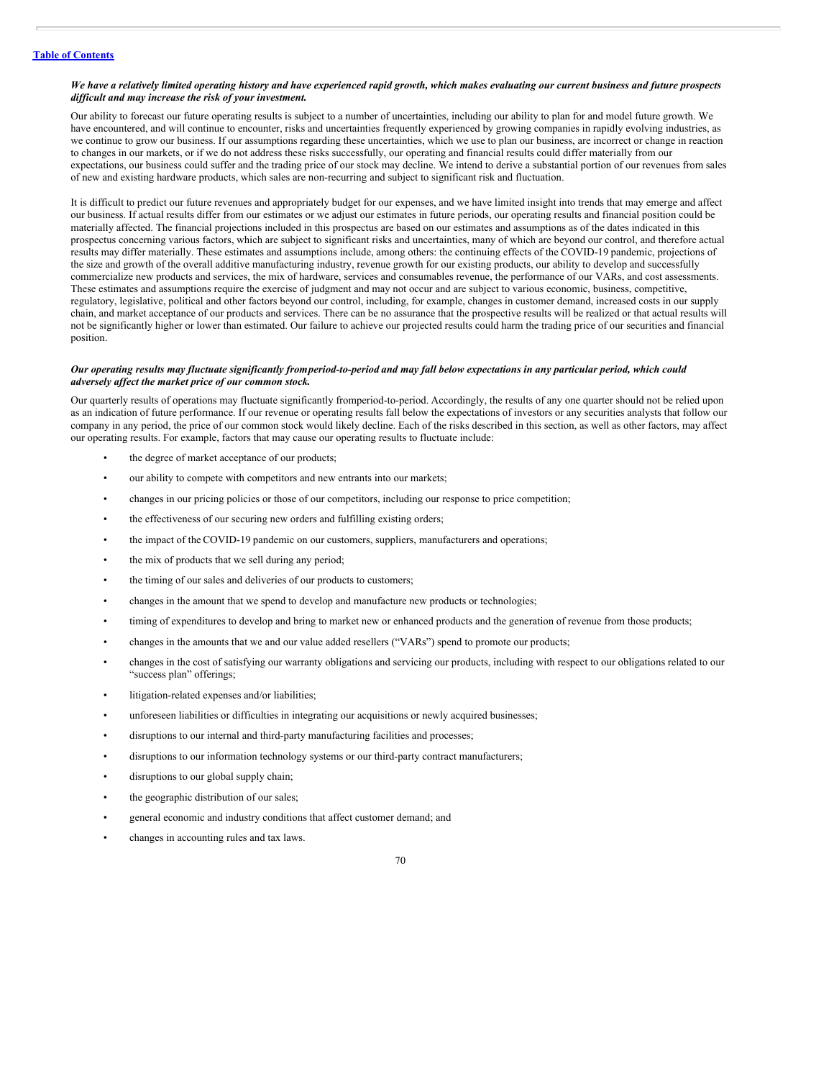## We have a relatively limited operating history and have experienced rapid growth, which makes evaluating our current business and future prospects *dif icult and may increase the risk of your investment.*

Our ability to forecast our future operating results is subject to a number of uncertainties, including our ability to plan for and model future growth. We have encountered, and will continue to encounter, risks and uncertainties frequently experienced by growing companies in rapidly evolving industries, as we continue to grow our business. If our assumptions regarding these uncertainties, which we use to plan our business, are incorrect or change in reaction to changes in our markets, or if we do not address these risks successfully, our operating and financial results could differ materially from our expectations, our business could suffer and the trading price of our stock may decline. We intend to derive a substantial portion of our revenues from sales of new and existing hardware products, which sales are non-recurring and subject to significant risk and fluctuation.

It is difficult to predict our future revenues and appropriately budget for our expenses, and we have limited insight into trends that may emerge and affect our business. If actual results differ from our estimates or we adjust our estimates in future periods, our operating results and financial position could be materially affected. The financial projections included in this prospectus are based on our estimates and assumptions as of the dates indicated in this prospectus concerning various factors, which are subject to significant risks and uncertainties, many of which are beyond our control, and therefore actual results may differ materially. These estimates and assumptions include, among others: the continuing effects of the COVID-19 pandemic, projections of the size and growth of the overall additive manufacturing industry, revenue growth for our existing products, our ability to develop and successfully commercialize new products and services, the mix of hardware, services and consumables revenue, the performance of our VARs, and cost assessments. These estimates and assumptions require the exercise of judgment and may not occur and are subject to various economic, business, competitive, regulatory, legislative, political and other factors beyond our control, including, for example, changes in customer demand, increased costs in our supply chain, and market acceptance of our products and services. There can be no assurance that the prospective results will be realized or that actual results will not be significantly higher or lower than estimated. Our failure to achieve our projected results could harm the trading price of our securities and financial position.

## Our operating results may fluctuate significantly fromperiod-to-period and may fall below expectations in any particular period, which could *adversely af ect the market price of our common stock.*

Our quarterly results of operations may fluctuate significantly fromperiod-to-period. Accordingly, the results of any one quarter should not be relied upon as an indication of future performance. If our revenue or operating results fall below the expectations of investors or any securities analysts that follow our company in any period, the price of our common stock would likely decline. Each of the risks described in this section, as well as other factors, may affect our operating results. For example, factors that may cause our operating results to fluctuate include:

- the degree of market acceptance of our products;
- our ability to compete with competitors and new entrants into our markets;
- changes in our pricing policies or those of our competitors, including our response to price competition;
- the effectiveness of our securing new orders and fulfilling existing orders;
- the impact of the COVID-19 pandemic on our customers, suppliers, manufacturers and operations;
- the mix of products that we sell during any period;
- the timing of our sales and deliveries of our products to customers;
- changes in the amount that we spend to develop and manufacture new products or technologies;
- timing of expenditures to develop and bring to market new or enhanced products and the generation of revenue from those products;
- changes in the amounts that we and our value added resellers ("VARs") spend to promote our products;
- changes in the cost of satisfying our warranty obligations and servicing our products, including with respect to our obligations related to our "success plan" offerings;
- litigation-related expenses and/or liabilities;
- unforeseen liabilities or difficulties in integrating our acquisitions or newly acquired businesses;
- disruptions to our internal and third-party manufacturing facilities and processes;
- disruptions to our information technology systems or our third-party contract manufacturers;
- disruptions to our global supply chain;
- the geographic distribution of our sales;
- general economic and industry conditions that affect customer demand; and
- changes in accounting rules and tax laws.

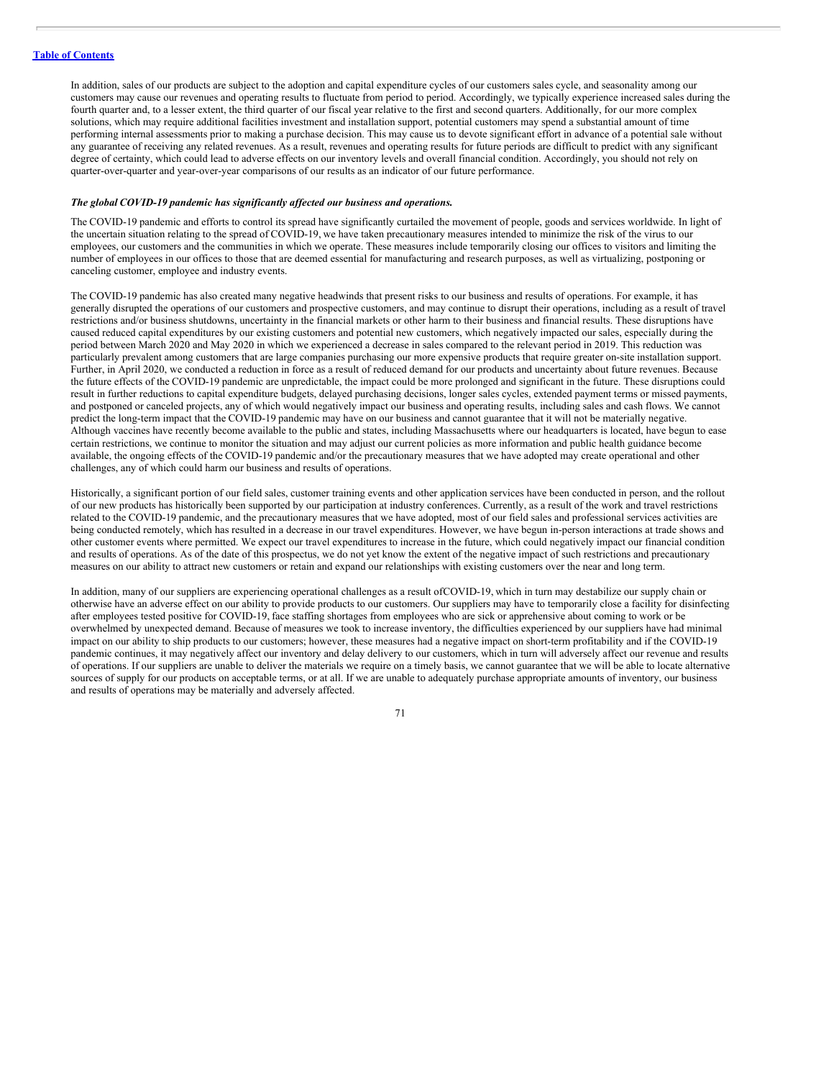#### **Table of [Contents](#page-2-0)**

In addition, sales of our products are subject to the adoption and capital expenditure cycles of our customers sales cycle, and seasonality among our customers may cause our revenues and operating results to fluctuate from period to period. Accordingly, we typically experience increased sales during the fourth quarter and, to a lesser extent, the third quarter of our fiscal year relative to the first and second quarters. Additionally, for our more complex solutions, which may require additional facilities investment and installation support, potential customers may spend a substantial amount of time performing internal assessments prior to making a purchase decision. This may cause us to devote significant effort in advance of a potential sale without any guarantee of receiving any related revenues. As a result, revenues and operating results for future periods are difficult to predict with any significant degree of certainty, which could lead to adverse effects on our inventory levels and overall financial condition. Accordingly, you should not rely on quarter-over-quarter and year-over-year comparisons of our results as an indicator of our future performance.

## *The global COVID-19 pandemic has significantly af ected our business and operations.*

The COVID-19 pandemic and efforts to control its spread have significantly curtailed the movement of people, goods and services worldwide. In light of the uncertain situation relating to the spread of COVID-19, we have taken precautionary measures intended to minimize the risk of the virus to our employees, our customers and the communities in which we operate. These measures include temporarily closing our offices to visitors and limiting the number of employees in our offices to those that are deemed essential for manufacturing and research purposes, as well as virtualizing, postponing or canceling customer, employee and industry events.

The COVID-19 pandemic has also created many negative headwinds that present risks to our business and results of operations. For example, it has generally disrupted the operations of our customers and prospective customers, and may continue to disrupt their operations, including as a result of travel restrictions and/or business shutdowns, uncertainty in the financial markets or other harm to their business and financial results. These disruptions have caused reduced capital expenditures by our existing customers and potential new customers, which negatively impacted our sales, especially during the period between March 2020 and May 2020 in which we experienced a decrease in sales compared to the relevant period in 2019. This reduction was particularly prevalent among customers that are large companies purchasing our more expensive products that require greater on-site installation support. Further, in April 2020, we conducted a reduction in force as a result of reduced demand for our products and uncertainty about future revenues. Because the future effects of the COVID-19 pandemic are unpredictable, the impact could be more prolonged and significant in the future. These disruptions could result in further reductions to capital expenditure budgets, delayed purchasing decisions, longer sales cycles, extended payment terms or missed payments, and postponed or canceled projects, any of which would negatively impact our business and operating results, including sales and cash flows. We cannot predict the long-term impact that the COVID-19 pandemic may have on our business and cannot guarantee that it will not be materially negative. Although vaccines have recently become available to the public and states, including Massachusetts where our headquarters is located, have begun to ease certain restrictions, we continue to monitor the situation and may adjust our current policies as more information and public health guidance become available, the ongoing effects of the COVID-19 pandemic and/or the precautionary measures that we have adopted may create operational and other challenges, any of which could harm our business and results of operations.

Historically, a significant portion of our field sales, customer training events and other application services have been conducted in person, and the rollout of our new products has historically been supported by our participation at industry conferences. Currently, as a result of the work and travel restrictions related to the COVID-19 pandemic, and the precautionary measures that we have adopted, most of our field sales and professional services activities are being conducted remotely, which has resulted in a decrease in our travel expenditures. However, we have begun in-person interactions at trade shows and other customer events where permitted. We expect our travel expenditures to increase in the future, which could negatively impact our financial condition and results of operations. As of the date of this prospectus, we do not yet know the extent of the negative impact of such restrictions and precautionary measures on our ability to attract new customers or retain and expand our relationships with existing customers over the near and long term.

In addition, many of our suppliers are experiencing operational challenges as a result ofCOVID-19, which in turn may destabilize our supply chain or otherwise have an adverse effect on our ability to provide products to our customers. Our suppliers may have to temporarily close a facility for disinfecting after employees tested positive for COVID-19, face staffing shortages from employees who are sick or apprehensive about coming to work or be overwhelmed by unexpected demand. Because of measures we took to increase inventory, the difficulties experienced by our suppliers have had minimal impact on our ability to ship products to our customers; however, these measures had a negative impact on short-term profitability and if the COVID-19 pandemic continues, it may negatively affect our inventory and delay delivery to our customers, which in turn will adversely affect our revenue and results of operations. If our suppliers are unable to deliver the materials we require on a timely basis, we cannot guarantee that we will be able to locate alternative sources of supply for our products on acceptable terms, or at all. If we are unable to adequately purchase appropriate amounts of inventory, our business and results of operations may be materially and adversely affected.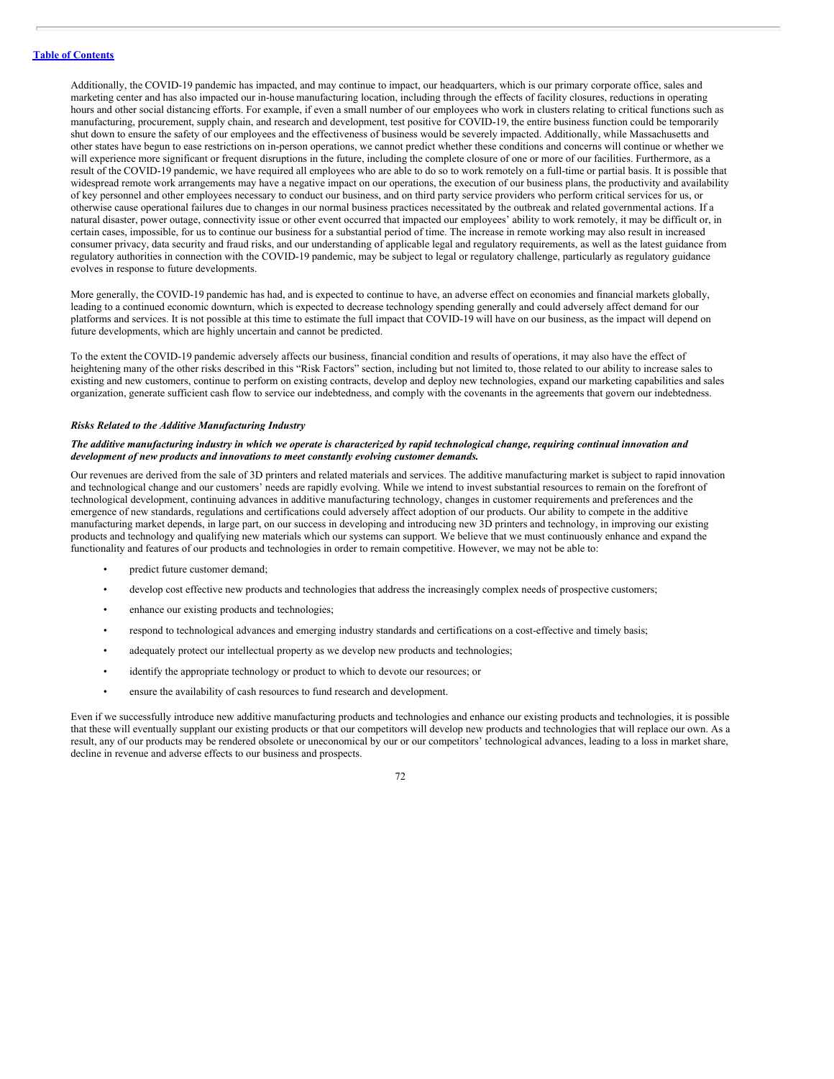Additionally, the COVID-19 pandemic has impacted, and may continue to impact, our headquarters, which is our primary corporate office, sales and marketing center and has also impacted our in-house manufacturing location, including through the effects of facility closures, reductions in operating hours and other social distancing efforts. For example, if even a small number of our employees who work in clusters relating to critical functions such as manufacturing, procurement, supply chain, and research and development, test positive for COVID-19, the entire business function could be temporarily shut down to ensure the safety of our employees and the effectiveness of business would be severely impacted. Additionally, while Massachusetts and other states have begun to ease restrictions on in-person operations, we cannot predict whether these conditions and concerns will continue or whether we will experience more significant or frequent disruptions in the future, including the complete closure of one or more of our facilities. Furthermore, as a result of the COVID-19 pandemic, we have required all employees who are able to do so to work remotely on a full-time or partial basis. It is possible that widespread remote work arrangements may have a negative impact on our operations, the execution of our business plans, the productivity and availability of key personnel and other employees necessary to conduct our business, and on third party service providers who perform critical services for us, or otherwise cause operational failures due to changes in our normal business practices necessitated by the outbreak and related governmental actions. If a natural disaster, power outage, connectivity issue or other event occurred that impacted our employees' ability to work remotely, it may be difficult or, in certain cases, impossible, for us to continue our business for a substantial period of time. The increase in remote working may also result in increased consumer privacy, data security and fraud risks, and our understanding of applicable legal and regulatory requirements, as well as the latest guidance from regulatory authorities in connection with the COVID-19 pandemic, may be subject to legal or regulatory challenge, particularly as regulatory guidance evolves in response to future developments.

More generally, the COVID-19 pandemic has had, and is expected to continue to have, an adverse effect on economies and financial markets globally, leading to a continued economic downturn, which is expected to decrease technology spending generally and could adversely affect demand for our platforms and services. It is not possible at this time to estimate the full impact that COVID-19 will have on our business, as the impact will depend on future developments, which are highly uncertain and cannot be predicted.

To the extent the COVID-19 pandemic adversely affects our business, financial condition and results of operations, it may also have the effect of heightening many of the other risks described in this "Risk Factors" section, including but not limited to, those related to our ability to increase sales to existing and new customers, continue to perform on existing contracts, develop and deploy new technologies, expand our marketing capabilities and sales organization, generate sufficient cash flow to service our indebtedness, and comply with the covenants in the agreements that govern our indebtedness.

## *Risks Related to the Additive Manufacturing Industry*

## The additive manufacturing industry in which we operate is characterized by rapid technological change, requiring continual innovation and *development of new products and innovations to meet constantly evolving customer demands.*

Our revenues are derived from the sale of 3D printers and related materials and services. The additive manufacturing market is subject to rapid innovation and technological change and our customers' needs are rapidly evolving. While we intend to invest substantial resources to remain on the forefront of technological development, continuing advances in additive manufacturing technology, changes in customer requirements and preferences and the emergence of new standards, regulations and certifications could adversely affect adoption of our products. Our ability to compete in the additive manufacturing market depends, in large part, on our success in developing and introducing new 3D printers and technology, in improving our existing products and technology and qualifying new materials which our systems can support. We believe that we must continuously enhance and expand the functionality and features of our products and technologies in order to remain competitive. However, we may not be able to:

- predict future customer demand;
- develop cost effective new products and technologies that address the increasingly complex needs of prospective customers;
- enhance our existing products and technologies;
- respond to technological advances and emerging industry standards and certifications on a cost-effective and timely basis;
- adequately protect our intellectual property as we develop new products and technologies;
- identify the appropriate technology or product to which to devote our resources; or
- ensure the availability of cash resources to fund research and development.

Even if we successfully introduce new additive manufacturing products and technologies and enhance our existing products and technologies, it is possible that these will eventually supplant our existing products or that our competitors will develop new products and technologies that will replace our own. As a result, any of our products may be rendered obsolete or uneconomical by our or our competitors' technological advances, leading to a loss in market share, decline in revenue and adverse effects to our business and prospects.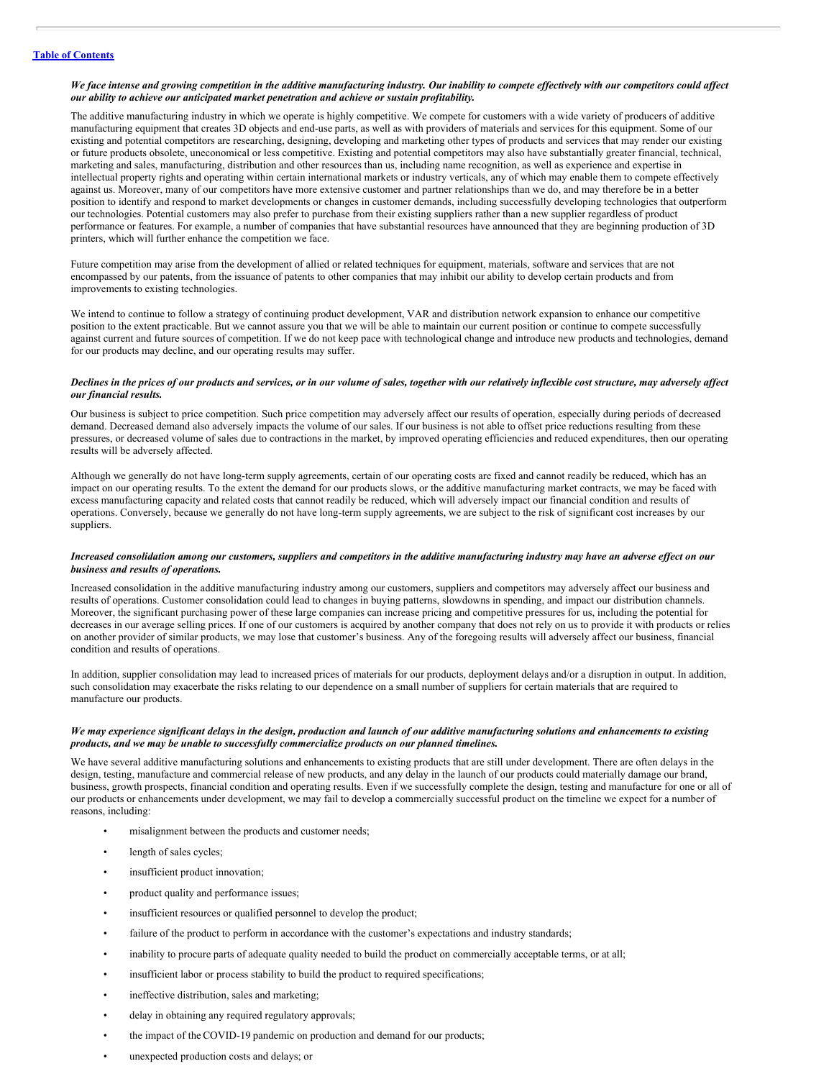#### We face intense and growing competition in the additive manufacturing industry. Our inability to compete effectively with our competitors could affect *our ability to achieve our anticipated market penetration and achieve or sustain profitability.*

The additive manufacturing industry in which we operate is highly competitive. We compete for customers with a wide variety of producers of additive manufacturing equipment that creates 3D objects and end-use parts, as well as with providers of materials and services for this equipment. Some of our existing and potential competitors are researching, designing, developing and marketing other types of products and services that may render our existing or future products obsolete, uneconomical or less competitive. Existing and potential competitors may also have substantially greater financial, technical, marketing and sales, manufacturing, distribution and other resources than us, including name recognition, as well as experience and expertise in intellectual property rights and operating within certain international markets or industry verticals, any of which may enable them to compete effectively against us. Moreover, many of our competitors have more extensive customer and partner relationships than we do, and may therefore be in a better position to identify and respond to market developments or changes in customer demands, including successfully developing technologies that outperform our technologies. Potential customers may also prefer to purchase from their existing suppliers rather than a new supplier regardless of product performance or features. For example, a number of companies that have substantial resources have announced that they are beginning production of 3D printers, which will further enhance the competition we face.

Future competition may arise from the development of allied or related techniques for equipment, materials, software and services that are not encompassed by our patents, from the issuance of patents to other companies that may inhibit our ability to develop certain products and from improvements to existing technologies.

We intend to continue to follow a strategy of continuing product development, VAR and distribution network expansion to enhance our competitive position to the extent practicable. But we cannot assure you that we will be able to maintain our current position or continue to compete successfully against current and future sources of competition. If we do not keep pace with technological change and introduce new products and technologies, demand for our products may decline, and our operating results may suffer.

## Declines in the prices of our products and services, or in our volume of sales, together with our relatively inflexible cost structure, may adversely affect *our financial results.*

Our business is subject to price competition. Such price competition may adversely affect our results of operation, especially during periods of decreased demand. Decreased demand also adversely impacts the volume of our sales. If our business is not able to offset price reductions resulting from these pressures, or decreased volume of sales due to contractions in the market, by improved operating efficiencies and reduced expenditures, then our operating results will be adversely affected.

Although we generally do not have long-term supply agreements, certain of our operating costs are fixed and cannot readily be reduced, which has an impact on our operating results. To the extent the demand for our products slows, or the additive manufacturing market contracts, we may be faced with excess manufacturing capacity and related costs that cannot readily be reduced, which will adversely impact our financial condition and results of operations. Conversely, because we generally do not have long-term supply agreements, we are subject to the risk of significant cost increases by our suppliers.

## Increased consolidation among our customers, suppliers and competitors in the additive manufacturing industry may have an adverse effect on our *business and results of operations.*

Increased consolidation in the additive manufacturing industry among our customers, suppliers and competitors may adversely affect our business and results of operations. Customer consolidation could lead to changes in buying patterns, slowdowns in spending, and impact our distribution channels. Moreover, the significant purchasing power of these large companies can increase pricing and competitive pressures for us, including the potential for decreases in our average selling prices. If one of our customers is acquired by another company that does not rely on us to provide it with products or relies on another provider of similar products, we may lose that customer's business. Any of the foregoing results will adversely affect our business, financial condition and results of operations.

In addition, supplier consolidation may lead to increased prices of materials for our products, deployment delays and/or a disruption in output. In addition, such consolidation may exacerbate the risks relating to our dependence on a small number of suppliers for certain materials that are required to manufacture our products.

## We may experience significant delays in the design, production and launch of our additive manufacturing solutions and enhancements to existing *products, and we may be unable to successfully commercialize products on our planned timelines.*

We have several additive manufacturing solutions and enhancements to existing products that are still under development. There are often delays in the design, testing, manufacture and commercial release of new products, and any delay in the launch of our products could materially damage our brand, business, growth prospects, financial condition and operating results. Even if we successfully complete the design, testing and manufacture for one or all of our products or enhancements under development, we may fail to develop a commercially successful product on the timeline we expect for a number of reasons, including:

- misalignment between the products and customer needs;
- length of sales cycles;
- insufficient product innovation;
- product quality and performance issues;
- insufficient resources or qualified personnel to develop the product;
- failure of the product to perform in accordance with the customer's expectations and industry standards;
- inability to procure parts of adequate quality needed to build the product on commercially acceptable terms, or at all;
- insufficient labor or process stability to build the product to required specifications;
- ineffective distribution, sales and marketing;
- delay in obtaining any required regulatory approvals;
- the impact of the COVID-19 pandemic on production and demand for our products;
- unexpected production costs and delays; or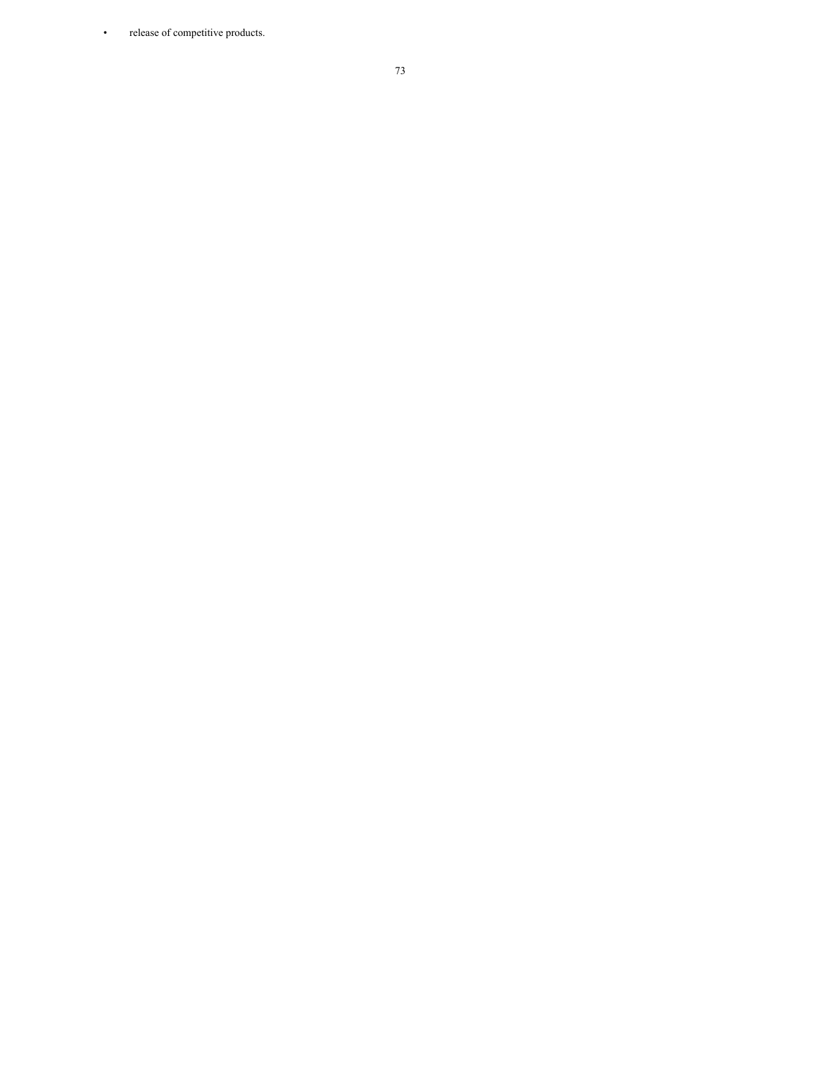• release of competitive products.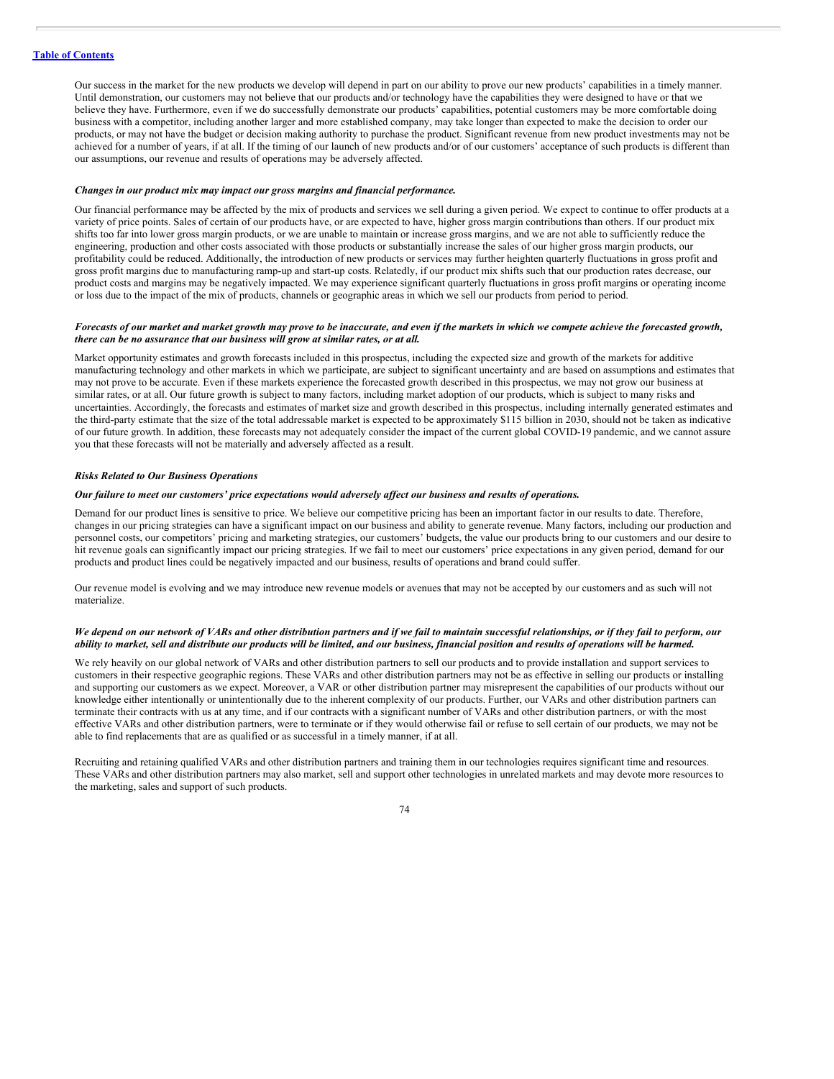#### **Table of [Contents](#page-2-0)**

Our success in the market for the new products we develop will depend in part on our ability to prove our new products' capabilities in a timely manner. Until demonstration, our customers may not believe that our products and/or technology have the capabilities they were designed to have or that we believe they have. Furthermore, even if we do successfully demonstrate our products' capabilities, potential customers may be more comfortable doing business with a competitor, including another larger and more established company, may take longer than expected to make the decision to order our products, or may not have the budget or decision making authority to purchase the product. Significant revenue from new product investments may not be achieved for a number of years, if at all. If the timing of our launch of new products and/or of our customers' acceptance of such products is different than our assumptions, our revenue and results of operations may be adversely affected.

#### *Changes in our product mix may impact our gross margins and financial performance.*

Our financial performance may be affected by the mix of products and services we sell during a given period. We expect to continue to offer products at a variety of price points. Sales of certain of our products have, or are expected to have, higher gross margin contributions than others. If our product mix shifts too far into lower gross margin products, or we are unable to maintain or increase gross margins, and we are not able to sufficiently reduce the engineering, production and other costs associated with those products or substantially increase the sales of our higher gross margin products, our profitability could be reduced. Additionally, the introduction of new products or services may further heighten quarterly fluctuations in gross profit and gross profit margins due to manufacturing ramp-up and start-up costs. Relatedly, if our product mix shifts such that our production rates decrease, our product costs and margins may be negatively impacted. We may experience significant quarterly fluctuations in gross profit margins or operating income or loss due to the impact of the mix of products, channels or geographic areas in which we sell our products from period to period.

## Forecasts of our market and market growth may prove to be inaccurate, and even if the markets in which we compete achieve the forecasted growth, *there can be no assurance that our business will grow at similar rates, or at all.*

Market opportunity estimates and growth forecasts included in this prospectus, including the expected size and growth of the markets for additive manufacturing technology and other markets in which we participate, are subject to significant uncertainty and are based on assumptions and estimates that may not prove to be accurate. Even if these markets experience the forecasted growth described in this prospectus, we may not grow our business at similar rates, or at all. Our future growth is subject to many factors, including market adoption of our products, which is subject to many risks and uncertainties. Accordingly, the forecasts and estimates of market size and growth described in this prospectus, including internally generated estimates and the third-party estimate that the size of the total addressable market is expected to be approximately \$115 billion in 2030, should not be taken as indicative of our future growth. In addition, these forecasts may not adequately consider the impact of the current global COVID-19 pandemic, and we cannot assure you that these forecasts will not be materially and adversely affected as a result.

## *Risks Related to Our Business Operations*

#### Our failure to meet our customers' price expectations would adversely affect our business and results of operations.

Demand for our product lines is sensitive to price. We believe our competitive pricing has been an important factor in our results to date. Therefore, changes in our pricing strategies can have a significant impact on our business and ability to generate revenue. Many factors, including our production and personnel costs, our competitors' pricing and marketing strategies, our customers' budgets, the value our products bring to our customers and our desire to hit revenue goals can significantly impact our pricing strategies. If we fail to meet our customers' price expectations in any given period, demand for our products and product lines could be negatively impacted and our business, results of operations and brand could suffer.

Our revenue model is evolving and we may introduce new revenue models or avenues that may not be accepted by our customers and as such will not materialize.

## We depend on our network of VARs and other distribution partners and if we fail to maintain successful relationships, or if they fail to perform, our ability to market, sell and distribute our products will be limited, and our business, financial position and results of operations will be harmed.

We rely heavily on our global network of VARs and other distribution partners to sell our products and to provide installation and support services to customers in their respective geographic regions. These VARs and other distribution partners may not be as effective in selling our products or installing and supporting our customers as we expect. Moreover, a VAR or other distribution partner may misrepresent the capabilities of our products without our knowledge either intentionally or unintentionally due to the inherent complexity of our products. Further, our VARs and other distribution partners can terminate their contracts with us at any time, and if our contracts with a significant number of VARs and other distribution partners, or with the most effective VARs and other distribution partners, were to terminate or if they would otherwise fail or refuse to sell certain of our products, we may not be able to find replacements that are as qualified or as successful in a timely manner, if at all.

Recruiting and retaining qualified VARs and other distribution partners and training them in our technologies requires significant time and resources. These VARs and other distribution partners may also market, sell and support other technologies in unrelated markets and may devote more resources to the marketing, sales and support of such products.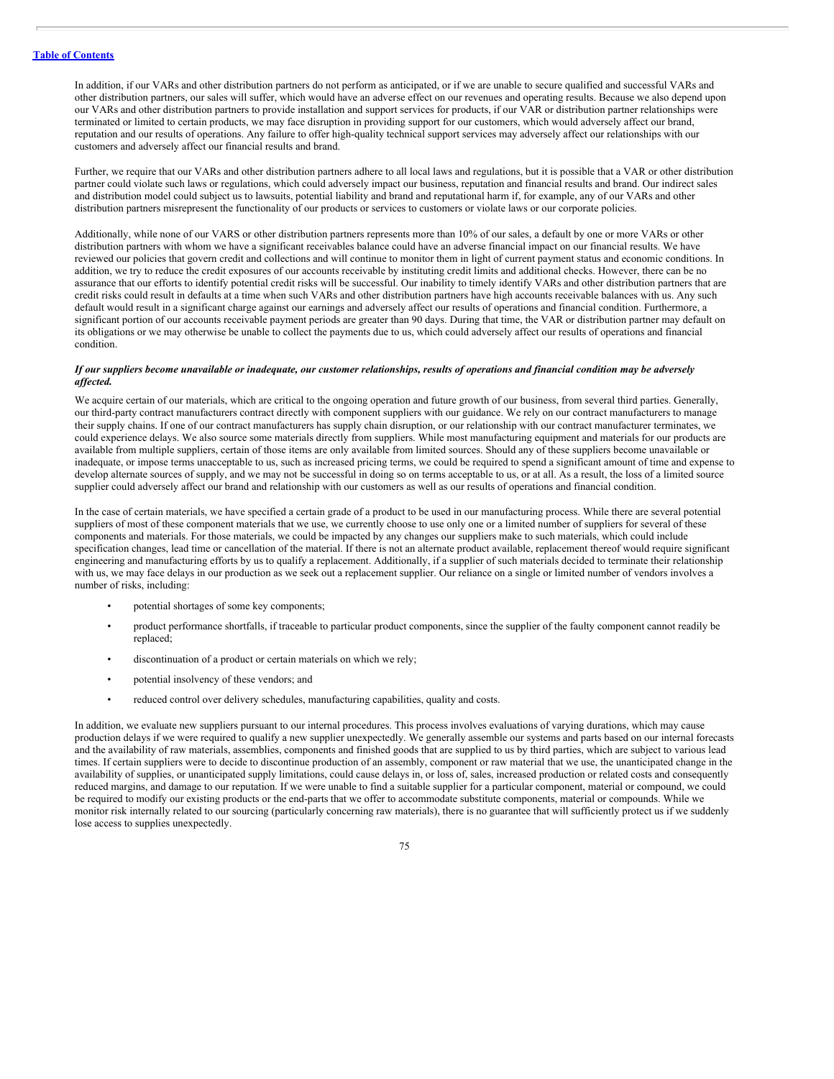In addition, if our VARs and other distribution partners do not perform as anticipated, or if we are unable to secure qualified and successful VARs and other distribution partners, our sales will suffer, which would have an adverse effect on our revenues and operating results. Because we also depend upon our VARs and other distribution partners to provide installation and support services for products, if our VAR or distribution partner relationships were terminated or limited to certain products, we may face disruption in providing support for our customers, which would adversely affect our brand, reputation and our results of operations. Any failure to offer high-quality technical support services may adversely affect our relationships with our customers and adversely affect our financial results and brand.

Further, we require that our VARs and other distribution partners adhere to all local laws and regulations, but it is possible that a VAR or other distribution partner could violate such laws or regulations, which could adversely impact our business, reputation and financial results and brand. Our indirect sales and distribution model could subject us to lawsuits, potential liability and brand and reputational harm if, for example, any of our VARs and other distribution partners misrepresent the functionality of our products or services to customers or violate laws or our corporate policies.

Additionally, while none of our VARS or other distribution partners represents more than 10% of our sales, a default by one or more VARs or other distribution partners with whom we have a significant receivables balance could have an adverse financial impact on our financial results. We have reviewed our policies that govern credit and collections and will continue to monitor them in light of current payment status and economic conditions. In addition, we try to reduce the credit exposures of our accounts receivable by instituting credit limits and additional checks. However, there can be no assurance that our efforts to identify potential credit risks will be successful. Our inability to timely identify VARs and other distribution partners that are credit risks could result in defaults at a time when such VARs and other distribution partners have high accounts receivable balances with us. Any such default would result in a significant charge against our earnings and adversely affect our results of operations and financial condition. Furthermore, a significant portion of our accounts receivable payment periods are greater than 90 days. During that time, the VAR or distribution partner may default on its obligations or we may otherwise be unable to collect the payments due to us, which could adversely affect our results of operations and financial condition.

## If our suppliers become unavailable or inadequate, our customer relationships, results of operations and financial condition may be adversely *af ected.*

We acquire certain of our materials, which are critical to the ongoing operation and future growth of our business, from several third parties. Generally, our third-party contract manufacturers contract directly with component suppliers with our guidance. We rely on our contract manufacturers to manage their supply chains. If one of our contract manufacturers has supply chain disruption, or our relationship with our contract manufacturer terminates, we could experience delays. We also source some materials directly from suppliers. While most manufacturing equipment and materials for our products are available from multiple suppliers, certain of those items are only available from limited sources. Should any of these suppliers become unavailable or inadequate, or impose terms unacceptable to us, such as increased pricing terms, we could be required to spend a significant amount of time and expense to develop alternate sources of supply, and we may not be successful in doing so on terms acceptable to us, or at all. As a result, the loss of a limited source supplier could adversely affect our brand and relationship with our customers as well as our results of operations and financial condition.

In the case of certain materials, we have specified a certain grade of a product to be used in our manufacturing process. While there are several potential suppliers of most of these component materials that we use, we currently choose to use only one or a limited number of suppliers for several of these components and materials. For those materials, we could be impacted by any changes our suppliers make to such materials, which could include specification changes, lead time or cancellation of the material. If there is not an alternate product available, replacement thereof would require significant engineering and manufacturing efforts by us to qualify a replacement. Additionally, if a supplier of such materials decided to terminate their relationship with us, we may face delays in our production as we seek out a replacement supplier. Our reliance on a single or limited number of vendors involves a number of risks, including:

- potential shortages of some key components;
- product performance shortfalls, if traceable to particular product components, since the supplier of the faulty component cannot readily be replaced;
- discontinuation of a product or certain materials on which we rely;
- potential insolvency of these vendors; and
- reduced control over delivery schedules, manufacturing capabilities, quality and costs.

In addition, we evaluate new suppliers pursuant to our internal procedures. This process involves evaluations of varying durations, which may cause production delays if we were required to qualify a new supplier unexpectedly. We generally assemble our systems and parts based on our internal forecasts and the availability of raw materials, assemblies, components and finished goods that are supplied to us by third parties, which are subject to various lead times. If certain suppliers were to decide to discontinue production of an assembly, component or raw material that we use, the unanticipated change in the availability of supplies, or unanticipated supply limitations, could cause delays in, or loss of, sales, increased production or related costs and consequently reduced margins, and damage to our reputation. If we were unable to find a suitable supplier for a particular component, material or compound, we could be required to modify our existing products or the end-parts that we offer to accommodate substitute components, material or compounds. While we monitor risk internally related to our sourcing (particularly concerning raw materials), there is no guarantee that will sufficiently protect us if we suddenly lose access to supplies unexpectedly.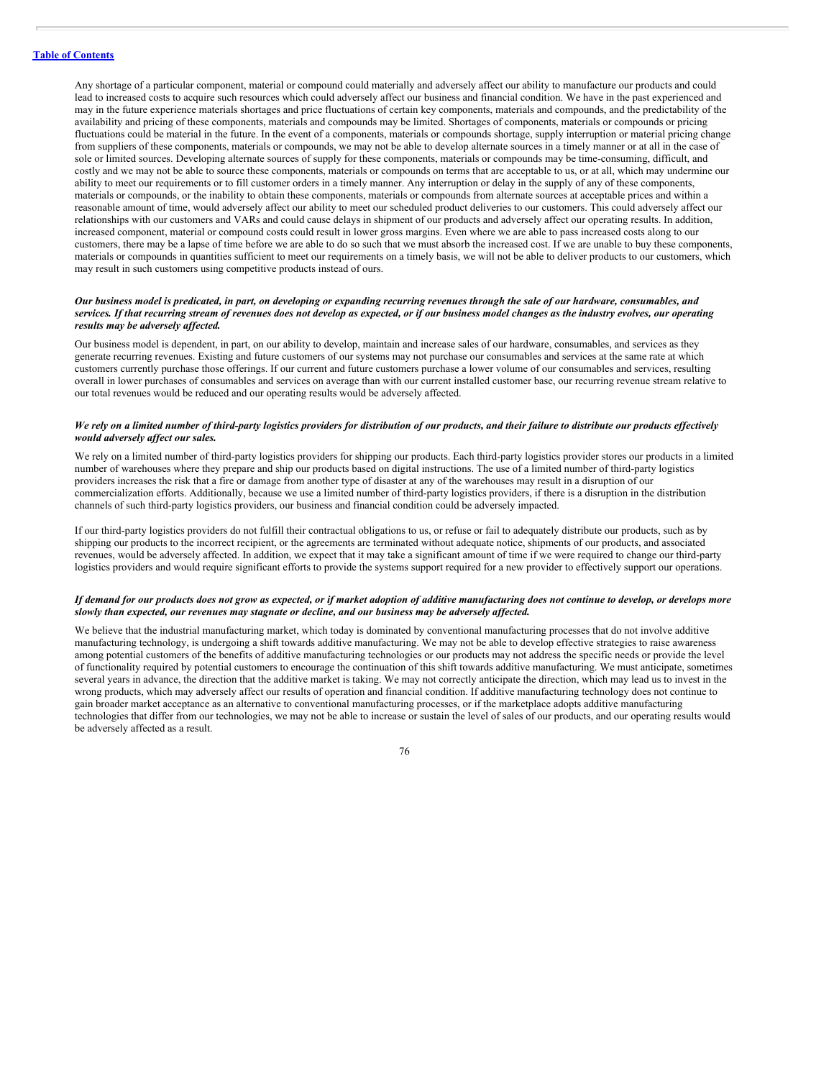Any shortage of a particular component, material or compound could materially and adversely affect our ability to manufacture our products and could lead to increased costs to acquire such resources which could adversely affect our business and financial condition. We have in the past experienced and may in the future experience materials shortages and price fluctuations of certain key components, materials and compounds, and the predictability of the availability and pricing of these components, materials and compounds may be limited. Shortages of components, materials or compounds or pricing fluctuations could be material in the future. In the event of a components, materials or compounds shortage, supply interruption or material pricing change from suppliers of these components, materials or compounds, we may not be able to develop alternate sources in a timely manner or at all in the case of sole or limited sources. Developing alternate sources of supply for these components, materials or compounds may be time-consuming, difficult, and costly and we may not be able to source these components, materials or compounds on terms that are acceptable to us, or at all, which may undermine our ability to meet our requirements or to fill customer orders in a timely manner. Any interruption or delay in the supply of any of these components, materials or compounds, or the inability to obtain these components, materials or compounds from alternate sources at acceptable prices and within a reasonable amount of time, would adversely affect our ability to meet our scheduled product deliveries to our customers. This could adversely affect our relationships with our customers and VARs and could cause delays in shipment of our products and adversely affect our operating results. In addition, increased component, material or compound costs could result in lower gross margins. Even where we are able to pass increased costs along to our customers, there may be a lapse of time before we are able to do so such that we must absorb the increased cost. If we are unable to buy these components, materials or compounds in quantities sufficient to meet our requirements on a timely basis, we will not be able to deliver products to our customers, which may result in such customers using competitive products instead of ours.

## Our business model is predicated, in part, on developing or expanding recurring revenues through the sale of our hardware, consumables, and services. If that recurring stream of revenues does not develop as expected, or if our business model changes as the industry evolves, our operating *results may be adversely af ected.*

Our business model is dependent, in part, on our ability to develop, maintain and increase sales of our hardware, consumables, and services as they generate recurring revenues. Existing and future customers of our systems may not purchase our consumables and services at the same rate at which customers currently purchase those offerings. If our current and future customers purchase a lower volume of our consumables and services, resulting overall in lower purchases of consumables and services on average than with our current installed customer base, our recurring revenue stream relative to our total revenues would be reduced and our operating results would be adversely affected.

## We rely on a limited number of third-party logistics providers for distribution of our products, and their failure to distribute our products effectively *would adversely af ect our sales.*

We rely on a limited number of third-party logistics providers for shipping our products. Each third-party logistics provider stores our products in a limited number of warehouses where they prepare and ship our products based on digital instructions. The use of a limited number of third-party logistics providers increases the risk that a fire or damage from another type of disaster at any of the warehouses may result in a disruption of our commercialization efforts. Additionally, because we use a limited number of third-party logistics providers, if there is a disruption in the distribution channels of such third-party logistics providers, our business and financial condition could be adversely impacted.

If our third-party logistics providers do not fulfill their contractual obligations to us, or refuse or fail to adequately distribute our products, such as by shipping our products to the incorrect recipient, or the agreements are terminated without adequate notice, shipments of our products, and associated revenues, would be adversely affected. In addition, we expect that it may take a significant amount of time if we were required to change our third-party logistics providers and would require significant efforts to provide the systems support required for a new provider to effectively support our operations.

## If demand for our products does not grow as expected, or if market adoption of additive manufacturing does not continue to develop, or develops more *slowly than expected, our revenues may stagnate or decline, and our business may be adversely af ected.*

We believe that the industrial manufacturing market, which today is dominated by conventional manufacturing processes that do not involve additive manufacturing technology, is undergoing a shift towards additive manufacturing. We may not be able to develop effective strategies to raise awareness among potential customers of the benefits of additive manufacturing technologies or our products may not address the specific needs or provide the level of functionality required by potential customers to encourage the continuation of this shift towards additive manufacturing. We must anticipate, sometimes several years in advance, the direction that the additive market is taking. We may not correctly anticipate the direction, which may lead us to invest in the wrong products, which may adversely affect our results of operation and financial condition. If additive manufacturing technology does not continue to gain broader market acceptance as an alternative to conventional manufacturing processes, or if the marketplace adopts additive manufacturing technologies that differ from our technologies, we may not be able to increase or sustain the level of sales of our products, and our operating results would be adversely affected as a result.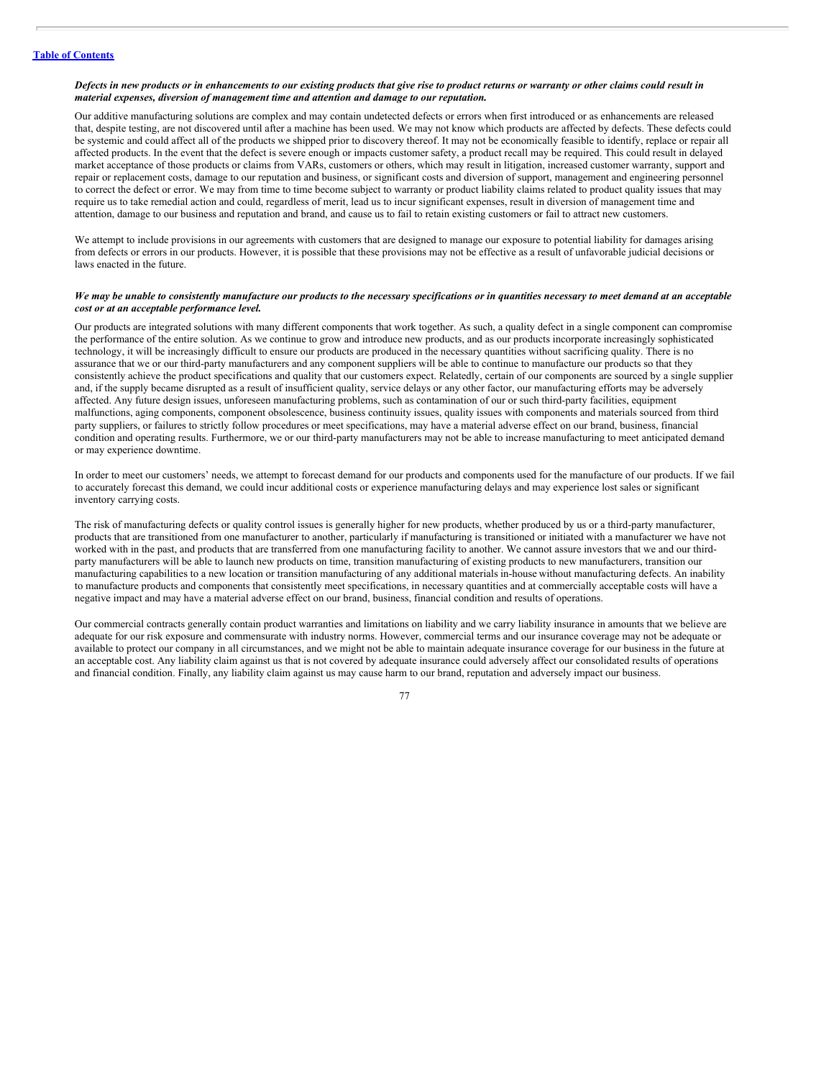#### Defects in new products or in enhancements to our existing products that give rise to product returns or warranty or other claims could result in *material expenses, diversion of management time and attention and damage to our reputation.*

Our additive manufacturing solutions are complex and may contain undetected defects or errors when first introduced or as enhancements are released that, despite testing, are not discovered until after a machine has been used. We may not know which products are affected by defects. These defects could be systemic and could affect all of the products we shipped prior to discovery thereof. It may not be economically feasible to identify, replace or repair all affected products. In the event that the defect is severe enough or impacts customer safety, a product recall may be required. This could result in delayed market acceptance of those products or claims from VARs, customers or others, which may result in litigation, increased customer warranty, support and repair or replacement costs, damage to our reputation and business, or significant costs and diversion of support, management and engineering personnel to correct the defect or error. We may from time to time become subject to warranty or product liability claims related to product quality issues that may require us to take remedial action and could, regardless of merit, lead us to incur significant expenses, result in diversion of management time and attention, damage to our business and reputation and brand, and cause us to fail to retain existing customers or fail to attract new customers.

We attempt to include provisions in our agreements with customers that are designed to manage our exposure to potential liability for damages arising from defects or errors in our products. However, it is possible that these provisions may not be effective as a result of unfavorable judicial decisions or laws enacted in the future.

## We may be unable to consistently manufacture our products to the necessary specifications or in quantities necessary to meet demand at an acceptable *cost or at an acceptable performance level.*

Our products are integrated solutions with many different components that work together. As such, a quality defect in a single component can compromise the performance of the entire solution. As we continue to grow and introduce new products, and as our products incorporate increasingly sophisticated technology, it will be increasingly difficult to ensure our products are produced in the necessary quantities without sacrificing quality. There is no assurance that we or our third-party manufacturers and any component suppliers will be able to continue to manufacture our products so that they consistently achieve the product specifications and quality that our customers expect. Relatedly, certain of our components are sourced by a single supplier and, if the supply became disrupted as a result of insufficient quality, service delays or any other factor, our manufacturing efforts may be adversely affected. Any future design issues, unforeseen manufacturing problems, such as contamination of our or such third-party facilities, equipment malfunctions, aging components, component obsolescence, business continuity issues, quality issues with components and materials sourced from third party suppliers, or failures to strictly follow procedures or meet specifications, may have a material adverse effect on our brand, business, financial condition and operating results. Furthermore, we or our third-party manufacturers may not be able to increase manufacturing to meet anticipated demand or may experience downtime.

In order to meet our customers' needs, we attempt to forecast demand for our products and components used for the manufacture of our products. If we fail to accurately forecast this demand, we could incur additional costs or experience manufacturing delays and may experience lost sales or significant inventory carrying costs.

The risk of manufacturing defects or quality control issues is generally higher for new products, whether produced by us or a third-party manufacturer, products that are transitioned from one manufacturer to another, particularly if manufacturing is transitioned or initiated with a manufacturer we have not worked with in the past, and products that are transferred from one manufacturing facility to another. We cannot assure investors that we and our thirdparty manufacturers will be able to launch new products on time, transition manufacturing of existing products to new manufacturers, transition our manufacturing capabilities to a new location or transition manufacturing of any additional materials in-house without manufacturing defects. An inability to manufacture products and components that consistently meet specifications, in necessary quantities and at commercially acceptable costs will have a negative impact and may have a material adverse effect on our brand, business, financial condition and results of operations.

Our commercial contracts generally contain product warranties and limitations on liability and we carry liability insurance in amounts that we believe are adequate for our risk exposure and commensurate with industry norms. However, commercial terms and our insurance coverage may not be adequate or available to protect our company in all circumstances, and we might not be able to maintain adequate insurance coverage for our business in the future at an acceptable cost. Any liability claim against us that is not covered by adequate insurance could adversely affect our consolidated results of operations and financial condition. Finally, any liability claim against us may cause harm to our brand, reputation and adversely impact our business.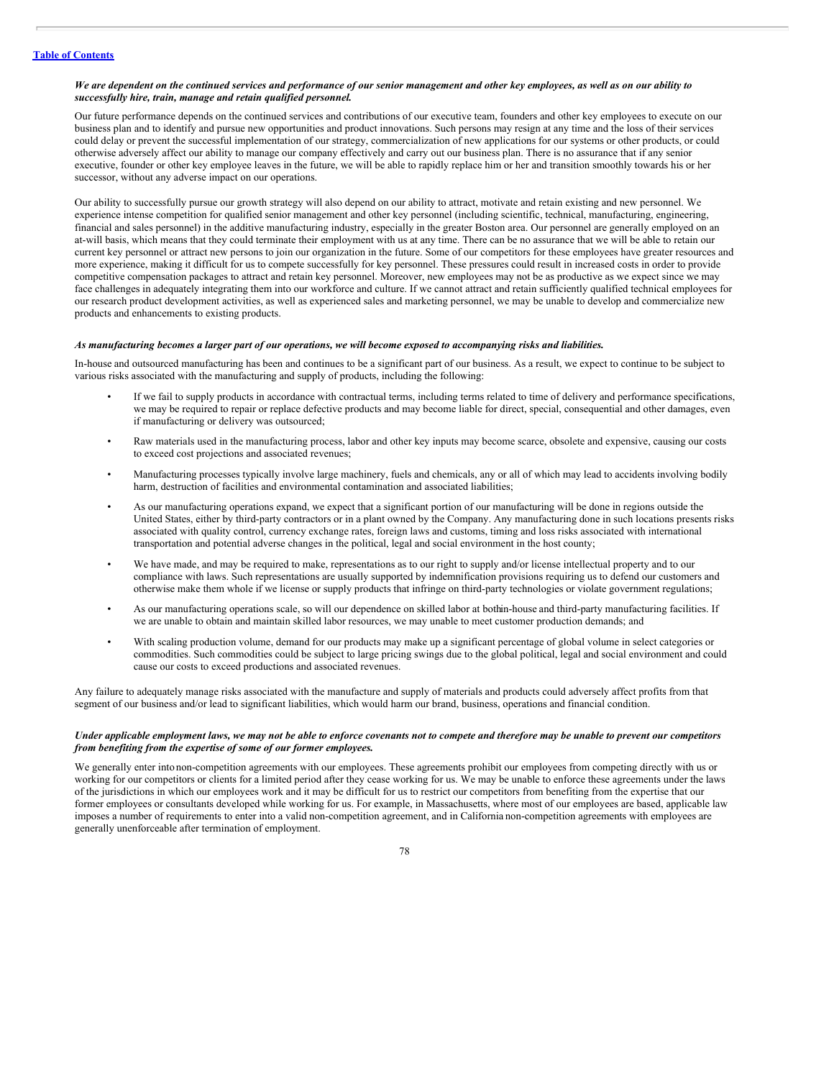## We are dependent on the continued services and performance of our senior management and other key employees, as well as on our ability to *successfully hire, train, manage and retain qualified personnel.*

Our future performance depends on the continued services and contributions of our executive team, founders and other key employees to execute on our business plan and to identify and pursue new opportunities and product innovations. Such persons may resign at any time and the loss of their services could delay or prevent the successful implementation of our strategy, commercialization of new applications for our systems or other products, or could otherwise adversely affect our ability to manage our company effectively and carry out our business plan. There is no assurance that if any senior executive, founder or other key employee leaves in the future, we will be able to rapidly replace him or her and transition smoothly towards his or her successor, without any adverse impact on our operations.

Our ability to successfully pursue our growth strategy will also depend on our ability to attract, motivate and retain existing and new personnel. We experience intense competition for qualified senior management and other key personnel (including scientific, technical, manufacturing, engineering, financial and sales personnel) in the additive manufacturing industry, especially in the greater Boston area. Our personnel are generally employed on an at-will basis, which means that they could terminate their employment with us at any time. There can be no assurance that we will be able to retain our current key personnel or attract new persons to join our organization in the future. Some of our competitors for these employees have greater resources and more experience, making it difficult for us to compete successfully for key personnel. These pressures could result in increased costs in order to provide competitive compensation packages to attract and retain key personnel. Moreover, new employees may not be as productive as we expect since we may face challenges in adequately integrating them into our workforce and culture. If we cannot attract and retain sufficiently qualified technical employees for our research product development activities, as well as experienced sales and marketing personnel, we may be unable to develop and commercialize new products and enhancements to existing products.

## As manufacturing becomes a larger part of our operations, we will become exposed to accompanying risks and liabilities.

In-house and outsourced manufacturing has been and continues to be a significant part of our business. As a result, we expect to continue to be subject to various risks associated with the manufacturing and supply of products, including the following:

- If we fail to supply products in accordance with contractual terms, including terms related to time of delivery and performance specifications, we may be required to repair or replace defective products and may become liable for direct, special, consequential and other damages, even if manufacturing or delivery was outsourced;
- Raw materials used in the manufacturing process, labor and other key inputs may become scarce, obsolete and expensive, causing our costs to exceed cost projections and associated revenues;
- Manufacturing processes typically involve large machinery, fuels and chemicals, any or all of which may lead to accidents involving bodily harm, destruction of facilities and environmental contamination and associated liabilities;
- As our manufacturing operations expand, we expect that a significant portion of our manufacturing will be done in regions outside the United States, either by third-party contractors or in a plant owned by the Company. Any manufacturing done in such locations presents risks associated with quality control, currency exchange rates, foreign laws and customs, timing and loss risks associated with international transportation and potential adverse changes in the political, legal and social environment in the host county;
- We have made, and may be required to make, representations as to our right to supply and/or license intellectual property and to our compliance with laws. Such representations are usually supported by indemnification provisions requiring us to defend our customers and otherwise make them whole if we license or supply products that infringe on third-party technologies or violate government regulations;
- As our manufacturing operations scale, so will our dependence on skilled labor at bothin-house and third-party manufacturing facilities. If we are unable to obtain and maintain skilled labor resources, we may unable to meet customer production demands; and
- With scaling production volume, demand for our products may make up a significant percentage of global volume in select categories or commodities. Such commodities could be subject to large pricing swings due to the global political, legal and social environment and could cause our costs to exceed productions and associated revenues.

Any failure to adequately manage risks associated with the manufacture and supply of materials and products could adversely affect profits from that segment of our business and/or lead to significant liabilities, which would harm our brand, business, operations and financial condition.

#### Under applicable employment laws, we may not be able to enforce covenants not to compete and therefore may be unable to prevent our competitors *from benefiting from the expertise of some of our former employees.*

We generally enter into non-competition agreements with our employees. These agreements prohibit our employees from competing directly with us or working for our competitors or clients for a limited period after they cease working for us. We may be unable to enforce these agreements under the laws of the jurisdictions in which our employees work and it may be difficult for us to restrict our competitors from benefiting from the expertise that our former employees or consultants developed while working for us. For example, in Massachusetts, where most of our employees are based, applicable law imposes a number of requirements to enter into a valid non-competition agreement, and in California non-competition agreements with employees are generally unenforceable after termination of employment.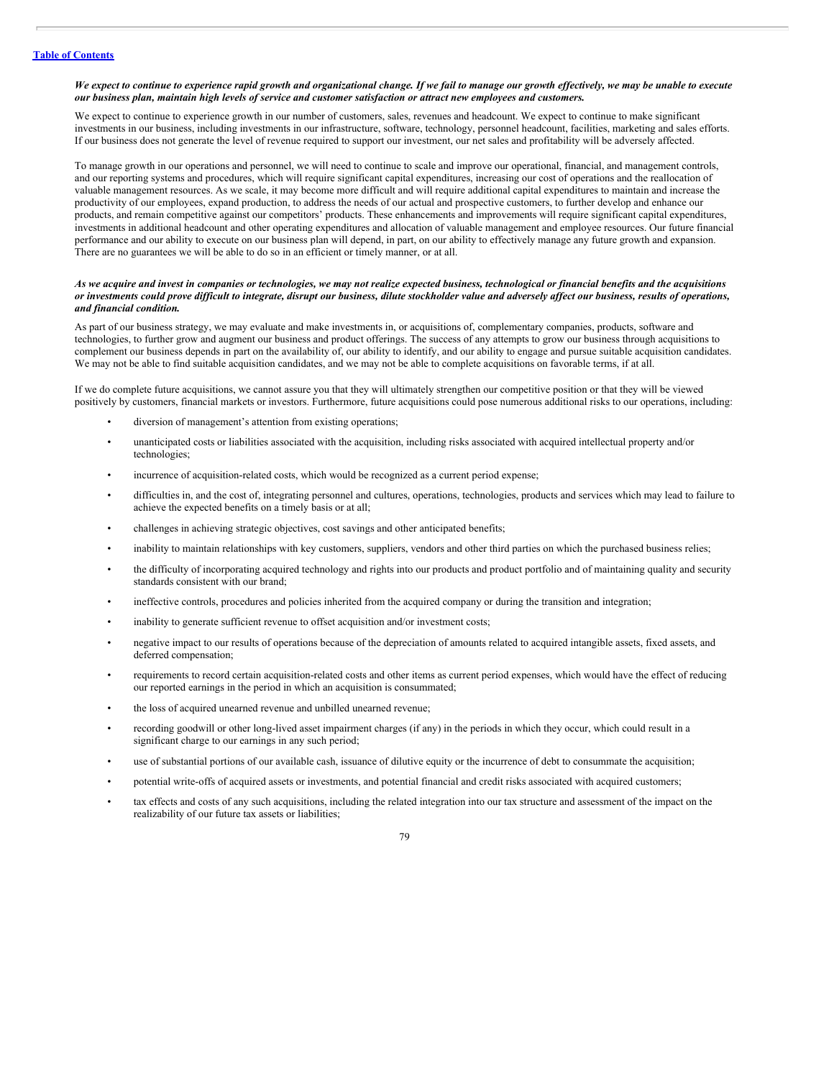## We expect to continue to experience rapid growth and organizational change. If we fail to manage our growth effectively, we may be unable to execute our business plan, maintain high levels of service and customer satisfaction or attract new employees and customers.

We expect to continue to experience growth in our number of customers, sales, revenues and headcount. We expect to continue to make significant investments in our business, including investments in our infrastructure, software, technology, personnel headcount, facilities, marketing and sales efforts. If our business does not generate the level of revenue required to support our investment, our net sales and profitability will be adversely affected.

To manage growth in our operations and personnel, we will need to continue to scale and improve our operational, financial, and management controls, and our reporting systems and procedures, which will require significant capital expenditures, increasing our cost of operations and the reallocation of valuable management resources. As we scale, it may become more difficult and will require additional capital expenditures to maintain and increase the productivity of our employees, expand production, to address the needs of our actual and prospective customers, to further develop and enhance our products, and remain competitive against our competitors' products. These enhancements and improvements will require significant capital expenditures, investments in additional headcount and other operating expenditures and allocation of valuable management and employee resources. Our future financial performance and our ability to execute on our business plan will depend, in part, on our ability to effectively manage any future growth and expansion. There are no guarantees we will be able to do so in an efficient or timely manner, or at all.

## As we acquire and invest in companies or technologies, we may not realize expected business, technological or financial benefits and the acquisitions or investments could prove difficult to integrate, disrupt our business, dilute stockholder value and adversely affect our business, results of operations, *and financial condition.*

As part of our business strategy, we may evaluate and make investments in, or acquisitions of, complementary companies, products, software and technologies, to further grow and augment our business and product offerings. The success of any attempts to grow our business through acquisitions to complement our business depends in part on the availability of, our ability to identify, and our ability to engage and pursue suitable acquisition candidates. We may not be able to find suitable acquisition candidates, and we may not be able to complete acquisitions on favorable terms, if at all.

If we do complete future acquisitions, we cannot assure you that they will ultimately strengthen our competitive position or that they will be viewed positively by customers, financial markets or investors. Furthermore, future acquisitions could pose numerous additional risks to our operations, including:

- diversion of management's attention from existing operations;
- unanticipated costs or liabilities associated with the acquisition, including risks associated with acquired intellectual property and/or technologies;
- incurrence of acquisition-related costs, which would be recognized as a current period expense;
- difficulties in, and the cost of, integrating personnel and cultures, operations, technologies, products and services which may lead to failure to achieve the expected benefits on a timely basis or at all;
- challenges in achieving strategic objectives, cost savings and other anticipated benefits;
- inability to maintain relationships with key customers, suppliers, vendors and other third parties on which the purchased business relies;
- the difficulty of incorporating acquired technology and rights into our products and product portfolio and of maintaining quality and security standards consistent with our brand;
- ineffective controls, procedures and policies inherited from the acquired company or during the transition and integration;
- inability to generate sufficient revenue to offset acquisition and/or investment costs;
- negative impact to our results of operations because of the depreciation of amounts related to acquired intangible assets, fixed assets, and deferred compensation;
- requirements to record certain acquisition-related costs and other items as current period expenses, which would have the effect of reducing our reported earnings in the period in which an acquisition is consummated;
- the loss of acquired unearned revenue and unbilled unearned revenue;
- recording goodwill or other long-lived asset impairment charges (if any) in the periods in which they occur, which could result in a significant charge to our earnings in any such period;
- use of substantial portions of our available cash, issuance of dilutive equity or the incurrence of debt to consummate the acquisition;
- potential write-offs of acquired assets or investments, and potential financial and credit risks associated with acquired customers;
- tax effects and costs of any such acquisitions, including the related integration into our tax structure and assessment of the impact on the realizability of our future tax assets or liabilities;

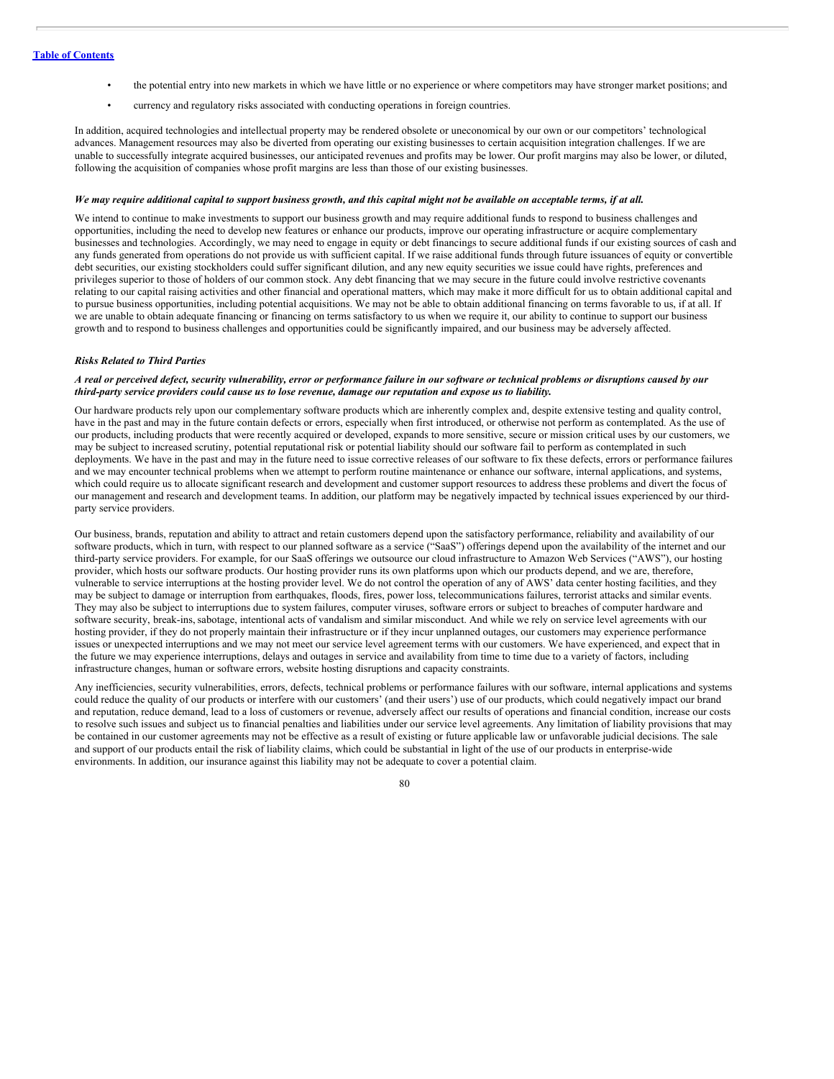- the potential entry into new markets in which we have little or no experience or where competitors may have stronger market positions; and
- currency and regulatory risks associated with conducting operations in foreign countries.

In addition, acquired technologies and intellectual property may be rendered obsolete or uneconomical by our own or our competitors' technological advances. Management resources may also be diverted from operating our existing businesses to certain acquisition integration challenges. If we are unable to successfully integrate acquired businesses, our anticipated revenues and profits may be lower. Our profit margins may also be lower, or diluted, following the acquisition of companies whose profit margins are less than those of our existing businesses.

## We may require additional capital to support business growth, and this capital might not be available on acceptable terms, if at all.

We intend to continue to make investments to support our business growth and may require additional funds to respond to business challenges and opportunities, including the need to develop new features or enhance our products, improve our operating infrastructure or acquire complementary businesses and technologies. Accordingly, we may need to engage in equity or debt financings to secure additional funds if our existing sources of cash and any funds generated from operations do not provide us with sufficient capital. If we raise additional funds through future issuances of equity or convertible debt securities, our existing stockholders could suffer significant dilution, and any new equity securities we issue could have rights, preferences and privileges superior to those of holders of our common stock. Any debt financing that we may secure in the future could involve restrictive covenants relating to our capital raising activities and other financial and operational matters, which may make it more difficult for us to obtain additional capital and to pursue business opportunities, including potential acquisitions. We may not be able to obtain additional financing on terms favorable to us, if at all. If we are unable to obtain adequate financing or financing on terms satisfactory to us when we require it, our ability to continue to support our business growth and to respond to business challenges and opportunities could be significantly impaired, and our business may be adversely affected.

## *Risks Related to Third Parties*

## A real or perceived defect, security vulnerability, error or performance failure in our software or technical problems or disruptions caused by our third-party service providers could cause us to lose revenue, damage our reputation and expose us to liability.

Our hardware products rely upon our complementary software products which are inherently complex and, despite extensive testing and quality control, have in the past and may in the future contain defects or errors, especially when first introduced, or otherwise not perform as contemplated. As the use of our products, including products that were recently acquired or developed, expands to more sensitive, secure or mission critical uses by our customers, we may be subject to increased scrutiny, potential reputational risk or potential liability should our software fail to perform as contemplated in such deployments. We have in the past and may in the future need to issue corrective releases of our software to fix these defects, errors or performance failures and we may encounter technical problems when we attempt to perform routine maintenance or enhance our software, internal applications, and systems, which could require us to allocate significant research and development and customer support resources to address these problems and divert the focus of our management and research and development teams. In addition, our platform may be negatively impacted by technical issues experienced by our thirdparty service providers.

Our business, brands, reputation and ability to attract and retain customers depend upon the satisfactory performance, reliability and availability of our software products, which in turn, with respect to our planned software as a service ("SaaS") offerings depend upon the availability of the internet and our third-party service providers. For example, for our SaaS offerings we outsource our cloud infrastructure to Amazon Web Services ("AWS"), our hosting provider, which hosts our software products. Our hosting provider runs its own platforms upon which our products depend, and we are, therefore, vulnerable to service interruptions at the hosting provider level. We do not control the operation of any of AWS' data center hosting facilities, and they may be subject to damage or interruption from earthquakes, floods, fires, power loss, telecommunications failures, terrorist attacks and similar events. They may also be subject to interruptions due to system failures, computer viruses, software errors or subject to breaches of computer hardware and software security, break-ins, sabotage, intentional acts of vandalism and similar misconduct. And while we rely on service level agreements with our hosting provider, if they do not properly maintain their infrastructure or if they incur unplanned outages, our customers may experience performance issues or unexpected interruptions and we may not meet our service level agreement terms with our customers. We have experienced, and expect that in the future we may experience interruptions, delays and outages in service and availability from time to time due to a variety of factors, including infrastructure changes, human or software errors, website hosting disruptions and capacity constraints.

Any inefficiencies, security vulnerabilities, errors, defects, technical problems or performance failures with our software, internal applications and systems could reduce the quality of our products or interfere with our customers' (and their users') use of our products, which could negatively impact our brand and reputation, reduce demand, lead to a loss of customers or revenue, adversely affect our results of operations and financial condition, increase our costs to resolve such issues and subject us to financial penalties and liabilities under our service level agreements. Any limitation of liability provisions that may be contained in our customer agreements may not be effective as a result of existing or future applicable law or unfavorable judicial decisions. The sale and support of our products entail the risk of liability claims, which could be substantial in light of the use of our products in enterprise-wide environments. In addition, our insurance against this liability may not be adequate to cover a potential claim.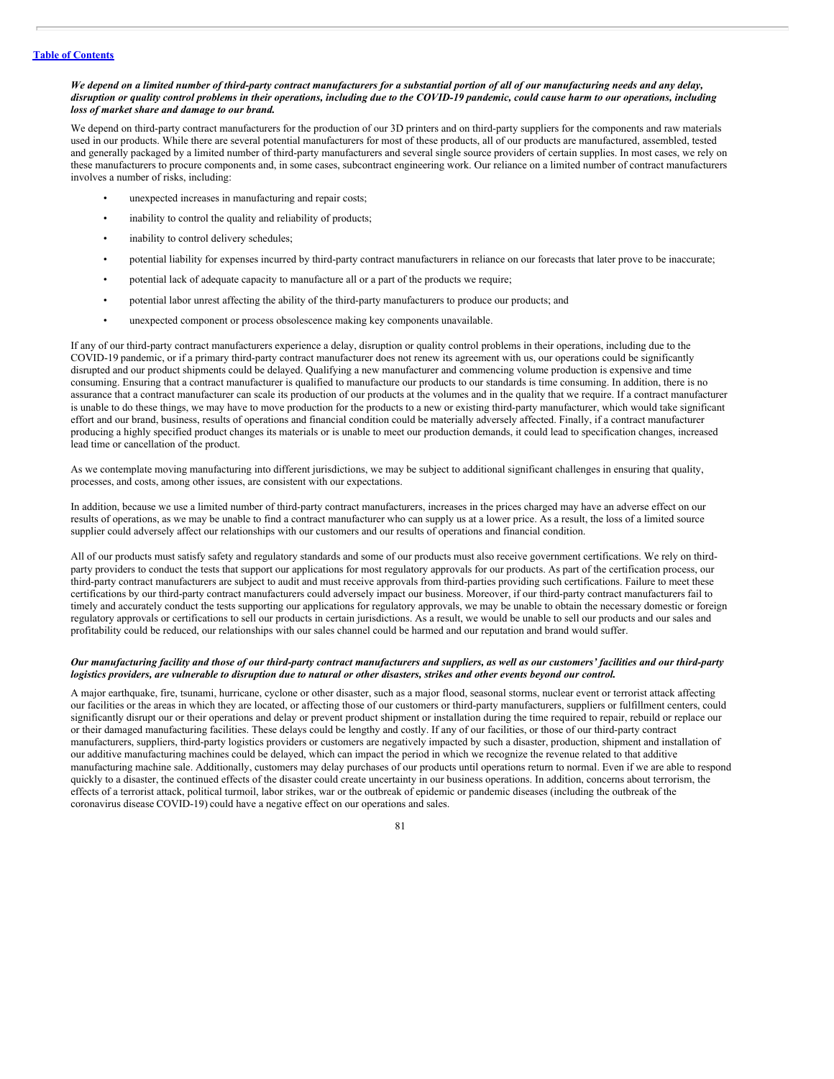## **Table of [Contents](#page-2-0)**

## We depend on a limited number of third-party contract manufacturers for a substantial portion of all of our manufacturing needs and any delay, disruption or quality control problems in their operations, including due to the COVID-19 pandemic, could cause harm to our operations, including *loss of market share and damage to our brand.*

We depend on third-party contract manufacturers for the production of our 3D printers and on third-party suppliers for the components and raw materials used in our products. While there are several potential manufacturers for most of these products, all of our products are manufactured, assembled, tested and generally packaged by a limited number of third-party manufacturers and several single source providers of certain supplies. In most cases, we rely on these manufacturers to procure components and, in some cases, subcontract engineering work. Our reliance on a limited number of contract manufacturers involves a number of risks, including:

- unexpected increases in manufacturing and repair costs;
- inability to control the quality and reliability of products;
- inability to control delivery schedules;
- potential liability for expenses incurred by third-party contract manufacturers in reliance on our forecasts that later prove to be inaccurate;
- potential lack of adequate capacity to manufacture all or a part of the products we require;
- potential labor unrest affecting the ability of the third-party manufacturers to produce our products; and
- unexpected component or process obsolescence making key components unavailable.

If any of our third-party contract manufacturers experience a delay, disruption or quality control problems in their operations, including due to the COVID-19 pandemic, or if a primary third-party contract manufacturer does not renew its agreement with us, our operations could be significantly disrupted and our product shipments could be delayed. Qualifying a new manufacturer and commencing volume production is expensive and time consuming. Ensuring that a contract manufacturer is qualified to manufacture our products to our standards is time consuming. In addition, there is no assurance that a contract manufacturer can scale its production of our products at the volumes and in the quality that we require. If a contract manufacturer is unable to do these things, we may have to move production for the products to a new or existing third-party manufacturer, which would take significant effort and our brand, business, results of operations and financial condition could be materially adversely affected. Finally, if a contract manufacturer producing a highly specified product changes its materials or is unable to meet our production demands, it could lead to specification changes, increased lead time or cancellation of the product.

As we contemplate moving manufacturing into different jurisdictions, we may be subject to additional significant challenges in ensuring that quality, processes, and costs, among other issues, are consistent with our expectations.

In addition, because we use a limited number of third-party contract manufacturers, increases in the prices charged may have an adverse effect on our results of operations, as we may be unable to find a contract manufacturer who can supply us at a lower price. As a result, the loss of a limited source supplier could adversely affect our relationships with our customers and our results of operations and financial condition.

All of our products must satisfy safety and regulatory standards and some of our products must also receive government certifications. We rely on thirdparty providers to conduct the tests that support our applications for most regulatory approvals for our products. As part of the certification process, our third-party contract manufacturers are subject to audit and must receive approvals from third-parties providing such certifications. Failure to meet these certifications by our third-party contract manufacturers could adversely impact our business. Moreover, if our third-party contract manufacturers fail to timely and accurately conduct the tests supporting our applications for regulatory approvals, we may be unable to obtain the necessary domestic or foreign regulatory approvals or certifications to sell our products in certain jurisdictions. As a result, we would be unable to sell our products and our sales and profitability could be reduced, our relationships with our sales channel could be harmed and our reputation and brand would suffer.

## Our manufacturing facility and those of our third-party contract manufacturers and suppliers, as well as our customers' facilities and our third-party logistics providers, are vulnerable to disruption due to natural or other disasters, strikes and other events beyond our control.

A major earthquake, fire, tsunami, hurricane, cyclone or other disaster, such as a major flood, seasonal storms, nuclear event or terrorist attack affecting our facilities or the areas in which they are located, or affecting those of our customers or third-party manufacturers, suppliers or fulfillment centers, could significantly disrupt our or their operations and delay or prevent product shipment or installation during the time required to repair, rebuild or replace our or their damaged manufacturing facilities. These delays could be lengthy and costly. If any of our facilities, or those of our third-party contract manufacturers, suppliers, third-party logistics providers or customers are negatively impacted by such a disaster, production, shipment and installation of our additive manufacturing machines could be delayed, which can impact the period in which we recognize the revenue related to that additive manufacturing machine sale. Additionally, customers may delay purchases of our products until operations return to normal. Even if we are able to respond quickly to a disaster, the continued effects of the disaster could create uncertainty in our business operations. In addition, concerns about terrorism, the effects of a terrorist attack, political turmoil, labor strikes, war or the outbreak of epidemic or pandemic diseases (including the outbreak of the coronavirus disease COVID-19) could have a negative effect on our operations and sales.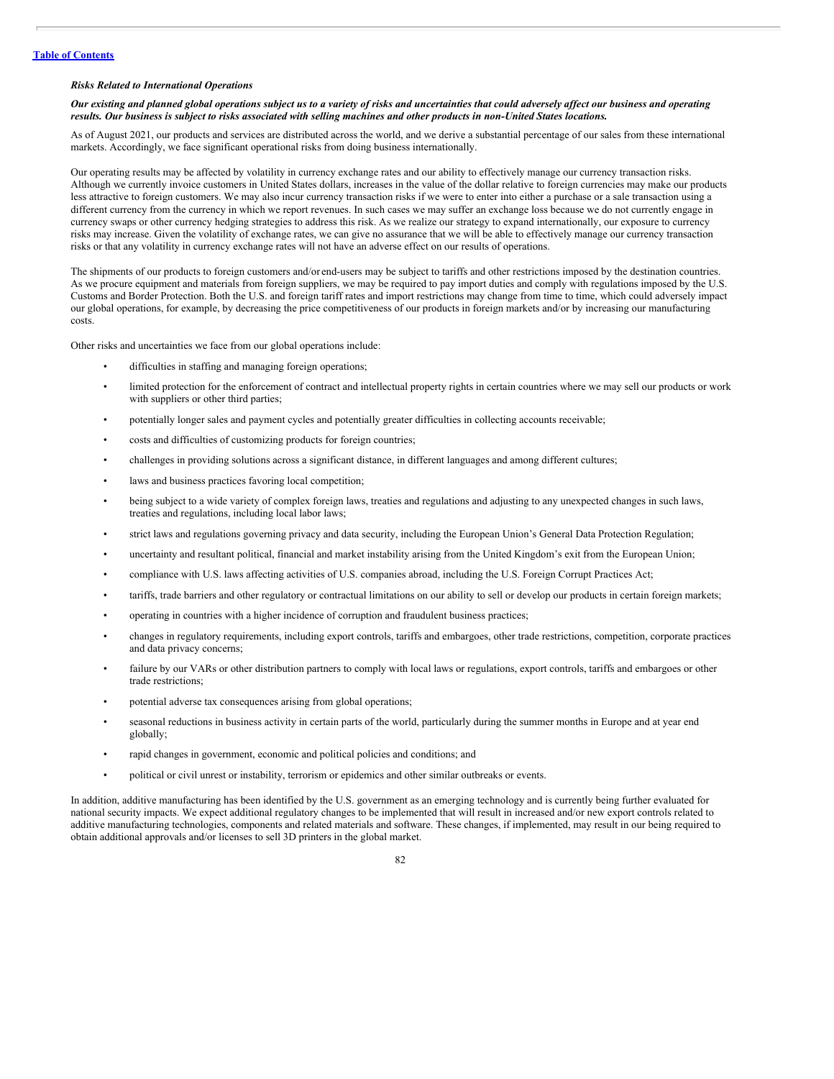#### *Risks Related to International Operations*

## Our existing and planned global operations subject us to a variety of risks and uncertainties that could adversely affect our business and operating results. Our business is subject to risks associated with selling machines and other products in non-United States locations.

As of August 2021, our products and services are distributed across the world, and we derive a substantial percentage of our sales from these international markets. Accordingly, we face significant operational risks from doing business internationally.

Our operating results may be affected by volatility in currency exchange rates and our ability to effectively manage our currency transaction risks. Although we currently invoice customers in United States dollars, increases in the value of the dollar relative to foreign currencies may make our products less attractive to foreign customers. We may also incur currency transaction risks if we were to enter into either a purchase or a sale transaction using a different currency from the currency in which we report revenues. In such cases we may suffer an exchange loss because we do not currently engage in currency swaps or other currency hedging strategies to address this risk. As we realize our strategy to expand internationally, our exposure to currency risks may increase. Given the volatility of exchange rates, we can give no assurance that we will be able to effectively manage our currency transaction risks or that any volatility in currency exchange rates will not have an adverse effect on our results of operations.

The shipments of our products to foreign customers and/or end-users may be subject to tariffs and other restrictions imposed by the destination countries. As we procure equipment and materials from foreign suppliers, we may be required to pay import duties and comply with regulations imposed by the U.S. Customs and Border Protection. Both the U.S. and foreign tariff rates and import restrictions may change from time to time, which could adversely impact our global operations, for example, by decreasing the price competitiveness of our products in foreign markets and/or by increasing our manufacturing costs.

Other risks and uncertainties we face from our global operations include:

- difficulties in staffing and managing foreign operations;
- limited protection for the enforcement of contract and intellectual property rights in certain countries where we may sell our products or work with suppliers or other third parties;
- potentially longer sales and payment cycles and potentially greater difficulties in collecting accounts receivable;
- costs and difficulties of customizing products for foreign countries;
- challenges in providing solutions across a significant distance, in different languages and among different cultures;
- laws and business practices favoring local competition;
- being subject to a wide variety of complex foreign laws, treaties and regulations and adjusting to any unexpected changes in such laws, treaties and regulations, including local labor laws;
- strict laws and regulations governing privacy and data security, including the European Union's General Data Protection Regulation;
- uncertainty and resultant political, financial and market instability arising from the United Kingdom's exit from the European Union;
- compliance with U.S. laws affecting activities of U.S. companies abroad, including the U.S. Foreign Corrupt Practices Act;
- tariffs, trade barriers and other regulatory or contractual limitations on our ability to sell or develop our products in certain foreign markets;
- operating in countries with a higher incidence of corruption and fraudulent business practices;
- changes in regulatory requirements, including export controls, tariffs and embargoes, other trade restrictions, competition, corporate practices and data privacy concerns;
- failure by our VARs or other distribution partners to comply with local laws or regulations, export controls, tariffs and embargoes or other trade restrictions;
- potential adverse tax consequences arising from global operations;
- seasonal reductions in business activity in certain parts of the world, particularly during the summer months in Europe and at year end globally;
- rapid changes in government, economic and political policies and conditions; and
- political or civil unrest or instability, terrorism or epidemics and other similar outbreaks or events.

In addition, additive manufacturing has been identified by the U.S. government as an emerging technology and is currently being further evaluated for national security impacts. We expect additional regulatory changes to be implemented that will result in increased and/or new export controls related to additive manufacturing technologies, components and related materials and software. These changes, if implemented, may result in our being required to obtain additional approvals and/or licenses to sell 3D printers in the global market.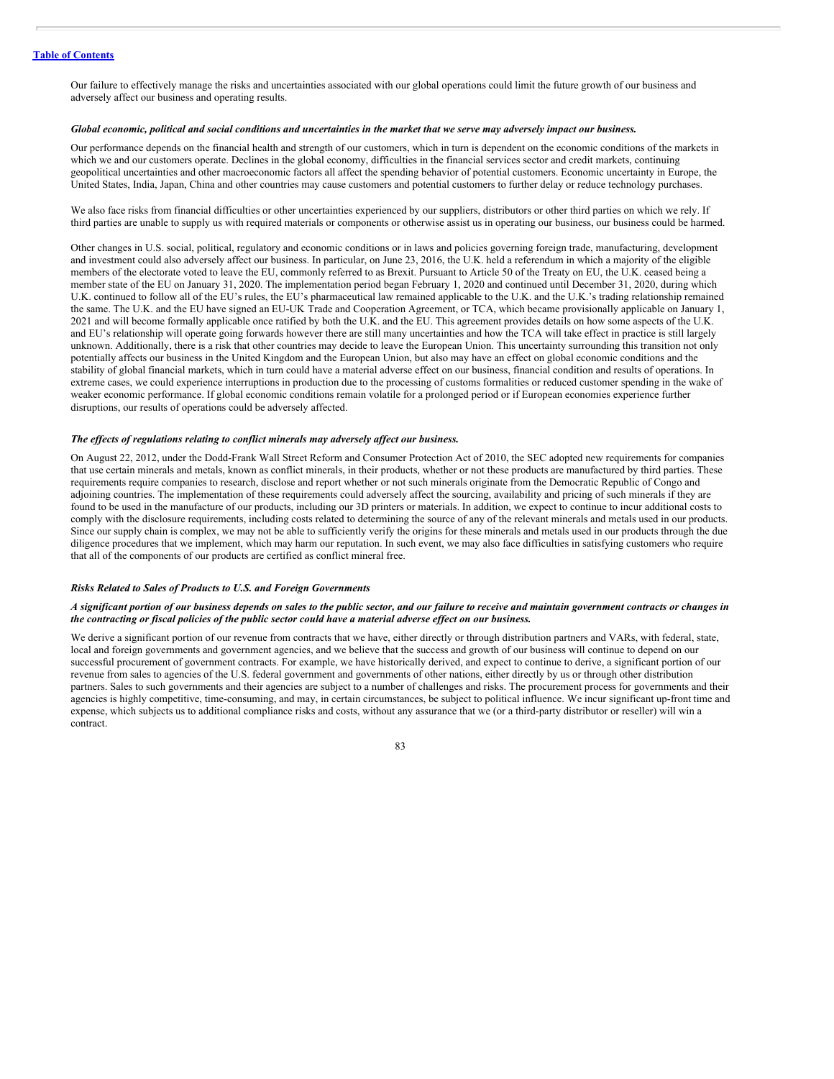Our failure to effectively manage the risks and uncertainties associated with our global operations could limit the future growth of our business and adversely affect our business and operating results.

## Global economic, political and social conditions and uncertainties in the market that we serve may adversely impact our business.

Our performance depends on the financial health and strength of our customers, which in turn is dependent on the economic conditions of the markets in which we and our customers operate. Declines in the global economy, difficulties in the financial services sector and credit markets, continuing geopolitical uncertainties and other macroeconomic factors all affect the spending behavior of potential customers. Economic uncertainty in Europe, the United States, India, Japan, China and other countries may cause customers and potential customers to further delay or reduce technology purchases.

We also face risks from financial difficulties or other uncertainties experienced by our suppliers, distributors or other third parties on which we rely. If third parties are unable to supply us with required materials or components or otherwise assist us in operating our business, our business could be harmed.

Other changes in U.S. social, political, regulatory and economic conditions or in laws and policies governing foreign trade, manufacturing, development and investment could also adversely affect our business. In particular, on June 23, 2016, the U.K. held a referendum in which a majority of the eligible members of the electorate voted to leave the EU, commonly referred to as Brexit. Pursuant to Article 50 of the Treaty on EU, the U.K. ceased being a member state of the EU on January 31, 2020. The implementation period began February 1, 2020 and continued until December 31, 2020, during which U.K. continued to follow all of the EU's rules, the EU's pharmaceutical law remained applicable to the U.K. and the U.K.'s trading relationship remained the same. The U.K. and the EU have signed an EU-UK Trade and Cooperation Agreement, or TCA, which became provisionally applicable on January 1, 2021 and will become formally applicable once ratified by both the U.K. and the EU. This agreement provides details on how some aspects of the U.K. and EU's relationship will operate going forwards however there are still many uncertainties and how the TCA will take effect in practice is still largely unknown. Additionally, there is a risk that other countries may decide to leave the European Union. This uncertainty surrounding this transition not only potentially affects our business in the United Kingdom and the European Union, but also may have an effect on global economic conditions and the stability of global financial markets, which in turn could have a material adverse effect on our business, financial condition and results of operations. In extreme cases, we could experience interruptions in production due to the processing of customs formalities or reduced customer spending in the wake of weaker economic performance. If global economic conditions remain volatile for a prolonged period or if European economies experience further disruptions, our results of operations could be adversely affected.

#### *The ef ects of regulations relating to conflict minerals may adversely af ect our business.*

On August 22, 2012, under the Dodd-Frank Wall Street Reform and Consumer Protection Act of 2010, the SEC adopted new requirements for companies that use certain minerals and metals, known as conflict minerals, in their products, whether or not these products are manufactured by third parties. These requirements require companies to research, disclose and report whether or not such minerals originate from the Democratic Republic of Congo and adjoining countries. The implementation of these requirements could adversely affect the sourcing, availability and pricing of such minerals if they are found to be used in the manufacture of our products, including our 3D printers or materials. In addition, we expect to continue to incur additional costs to comply with the disclosure requirements, including costs related to determining the source of any of the relevant minerals and metals used in our products. Since our supply chain is complex, we may not be able to sufficiently verify the origins for these minerals and metals used in our products through the due diligence procedures that we implement, which may harm our reputation. In such event, we may also face difficulties in satisfying customers who require that all of the components of our products are certified as conflict mineral free.

#### *Risks Related to Sales of Products to U.S. and Foreign Governments*

## A significant portion of our business depends on sales to the public sector, and our failure to receive and maintain government contracts or changes in the contracting or fiscal policies of the public sector could have a material adverse effect on our business.

We derive a significant portion of our revenue from contracts that we have, either directly or through distribution partners and VARs, with federal, state, local and foreign governments and government agencies, and we believe that the success and growth of our business will continue to depend on our successful procurement of government contracts. For example, we have historically derived, and expect to continue to derive, a significant portion of our revenue from sales to agencies of the U.S. federal government and governments of other nations, either directly by us or through other distribution partners. Sales to such governments and their agencies are subject to a number of challenges and risks. The procurement process for governments and their agencies is highly competitive, time-consuming, and may, in certain circumstances, be subject to political influence. We incur significant up-front time and expense, which subjects us to additional compliance risks and costs, without any assurance that we (or a third-party distributor or reseller) will win a contract.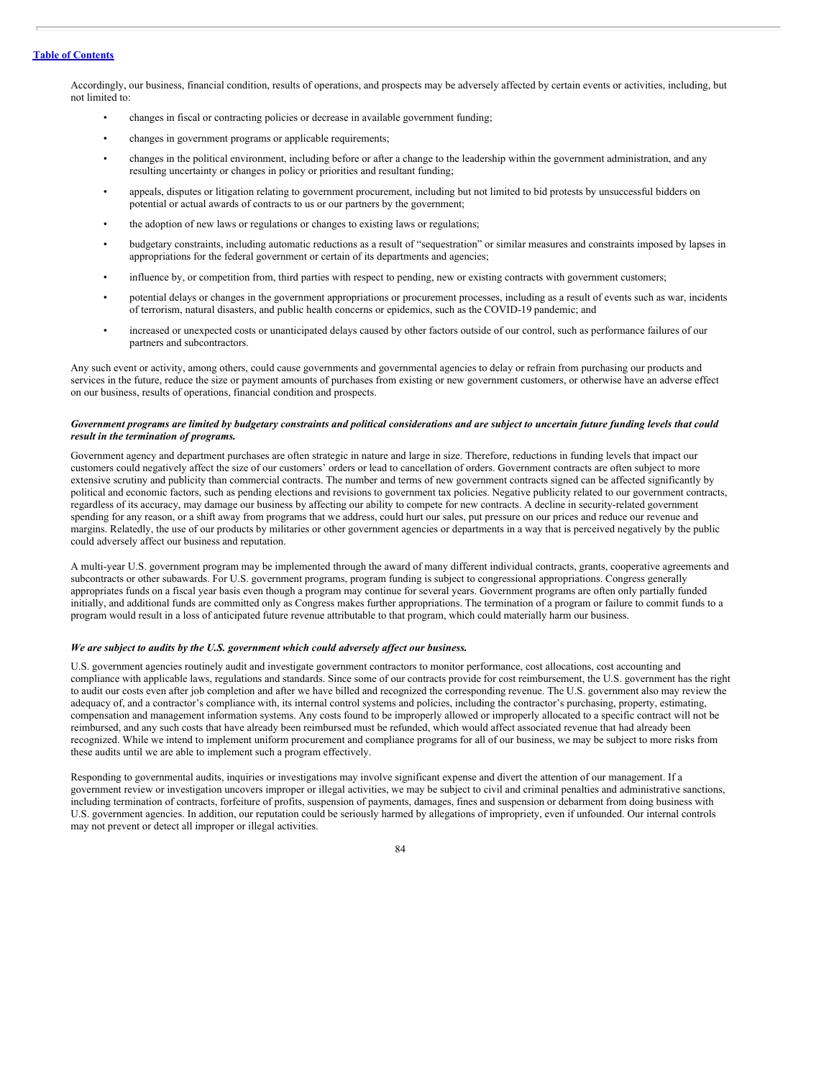Accordingly, our business, financial condition, results of operations, and prospects may be adversely affected by certain events or activities, including, but not limited to:

- changes in fiscal or contracting policies or decrease in available government funding;
- changes in government programs or applicable requirements;
- changes in the political environment, including before or after a change to the leadership within the government administration, and any resulting uncertainty or changes in policy or priorities and resultant funding;
- appeals, disputes or litigation relating to government procurement, including but not limited to bid protests by unsuccessful bidders on potential or actual awards of contracts to us or our partners by the government;
- the adoption of new laws or regulations or changes to existing laws or regulations;
- budgetary constraints, including automatic reductions as a result of "sequestration" or similar measures and constraints imposed by lapses in appropriations for the federal government or certain of its departments and agencies;
- influence by, or competition from, third parties with respect to pending, new or existing contracts with government customers;
- potential delays or changes in the government appropriations or procurement processes, including as a result of events such as war, incidents of terrorism, natural disasters, and public health concerns or epidemics, such as the COVID-19 pandemic; and
- increased or unexpected costs or unanticipated delays caused by other factors outside of our control, such as performance failures of our partners and subcontractors.

Any such event or activity, among others, could cause governments and governmental agencies to delay or refrain from purchasing our products and services in the future, reduce the size or payment amounts of purchases from existing or new government customers, or otherwise have an adverse effect on our business, results of operations, financial condition and prospects.

## Government programs are limited by budgetary constraints and political considerations and are subject to uncertain future funding levels that could *result in the termination of programs.*

Government agency and department purchases are often strategic in nature and large in size. Therefore, reductions in funding levels that impact our customers could negatively affect the size of our customers' orders or lead to cancellation of orders. Government contracts are often subject to more extensive scrutiny and publicity than commercial contracts. The number and terms of new government contracts signed can be affected significantly by political and economic factors, such as pending elections and revisions to government tax policies. Negative publicity related to our government contracts, regardless of its accuracy, may damage our business by affecting our ability to compete for new contracts. A decline in security-related government spending for any reason, or a shift away from programs that we address, could hurt our sales, put pressure on our prices and reduce our revenue and margins. Relatedly, the use of our products by militaries or other government agencies or departments in a way that is perceived negatively by the public could adversely affect our business and reputation.

A multi-year U.S. government program may be implemented through the award of many different individual contracts, grants, cooperative agreements and subcontracts or other subawards. For U.S. government programs, program funding is subject to congressional appropriations. Congress generally appropriates funds on a fiscal year basis even though a program may continue for several years. Government programs are often only partially funded initially, and additional funds are committed only as Congress makes further appropriations. The termination of a program or failure to commit funds to a program would result in a loss of anticipated future revenue attributable to that program, which could materially harm our business.

## *We are subject to audits by the U.S. government which could adversely af ect our business.*

U.S. government agencies routinely audit and investigate government contractors to monitor performance, cost allocations, cost accounting and compliance with applicable laws, regulations and standards. Since some of our contracts provide for cost reimbursement, the U.S. government has the right to audit our costs even after job completion and after we have billed and recognized the corresponding revenue. The U.S. government also may review the adequacy of, and a contractor's compliance with, its internal control systems and policies, including the contractor's purchasing, property, estimating, compensation and management information systems. Any costs found to be improperly allowed or improperly allocated to a specific contract will not be reimbursed, and any such costs that have already been reimbursed must be refunded, which would affect associated revenue that had already been recognized. While we intend to implement uniform procurement and compliance programs for all of our business, we may be subject to more risks from these audits until we are able to implement such a program effectively.

Responding to governmental audits, inquiries or investigations may involve significant expense and divert the attention of our management. If a government review or investigation uncovers improper or illegal activities, we may be subject to civil and criminal penalties and administrative sanctions, including termination of contracts, forfeiture of profits, suspension of payments, damages, fines and suspension or debarment from doing business with U.S. government agencies. In addition, our reputation could be seriously harmed by allegations of impropriety, even if unfounded. Our internal controls may not prevent or detect all improper or illegal activities.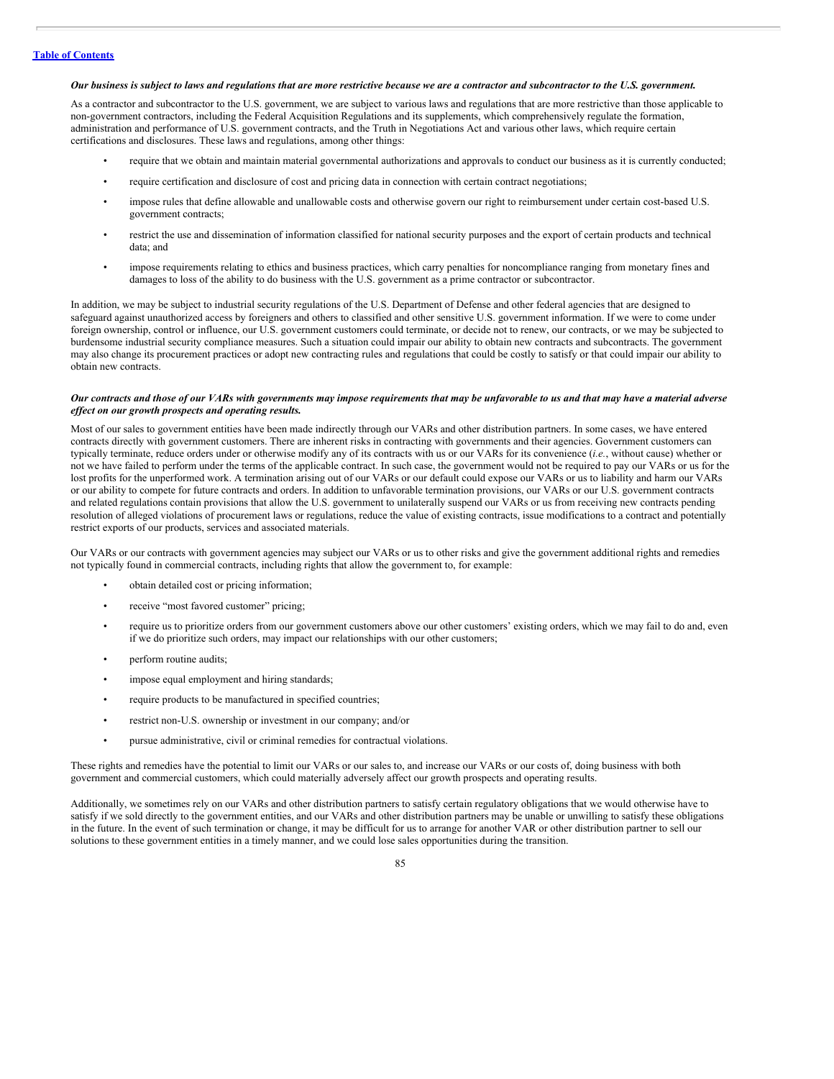#### Our business is subject to laws and regulations that are more restrictive because we are a contractor and subcontractor to the U.S. government.

As a contractor and subcontractor to the U.S. government, we are subject to various laws and regulations that are more restrictive than those applicable to non-government contractors, including the Federal Acquisition Regulations and its supplements, which comprehensively regulate the formation, administration and performance of U.S. government contracts, and the Truth in Negotiations Act and various other laws, which require certain certifications and disclosures. These laws and regulations, among other things:

- require that we obtain and maintain material governmental authorizations and approvals to conduct our business as it is currently conducted;
- require certification and disclosure of cost and pricing data in connection with certain contract negotiations;
- impose rules that define allowable and unallowable costs and otherwise govern our right to reimbursement under certain cost-based U.S. government contracts;
- restrict the use and dissemination of information classified for national security purposes and the export of certain products and technical data; and
- impose requirements relating to ethics and business practices, which carry penalties for noncompliance ranging from monetary fines and damages to loss of the ability to do business with the U.S. government as a prime contractor or subcontractor.

In addition, we may be subject to industrial security regulations of the U.S. Department of Defense and other federal agencies that are designed to safeguard against unauthorized access by foreigners and others to classified and other sensitive U.S. government information. If we were to come under foreign ownership, control or influence, our U.S. government customers could terminate, or decide not to renew, our contracts, or we may be subjected to burdensome industrial security compliance measures. Such a situation could impair our ability to obtain new contracts and subcontracts. The government may also change its procurement practices or adopt new contracting rules and regulations that could be costly to satisfy or that could impair our ability to obtain new contracts.

#### Our contracts and those of our VARs with governments may impose requirements that may be unfavorable to us and that may have a material adverse *ef ect on our growth prospects and operating results.*

Most of our sales to government entities have been made indirectly through our VARs and other distribution partners. In some cases, we have entered contracts directly with government customers. There are inherent risks in contracting with governments and their agencies. Government customers can typically terminate, reduce orders under or otherwise modify any of its contracts with us or our VARs for its convenience (*i.e.*, without cause) whether or not we have failed to perform under the terms of the applicable contract. In such case, the government would not be required to pay our VARs or us for the lost profits for the unperformed work. A termination arising out of our VARs or our default could expose our VARs or us to liability and harm our VARs or our ability to compete for future contracts and orders. In addition to unfavorable termination provisions, our VARs or our U.S. government contracts and related regulations contain provisions that allow the U.S. government to unilaterally suspend our VARs or us from receiving new contracts pending resolution of alleged violations of procurement laws or regulations, reduce the value of existing contracts, issue modifications to a contract and potentially restrict exports of our products, services and associated materials.

Our VARs or our contracts with government agencies may subject our VARs or us to other risks and give the government additional rights and remedies not typically found in commercial contracts, including rights that allow the government to, for example:

- obtain detailed cost or pricing information;
- receive "most favored customer" pricing;
- require us to prioritize orders from our government customers above our other customers' existing orders, which we may fail to do and, even if we do prioritize such orders, may impact our relationships with our other customers;
- perform routine audits;
- impose equal employment and hiring standards;
- require products to be manufactured in specified countries;
- restrict non-U.S. ownership or investment in our company; and/or
- pursue administrative, civil or criminal remedies for contractual violations.

These rights and remedies have the potential to limit our VARs or our sales to, and increase our VARs or our costs of, doing business with both government and commercial customers, which could materially adversely affect our growth prospects and operating results.

Additionally, we sometimes rely on our VARs and other distribution partners to satisfy certain regulatory obligations that we would otherwise have to satisfy if we sold directly to the government entities, and our VARs and other distribution partners may be unable or unwilling to satisfy these obligations in the future. In the event of such termination or change, it may be difficult for us to arrange for another VAR or other distribution partner to sell our solutions to these government entities in a timely manner, and we could lose sales opportunities during the transition.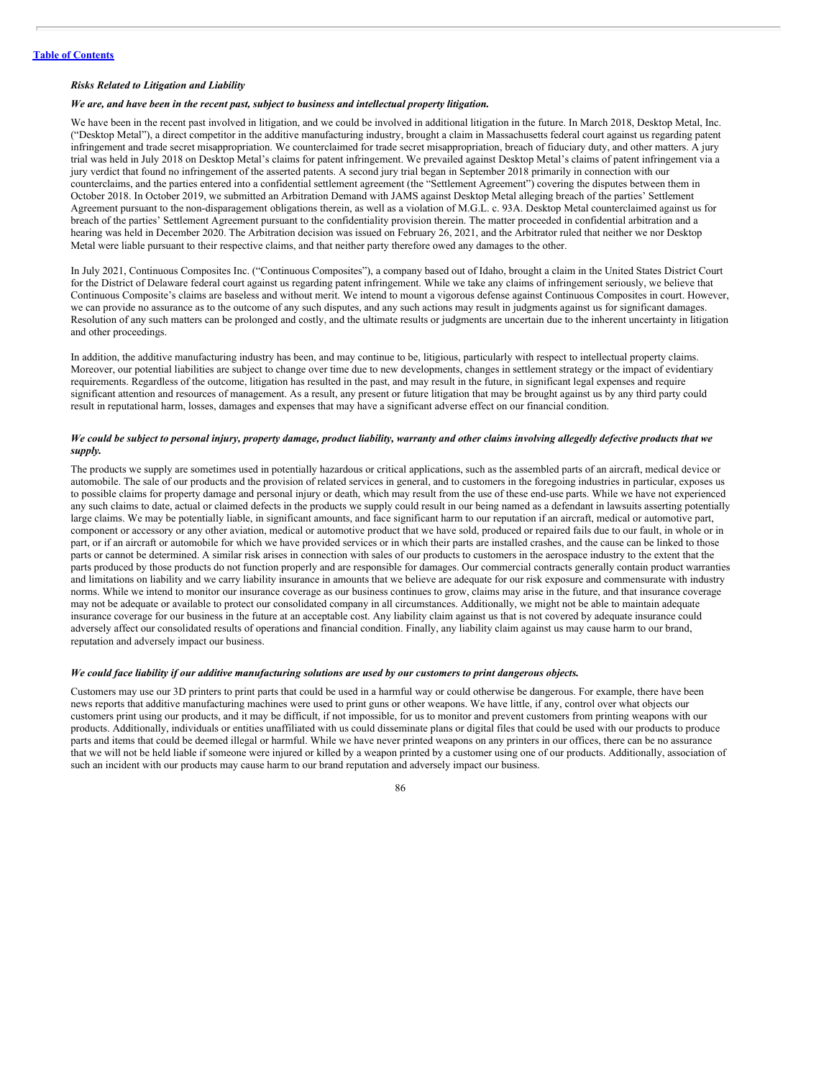## *Risks Related to Litigation and Liability*

## *We are, and have been in the recent past, subject to business and intellectual property litigation.*

We have been in the recent past involved in litigation, and we could be involved in additional litigation in the future. In March 2018, Desktop Metal, Inc. ("Desktop Metal"), a direct competitor in the additive manufacturing industry, brought a claim in Massachusetts federal court against us regarding patent infringement and trade secret misappropriation. We counterclaimed for trade secret misappropriation, breach of fiduciary duty, and other matters. A jury trial was held in July 2018 on Desktop Metal's claims for patent infringement. We prevailed against Desktop Metal's claims of patent infringement via a jury verdict that found no infringement of the asserted patents. A second jury trial began in September 2018 primarily in connection with our counterclaims, and the parties entered into a confidential settlement agreement (the "Settlement Agreement") covering the disputes between them in October 2018. In October 2019, we submitted an Arbitration Demand with JAMS against Desktop Metal alleging breach of the parties' Settlement Agreement pursuant to the non-disparagement obligations therein, as well as a violation of M.G.L. c. 93A. Desktop Metal counterclaimed against us for breach of the parties' Settlement Agreement pursuant to the confidentiality provision therein. The matter proceeded in confidential arbitration and a hearing was held in December 2020. The Arbitration decision was issued on February 26, 2021, and the Arbitrator ruled that neither we nor Desktop Metal were liable pursuant to their respective claims, and that neither party therefore owed any damages to the other.

In July 2021, Continuous Composites Inc. ("Continuous Composites"), a company based out of Idaho, brought a claim in the United States District Court for the District of Delaware federal court against us regarding patent infringement. While we take any claims of infringement seriously, we believe that Continuous Composite's claims are baseless and without merit. We intend to mount a vigorous defense against Continuous Composites in court. However, we can provide no assurance as to the outcome of any such disputes, and any such actions may result in judgments against us for significant damages. Resolution of any such matters can be prolonged and costly, and the ultimate results or judgments are uncertain due to the inherent uncertainty in litigation and other proceedings.

In addition, the additive manufacturing industry has been, and may continue to be, litigious, particularly with respect to intellectual property claims. Moreover, our potential liabilities are subject to change over time due to new developments, changes in settlement strategy or the impact of evidentiary requirements. Regardless of the outcome, litigation has resulted in the past, and may result in the future, in significant legal expenses and require significant attention and resources of management. As a result, any present or future litigation that may be brought against us by any third party could result in reputational harm, losses, damages and expenses that may have a significant adverse effect on our financial condition.

## We could be subject to personal injury, property damage, product liability, warranty and other claims involving allegedly defective products that we *supply.*

The products we supply are sometimes used in potentially hazardous or critical applications, such as the assembled parts of an aircraft, medical device or automobile. The sale of our products and the provision of related services in general, and to customers in the foregoing industries in particular, exposes us to possible claims for property damage and personal injury or death, which may result from the use of these end-use parts. While we have not experienced any such claims to date, actual or claimed defects in the products we supply could result in our being named as a defendant in lawsuits asserting potentially large claims. We may be potentially liable, in significant amounts, and face significant harm to our reputation if an aircraft, medical or automotive part, component or accessory or any other aviation, medical or automotive product that we have sold, produced or repaired fails due to our fault, in whole or in part, or if an aircraft or automobile for which we have provided services or in which their parts are installed crashes, and the cause can be linked to those parts or cannot be determined. A similar risk arises in connection with sales of our products to customers in the aerospace industry to the extent that the parts produced by those products do not function properly and are responsible for damages. Our commercial contracts generally contain product warranties and limitations on liability and we carry liability insurance in amounts that we believe are adequate for our risk exposure and commensurate with industry norms. While we intend to monitor our insurance coverage as our business continues to grow, claims may arise in the future, and that insurance coverage may not be adequate or available to protect our consolidated company in all circumstances. Additionally, we might not be able to maintain adequate insurance coverage for our business in the future at an acceptable cost. Any liability claim against us that is not covered by adequate insurance could adversely affect our consolidated results of operations and financial condition. Finally, any liability claim against us may cause harm to our brand, reputation and adversely impact our business.

## We could face liability if our additive manufacturing solutions are used by our customers to print dangerous objects.

Customers may use our 3D printers to print parts that could be used in a harmful way or could otherwise be dangerous. For example, there have been news reports that additive manufacturing machines were used to print guns or other weapons. We have little, if any, control over what objects our customers print using our products, and it may be difficult, if not impossible, for us to monitor and prevent customers from printing weapons with our products. Additionally, individuals or entities unaffiliated with us could disseminate plans or digital files that could be used with our products to produce parts and items that could be deemed illegal or harmful. While we have never printed weapons on any printers in our offices, there can be no assurance that we will not be held liable if someone were injured or killed by a weapon printed by a customer using one of our products. Additionally, association of such an incident with our products may cause harm to our brand reputation and adversely impact our business.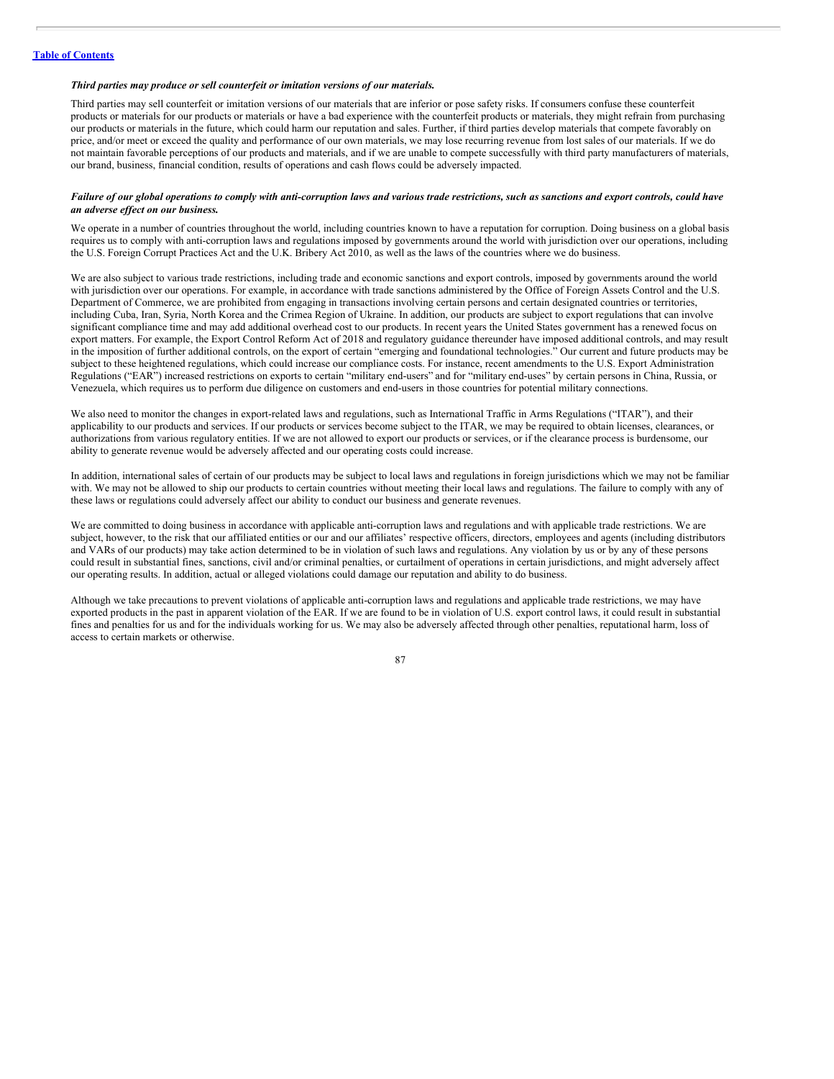#### *Third parties may produce or sell counterfeit or imitation versions of our materials.*

Third parties may sell counterfeit or imitation versions of our materials that are inferior or pose safety risks. If consumers confuse these counterfeit products or materials for our products or materials or have a bad experience with the counterfeit products or materials, they might refrain from purchasing our products or materials in the future, which could harm our reputation and sales. Further, if third parties develop materials that compete favorably on price, and/or meet or exceed the quality and performance of our own materials, we may lose recurring revenue from lost sales of our materials. If we do not maintain favorable perceptions of our products and materials, and if we are unable to compete successfully with third party manufacturers of materials, our brand, business, financial condition, results of operations and cash flows could be adversely impacted.

#### Failure of our global operations to comply with anti-corruption laws and various trade restrictions, such as sanctions and export controls, could have *an adverse ef ect on our business.*

We operate in a number of countries throughout the world, including countries known to have a reputation for corruption. Doing business on a global basis requires us to comply with anti-corruption laws and regulations imposed by governments around the world with jurisdiction over our operations, including the U.S. Foreign Corrupt Practices Act and the U.K. Bribery Act 2010, as well as the laws of the countries where we do business.

We are also subject to various trade restrictions, including trade and economic sanctions and export controls, imposed by governments around the world with jurisdiction over our operations. For example, in accordance with trade sanctions administered by the Office of Foreign Assets Control and the U.S. Department of Commerce, we are prohibited from engaging in transactions involving certain persons and certain designated countries or territories, including Cuba, Iran, Syria, North Korea and the Crimea Region of Ukraine. In addition, our products are subject to export regulations that can involve significant compliance time and may add additional overhead cost to our products. In recent years the United States government has a renewed focus on export matters. For example, the Export Control Reform Act of 2018 and regulatory guidance thereunder have imposed additional controls, and may result in the imposition of further additional controls, on the export of certain "emerging and foundational technologies." Our current and future products may be subject to these heightened regulations, which could increase our compliance costs. For instance, recent amendments to the U.S. Export Administration Regulations ("EAR") increased restrictions on exports to certain "military end-users" and for "military end-uses" by certain persons in China, Russia, or Venezuela, which requires us to perform due diligence on customers and end-users in those countries for potential military connections.

We also need to monitor the changes in export-related laws and regulations, such as International Traffic in Arms Regulations ("ITAR"), and their applicability to our products and services. If our products or services become subject to the ITAR, we may be required to obtain licenses, clearances, or authorizations from various regulatory entities. If we are not allowed to export our products or services, or if the clearance process is burdensome, our ability to generate revenue would be adversely affected and our operating costs could increase.

In addition, international sales of certain of our products may be subject to local laws and regulations in foreign jurisdictions which we may not be familiar with. We may not be allowed to ship our products to certain countries without meeting their local laws and regulations. The failure to comply with any of these laws or regulations could adversely affect our ability to conduct our business and generate revenues.

We are committed to doing business in accordance with applicable anti-corruption laws and regulations and with applicable trade restrictions. We are subject, however, to the risk that our affiliated entities or our and our affiliates' respective officers, directors, employees and agents (including distributors and VARs of our products) may take action determined to be in violation of such laws and regulations. Any violation by us or by any of these persons could result in substantial fines, sanctions, civil and/or criminal penalties, or curtailment of operations in certain jurisdictions, and might adversely affect our operating results. In addition, actual or alleged violations could damage our reputation and ability to do business.

Although we take precautions to prevent violations of applicable anti-corruption laws and regulations and applicable trade restrictions, we may have exported products in the past in apparent violation of the EAR. If we are found to be in violation of U.S. export control laws, it could result in substantial fines and penalties for us and for the individuals working for us. We may also be adversely affected through other penalties, reputational harm, loss of access to certain markets or otherwise.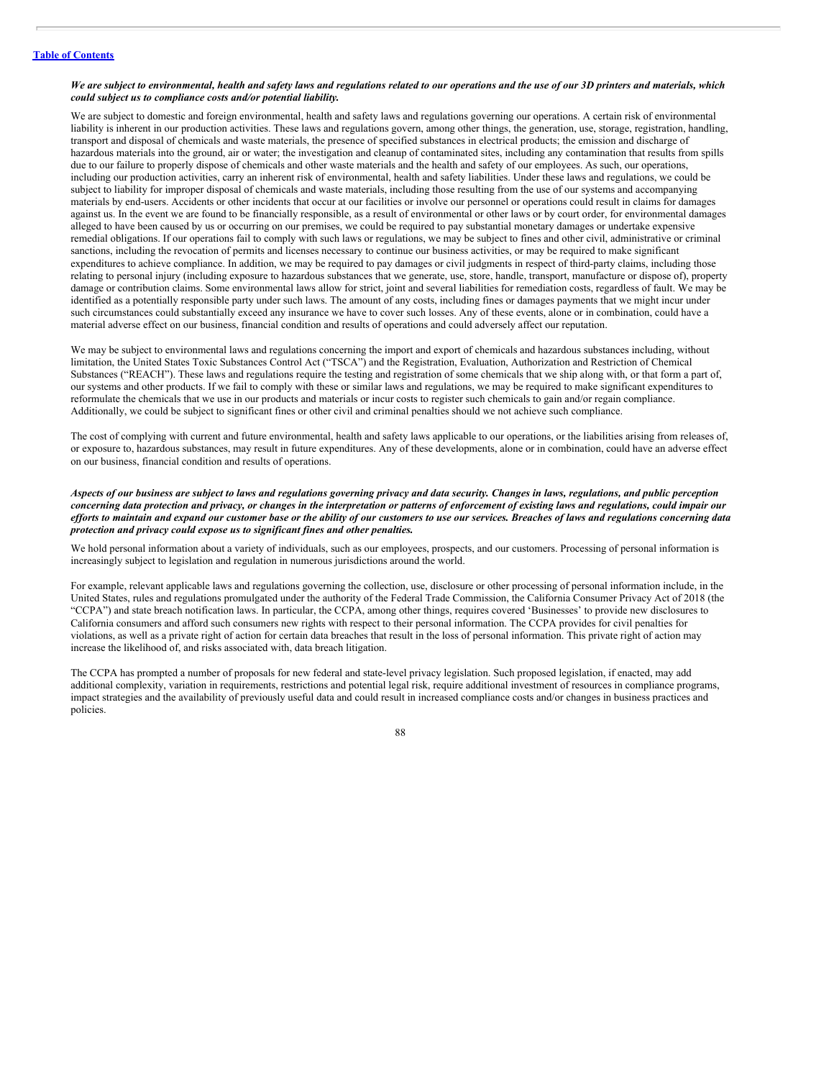#### We are subject to environmental, health and safety laws and regulations related to our operations and the use of our 3D printers and materials, which *could subject us to compliance costs and/or potential liability.*

We are subject to domestic and foreign environmental, health and safety laws and regulations governing our operations. A certain risk of environmental liability is inherent in our production activities. These laws and regulations govern, among other things, the generation, use, storage, registration, handling, transport and disposal of chemicals and waste materials, the presence of specified substances in electrical products; the emission and discharge of hazardous materials into the ground, air or water; the investigation and cleanup of contaminated sites, including any contamination that results from spills due to our failure to properly dispose of chemicals and other waste materials and the health and safety of our employees. As such, our operations, including our production activities, carry an inherent risk of environmental, health and safety liabilities. Under these laws and regulations, we could be subject to liability for improper disposal of chemicals and waste materials, including those resulting from the use of our systems and accompanying materials by end-users. Accidents or other incidents that occur at our facilities or involve our personnel or operations could result in claims for damages against us. In the event we are found to be financially responsible, as a result of environmental or other laws or by court order, for environmental damages alleged to have been caused by us or occurring on our premises, we could be required to pay substantial monetary damages or undertake expensive remedial obligations. If our operations fail to comply with such laws or regulations, we may be subject to fines and other civil, administrative or criminal sanctions, including the revocation of permits and licenses necessary to continue our business activities, or may be required to make significant expenditures to achieve compliance. In addition, we may be required to pay damages or civil judgments in respect of third-party claims, including those relating to personal injury (including exposure to hazardous substances that we generate, use, store, handle, transport, manufacture or dispose of), property damage or contribution claims. Some environmental laws allow for strict, joint and several liabilities for remediation costs, regardless of fault. We may be identified as a potentially responsible party under such laws. The amount of any costs, including fines or damages payments that we might incur under such circumstances could substantially exceed any insurance we have to cover such losses. Any of these events, alone or in combination, could have a material adverse effect on our business, financial condition and results of operations and could adversely affect our reputation.

We may be subject to environmental laws and regulations concerning the import and export of chemicals and hazardous substances including, without limitation, the United States Toxic Substances Control Act ("TSCA") and the Registration, Evaluation, Authorization and Restriction of Chemical Substances ("REACH"). These laws and regulations require the testing and registration of some chemicals that we ship along with, or that form a part of, our systems and other products. If we fail to comply with these or similar laws and regulations, we may be required to make significant expenditures to reformulate the chemicals that we use in our products and materials or incur costs to register such chemicals to gain and/or regain compliance. Additionally, we could be subject to significant fines or other civil and criminal penalties should we not achieve such compliance.

The cost of complying with current and future environmental, health and safety laws applicable to our operations, or the liabilities arising from releases of, or exposure to, hazardous substances, may result in future expenditures. Any of these developments, alone or in combination, could have an adverse effect on our business, financial condition and results of operations.

Aspects of our business are subject to laws and regulations governing privacy and data security. Changes in laws, regulations, and public perception concerning data protection and privacy, or changes in the interpretation or patterns of enforcement of existing laws and regulations, could impair our efforts to maintain and expand our customer base or the ability of our customers to use our services. Breaches of laws and regulations concerning data *protection and privacy could expose us to significant fines and other penalties.*

We hold personal information about a variety of individuals, such as our employees, prospects, and our customers. Processing of personal information is increasingly subject to legislation and regulation in numerous jurisdictions around the world.

For example, relevant applicable laws and regulations governing the collection, use, disclosure or other processing of personal information include, in the United States, rules and regulations promulgated under the authority of the Federal Trade Commission, the California Consumer Privacy Act of 2018 (the "CCPA") and state breach notification laws. In particular, the CCPA, among other things, requires covered 'Businesses' to provide new disclosures to California consumers and afford such consumers new rights with respect to their personal information. The CCPA provides for civil penalties for violations, as well as a private right of action for certain data breaches that result in the loss of personal information. This private right of action may increase the likelihood of, and risks associated with, data breach litigation.

The CCPA has prompted a number of proposals for new federal and state-level privacy legislation. Such proposed legislation, if enacted, may add additional complexity, variation in requirements, restrictions and potential legal risk, require additional investment of resources in compliance programs, impact strategies and the availability of previously useful data and could result in increased compliance costs and/or changes in business practices and policies.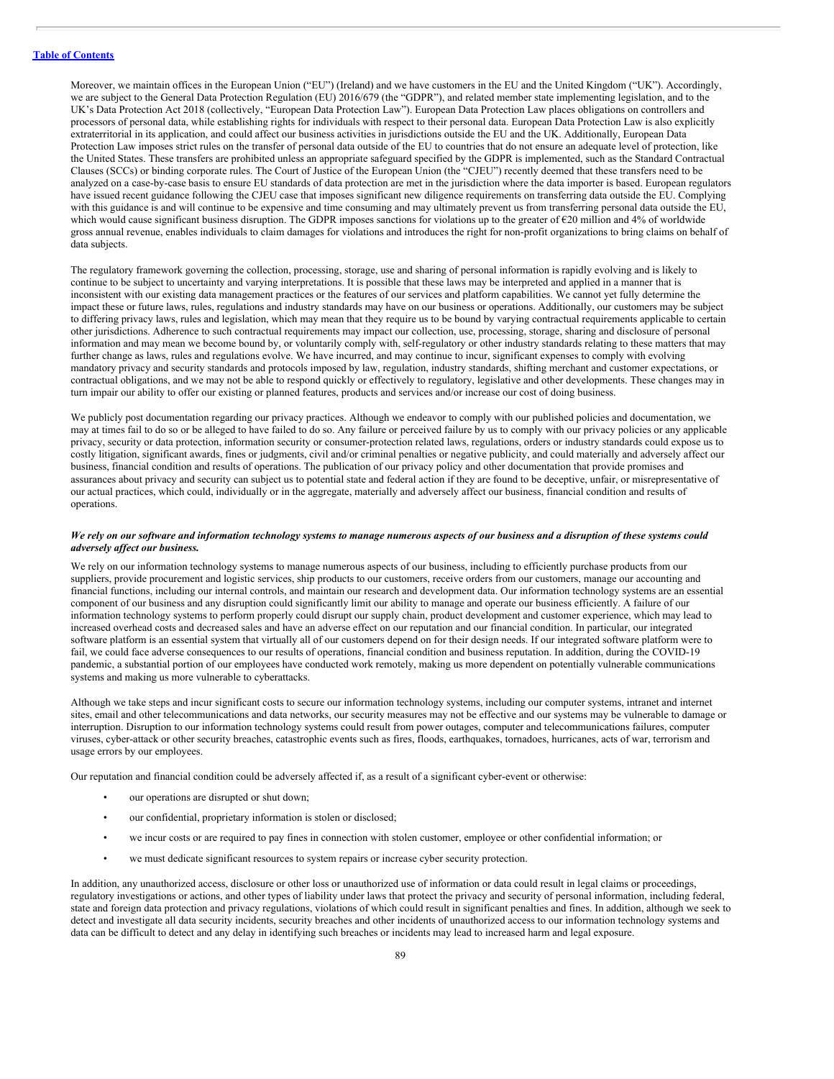Moreover, we maintain offices in the European Union ("EU") (Ireland) and we have customers in the EU and the United Kingdom ("UK"). Accordingly, we are subject to the General Data Protection Regulation (EU) 2016/679 (the "GDPR"), and related member state implementing legislation, and to the UK's Data Protection Act 2018 (collectively, "European Data Protection Law"). European Data Protection Law places obligations on controllers and processors of personal data, while establishing rights for individuals with respect to their personal data. European Data Protection Law is also explicitly extraterritorial in its application, and could affect our business activities in jurisdictions outside the EU and the UK. Additionally, European Data Protection Law imposes strict rules on the transfer of personal data outside of the EU to countries that do not ensure an adequate level of protection, like the United States. These transfers are prohibited unless an appropriate safeguard specified by the GDPR is implemented, such as the Standard Contractual Clauses (SCCs) or binding corporate rules. The Court of Justice of the European Union (the "CJEU") recently deemed that these transfers need to be analyzed on a case-by-case basis to ensure EU standards of data protection are met in the jurisdiction where the data importer is based. European regulators have issued recent guidance following the CJEU case that imposes significant new diligence requirements on transferring data outside the EU. Complying with this guidance is and will continue to be expensive and time consuming and may ultimately prevent us from transferring personal data outside the EU, which would cause significant business disruption. The GDPR imposes sanctions for violations up to the greater of  $E20$  million and 4% of worldwide gross annual revenue, enables individuals to claim damages for violations and introduces the right for non-profit organizations to bring claims on behalf of data subjects.

The regulatory framework governing the collection, processing, storage, use and sharing of personal information is rapidly evolving and is likely to continue to be subject to uncertainty and varying interpretations. It is possible that these laws may be interpreted and applied in a manner that is inconsistent with our existing data management practices or the features of our services and platform capabilities. We cannot yet fully determine the impact these or future laws, rules, regulations and industry standards may have on our business or operations. Additionally, our customers may be subject to differing privacy laws, rules and legislation, which may mean that they require us to be bound by varying contractual requirements applicable to certain other jurisdictions. Adherence to such contractual requirements may impact our collection, use, processing, storage, sharing and disclosure of personal information and may mean we become bound by, or voluntarily comply with, self-regulatory or other industry standards relating to these matters that may further change as laws, rules and regulations evolve. We have incurred, and may continue to incur, significant expenses to comply with evolving mandatory privacy and security standards and protocols imposed by law, regulation, industry standards, shifting merchant and customer expectations, or contractual obligations, and we may not be able to respond quickly or effectively to regulatory, legislative and other developments. These changes may in turn impair our ability to offer our existing or planned features, products and services and/or increase our cost of doing business.

We publicly post documentation regarding our privacy practices. Although we endeavor to comply with our published policies and documentation, we may at times fail to do so or be alleged to have failed to do so. Any failure or perceived failure by us to comply with our privacy policies or any applicable privacy, security or data protection, information security or consumer-protection related laws, regulations, orders or industry standards could expose us to costly litigation, significant awards, fines or judgments, civil and/or criminal penalties or negative publicity, and could materially and adversely affect our business, financial condition and results of operations. The publication of our privacy policy and other documentation that provide promises and assurances about privacy and security can subject us to potential state and federal action if they are found to be deceptive, unfair, or misrepresentative of our actual practices, which could, individually or in the aggregate, materially and adversely affect our business, financial condition and results of operations.

## We rely on our software and information technology systems to manage numerous aspects of our business and a disruption of these systems could *adversely af ect our business.*

We rely on our information technology systems to manage numerous aspects of our business, including to efficiently purchase products from our suppliers, provide procurement and logistic services, ship products to our customers, receive orders from our customers, manage our accounting and financial functions, including our internal controls, and maintain our research and development data. Our information technology systems are an essential component of our business and any disruption could significantly limit our ability to manage and operate our business efficiently. A failure of our information technology systems to perform properly could disrupt our supply chain, product development and customer experience, which may lead to increased overhead costs and decreased sales and have an adverse effect on our reputation and our financial condition. In particular, our integrated software platform is an essential system that virtually all of our customers depend on for their design needs. If our integrated software platform were to fail, we could face adverse consequences to our results of operations, financial condition and business reputation. In addition, during the COVID-19 pandemic, a substantial portion of our employees have conducted work remotely, making us more dependent on potentially vulnerable communications systems and making us more vulnerable to cyberattacks.

Although we take steps and incur significant costs to secure our information technology systems, including our computer systems, intranet and internet sites, email and other telecommunications and data networks, our security measures may not be effective and our systems may be vulnerable to damage or interruption. Disruption to our information technology systems could result from power outages, computer and telecommunications failures, computer viruses, cyber-attack or other security breaches, catastrophic events such as fires, floods, earthquakes, tornadoes, hurricanes, acts of war, terrorism and usage errors by our employees.

Our reputation and financial condition could be adversely affected if, as a result of a significant cyber-event or otherwise:

- our operations are disrupted or shut down;
- our confidential, proprietary information is stolen or disclosed;
- we incur costs or are required to pay fines in connection with stolen customer, employee or other confidential information; or
- we must dedicate significant resources to system repairs or increase cyber security protection.

In addition, any unauthorized access, disclosure or other loss or unauthorized use of information or data could result in legal claims or proceedings, regulatory investigations or actions, and other types of liability under laws that protect the privacy and security of personal information, including federal, state and foreign data protection and privacy regulations, violations of which could result in significant penalties and fines. In addition, although we seek to detect and investigate all data security incidents, security breaches and other incidents of unauthorized access to our information technology systems and data can be difficult to detect and any delay in identifying such breaches or incidents may lead to increased harm and legal exposure.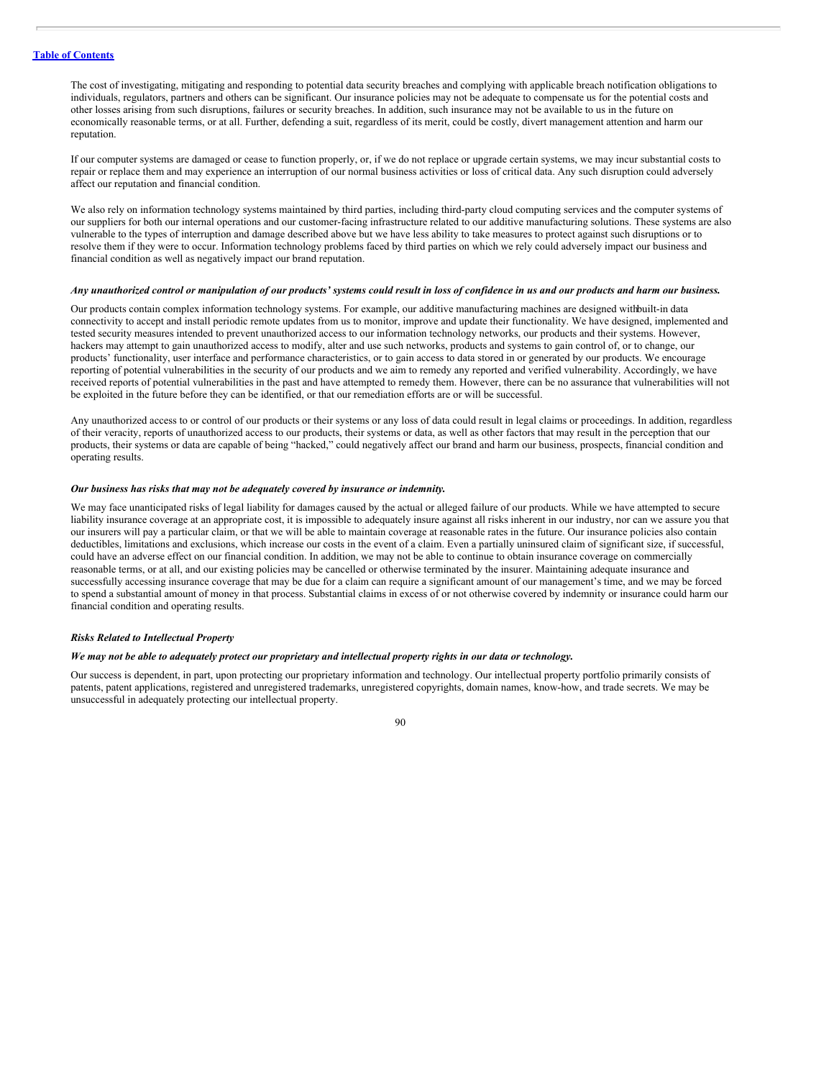#### **Table of [Contents](#page-2-0)**

The cost of investigating, mitigating and responding to potential data security breaches and complying with applicable breach notification obligations to individuals, regulators, partners and others can be significant. Our insurance policies may not be adequate to compensate us for the potential costs and other losses arising from such disruptions, failures or security breaches. In addition, such insurance may not be available to us in the future on economically reasonable terms, or at all. Further, defending a suit, regardless of its merit, could be costly, divert management attention and harm our reputation.

If our computer systems are damaged or cease to function properly, or, if we do not replace or upgrade certain systems, we may incur substantial costs to repair or replace them and may experience an interruption of our normal business activities or loss of critical data. Any such disruption could adversely affect our reputation and financial condition.

We also rely on information technology systems maintained by third parties, including third-party cloud computing services and the computer systems of our suppliers for both our internal operations and our customer-facing infrastructure related to our additive manufacturing solutions. These systems are also vulnerable to the types of interruption and damage described above but we have less ability to take measures to protect against such disruptions or to resolve them if they were to occur. Information technology problems faced by third parties on which we rely could adversely impact our business and financial condition as well as negatively impact our brand reputation.

## Any unauthorized control or manipulation of our products' systems could result in loss of confidence in us and our products and harm our business.

Our products contain complex information technology systems. For example, our additive manufacturing machines are designed withbuilt-in data connectivity to accept and install periodic remote updates from us to monitor, improve and update their functionality. We have designed, implemented and tested security measures intended to prevent unauthorized access to our information technology networks, our products and their systems. However, hackers may attempt to gain unauthorized access to modify, alter and use such networks, products and systems to gain control of, or to change, our products' functionality, user interface and performance characteristics, or to gain access to data stored in or generated by our products. We encourage reporting of potential vulnerabilities in the security of our products and we aim to remedy any reported and verified vulnerability. Accordingly, we have received reports of potential vulnerabilities in the past and have attempted to remedy them. However, there can be no assurance that vulnerabilities will not be exploited in the future before they can be identified, or that our remediation efforts are or will be successful.

Any unauthorized access to or control of our products or their systems or any loss of data could result in legal claims or proceedings. In addition, regardless of their veracity, reports of unauthorized access to our products, their systems or data, as well as other factors that may result in the perception that our products, their systems or data are capable of being "hacked," could negatively affect our brand and harm our business, prospects, financial condition and operating results.

## *Our business has risks that may not be adequately covered by insurance or indemnity.*

We may face unanticipated risks of legal liability for damages caused by the actual or alleged failure of our products. While we have attempted to secure liability insurance coverage at an appropriate cost, it is impossible to adequately insure against all risks inherent in our industry, nor can we assure you that our insurers will pay a particular claim, or that we will be able to maintain coverage at reasonable rates in the future. Our insurance policies also contain deductibles, limitations and exclusions, which increase our costs in the event of a claim. Even a partially uninsured claim of significant size, if successful, could have an adverse effect on our financial condition. In addition, we may not be able to continue to obtain insurance coverage on commercially reasonable terms, or at all, and our existing policies may be cancelled or otherwise terminated by the insurer. Maintaining adequate insurance and successfully accessing insurance coverage that may be due for a claim can require a significant amount of our management's time, and we may be forced to spend a substantial amount of money in that process. Substantial claims in excess of or not otherwise covered by indemnity or insurance could harm our financial condition and operating results.

## *Risks Related to Intellectual Property*

#### We may not be able to adequately protect our proprietary and intellectual property rights in our data or technology.

Our success is dependent, in part, upon protecting our proprietary information and technology. Our intellectual property portfolio primarily consists of patents, patent applications, registered and unregistered trademarks, unregistered copyrights, domain names, know-how, and trade secrets. We may be unsuccessful in adequately protecting our intellectual property.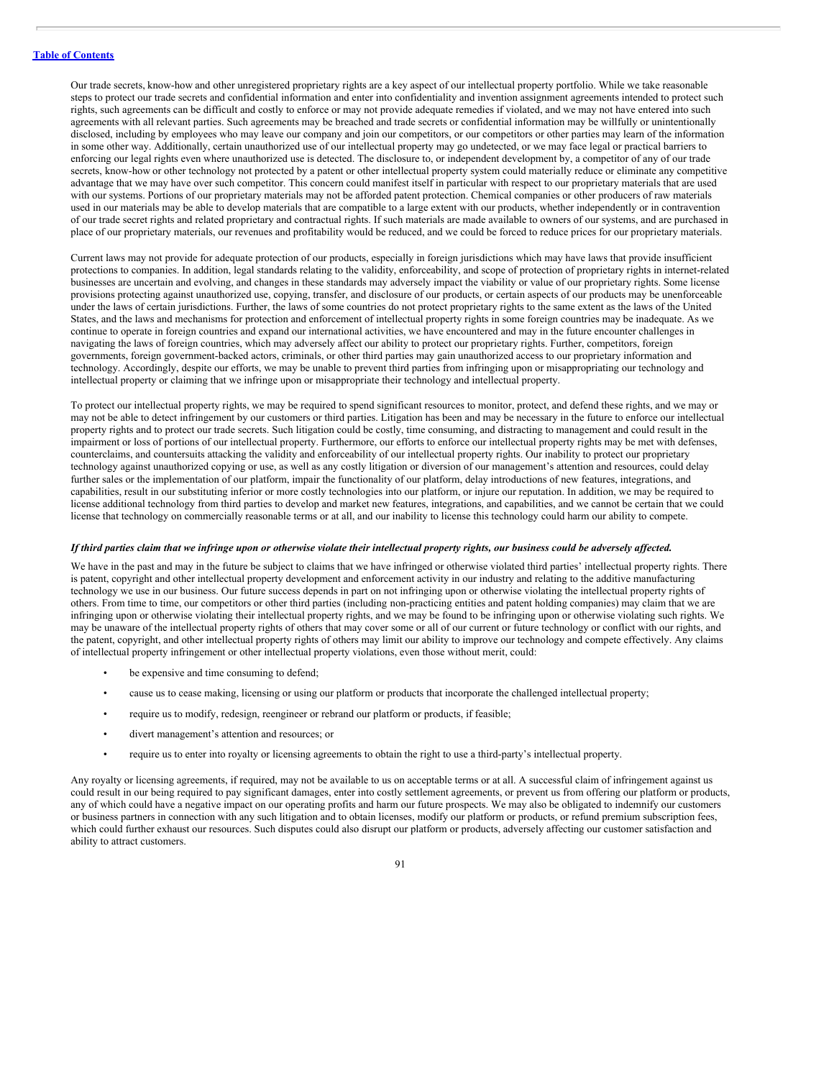Our trade secrets, know-how and other unregistered proprietary rights are a key aspect of our intellectual property portfolio. While we take reasonable steps to protect our trade secrets and confidential information and enter into confidentiality and invention assignment agreements intended to protect such rights, such agreements can be difficult and costly to enforce or may not provide adequate remedies if violated, and we may not have entered into such agreements with all relevant parties. Such agreements may be breached and trade secrets or confidential information may be willfully or unintentionally disclosed, including by employees who may leave our company and join our competitors, or our competitors or other parties may learn of the information in some other way. Additionally, certain unauthorized use of our intellectual property may go undetected, or we may face legal or practical barriers to enforcing our legal rights even where unauthorized use is detected. The disclosure to, or independent development by, a competitor of any of our trade secrets, know-how or other technology not protected by a patent or other intellectual property system could materially reduce or eliminate any competitive advantage that we may have over such competitor. This concern could manifest itself in particular with respect to our proprietary materials that are used with our systems. Portions of our proprietary materials may not be afforded patent protection. Chemical companies or other producers of raw materials used in our materials may be able to develop materials that are compatible to a large extent with our products, whether independently or in contravention of our trade secret rights and related proprietary and contractual rights. If such materials are made available to owners of our systems, and are purchased in place of our proprietary materials, our revenues and profitability would be reduced, and we could be forced to reduce prices for our proprietary materials.

Current laws may not provide for adequate protection of our products, especially in foreign jurisdictions which may have laws that provide insufficient protections to companies. In addition, legal standards relating to the validity, enforceability, and scope of protection of proprietary rights in internet-related businesses are uncertain and evolving, and changes in these standards may adversely impact the viability or value of our proprietary rights. Some license provisions protecting against unauthorized use, copying, transfer, and disclosure of our products, or certain aspects of our products may be unenforceable under the laws of certain jurisdictions. Further, the laws of some countries do not protect proprietary rights to the same extent as the laws of the United States, and the laws and mechanisms for protection and enforcement of intellectual property rights in some foreign countries may be inadequate. As we continue to operate in foreign countries and expand our international activities, we have encountered and may in the future encounter challenges in navigating the laws of foreign countries, which may adversely affect our ability to protect our proprietary rights. Further, competitors, foreign governments, foreign government-backed actors, criminals, or other third parties may gain unauthorized access to our proprietary information and technology. Accordingly, despite our efforts, we may be unable to prevent third parties from infringing upon or misappropriating our technology and intellectual property or claiming that we infringe upon or misappropriate their technology and intellectual property.

To protect our intellectual property rights, we may be required to spend significant resources to monitor, protect, and defend these rights, and we may or may not be able to detect infringement by our customers or third parties. Litigation has been and may be necessary in the future to enforce our intellectual property rights and to protect our trade secrets. Such litigation could be costly, time consuming, and distracting to management and could result in the impairment or loss of portions of our intellectual property. Furthermore, our efforts to enforce our intellectual property rights may be met with defenses, counterclaims, and countersuits attacking the validity and enforceability of our intellectual property rights. Our inability to protect our proprietary technology against unauthorized copying or use, as well as any costly litigation or diversion of our management's attention and resources, could delay further sales or the implementation of our platform, impair the functionality of our platform, delay introductions of new features, integrations, and capabilities, result in our substituting inferior or more costly technologies into our platform, or injure our reputation. In addition, we may be required to license additional technology from third parties to develop and market new features, integrations, and capabilities, and we cannot be certain that we could license that technology on commercially reasonable terms or at all, and our inability to license this technology could harm our ability to compete.

#### If third parties claim that we infringe upon or otherwise violate their intellectual property rights, our business could be adversely affected.

We have in the past and may in the future be subject to claims that we have infringed or otherwise violated third parties' intellectual property rights. There is patent, copyright and other intellectual property development and enforcement activity in our industry and relating to the additive manufacturing technology we use in our business. Our future success depends in part on not infringing upon or otherwise violating the intellectual property rights of others. From time to time, our competitors or other third parties (including non-practicing entities and patent holding companies) may claim that we are infringing upon or otherwise violating their intellectual property rights, and we may be found to be infringing upon or otherwise violating such rights. We may be unaware of the intellectual property rights of others that may cover some or all of our current or future technology or conflict with our rights, and the patent, copyright, and other intellectual property rights of others may limit our ability to improve our technology and compete effectively. Any claims of intellectual property infringement or other intellectual property violations, even those without merit, could:

- be expensive and time consuming to defend;
- cause us to cease making, licensing or using our platform or products that incorporate the challenged intellectual property;
- require us to modify, redesign, reengineer or rebrand our platform or products, if feasible;
- divert management's attention and resources; or
- require us to enter into royalty or licensing agreements to obtain the right to use a third-party's intellectual property.

Any royalty or licensing agreements, if required, may not be available to us on acceptable terms or at all. A successful claim of infringement against us could result in our being required to pay significant damages, enter into costly settlement agreements, or prevent us from offering our platform or products, any of which could have a negative impact on our operating profits and harm our future prospects. We may also be obligated to indemnify our customers or business partners in connection with any such litigation and to obtain licenses, modify our platform or products, or refund premium subscription fees, which could further exhaust our resources. Such disputes could also disrupt our platform or products, adversely affecting our customer satisfaction and ability to attract customers.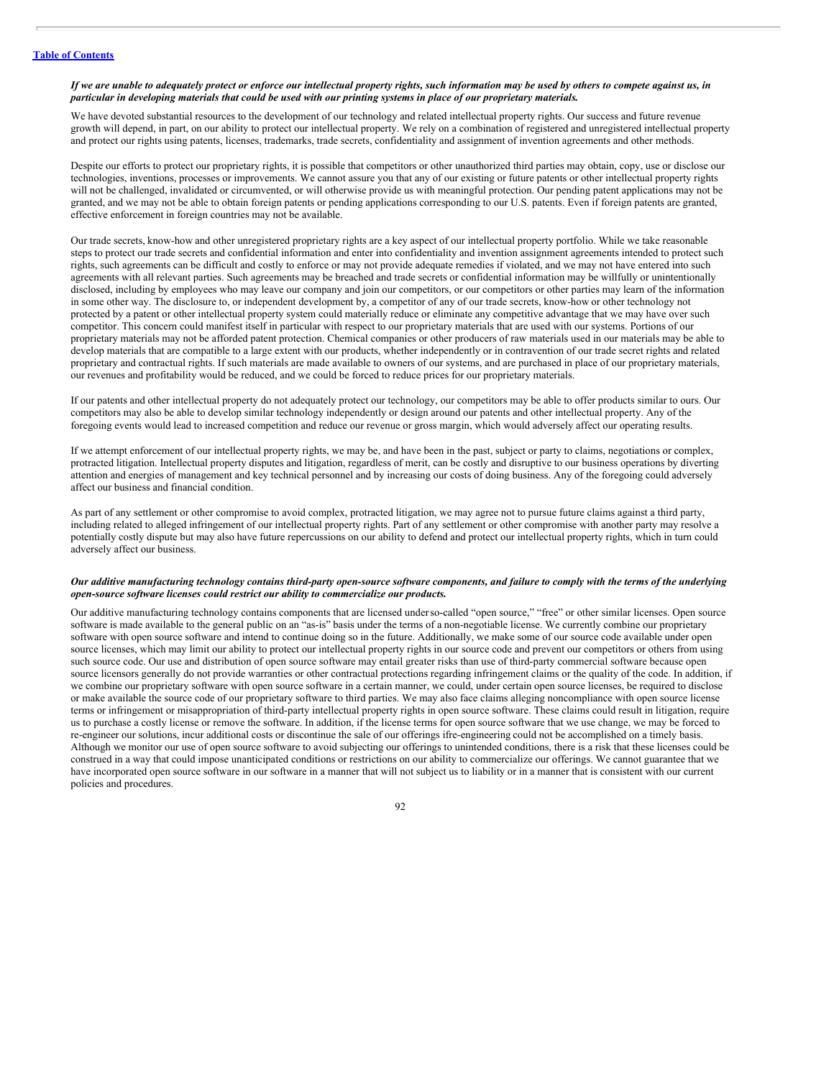## **Table of [Contents](#page-2-0)**

#### If we are unable to adequately protect or enforce our intellectual property rights, such information may be used by others to compete against us, in particular in developing materials that could be used with our printing systems in place of our proprietary materials.

We have devoted substantial resources to the development of our technology and related intellectual property rights. Our success and future revenue growth will depend, in part, on our ability to protect our intellectual property. We rely on a combination of registered and unregistered intellectual property and protect our rights using patents, licenses, trademarks, trade secrets, confidentiality and assignment of invention agreements and other methods.

Despite our efforts to protect our proprietary rights, it is possible that competitors or other unauthorized third parties may obtain, copy, use or disclose our technologies, inventions, processes or improvements. We cannot assure you that any of our existing or future patents or other intellectual property rights will not be challenged, invalidated or circumvented, or will otherwise provide us with meaningful protection. Our pending patent applications may not be granted, and we may not be able to obtain foreign patents or pending applications corresponding to our U.S. patents. Even if foreign patents are granted, effective enforcement in foreign countries may not be available.

Our trade secrets, know-how and other unregistered proprietary rights are a key aspect of our intellectual property portfolio. While we take reasonable steps to protect our trade secrets and confidential information and enter into confidentiality and invention assignment agreements intended to protect such rights, such agreements can be difficult and costly to enforce or may not provide adequate remedies if violated, and we may not have entered into such agreements with all relevant parties. Such agreements may be breached and trade secrets or confidential information may be willfully or unintentionally disclosed, including by employees who may leave our company and join our competitors, or our competitors or other parties may learn of the information in some other way. The disclosure to, or independent development by, a competitor of any of our trade secrets, know-how or other technology not protected by a patent or other intellectual property system could materially reduce or eliminate any competitive advantage that we may have over such competitor. This concern could manifest itself in particular with respect to our proprietary materials that are used with our systems. Portions of our proprietary materials may not be afforded patent protection. Chemical companies or other producers of raw materials used in our materials may be able to develop materials that are compatible to a large extent with our products, whether independently or in contravention of our trade secret rights and related proprietary and contractual rights. If such materials are made available to owners of our systems, and are purchased in place of our proprietary materials, our revenues and profitability would be reduced, and we could be forced to reduce prices for our proprietary materials.

If our patents and other intellectual property do not adequately protect our technology, our competitors may be able to offer products similar to ours. Our competitors may also be able to develop similar technology independently or design around our patents and other intellectual property. Any of the foregoing events would lead to increased competition and reduce our revenue or gross margin, which would adversely affect our operating results.

If we attempt enforcement of our intellectual property rights, we may be, and have been in the past, subject or party to claims, negotiations or complex, protracted litigation. Intellectual property disputes and litigation, regardless of merit, can be costly and disruptive to our business operations by diverting attention and energies of management and key technical personnel and by increasing our costs of doing business. Any of the foregoing could adversely affect our business and financial condition.

As part of any settlement or other compromise to avoid complex, protracted litigation, we may agree not to pursue future claims against a third party, including related to alleged infringement of our intellectual property rights. Part of any settlement or other compromise with another party may resolve a potentially costly dispute but may also have future repercussions on our ability to defend and protect our intellectual property rights, which in turn could adversely affect our business.

#### Our additive manufacturing technology contains third-party open-source software components, and failure to comply with the terms of the underlying *open-source software licenses could restrict our ability to commercialize our products.*

Our additive manufacturing technology contains components that are licensed underso-called "open source," "free" or other similar licenses. Open source software is made available to the general public on an "as-is" basis under the terms of a non-negotiable license. We currently combine our proprietary software with open source software and intend to continue doing so in the future. Additionally, we make some of our source code available under open source licenses, which may limit our ability to protect our intellectual property rights in our source code and prevent our competitors or others from using such source code. Our use and distribution of open source software may entail greater risks than use of third-party commercial software because open source licensors generally do not provide warranties or other contractual protections regarding infringement claims or the quality of the code. In addition, if we combine our proprietary software with open source software in a certain manner, we could, under certain open source licenses, be required to disclose or make available the source code of our proprietary software to third parties. We may also face claims alleging noncompliance with open source license terms or infringement or misappropriation of third-party intellectual property rights in open source software. These claims could result in litigation, require us to purchase a costly license or remove the software. In addition, if the license terms for open source software that we use change, we may be forced to re-engineer our solutions, incur additional costs or discontinue the sale of our offerings ifre-engineering could not be accomplished on a timely basis. Although we monitor our use of open source software to avoid subjecting our offerings to unintended conditions, there is a risk that these licenses could be construed in a way that could impose unanticipated conditions or restrictions on our ability to commercialize our offerings. We cannot guarantee that we have incorporated open source software in our software in a manner that will not subject us to liability or in a manner that is consistent with our current policies and procedures.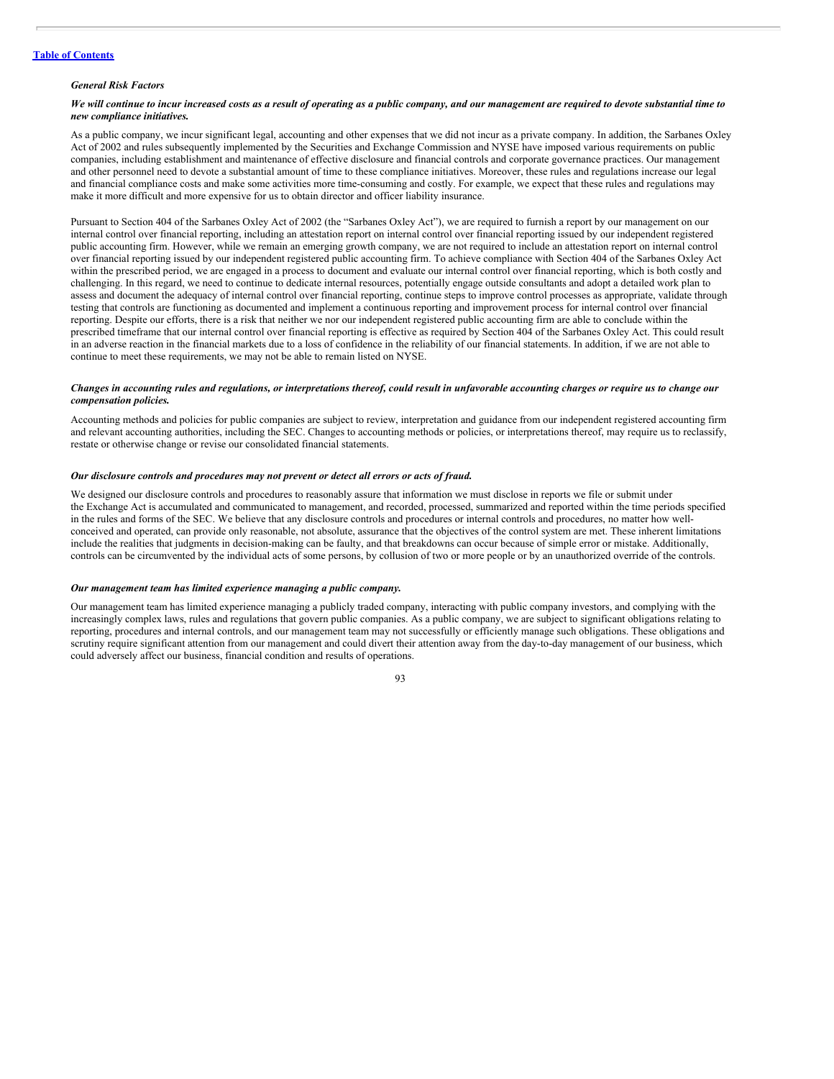#### *General Risk Factors*

## We will continue to incur increased costs as a result of operating as a public company, and our management are required to devote substantial time to *new compliance initiatives.*

As a public company, we incur significant legal, accounting and other expenses that we did not incur as a private company. In addition, the Sarbanes Oxley Act of 2002 and rules subsequently implemented by the Securities and Exchange Commission and NYSE have imposed various requirements on public companies, including establishment and maintenance of effective disclosure and financial controls and corporate governance practices. Our management and other personnel need to devote a substantial amount of time to these compliance initiatives. Moreover, these rules and regulations increase our legal and financial compliance costs and make some activities more time-consuming and costly. For example, we expect that these rules and regulations may make it more difficult and more expensive for us to obtain director and officer liability insurance.

Pursuant to Section 404 of the Sarbanes Oxley Act of 2002 (the "Sarbanes Oxley Act"), we are required to furnish a report by our management on our internal control over financial reporting, including an attestation report on internal control over financial reporting issued by our independent registered public accounting firm. However, while we remain an emerging growth company, we are not required to include an attestation report on internal control over financial reporting issued by our independent registered public accounting firm. To achieve compliance with Section 404 of the Sarbanes Oxley Act within the prescribed period, we are engaged in a process to document and evaluate our internal control over financial reporting, which is both costly and challenging. In this regard, we need to continue to dedicate internal resources, potentially engage outside consultants and adopt a detailed work plan to assess and document the adequacy of internal control over financial reporting, continue steps to improve control processes as appropriate, validate through testing that controls are functioning as documented and implement a continuous reporting and improvement process for internal control over financial reporting. Despite our efforts, there is a risk that neither we nor our independent registered public accounting firm are able to conclude within the prescribed timeframe that our internal control over financial reporting is effective as required by Section 404 of the Sarbanes Oxley Act. This could result in an adverse reaction in the financial markets due to a loss of confidence in the reliability of our financial statements. In addition, if we are not able to continue to meet these requirements, we may not be able to remain listed on NYSE.

## Changes in accounting rules and regulations, or interpretations thereof, could result in unfavorable accounting charges or require us to change our *compensation policies.*

Accounting methods and policies for public companies are subject to review, interpretation and guidance from our independent registered accounting firm and relevant accounting authorities, including the SEC. Changes to accounting methods or policies, or interpretations thereof, may require us to reclassify, restate or otherwise change or revise our consolidated financial statements.

#### *Our disclosure controls and procedures may not prevent or detect all errors or acts of fraud.*

We designed our disclosure controls and procedures to reasonably assure that information we must disclose in reports we file or submit under the Exchange Act is accumulated and communicated to management, and recorded, processed, summarized and reported within the time periods specified in the rules and forms of the SEC. We believe that any disclosure controls and procedures or internal controls and procedures, no matter how wellconceived and operated, can provide only reasonable, not absolute, assurance that the objectives of the control system are met. These inherent limitations include the realities that judgments in decision-making can be faulty, and that breakdowns can occur because of simple error or mistake. Additionally, controls can be circumvented by the individual acts of some persons, by collusion of two or more people or by an unauthorized override of the controls.

#### *Our management team has limited experience managing a public company.*

Our management team has limited experience managing a publicly traded company, interacting with public company investors, and complying with the increasingly complex laws, rules and regulations that govern public companies. As a public company, we are subject to significant obligations relating to reporting, procedures and internal controls, and our management team may not successfully or efficiently manage such obligations. These obligations and scrutiny require significant attention from our management and could divert their attention away from the day-to-day management of our business, which could adversely affect our business, financial condition and results of operations.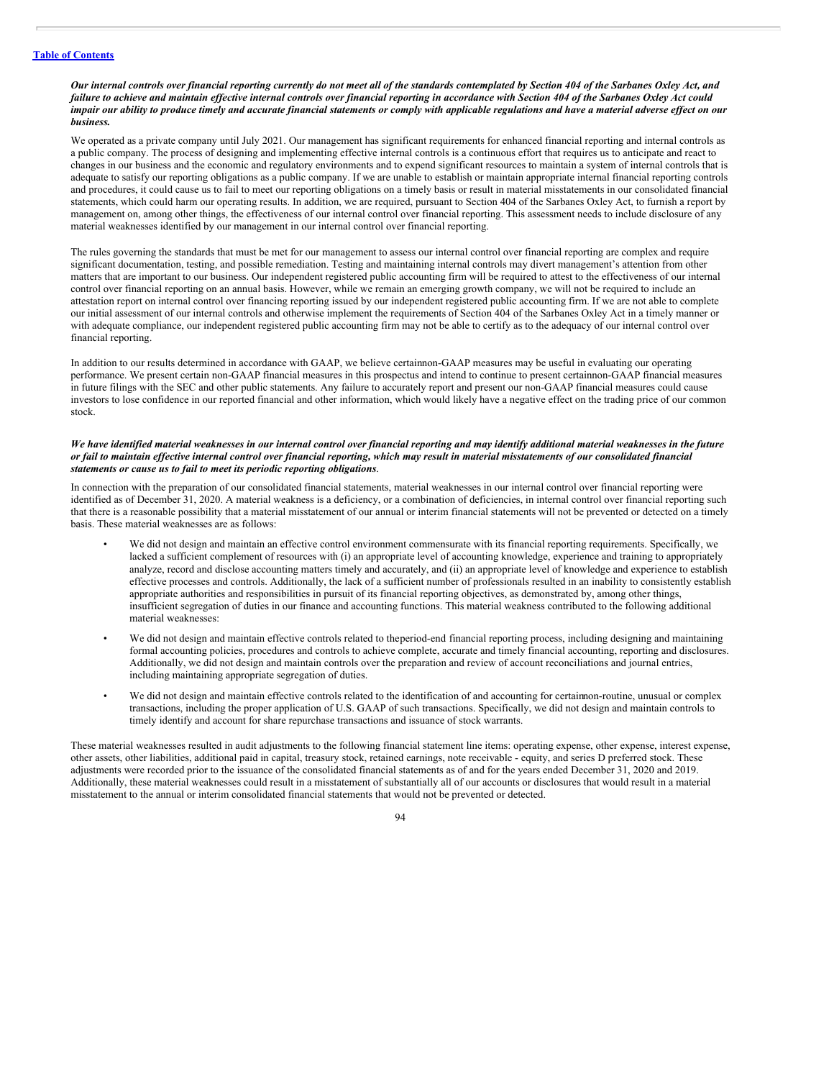## Our internal controls over financial reporting currently do not meet all of the standards contemplated by Section 404 of the Sarbanes Oxley Act, and failure to achieve and maintain effective internal controls over financial reporting in accordance with Section 404 of the Sarbanes Oxley Act could impair our ability to produce timely and accurate financial statements or comply with applicable regulations and have a material adverse effect on our *business.*

We operated as a private company until July 2021. Our management has significant requirements for enhanced financial reporting and internal controls as a public company. The process of designing and implementing effective internal controls is a continuous effort that requires us to anticipate and react to changes in our business and the economic and regulatory environments and to expend significant resources to maintain a system of internal controls that is adequate to satisfy our reporting obligations as a public company. If we are unable to establish or maintain appropriate internal financial reporting controls and procedures, it could cause us to fail to meet our reporting obligations on a timely basis or result in material misstatements in our consolidated financial statements, which could harm our operating results. In addition, we are required, pursuant to Section 404 of the Sarbanes Oxley Act, to furnish a report by management on, among other things, the effectiveness of our internal control over financial reporting. This assessment needs to include disclosure of any material weaknesses identified by our management in our internal control over financial reporting.

The rules governing the standards that must be met for our management to assess our internal control over financial reporting are complex and require significant documentation, testing, and possible remediation. Testing and maintaining internal controls may divert management's attention from other matters that are important to our business. Our independent registered public accounting firm will be required to attest to the effectiveness of our internal control over financial reporting on an annual basis. However, while we remain an emerging growth company, we will not be required to include an attestation report on internal control over financing reporting issued by our independent registered public accounting firm. If we are not able to complete our initial assessment of our internal controls and otherwise implement the requirements of Section 404 of the Sarbanes Oxley Act in a timely manner or with adequate compliance, our independent registered public accounting firm may not be able to certify as to the adequacy of our internal control over financial reporting.

In addition to our results determined in accordance with GAAP, we believe certainnon-GAAP measures may be useful in evaluating our operating performance. We present certain non-GAAP financial measures in this prospectus and intend to continue to present certainnon-GAAP financial measures in future filings with the SEC and other public statements. Any failure to accurately report and present our non-GAAP financial measures could cause investors to lose confidence in our reported financial and other information, which would likely have a negative effect on the trading price of our common stock.

## We have identified material weaknesses in our internal control over financial reporting and may identify additional material weaknesses in the future or fail to maintain effective internal control over financial reporting, which may result in material misstatements of our consolidated financial *statements or cause us to fail to meet its periodic reporting obligations*.

In connection with the preparation of our consolidated financial statements, material weaknesses in our internal control over financial reporting were identified as of December 31, 2020. A material weakness is a deficiency, or a combination of deficiencies, in internal control over financial reporting such that there is a reasonable possibility that a material misstatement of our annual or interim financial statements will not be prevented or detected on a timely basis. These material weaknesses are as follows:

- We did not design and maintain an effective control environment commensurate with its financial reporting requirements. Specifically, we lacked a sufficient complement of resources with (i) an appropriate level of accounting knowledge, experience and training to appropriately analyze, record and disclose accounting matters timely and accurately, and (ii) an appropriate level of knowledge and experience to establish effective processes and controls. Additionally, the lack of a sufficient number of professionals resulted in an inability to consistently establish appropriate authorities and responsibilities in pursuit of its financial reporting objectives, as demonstrated by, among other things, insufficient segregation of duties in our finance and accounting functions. This material weakness contributed to the following additional material weaknesses:
- We did not design and maintain effective controls related to theperiod-end financial reporting process, including designing and maintaining formal accounting policies, procedures and controls to achieve complete, accurate and timely financial accounting, reporting and disclosures. Additionally, we did not design and maintain controls over the preparation and review of account reconciliations and journal entries, including maintaining appropriate segregation of duties.
- We did not design and maintain effective controls related to the identification of and accounting for certainnon-routine, unusual or complex transactions, including the proper application of U.S. GAAP of such transactions. Specifically, we did not design and maintain controls to timely identify and account for share repurchase transactions and issuance of stock warrants.

These material weaknesses resulted in audit adjustments to the following financial statement line items: operating expense, other expense, interest expense, other assets, other liabilities, additional paid in capital, treasury stock, retained earnings, note receivable - equity, and series D preferred stock. These adjustments were recorded prior to the issuance of the consolidated financial statements as of and for the years ended December 31, 2020 and 2019. Additionally, these material weaknesses could result in a misstatement of substantially all of our accounts or disclosures that would result in a material misstatement to the annual or interim consolidated financial statements that would not be prevented or detected.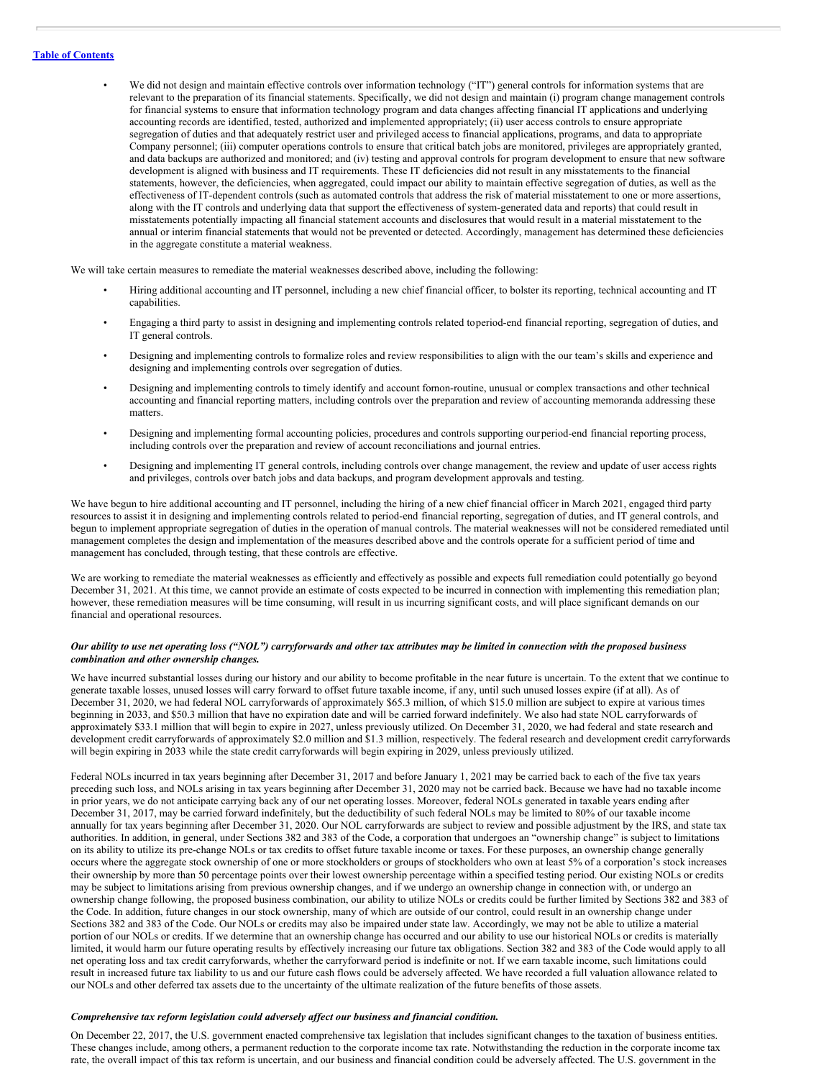• We did not design and maintain effective controls over information technology ("IT") general controls for information systems that are relevant to the preparation of its financial statements. Specifically, we did not design and maintain (i) program change management controls for financial systems to ensure that information technology program and data changes affecting financial IT applications and underlying accounting records are identified, tested, authorized and implemented appropriately; (ii) user access controls to ensure appropriate segregation of duties and that adequately restrict user and privileged access to financial applications, programs, and data to appropriate Company personnel; (iii) computer operations controls to ensure that critical batch jobs are monitored, privileges are appropriately granted, and data backups are authorized and monitored; and (iv) testing and approval controls for program development to ensure that new software development is aligned with business and IT requirements. These IT deficiencies did not result in any misstatements to the financial statements, however, the deficiencies, when aggregated, could impact our ability to maintain effective segregation of duties, as well as the effectiveness of IT-dependent controls (such as automated controls that address the risk of material misstatement to one or more assertions, along with the IT controls and underlying data that support the effectiveness of system-generated data and reports) that could result in misstatements potentially impacting all financial statement accounts and disclosures that would result in a material misstatement to the annual or interim financial statements that would not be prevented or detected. Accordingly, management has determined these deficiencies in the aggregate constitute a material weakness.

We will take certain measures to remediate the material weaknesses described above, including the following:

- Hiring additional accounting and IT personnel, including a new chief financial officer, to bolster its reporting, technical accounting and IT capabilities.
- Engaging a third party to assist in designing and implementing controls related toperiod-end financial reporting, segregation of duties, and IT general controls.
- Designing and implementing controls to formalize roles and review responsibilities to align with the our team's skills and experience and designing and implementing controls over segregation of duties.
- Designing and implementing controls to timely identify and account fornon-routine, unusual or complex transactions and other technical accounting and financial reporting matters, including controls over the preparation and review of accounting memoranda addressing these matters.
- Designing and implementing formal accounting policies, procedures and controls supporting ourperiod-end financial reporting process, including controls over the preparation and review of account reconciliations and journal entries.
- Designing and implementing IT general controls, including controls over change management, the review and update of user access rights and privileges, controls over batch jobs and data backups, and program development approvals and testing.

We have begun to hire additional accounting and IT personnel, including the hiring of a new chief financial officer in March 2021, engaged third party resources to assist it in designing and implementing controls related to period-end financial reporting, segregation of duties, and IT general controls, and begun to implement appropriate segregation of duties in the operation of manual controls. The material weaknesses will not be considered remediated until management completes the design and implementation of the measures described above and the controls operate for a sufficient period of time and management has concluded, through testing, that these controls are effective.

We are working to remediate the material weaknesses as efficiently and effectively as possible and expects full remediation could potentially go beyond December 31, 2021. At this time, we cannot provide an estimate of costs expected to be incurred in connection with implementing this remediation plan; however, these remediation measures will be time consuming, will result in us incurring significant costs, and will place significant demands on our financial and operational resources.

## Our ability to use net operating loss ("NOL") carryforwards and other tax attributes may be limited in connection with the proposed business *combination and other ownership changes.*

We have incurred substantial losses during our history and our ability to become profitable in the near future is uncertain. To the extent that we continue to generate taxable losses, unused losses will carry forward to offset future taxable income, if any, until such unused losses expire (if at all). As of December 31, 2020, we had federal NOL carryforwards of approximately \$65.3 million, of which \$15.0 million are subject to expire at various times beginning in 2033, and \$50.3 million that have no expiration date and will be carried forward indefinitely. We also had state NOL carryforwards of approximately \$33.1 million that will begin to expire in 2027, unless previously utilized. On December 31, 2020, we had federal and state research and development credit carryforwards of approximately \$2.0 million and \$1.3 million, respectively. The federal research and development credit carryforwards will begin expiring in 2033 while the state credit carryforwards will begin expiring in 2029, unless previously utilized.

Federal NOLs incurred in tax years beginning after December 31, 2017 and before January 1, 2021 may be carried back to each of the five tax years preceding such loss, and NOLs arising in tax years beginning after December 31, 2020 may not be carried back. Because we have had no taxable income in prior years, we do not anticipate carrying back any of our net operating losses. Moreover, federal NOLs generated in taxable years ending after December 31, 2017, may be carried forward indefinitely, but the deductibility of such federal NOLs may be limited to 80% of our taxable income annually for tax years beginning after December 31, 2020. Our NOL carryforwards are subject to review and possible adjustment by the IRS, and state tax authorities. In addition, in general, under Sections 382 and 383 of the Code, a corporation that undergoes an "ownership change" is subject to limitations on its ability to utilize its pre-change NOLs or tax credits to offset future taxable income or taxes. For these purposes, an ownership change generally occurs where the aggregate stock ownership of one or more stockholders or groups of stockholders who own at least 5% of a corporation's stock increases their ownership by more than 50 percentage points over their lowest ownership percentage within a specified testing period. Our existing NOLs or credits may be subject to limitations arising from previous ownership changes, and if we undergo an ownership change in connection with, or undergo an ownership change following, the proposed business combination, our ability to utilize NOLs or credits could be further limited by Sections 382 and 383 of the Code. In addition, future changes in our stock ownership, many of which are outside of our control, could result in an ownership change under Sections 382 and 383 of the Code. Our NOLs or credits may also be impaired under state law. Accordingly, we may not be able to utilize a material portion of our NOLs or credits. If we determine that an ownership change has occurred and our ability to use our historical NOLs or credits is materially limited, it would harm our future operating results by effectively increasing our future tax obligations. Section 382 and 383 of the Code would apply to all net operating loss and tax credit carryforwards, whether the carryforward period is indefinite or not. If we earn taxable income, such limitations could result in increased future tax liability to us and our future cash flows could be adversely affected. We have recorded a full valuation allowance related to our NOLs and other deferred tax assets due to the uncertainty of the ultimate realization of the future benefits of those assets.

## *Comprehensive tax reform legislation could adversely af ect our business and financial condition.*

On December 22, 2017, the U.S. government enacted comprehensive tax legislation that includes significant changes to the taxation of business entities. These changes include, among others, a permanent reduction to the corporate income tax rate. Notwithstanding the reduction in the corporate income tax rate, the overall impact of this tax reform is uncertain, and our business and financial condition could be adversely affected. The U.S. government in the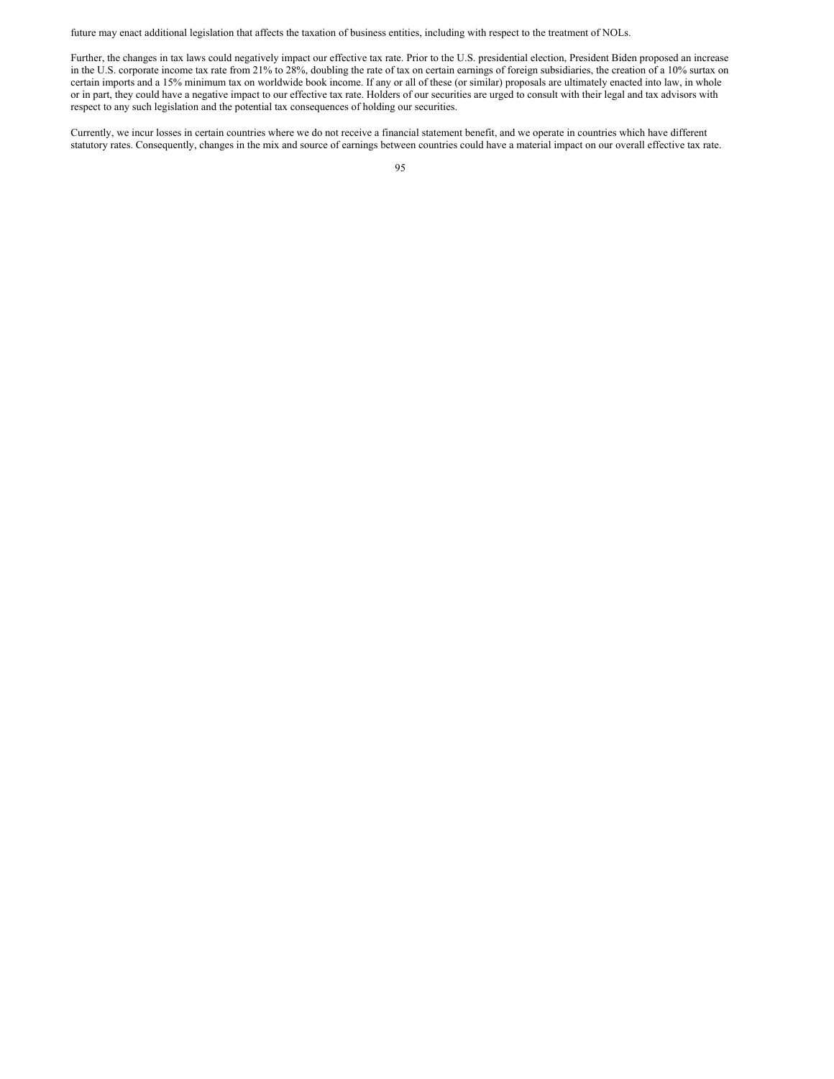future may enact additional legislation that affects the taxation of business entities, including with respect to the treatment of NOLs.

Further, the changes in tax laws could negatively impact our effective tax rate. Prior to the U.S. presidential election, President Biden proposed an increase in the U.S. corporate income tax rate from 21% to 28%, doubling the rate of tax on certain earnings of foreign subsidiaries, the creation of a 10% surtax on certain imports and a 15% minimum tax on worldwide book income. If any or all of these (or similar) proposals are ultimately enacted into law, in whole or in part, they could have a negative impact to our effective tax rate. Holders of our securities are urged to consult with their legal and tax advisors with respect to any such legislation and the potential tax consequences of holding our securities.

Currently, we incur losses in certain countries where we do not receive a financial statement benefit, and we operate in countries which have different statutory rates. Consequently, changes in the mix and source of earnings between countries could have a material impact on our overall effective tax rate.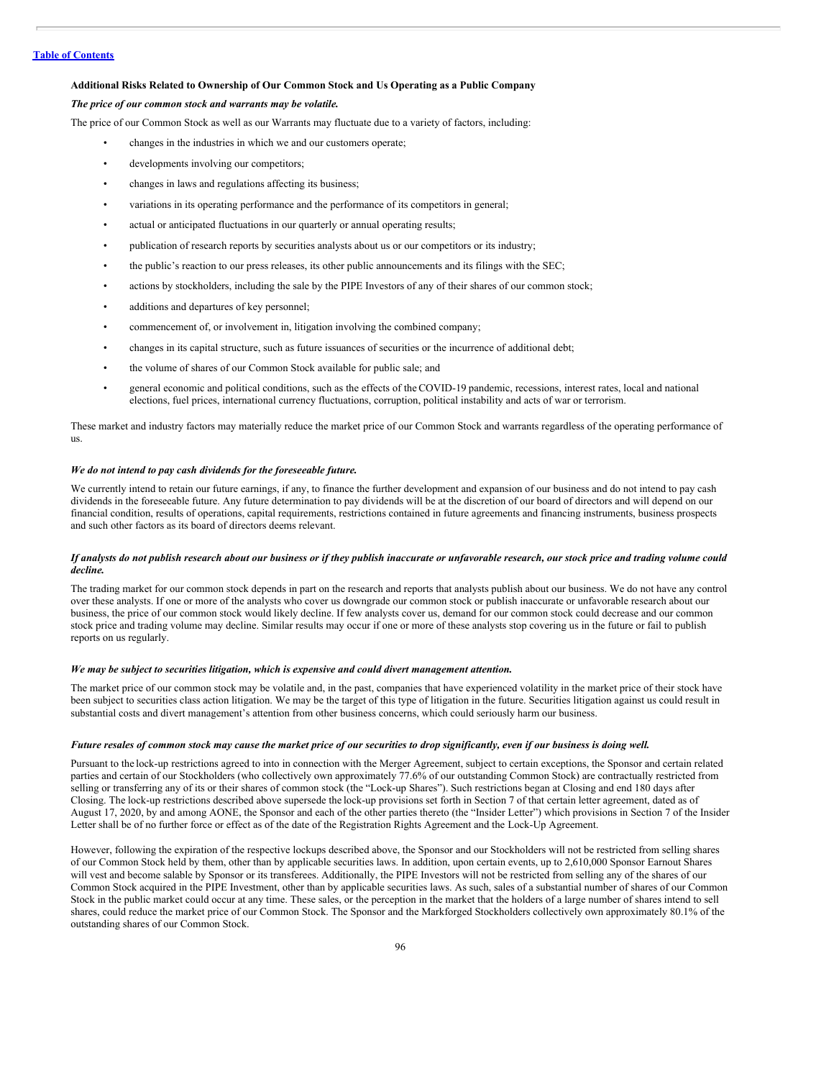#### **Table of [Contents](#page-2-0)**

#### **Additional Risks Related to Ownership of Our Common Stock and Us Operating as a Public Company**

# *The price of our common stock and warrants may be volatile.*

The price of our Common Stock as well as our Warrants may fluctuate due to a variety of factors, including:

- changes in the industries in which we and our customers operate;
- developments involving our competitors;
- changes in laws and regulations affecting its business;
- variations in its operating performance and the performance of its competitors in general;
- actual or anticipated fluctuations in our quarterly or annual operating results;
- publication of research reports by securities analysts about us or our competitors or its industry;
- the public's reaction to our press releases, its other public announcements and its filings with the SEC;
- actions by stockholders, including the sale by the PIPE Investors of any of their shares of our common stock;
- additions and departures of key personnel;
- commencement of, or involvement in, litigation involving the combined company;
- changes in its capital structure, such as future issuances of securities or the incurrence of additional debt;
- the volume of shares of our Common Stock available for public sale; and
- general economic and political conditions, such as the effects of the COVID-19 pandemic, recessions, interest rates, local and national elections, fuel prices, international currency fluctuations, corruption, political instability and acts of war or terrorism.

These market and industry factors may materially reduce the market price of our Common Stock and warrants regardless of the operating performance of us.

## *We do not intend to pay cash dividends for the foreseeable future.*

We currently intend to retain our future earnings, if any, to finance the further development and expansion of our business and do not intend to pay cash dividends in the foreseeable future. Any future determination to pay dividends will be at the discretion of our board of directors and will depend on our financial condition, results of operations, capital requirements, restrictions contained in future agreements and financing instruments, business prospects and such other factors as its board of directors deems relevant.

#### If analysts do not publish research about our business or if they publish inaccurate or unfavorable research, our stock price and trading volume could *decline.*

The trading market for our common stock depends in part on the research and reports that analysts publish about our business. We do not have any control over these analysts. If one or more of the analysts who cover us downgrade our common stock or publish inaccurate or unfavorable research about our business, the price of our common stock would likely decline. If few analysts cover us, demand for our common stock could decrease and our common stock price and trading volume may decline. Similar results may occur if one or more of these analysts stop covering us in the future or fail to publish reports on us regularly.

#### *We may be subject to securities litigation, which is expensive and could divert management attention.*

The market price of our common stock may be volatile and, in the past, companies that have experienced volatility in the market price of their stock have been subject to securities class action litigation. We may be the target of this type of litigation in the future. Securities litigation against us could result in substantial costs and divert management's attention from other business concerns, which could seriously harm our business.

## Future resales of common stock may cause the market price of our securities to drop significantly, even if our business is doing well.

Pursuant to the lock-up restrictions agreed to into in connection with the Merger Agreement, subject to certain exceptions, the Sponsor and certain related parties and certain of our Stockholders (who collectively own approximately 77.6% of our outstanding Common Stock) are contractually restricted from selling or transferring any of its or their shares of common stock (the "Lock-up Shares"). Such restrictions began at Closing and end 180 days after Closing. The lock-up restrictions described above supersede the lock-up provisions set forth in Section 7 of that certain letter agreement, dated as of August 17, 2020, by and among AONE, the Sponsor and each of the other parties thereto (the "Insider Letter") which provisions in Section 7 of the Insider Letter shall be of no further force or effect as of the date of the Registration Rights Agreement and the Lock-Up Agreement.

However, following the expiration of the respective lockups described above, the Sponsor and our Stockholders will not be restricted from selling shares of our Common Stock held by them, other than by applicable securities laws. In addition, upon certain events, up to 2,610,000 Sponsor Earnout Shares will vest and become salable by Sponsor or its transferees. Additionally, the PIPE Investors will not be restricted from selling any of the shares of our Common Stock acquired in the PIPE Investment, other than by applicable securities laws. As such, sales of a substantial number of shares of our Common Stock in the public market could occur at any time. These sales, or the perception in the market that the holders of a large number of shares intend to sell shares, could reduce the market price of our Common Stock. The Sponsor and the Markforged Stockholders collectively own approximately 80.1% of the outstanding shares of our Common Stock.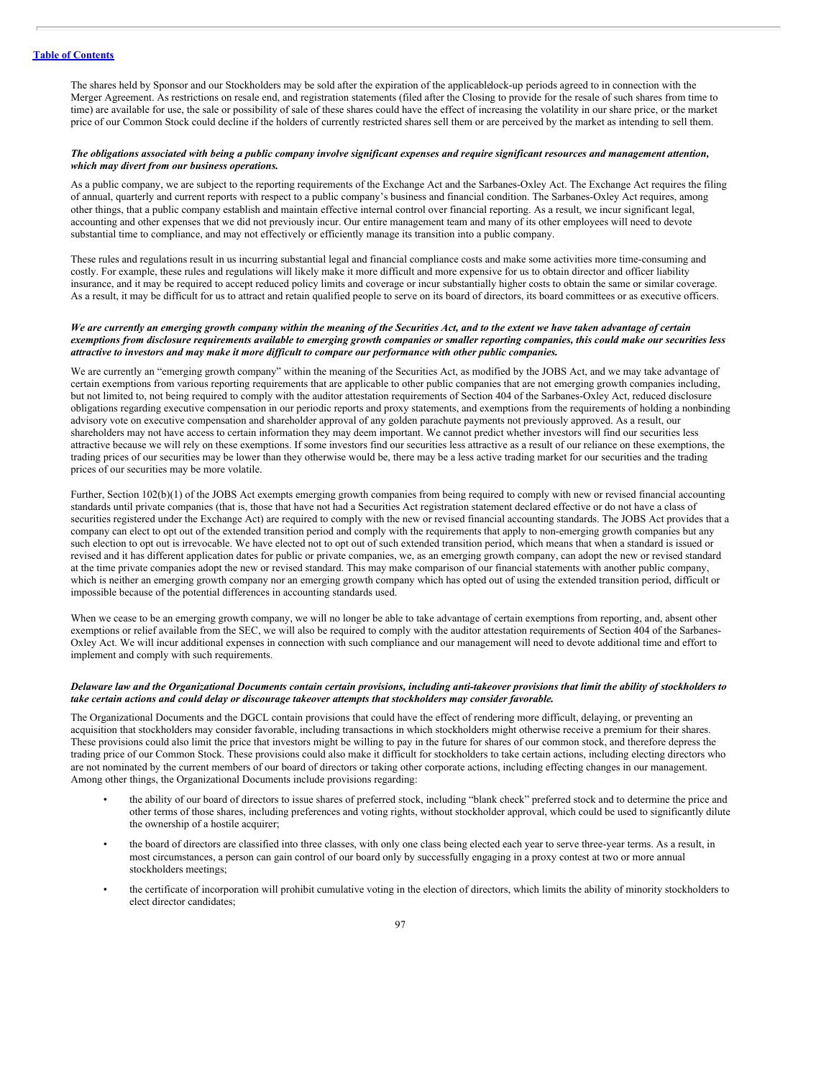The shares held by Sponsor and our Stockholders may be sold after the expiration of the applicablelock-up periods agreed to in connection with the Merger Agreement. As restrictions on resale end, and registration statements (filed after the Closing to provide for the resale of such shares from time to time) are available for use, the sale or possibility of sale of these shares could have the effect of increasing the volatility in our share price, or the market price of our Common Stock could decline if the holders of currently restricted shares sell them or are perceived by the market as intending to sell them.

## The obligations associated with being a public company involve significant expenses and require significant resources and management attention, *which may divert from our business operations.*

As a public company, we are subject to the reporting requirements of the Exchange Act and the Sarbanes-Oxley Act. The Exchange Act requires the filing of annual, quarterly and current reports with respect to a public company's business and financial condition. The Sarbanes-Oxley Act requires, among other things, that a public company establish and maintain effective internal control over financial reporting. As a result, we incur significant legal, accounting and other expenses that we did not previously incur. Our entire management team and many of its other employees will need to devote substantial time to compliance, and may not effectively or efficiently manage its transition into a public company.

These rules and regulations result in us incurring substantial legal and financial compliance costs and make some activities more time-consuming and costly. For example, these rules and regulations will likely make it more difficult and more expensive for us to obtain director and officer liability insurance, and it may be required to accept reduced policy limits and coverage or incur substantially higher costs to obtain the same or similar coverage. As a result, it may be difficult for us to attract and retain qualified people to serve on its board of directors, its board committees or as executive officers.

## We are currently an emerging growth company within the meaning of the Securities Act, and to the extent we have taken advantage of certain exemptions from disclosure requirements available to emerging growth companies or smaller reporting companies, this could make our securities less attractive to investors and may make it more difficult to compare our performance with other public companies.

We are currently an "emerging growth company" within the meaning of the Securities Act, as modified by the JOBS Act, and we may take advantage of certain exemptions from various reporting requirements that are applicable to other public companies that are not emerging growth companies including, but not limited to, not being required to comply with the auditor attestation requirements of Section 404 of the Sarbanes-Oxley Act, reduced disclosure obligations regarding executive compensation in our periodic reports and proxy statements, and exemptions from the requirements of holding a nonbinding advisory vote on executive compensation and shareholder approval of any golden parachute payments not previously approved. As a result, our shareholders may not have access to certain information they may deem important. We cannot predict whether investors will find our securities less attractive because we will rely on these exemptions. If some investors find our securities less attractive as a result of our reliance on these exemptions, the trading prices of our securities may be lower than they otherwise would be, there may be a less active trading market for our securities and the trading prices of our securities may be more volatile.

Further, Section 102(b)(1) of the JOBS Act exempts emerging growth companies from being required to comply with new or revised financial accounting standards until private companies (that is, those that have not had a Securities Act registration statement declared effective or do not have a class of securities registered under the Exchange Act) are required to comply with the new or revised financial accounting standards. The JOBS Act provides that a company can elect to opt out of the extended transition period and comply with the requirements that apply to non-emerging growth companies but any such election to opt out is irrevocable. We have elected not to opt out of such extended transition period, which means that when a standard is issued or revised and it has different application dates for public or private companies, we, as an emerging growth company, can adopt the new or revised standard at the time private companies adopt the new or revised standard. This may make comparison of our financial statements with another public company, which is neither an emerging growth company nor an emerging growth company which has opted out of using the extended transition period, difficult or impossible because of the potential differences in accounting standards used.

When we cease to be an emerging growth company, we will no longer be able to take advantage of certain exemptions from reporting, and, absent other exemptions or relief available from the SEC, we will also be required to comply with the auditor attestation requirements of Section 404 of the Sarbanes-Oxley Act. We will incur additional expenses in connection with such compliance and our management will need to devote additional time and effort to implement and comply with such requirements.

## Delaware law and the Organizational Documents contain certain provisions, including anti-takeover provisions that limit the ability of stockholders to *take certain actions and could delay or discourage takeover attempts that stockholders may consider favorable.*

The Organizational Documents and the DGCL contain provisions that could have the effect of rendering more difficult, delaying, or preventing an acquisition that stockholders may consider favorable, including transactions in which stockholders might otherwise receive a premium for their shares. These provisions could also limit the price that investors might be willing to pay in the future for shares of our common stock, and therefore depress the trading price of our Common Stock. These provisions could also make it difficult for stockholders to take certain actions, including electing directors who are not nominated by the current members of our board of directors or taking other corporate actions, including effecting changes in our management. Among other things, the Organizational Documents include provisions regarding:

- the ability of our board of directors to issue shares of preferred stock, including "blank check" preferred stock and to determine the price and other terms of those shares, including preferences and voting rights, without stockholder approval, which could be used to significantly dilute the ownership of a hostile acquirer;
- the board of directors are classified into three classes, with only one class being elected each year to serve three-year terms. As a result, in most circumstances, a person can gain control of our board only by successfully engaging in a proxy contest at two or more annual stockholders meetings;
- the certificate of incorporation will prohibit cumulative voting in the election of directors, which limits the ability of minority stockholders to elect director candidates;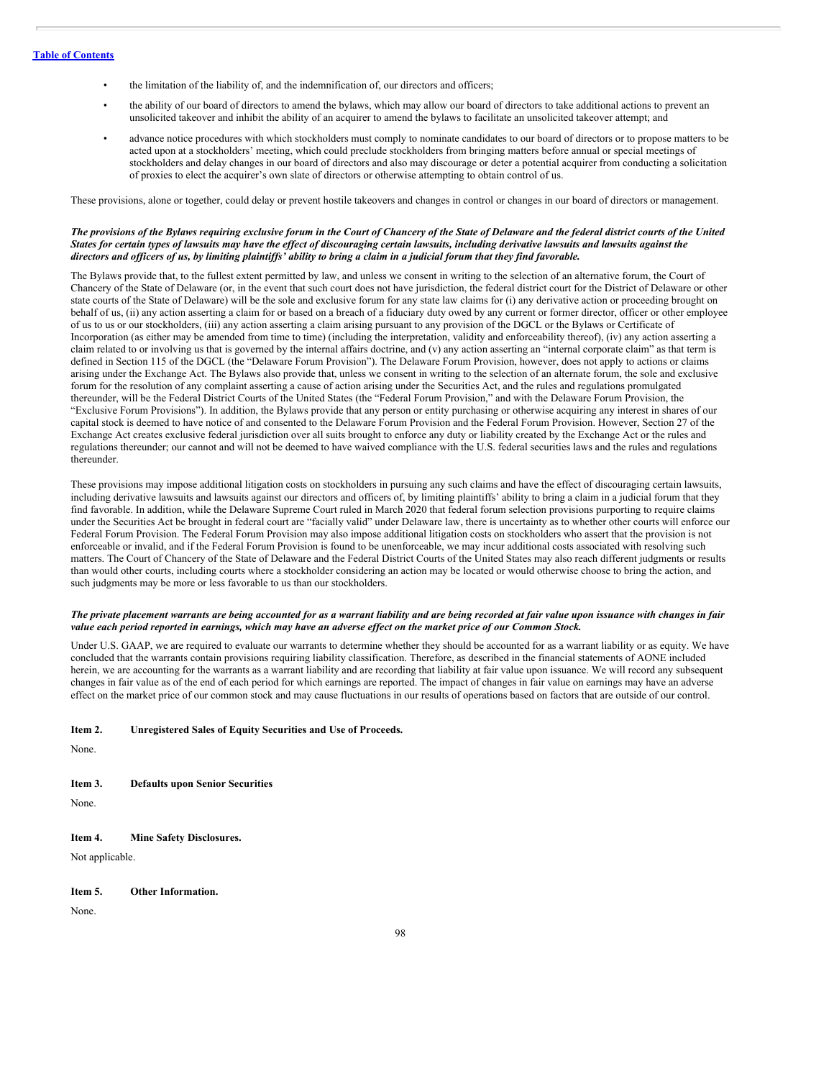- the limitation of the liability of, and the indemnification of, our directors and officers;
- the ability of our board of directors to amend the bylaws, which may allow our board of directors to take additional actions to prevent an unsolicited takeover and inhibit the ability of an acquirer to amend the bylaws to facilitate an unsolicited takeover attempt; and
- advance notice procedures with which stockholders must comply to nominate candidates to our board of directors or to propose matters to be acted upon at a stockholders' meeting, which could preclude stockholders from bringing matters before annual or special meetings of stockholders and delay changes in our board of directors and also may discourage or deter a potential acquirer from conducting a solicitation of proxies to elect the acquirer's own slate of directors or otherwise attempting to obtain control of us.

These provisions, alone or together, could delay or prevent hostile takeovers and changes in control or changes in our board of directors or management.

## The provisions of the Bylaws requiring exclusive forum in the Court of Chancery of the State of Delaware and the federal district courts of the United States for certain types of lawsuits may have the effect of discouraging certain lawsuits, including derivative lawsuits and lawsuits against the directors and officers of us, by limiting plaintiffs' ability to bring a claim in a judicial forum that they find favorable.

The Bylaws provide that, to the fullest extent permitted by law, and unless we consent in writing to the selection of an alternative forum, the Court of Chancery of the State of Delaware (or, in the event that such court does not have jurisdiction, the federal district court for the District of Delaware or other state courts of the State of Delaware) will be the sole and exclusive forum for any state law claims for (i) any derivative action or proceeding brought on behalf of us, (ii) any action asserting a claim for or based on a breach of a fiduciary duty owed by any current or former director, officer or other employee of us to us or our stockholders, (iii) any action asserting a claim arising pursuant to any provision of the DGCL or the Bylaws or Certificate of Incorporation (as either may be amended from time to time) (including the interpretation, validity and enforceability thereof), (iv) any action asserting a claim related to or involving us that is governed by the internal affairs doctrine, and (v) any action asserting an "internal corporate claim" as that term is defined in Section 115 of the DGCL (the "Delaware Forum Provision"). The Delaware Forum Provision, however, does not apply to actions or claims arising under the Exchange Act. The Bylaws also provide that, unless we consent in writing to the selection of an alternate forum, the sole and exclusive forum for the resolution of any complaint asserting a cause of action arising under the Securities Act, and the rules and regulations promulgated thereunder, will be the Federal District Courts of the United States (the "Federal Forum Provision," and with the Delaware Forum Provision, the "Exclusive Forum Provisions"). In addition, the Bylaws provide that any person or entity purchasing or otherwise acquiring any interest in shares of our capital stock is deemed to have notice of and consented to the Delaware Forum Provision and the Federal Forum Provision. However, Section 27 of the Exchange Act creates exclusive federal jurisdiction over all suits brought to enforce any duty or liability created by the Exchange Act or the rules and regulations thereunder; our cannot and will not be deemed to have waived compliance with the U.S. federal securities laws and the rules and regulations thereunder.

These provisions may impose additional litigation costs on stockholders in pursuing any such claims and have the effect of discouraging certain lawsuits, including derivative lawsuits and lawsuits against our directors and officers of, by limiting plaintiffs' ability to bring a claim in a judicial forum that they find favorable. In addition, while the Delaware Supreme Court ruled in March 2020 that federal forum selection provisions purporting to require claims under the Securities Act be brought in federal court are "facially valid" under Delaware law, there is uncertainty as to whether other courts will enforce our Federal Forum Provision. The Federal Forum Provision may also impose additional litigation costs on stockholders who assert that the provision is not enforceable or invalid, and if the Federal Forum Provision is found to be unenforceable, we may incur additional costs associated with resolving such matters. The Court of Chancery of the State of Delaware and the Federal District Courts of the United States may also reach different judgments or results than would other courts, including courts where a stockholder considering an action may be located or would otherwise choose to bring the action, and such judgments may be more or less favorable to us than our stockholders.

## The private placement warrants are being accounted for as a warrant liability and are being recorded at fair value upon issuance with changes in fair value each period reported in earnings, which may have an adverse effect on the market price of our Common Stock.

Under U.S. GAAP, we are required to evaluate our warrants to determine whether they should be accounted for as a warrant liability or as equity. We have concluded that the warrants contain provisions requiring liability classification. Therefore, as described in the financial statements of AONE included herein, we are accounting for the warrants as a warrant liability and are recording that liability at fair value upon issuance. We will record any subsequent changes in fair value as of the end of each period for which earnings are reported. The impact of changes in fair value on earnings may have an adverse effect on the market price of our common stock and may cause fluctuations in our results of operations based on factors that are outside of our control.

## **Item 2. Unregistered Sales of Equity Securities and Use of Proceeds.**

None.

**Item 3. Defaults upon Senior Securities**

None.

**Item 4. Mine Safety Disclosures.**

Not applicable.

# **Item 5. Other Information.**

None.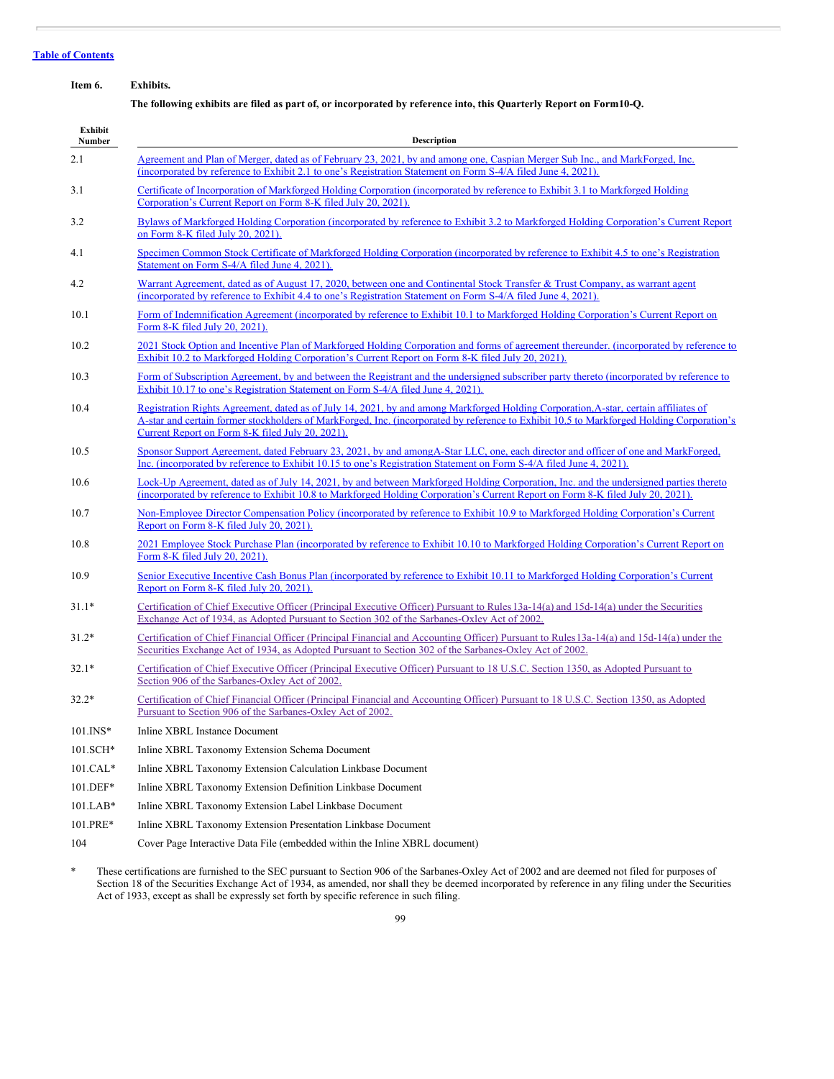# **Table of [Contents](#page-2-0)**

# **Item 6. Exhibits.** The following exhibits are filed as part of, or incorporated by reference into, this Quarterly Report on Form10-Q.

| <b>Exhibit</b><br>Number | <b>Description</b>                                                                                                                                                                                                                                                                                                                    |
|--------------------------|---------------------------------------------------------------------------------------------------------------------------------------------------------------------------------------------------------------------------------------------------------------------------------------------------------------------------------------|
| 2.1                      | Agreement and Plan of Merger, dated as of February 23, 2021, by and among one, Caspian Merger Sub Inc., and MarkForged, Inc.<br>(incorporated by reference to Exhibit 2.1 to one's Registration Statement on Form S-4/A filed June 4, 2021).                                                                                          |
| 3.1                      | Certificate of Incorporation of Markforged Holding Corporation (incorporated by reference to Exhibit 3.1 to Markforged Holding<br>Corporation's Current Report on Form 8-K filed July 20, 2021).                                                                                                                                      |
| 3.2                      | Bylaws of Markforged Holding Corporation (incorporated by reference to Exhibit 3.2 to Markforged Holding Corporation's Current Report<br>on Form 8-K filed July 20, 2021).                                                                                                                                                            |
| 4.1                      | Specimen Common Stock Certificate of Markforged Holding Corporation (incorporated by reference to Exhibit 4.5 to one's Registration<br>Statement on Form S-4/A filed June 4, 2021).                                                                                                                                                   |
| 4.2                      | Warrant Agreement, dated as of August 17, 2020, between one and Continental Stock Transfer & Trust Company, as warrant agent<br>(incorporated by reference to Exhibit 4.4 to one's Registration Statement on Form S-4/A filed June 4, 2021).                                                                                          |
| 10.1                     | Form of Indemnification Agreement (incorporated by reference to Exhibit 10.1 to Markforged Holding Corporation's Current Report on<br>Form 8-K filed July 20, 2021).                                                                                                                                                                  |
| 10.2                     | 2021 Stock Option and Incentive Plan of Markforged Holding Corporation and forms of agreement thereunder. (incorporated by reference to<br>Exhibit 10.2 to Markforged Holding Corporation's Current Report on Form 8-K filed July 20, 2021).                                                                                          |
| 10.3                     | Form of Subscription Agreement, by and between the Registrant and the undersigned subscriber party thereto (incorporated by reference to<br>Exhibit 10.17 to one's Registration Statement on Form S-4/A filed June 4, 2021).                                                                                                          |
| 10.4                     | Registration Rights Agreement, dated as of July 14, 2021, by and among Markforged Holding Corporation, A-star, certain affiliates of<br>A-star and certain former stockholders of MarkForged, Inc. (incorporated by reference to Exhibit 10.5 to Markforged Holding Corporation's<br>Current Report on Form 8-K filed July 20, 2021). |
| 10.5                     | Sponsor Support Agreement, dated February 23, 2021, by and among A-Star LLC, one, each director and officer of one and MarkForged,<br>Inc. (incorporated by reference to Exhibit 10.15 to one's Registration Statement on Form S-4/A filed June 4, 2021).                                                                             |
| 10.6                     | Lock-Up Agreement, dated as of July 14, 2021, by and between Markforged Holding Corporation, Inc. and the undersigned parties thereto<br>(incorporated by reference to Exhibit 10.8 to Markforged Holding Corporation's Current Report on Form 8-K filed July 20, 2021).                                                              |
| 10.7                     | Non-Employee Director Compensation Policy (incorporated by reference to Exhibit 10.9 to Markforged Holding Corporation's Current<br>Report on Form 8-K filed July 20, 2021).                                                                                                                                                          |
| 10.8                     | 2021 Employee Stock Purchase Plan (incorporated by reference to Exhibit 10.10 to Markforged Holding Corporation's Current Report on<br>Form 8-K filed July 20, 2021).                                                                                                                                                                 |
| 10.9                     | Senior Executive Incentive Cash Bonus Plan (incorporated by reference to Exhibit 10.11 to Markforged Holding Corporation's Current<br>Report on Form 8-K filed July 20, 2021).                                                                                                                                                        |
| $31.1*$                  | Certification of Chief Executive Officer (Principal Executive Officer) Pursuant to Rules 13a-14(a) and 15d-14(a) under the Securities<br>Exchange Act of 1934, as Adopted Pursuant to Section 302 of the Sarbanes-Oxley Act of 2002.                                                                                                  |
| $31.2*$                  | Certification of Chief Financial Officer (Principal Financial and Accounting Officer) Pursuant to Rules 13a-14(a) and 15d-14(a) under the<br>Securities Exchange Act of 1934, as Adopted Pursuant to Section 302 of the Sarbanes-Oxley Act of 2002.                                                                                   |
| $32.1*$                  | Certification of Chief Executive Officer (Principal Executive Officer) Pursuant to 18 U.S.C. Section 1350, as Adopted Pursuant to<br>Section 906 of the Sarbanes-Oxley Act of 2002.                                                                                                                                                   |
| $32.2*$                  | Certification of Chief Financial Officer (Principal Financial and Accounting Officer) Pursuant to 18 U.S.C. Section 1350, as Adopted<br>Pursuant to Section 906 of the Sarbanes-Oxley Act of 2002.                                                                                                                                    |
| 101.INS*                 | Inline XBRL Instance Document                                                                                                                                                                                                                                                                                                         |
| 101.SCH*                 | Inline XBRL Taxonomy Extension Schema Document                                                                                                                                                                                                                                                                                        |
| $101.CAL*$               | Inline XBRL Taxonomy Extension Calculation Linkbase Document                                                                                                                                                                                                                                                                          |
| 101.DEF*                 | Inline XBRL Taxonomy Extension Definition Linkbase Document                                                                                                                                                                                                                                                                           |
| $101.LAB*$               | Inline XBRL Taxonomy Extension Label Linkbase Document                                                                                                                                                                                                                                                                                |
| 101.PRE*                 | Inline XBRL Taxonomy Extension Presentation Linkbase Document                                                                                                                                                                                                                                                                         |

- 104 Cover Page Interactive Data File (embedded within the Inline XBRL document)
- \* These certifications are furnished to the SEC pursuant to Section 906 of the Sarbanes-Oxley Act of 2002 and are deemed not filed for purposes of Section 18 of the Securities Exchange Act of 1934, as amended, nor shall they be deemed incorporated by reference in any filing under the Securities Act of 1933, except as shall be expressly set forth by specific reference in such filing.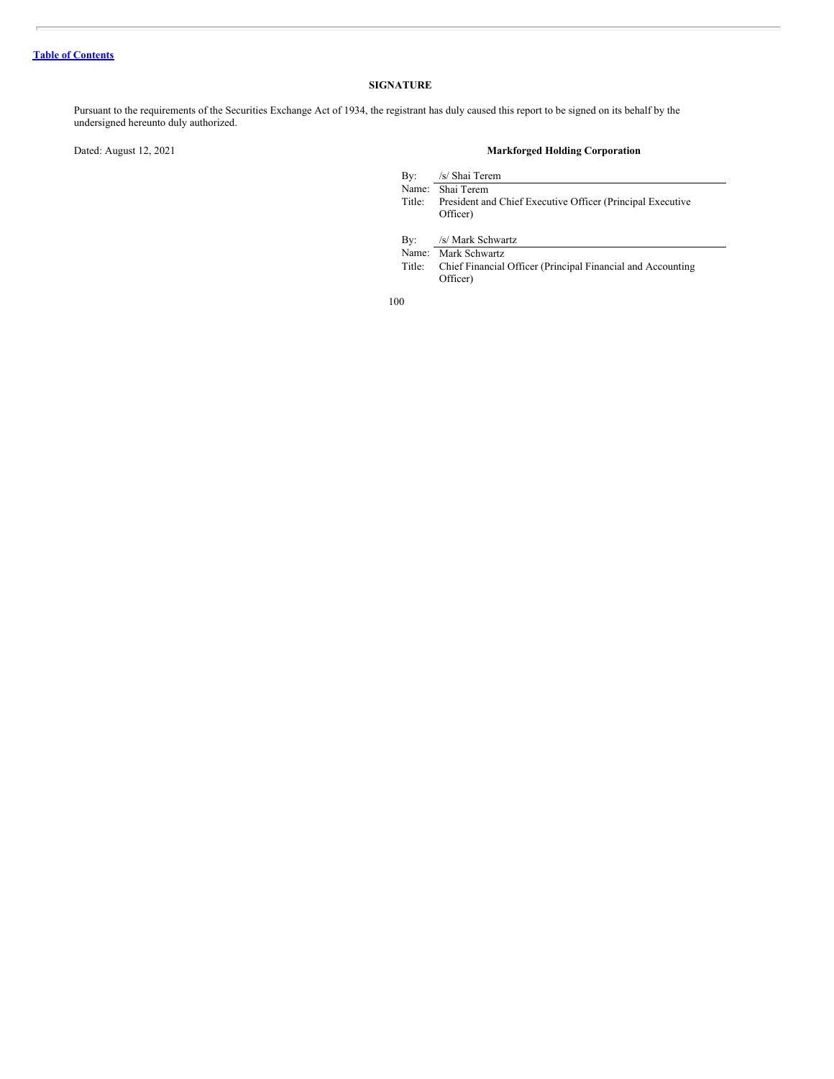# **SIGNATURE**

Pursuant to the requirements of the Securities Exchange Act of 1934, the registrant has duly caused this report to be signed on its behalf by the undersigned hereunto duly authorized.

# Dated: August 12, 2021 **Markforged Holding Corporation**

| By: | /s/ Shai Terem |  |
|-----|----------------|--|
|     |                |  |

Name<br>Title: President and Chief Executive Officer (Principal Executive Officer)

By: /s/ Mark Schwartz

Name: Mark Schwartz

Title: Chief Financial Officer (Principal Financial and Accounting Officer)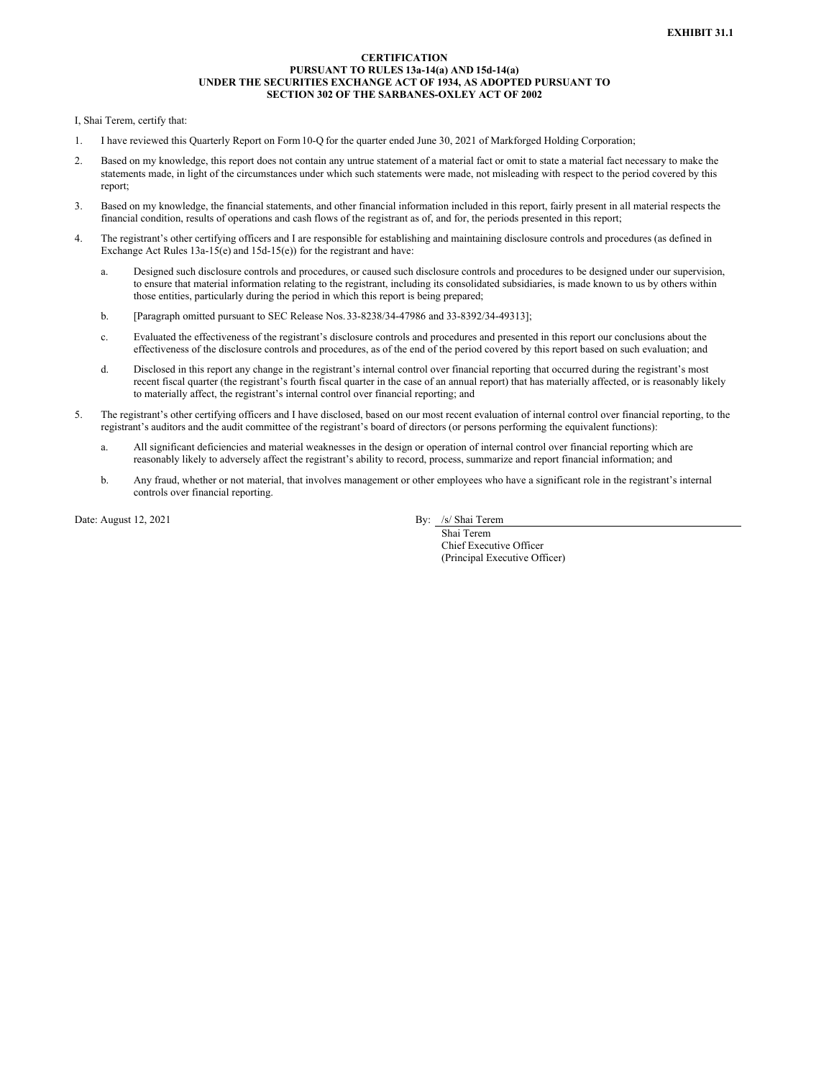## **CERTIFICATION PURSUANT TO RULES 13a-14(a) AND 15d-14(a) UNDER THE SECURITIES EXCHANGE ACT OF 1934, AS ADOPTED PURSUANT TO SECTION 302 OF THE SARBANES-OXLEY ACT OF 2002**

<span id="page-105-0"></span>I, Shai Terem, certify that:

- 1. I have reviewed this Quarterly Report on Form10-Q for the quarter ended June 30, 2021 of Markforged Holding Corporation;
- 2. Based on my knowledge, this report does not contain any untrue statement of a material fact or omit to state a material fact necessary to make the statements made, in light of the circumstances under which such statements were made, not misleading with respect to the period covered by this report;
- 3. Based on my knowledge, the financial statements, and other financial information included in this report, fairly present in all material respects the financial condition, results of operations and cash flows of the registrant as of, and for, the periods presented in this report;
- 4. The registrant's other certifying officers and I are responsible for establishing and maintaining disclosure controls and procedures (as defined in Exchange Act Rules 13a-15(e) and 15d-15(e)) for the registrant and have:
	- a. Designed such disclosure controls and procedures, or caused such disclosure controls and procedures to be designed under our supervision, to ensure that material information relating to the registrant, including its consolidated subsidiaries, is made known to us by others within those entities, particularly during the period in which this report is being prepared;
	- b. [Paragraph omitted pursuant to SEC Release Nos.33-8238/34-47986 and 33-8392/34-49313];
	- c. Evaluated the effectiveness of the registrant's disclosure controls and procedures and presented in this report our conclusions about the effectiveness of the disclosure controls and procedures, as of the end of the period covered by this report based on such evaluation; and
	- d. Disclosed in this report any change in the registrant's internal control over financial reporting that occurred during the registrant's most recent fiscal quarter (the registrant's fourth fiscal quarter in the case of an annual report) that has materially affected, or is reasonably likely to materially affect, the registrant's internal control over financial reporting; and
- 5. The registrant's other certifying officers and I have disclosed, based on our most recent evaluation of internal control over financial reporting, to the registrant's auditors and the audit committee of the registrant's board of directors (or persons performing the equivalent functions):
	- a. All significant deficiencies and material weaknesses in the design or operation of internal control over financial reporting which are reasonably likely to adversely affect the registrant's ability to record, process, summarize and report financial information; and
	- b. Any fraud, whether or not material, that involves management or other employees who have a significant role in the registrant's internal controls over financial reporting.

Date: August 12, 2021 By: /s/ Shai Terem

Shai Terem Chief Executive Officer (Principal Executive Officer)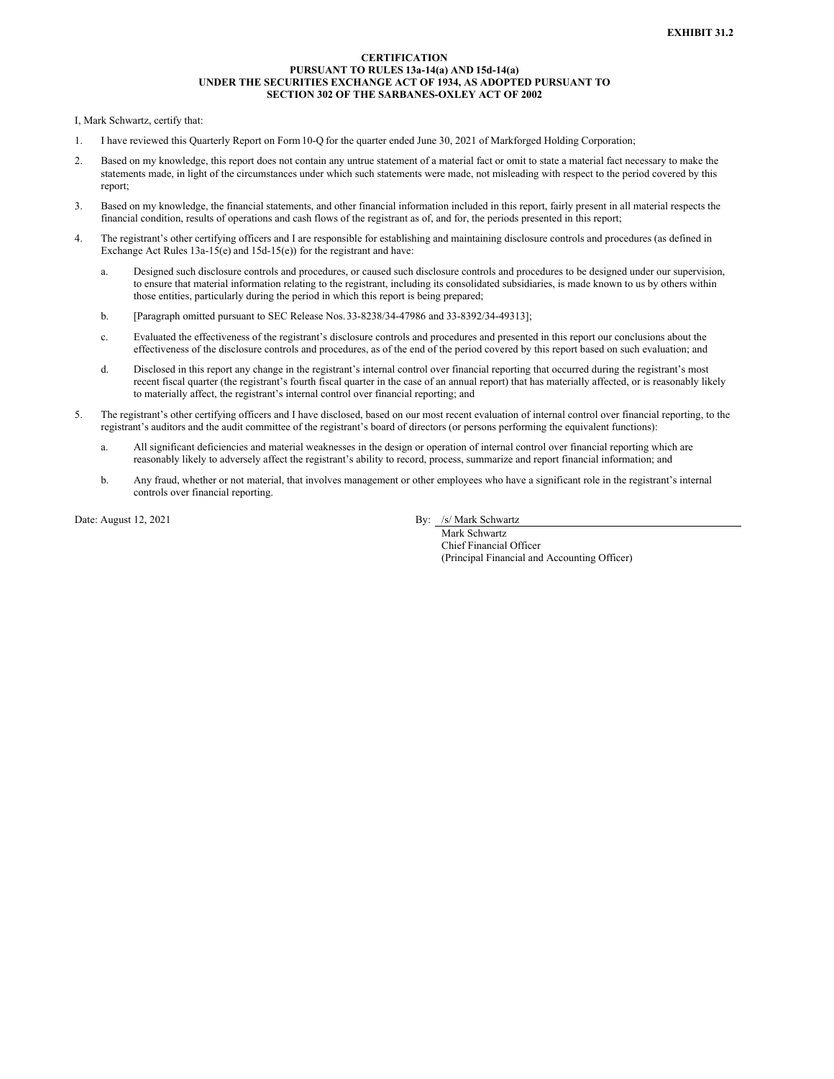## **CERTIFICATION PURSUANT TO RULES 13a-14(a) AND 15d-14(a) UNDER THE SECURITIES EXCHANGE ACT OF 1934, AS ADOPTED PURSUANT TO SECTION 302 OF THE SARBANES-OXLEY ACT OF 2002**

<span id="page-106-0"></span>I, Mark Schwartz, certify that:

- 1. I have reviewed this Quarterly Report on Form10-Q for the quarter ended June 30, 2021 of Markforged Holding Corporation;
- 2. Based on my knowledge, this report does not contain any untrue statement of a material fact or omit to state a material fact necessary to make the statements made, in light of the circumstances under which such statements were made, not misleading with respect to the period covered by this report;
- 3. Based on my knowledge, the financial statements, and other financial information included in this report, fairly present in all material respects the financial condition, results of operations and cash flows of the registrant as of, and for, the periods presented in this report;
- 4. The registrant's other certifying officers and I are responsible for establishing and maintaining disclosure controls and procedures (as defined in Exchange Act Rules 13a-15(e) and 15d-15(e)) for the registrant and have:
	- a. Designed such disclosure controls and procedures, or caused such disclosure controls and procedures to be designed under our supervision, to ensure that material information relating to the registrant, including its consolidated subsidiaries, is made known to us by others within those entities, particularly during the period in which this report is being prepared;
	- b. [Paragraph omitted pursuant to SEC Release Nos.33-8238/34-47986 and 33-8392/34-49313];
	- c. Evaluated the effectiveness of the registrant's disclosure controls and procedures and presented in this report our conclusions about the effectiveness of the disclosure controls and procedures, as of the end of the period covered by this report based on such evaluation; and
	- d. Disclosed in this report any change in the registrant's internal control over financial reporting that occurred during the registrant's most recent fiscal quarter (the registrant's fourth fiscal quarter in the case of an annual report) that has materially affected, or is reasonably likely to materially affect, the registrant's internal control over financial reporting; and
- 5. The registrant's other certifying officers and I have disclosed, based on our most recent evaluation of internal control over financial reporting, to the registrant's auditors and the audit committee of the registrant's board of directors (or persons performing the equivalent functions):
	- a. All significant deficiencies and material weaknesses in the design or operation of internal control over financial reporting which are reasonably likely to adversely affect the registrant's ability to record, process, summarize and report financial information; and
	- b. Any fraud, whether or not material, that involves management or other employees who have a significant role in the registrant's internal controls over financial reporting.

Date: August 12, 2021 By: /s/ Mark Schwartz

Mark Schwartz Chief Financial Officer (Principal Financial and Accounting Officer)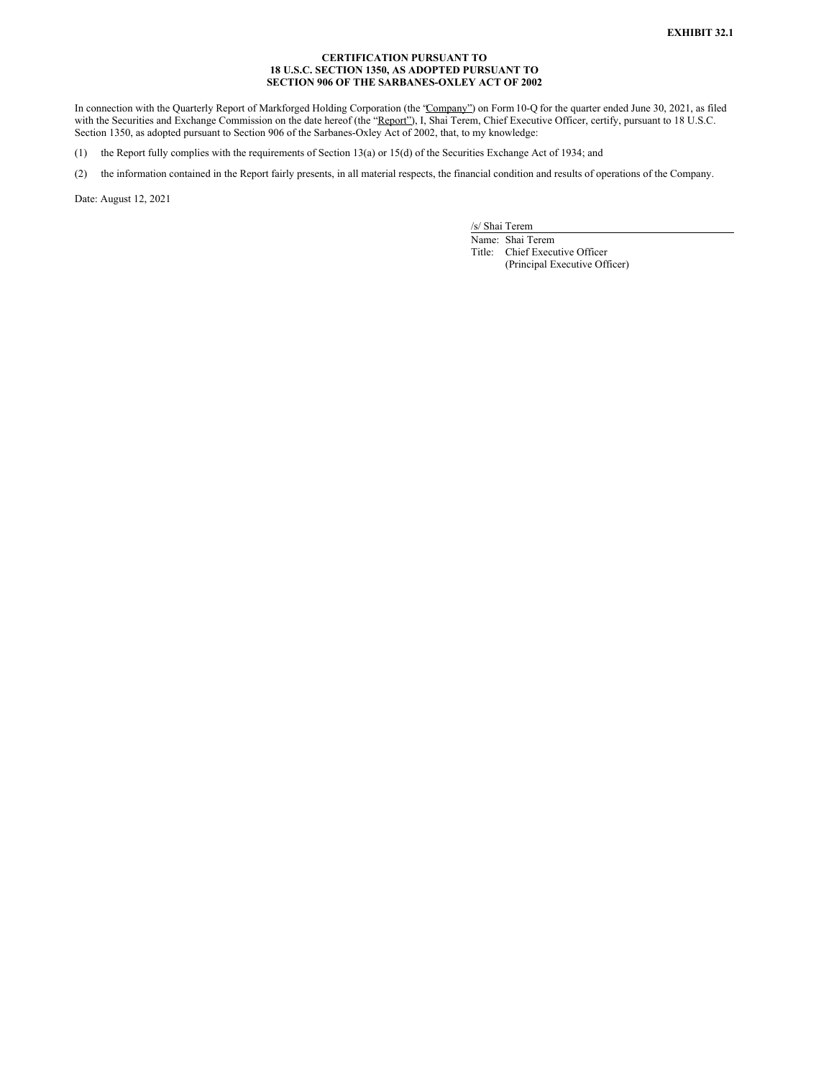## **CERTIFICATION PURSUANT TO 18 U.S.C. SECTION 1350, AS ADOPTED PURSUANT TO SECTION 906 OF THE SARBANES-OXLEY ACT OF 2002**

<span id="page-107-0"></span>In connection with the Quarterly Report of Markforged Holding Corporation (the "Company") on Form 10-Q for the quarter ended June 30, 2021, as filed with the Securities and Exchange Commission on the date hereof (the "Report"), I, Shai Terem, Chief Executive Officer, certify, pursuant to 18 U.S.C. Section 1350, as adopted pursuant to Section 906 of the Sarbanes-Oxley Act of 2002, that, to my knowledge:

- (1) the Report fully complies with the requirements of Section 13(a) or 15(d) of the Securities Exchange Act of 1934; and
- (2) the information contained in the Report fairly presents, in all material respects, the financial condition and results of operations of the Company.

Date: August 12, 2021

/s/ Shai Terem

Name: Shai Terem Title: Chief Executive Officer (Principal Executive Officer)